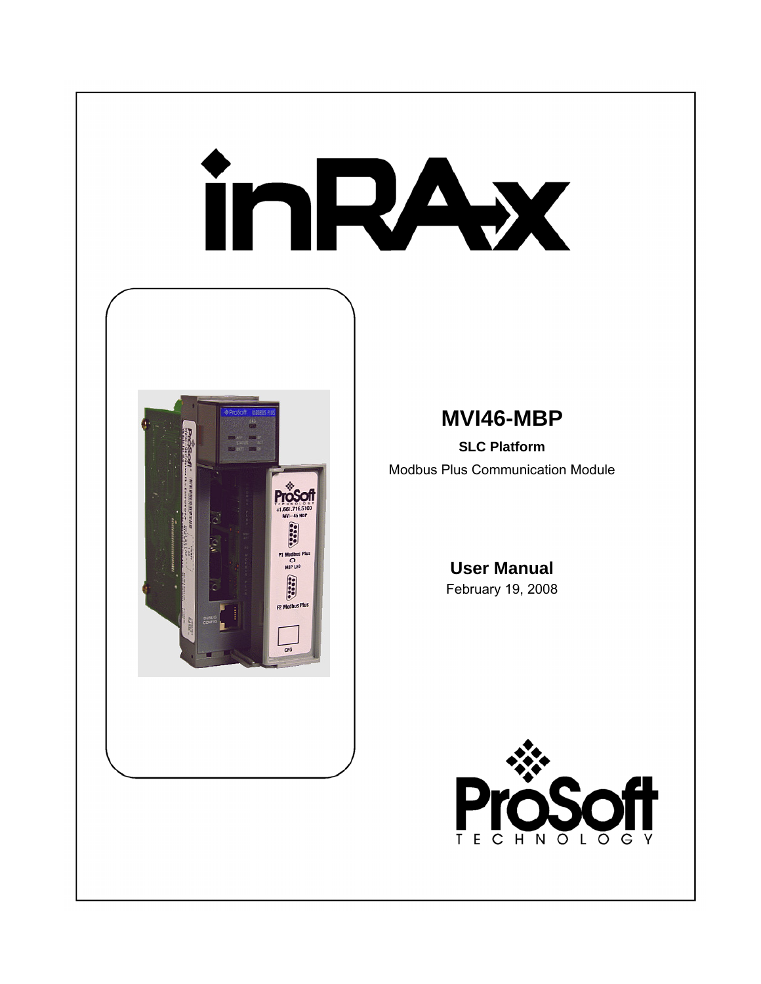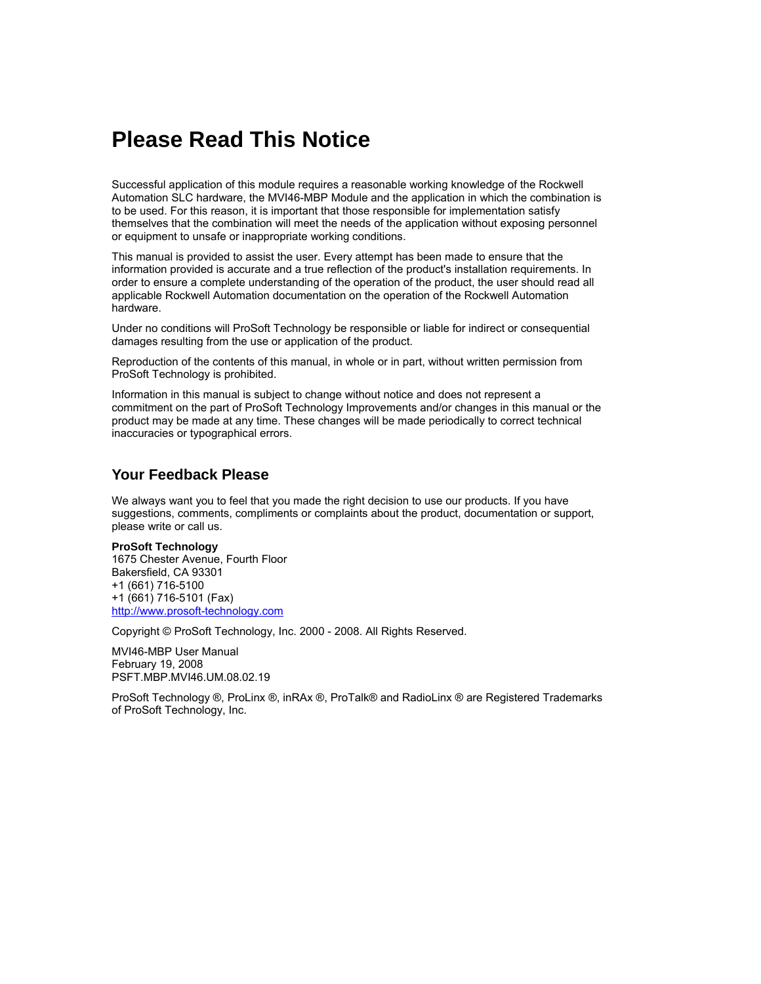# <span id="page-1-0"></span>**Please Read This Notice**

Successful application of this module requires a reasonable working knowledge of the Rockwell Automation SLC hardware, the MVI46-MBP Module and the application in which the combination is to be used. For this reason, it is important that those responsible for implementation satisfy themselves that the combination will meet the needs of the application without exposing personnel or equipment to unsafe or inappropriate working conditions.

This manual is provided to assist the user. Every attempt has been made to ensure that the information provided is accurate and a true reflection of the product's installation requirements. In order to ensure a complete understanding of the operation of the product, the user should read all applicable Rockwell Automation documentation on the operation of the Rockwell Automation hardware.

Under no conditions will ProSoft Technology be responsible or liable for indirect or consequential damages resulting from the use or application of the product.

Reproduction of the contents of this manual, in whole or in part, without written permission from ProSoft Technology is prohibited.

Information in this manual is subject to change without notice and does not represent a commitment on the part of ProSoft Technology Improvements and/or changes in this manual or the product may be made at any time. These changes will be made periodically to correct technical inaccuracies or typographical errors.

#### <span id="page-1-1"></span>**Your Feedback Please**

We always want you to feel that you made the right decision to use our products. If you have suggestions, comments, compliments or complaints about the product, documentation or support, please write or call us.

#### **ProSoft Technology**

1675 Chester Avenue, Fourth Floor Bakersfield, CA 93301 +1 (661) 716-5100 +1 (661) 716-5101 (Fax) [http://www.prosoft-technology.com](http://www.prosoft-technology.com/)

Copyright © ProSoft Technology, Inc. 2000 - 2008. All Rights Reserved.

MVI46-MBP User Manual February 19, 2008 PSFT.MBP.MVI46.UM.08.02.19

ProSoft Technology ®, ProLinx ®, inRAx ®, ProTalk® and RadioLinx ® are Registered Trademarks of ProSoft Technology, Inc.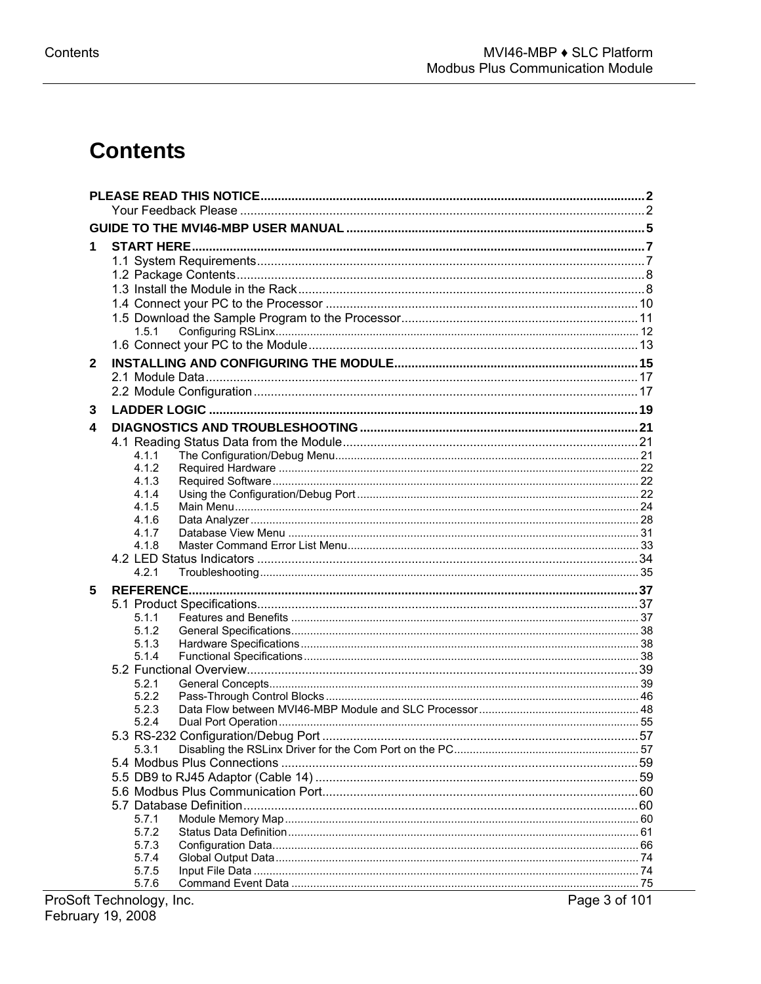# **Contents**

| 1            |                              |               |
|--------------|------------------------------|---------------|
|              |                              |               |
|              |                              |               |
|              |                              |               |
|              |                              |               |
|              |                              |               |
|              | 1.5.1                        |               |
|              |                              |               |
| $\mathbf{2}$ |                              |               |
|              |                              |               |
|              |                              |               |
| 3            |                              |               |
| 4            |                              |               |
|              |                              |               |
|              | 4.1.1                        |               |
|              | 4.1.2                        |               |
|              | 4.1.3                        |               |
|              | 4.1.4<br>4.1.5               |               |
|              | 4.1.6                        |               |
|              | 4.1.7                        |               |
|              | 4.1.8                        |               |
|              |                              |               |
|              | 4.2.1                        |               |
| 5            |                              |               |
|              |                              |               |
|              | 5.1.1                        |               |
|              | 5.1.2                        |               |
|              | 5.1.3                        |               |
|              | 5.1.4                        |               |
|              |                              |               |
|              | 5.2.1                        |               |
|              | 5.2.2<br>5.2.3               |               |
|              | 5.2.4                        |               |
|              |                              |               |
|              | 5.3.1                        |               |
|              |                              |               |
|              |                              |               |
|              |                              |               |
|              |                              |               |
|              | 5.7.1                        |               |
|              | 5.7.2                        |               |
|              | 5.7.3                        |               |
|              | 5.7.4                        |               |
|              | 5.7.5                        |               |
|              | 5.7.6<br>ft Tochnology, Inc. | Dogo 3 of 101 |
|              |                              |               |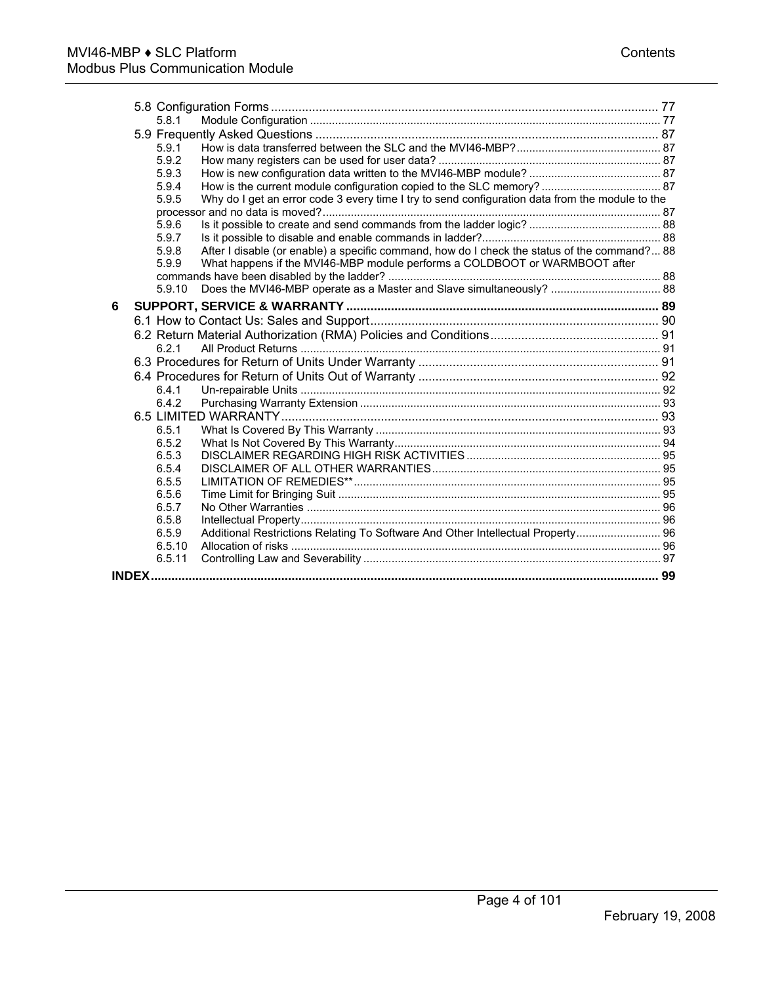|   | 5.8.1          |                                                                                                                                                                            |  |
|---|----------------|----------------------------------------------------------------------------------------------------------------------------------------------------------------------------|--|
|   |                |                                                                                                                                                                            |  |
|   | 5.9.1          |                                                                                                                                                                            |  |
|   | 5.9.2          |                                                                                                                                                                            |  |
|   | 5.9.3          |                                                                                                                                                                            |  |
|   | 5.9.4          |                                                                                                                                                                            |  |
|   | 5.9.5          | Why do I get an error code 3 every time I try to send configuration data from the module to the                                                                            |  |
|   |                |                                                                                                                                                                            |  |
|   | 5.9.6          |                                                                                                                                                                            |  |
|   | 5.9.7          |                                                                                                                                                                            |  |
|   | 5.9.8<br>5.9.9 | After I disable (or enable) a specific command, how do I check the status of the command? 88<br>What happens if the MVI46-MBP module performs a COLDBOOT or WARMBOOT after |  |
|   |                |                                                                                                                                                                            |  |
|   | 5.9.10         | Does the MVI46-MBP operate as a Master and Slave simultaneously?  88                                                                                                       |  |
| 6 |                |                                                                                                                                                                            |  |
|   |                |                                                                                                                                                                            |  |
|   |                |                                                                                                                                                                            |  |
|   | 6.2.1          |                                                                                                                                                                            |  |
|   |                |                                                                                                                                                                            |  |
|   |                |                                                                                                                                                                            |  |
|   | 6.4.1          |                                                                                                                                                                            |  |
|   | 6.4.2          |                                                                                                                                                                            |  |
|   |                |                                                                                                                                                                            |  |
|   | 6.5.1          |                                                                                                                                                                            |  |
|   | 6.5.2          |                                                                                                                                                                            |  |
|   | 6.5.3          |                                                                                                                                                                            |  |
|   | 6.5.4          |                                                                                                                                                                            |  |
|   | 6.5.5          |                                                                                                                                                                            |  |
|   | 6.5.6          |                                                                                                                                                                            |  |
|   | 6.5.7          |                                                                                                                                                                            |  |
|   | 6.5.8          |                                                                                                                                                                            |  |
|   | 6.5.9          | Additional Restrictions Relating To Software And Other Intellectual Property 96                                                                                            |  |
|   | 6.5.10         |                                                                                                                                                                            |  |
|   | 6.5.11         |                                                                                                                                                                            |  |
|   |                |                                                                                                                                                                            |  |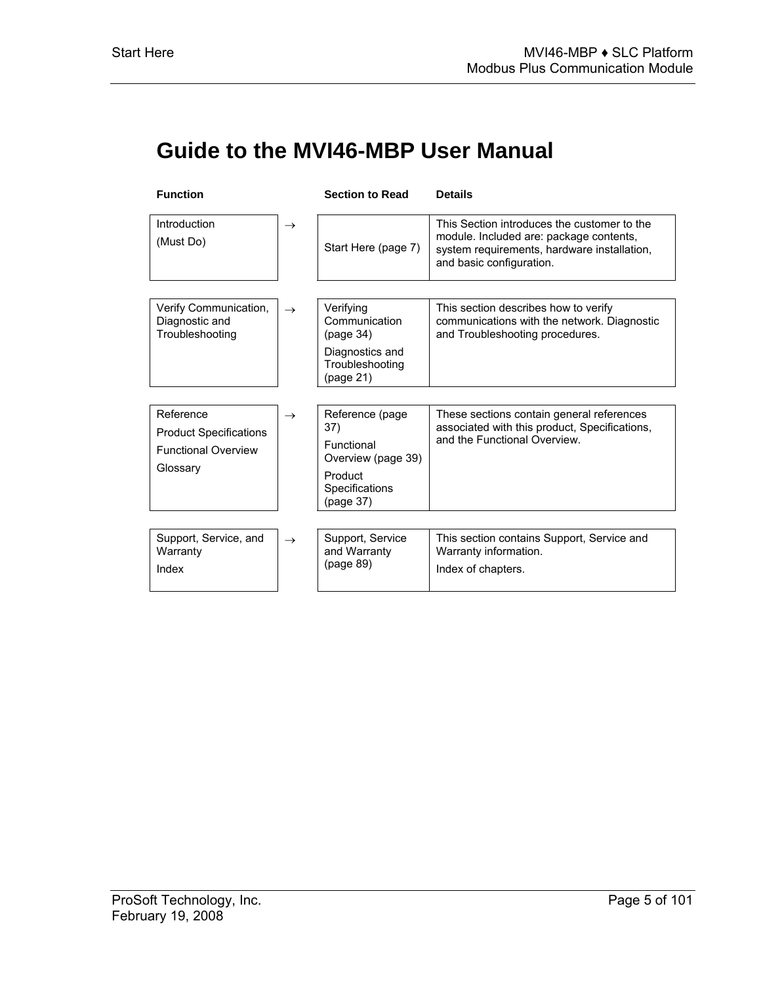# <span id="page-4-0"></span>**Guide to the MVI46-MBP User Manual**

| <b>Function</b>                                                                      |               | <b>Section to Read</b>                                                                               | <b>Details</b>                                                                                                                                                    |
|--------------------------------------------------------------------------------------|---------------|------------------------------------------------------------------------------------------------------|-------------------------------------------------------------------------------------------------------------------------------------------------------------------|
| Introduction<br>(Must Do)                                                            | $\rightarrow$ | Start Here (page 7)                                                                                  | This Section introduces the customer to the<br>module. Included are: package contents,<br>system requirements, hardware installation,<br>and basic configuration. |
| Verify Communication,<br>Diagnostic and<br>Troubleshooting                           | $\rightarrow$ | Verifying<br>Communication<br>(page 34)<br>Diagnostics and<br>Troubleshooting<br>(page 21)           | This section describes how to verify<br>communications with the network. Diagnostic<br>and Troubleshooting procedures.                                            |
| Reference<br><b>Product Specifications</b><br><b>Functional Overview</b><br>Glossary | $\rightarrow$ | Reference (page<br>37)<br>Functional<br>Overview (page 39)<br>Product<br>Specifications<br>(page 37) | These sections contain general references<br>associated with this product, Specifications,<br>and the Functional Overview.                                        |
| Support, Service, and<br>Warranty<br>Index                                           | $\rightarrow$ | Support, Service<br>and Warranty<br>(page 89)                                                        | This section contains Support, Service and<br>Warranty information.<br>Index of chapters.                                                                         |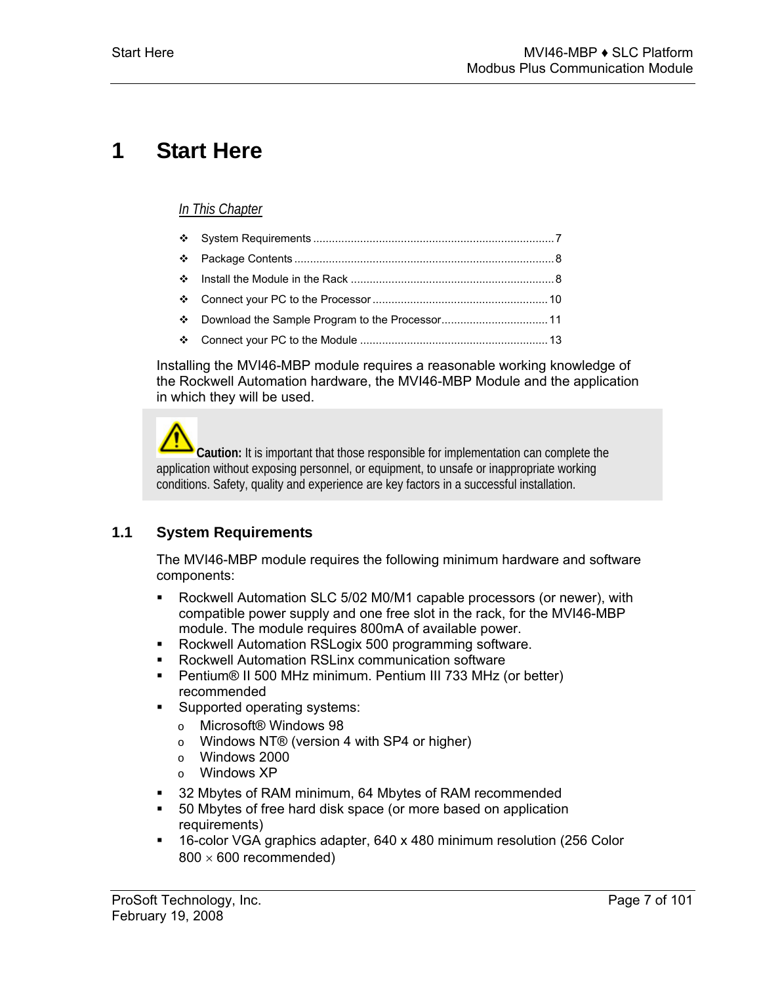# <span id="page-6-0"></span>**1 Start Here**

## *In This Chapter*

Installing the MVI46-MBP module requires a reasonable working knowledge of the Rockwell Automation hardware, the MVI46-MBP Module and the application in which they will be used.

**Caution:** It is important that those responsible for implementation can complete the application without exposing personnel, or equipment, to unsafe or inappropriate working conditions. Safety, quality and experience are key factors in a successful installation.

# **1.1 System Requirements**

<span id="page-6-1"></span>The MVI46-MBP module requires the following minimum hardware and software components:

- Rockwell Automation SLC 5/02 M0/M1 capable processors (or newer), with compatible power supply and one free slot in the rack, for the MVI46-MBP module. The module requires 800mA of available power.
- **Rockwell Automation RSLogix 500 programming software.**
- **Rockwell Automation RSLinx communication software**
- Pentium® II 500 MHz minimum. Pentium III 733 MHz (or better) recommended
- **Supported operating systems:** 
	- o Microsoft® Windows 98
	- o Windows NT® (version 4 with SP4 or higher)
	- o Windows 2000
	- o Windows XP
- 32 Mbytes of RAM minimum, 64 Mbytes of RAM recommended
- 50 Mbytes of free hard disk space (or more based on application requirements)
- 16-color VGA graphics adapter, 640 x 480 minimum resolution (256 Color  $800 \times 600$  recommended)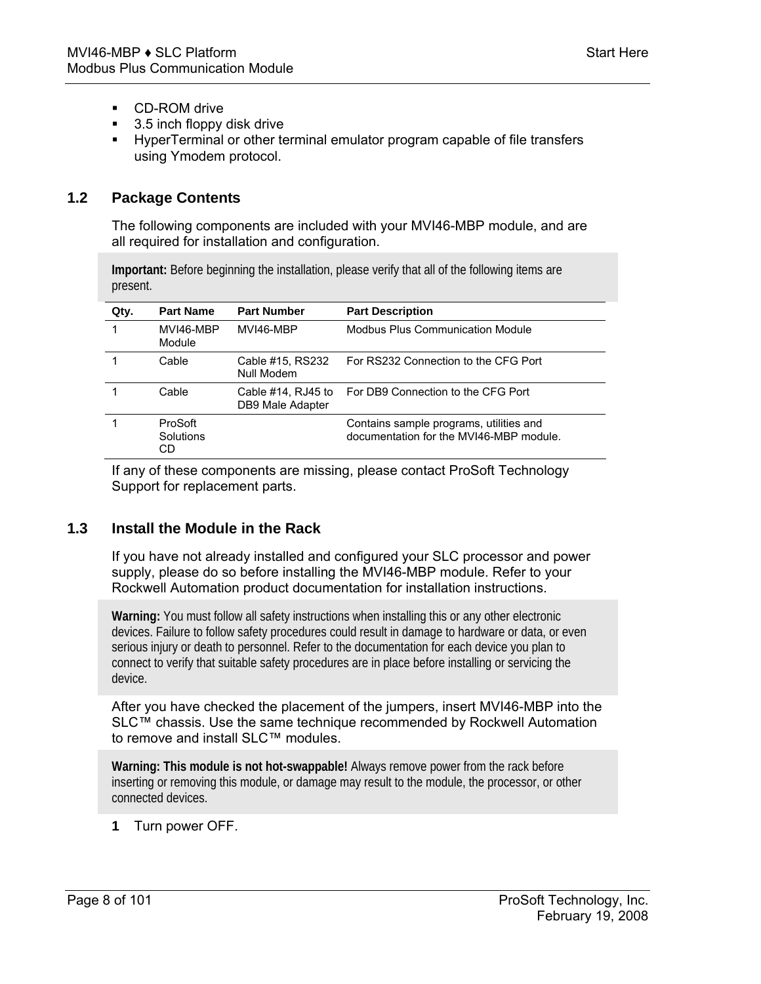- **CD-ROM drive**
- 3.5 inch floppy disk drive
- **HyperTerminal or other terminal emulator program capable of file transfers** using Ymodem protocol.

## **1.2 Package Contents**

<span id="page-7-0"></span>The following components are included with your MVI46-MBP module, and are all required for installation and configuration.

**Important:** Before beginning the installation, please verify that all of the following items are present.

| Qty. | <b>Part Name</b>           | <b>Part Number</b>                     | <b>Part Description</b>                                                            |
|------|----------------------------|----------------------------------------|------------------------------------------------------------------------------------|
|      | MVI46-MBP<br>Module        | MVI46-MBP                              | <b>Modbus Plus Communication Module</b>                                            |
|      | Cable                      | Cable #15, RS232<br>Null Modem         | For RS232 Connection to the CFG Port                                               |
|      | Cable                      | Cable #14, RJ45 to<br>DB9 Male Adapter | For DB9 Connection to the CFG Port                                                 |
|      | ProSoft<br>Solutions<br>CD |                                        | Contains sample programs, utilities and<br>documentation for the MVI46-MBP module. |

If any of these components are missing, please contact ProSoft Technology Support for replacement parts.

## **1.3 Install the Module in the Rack**

<span id="page-7-1"></span>If you have not already installed and configured your SLC processor and power supply, please do so before installing the MVI46-MBP module. Refer to your Rockwell Automation product documentation for installation instructions.

**Warning:** You must follow all safety instructions when installing this or any other electronic devices. Failure to follow safety procedures could result in damage to hardware or data, or even serious injury or death to personnel. Refer to the documentation for each device you plan to connect to verify that suitable safety procedures are in place before installing or servicing the device.

After you have checked the placement of the jumpers, insert MVI46-MBP into the SLC™ chassis. Use the same technique recommended by Rockwell Automation to remove and install SLC™ modules.

**Warning: This module is not hot-swappable!** Always remove power from the rack before inserting or removing this module, or damage may result to the module, the processor, or other connected devices.

## **1** Turn power OFF.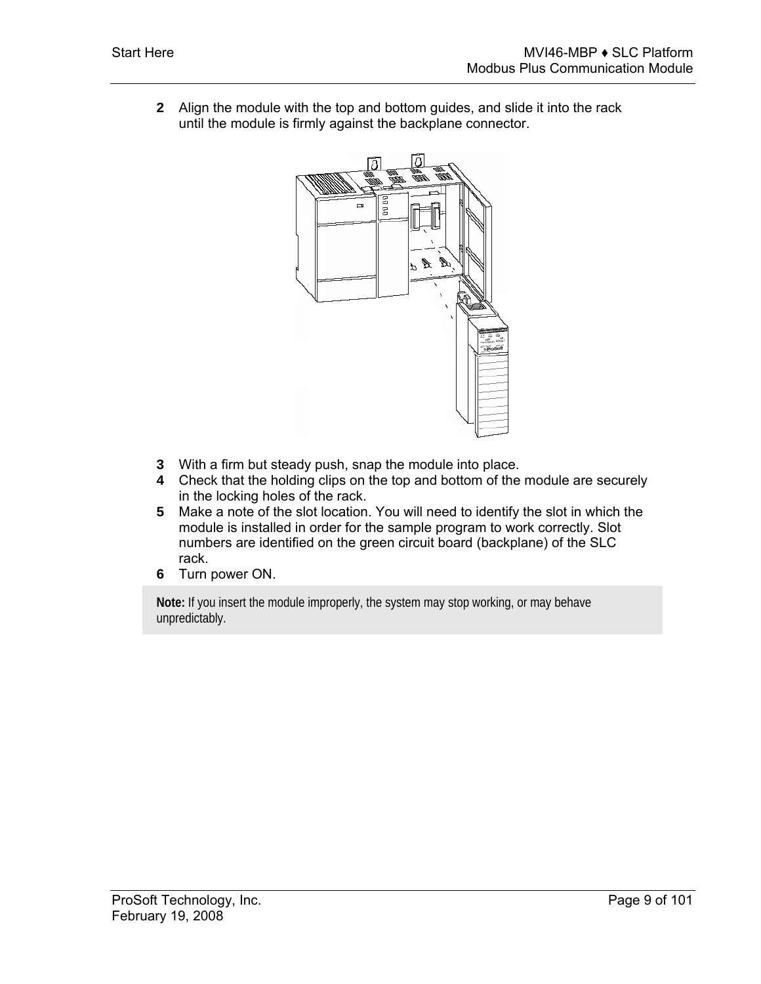**2** Align the module with the top and bottom guides, and slide it into the rack until the module is firmly against the backplane connector.



- **3** With a firm but steady push, snap the module into place.
- **4** Check that the holding clips on the top and bottom of the module are securely in the locking holes of the rack.
- **5** Make a note of the slot location. You will need to identify the slot in which the module is installed in order for the sample program to work correctly. Slot numbers are identified on the green circuit board (backplane) of the SLC rack.
- **6** Turn power ON.

**Note:** If you insert the module improperly, the system may stop working, or may behave unpredictably.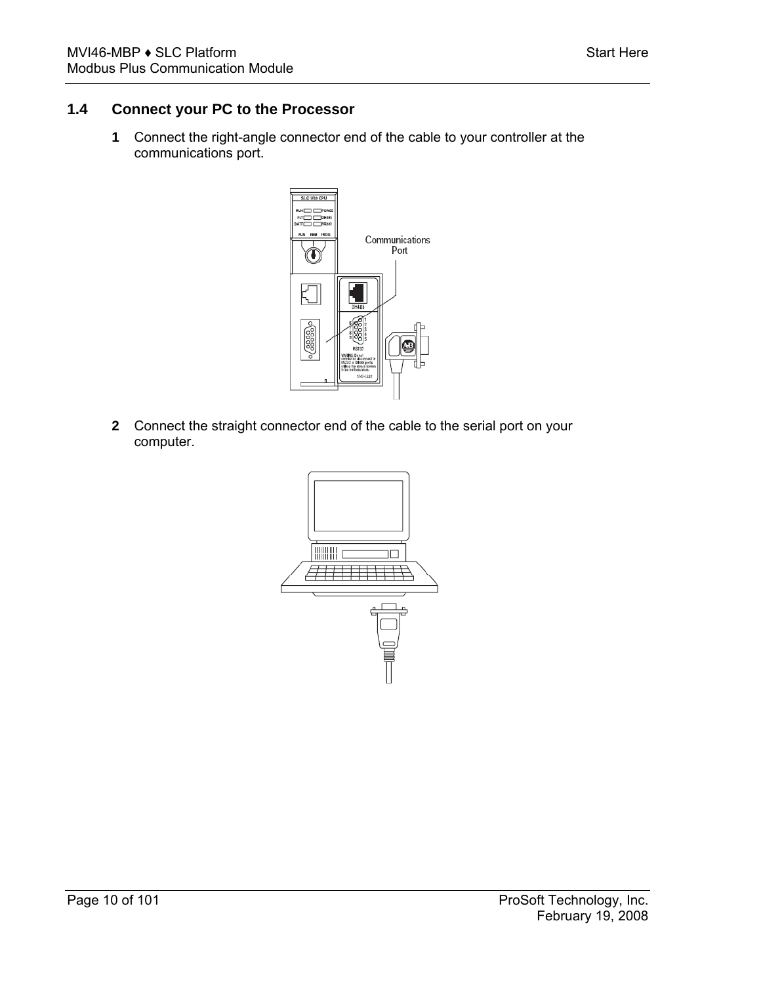# **1.4 Connect your PC to the Processor**

<span id="page-9-0"></span>**1** Connect the right-angle connector end of the cable to your controller at the communications port.



**2** Connect the straight connector end of the cable to the serial port on your computer.

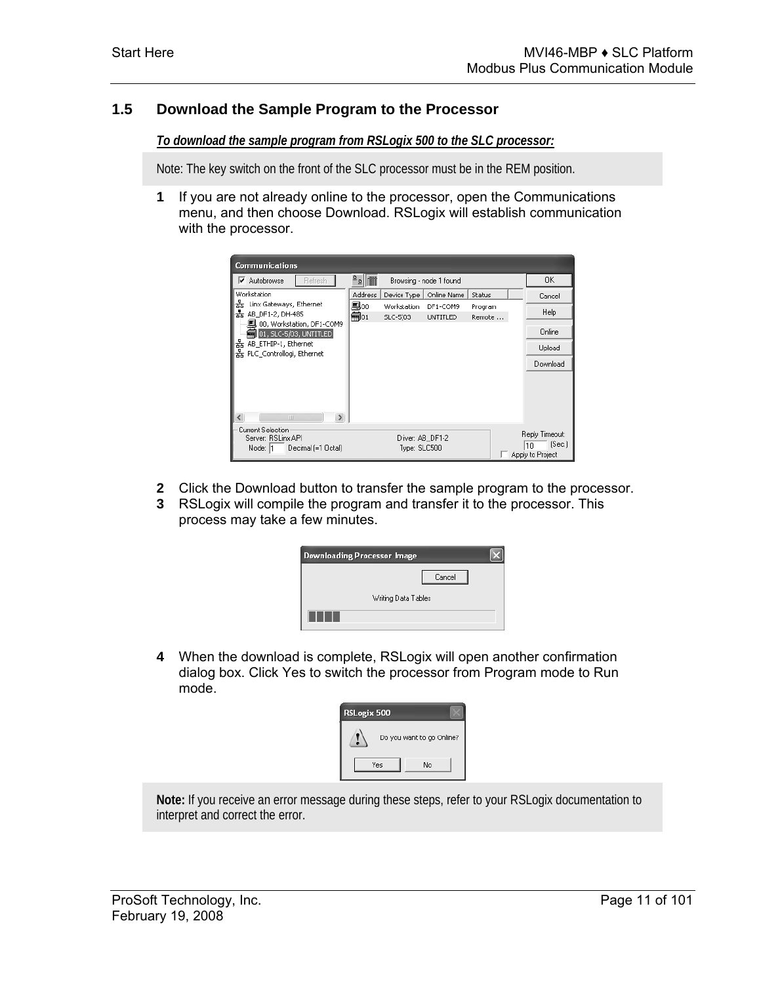## **1.5 Download the Sample Program to the Processor**

<span id="page-10-0"></span>*To download the sample program from RSLogix 500 to the SLC processor:*

Note: The key switch on the front of the SLC processor must be in the REM position.

**1** If you are not already online to the processor, open the Communications menu, and then choose Download. RSLogix will establish communication with the processor.

| <b>Communications</b>                                            |                                                                                    |                                                      |
|------------------------------------------------------------------|------------------------------------------------------------------------------------|------------------------------------------------------|
| $\overline{\mathbf{v}}$ Autobrowse<br>Refresh                    | Browsing - node 1 found<br>圃<br>$\overline{D}$                                     | 0K                                                   |
| Workstation                                                      | <b>Address</b><br>Online Name<br>Device Type  <br>Status                           | Cancel                                               |
| 볾<br>Linx Gateways, Ethernet<br>AB_DF1-2, DH-485<br>l÷a          | 鳳00<br>Workstation<br>DF1-COM9<br>Program<br>匍o1<br>SLC-5,03<br>Remote<br>UNTITLED | Help                                                 |
| 鳳 00, Workstation, DF1-COM9<br>$\boxed{01}$ , SLC-5/03, UNTITLED |                                                                                    | Online                                               |
| ዜጜ<br>AB ETHIP-1, Ethernet<br> 볾 PLC Controllogi, Ethernet       |                                                                                    | Upload                                               |
|                                                                  |                                                                                    | Download                                             |
| ШI                                                               |                                                                                    |                                                      |
| Current Selection                                                |                                                                                    |                                                      |
| Server: RSLinx API<br>Decimal [=1 Octal]<br>Node: 11             | Driver: AB_DF1-2<br>Type: SLC500                                                   | Reply Timeout:<br>[Sec.]<br>l1n.<br>Apply to Project |

- **2** Click the Download button to transfer the sample program to the processor.
- **3** RSLogix will compile the program and transfer it to the processor. This process may take a few minutes.

| <b>Downloading Processor Image</b> |  |
|------------------------------------|--|
| Cancel                             |  |
| Writing Data Tables                |  |
|                                    |  |

**4** When the download is complete, RSLogix will open another confirmation dialog box. Click Yes to switch the processor from Program mode to Run mode.

| RSLogix 500 |                           |
|-------------|---------------------------|
|             | Do you want to go Online? |
| Yes         | No                        |

**Note:** If you receive an error message during these steps, refer to your RSLogix documentation to interpret and correct the error.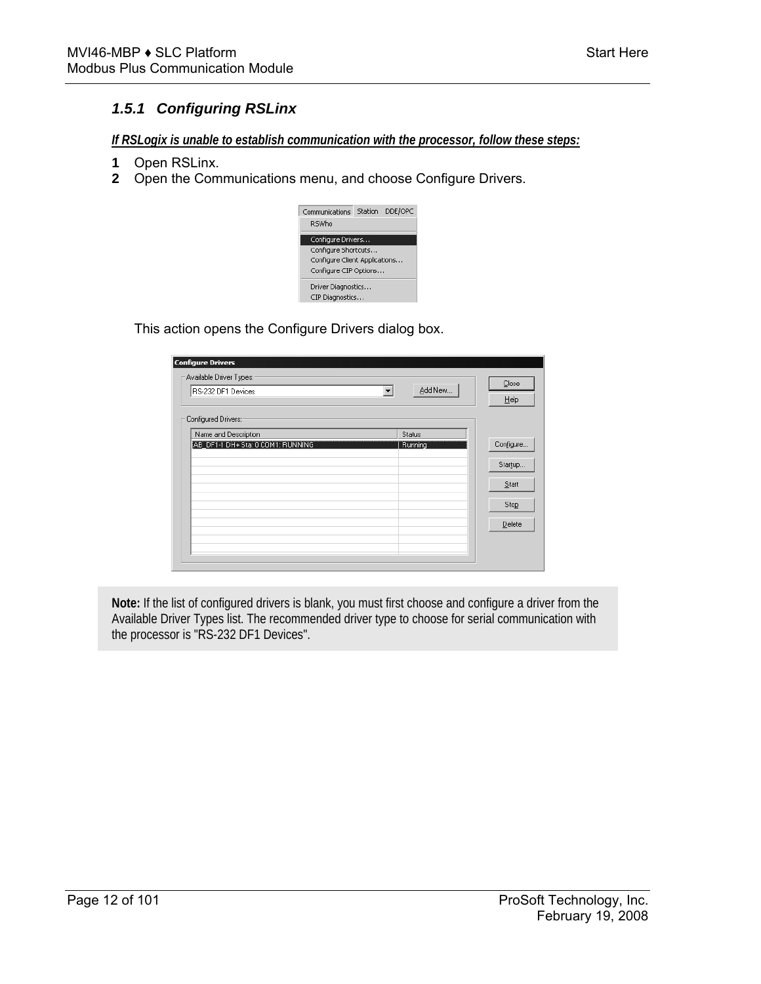## <span id="page-11-0"></span>*1.5.1 Configuring RSLinx*

*If RSLogix is unable to establish communication with the processor, follow these steps:*

- **1** Open RSLinx.
- **2** Open the Communications menu, and choose Configure Drivers.



This action opens the Configure Drivers dialog box.

| <b>Configure Drivers</b>                                                              |               |
|---------------------------------------------------------------------------------------|---------------|
| Available Driver Types:<br>Add New<br>RS-232 DF1 Devices<br>$\vert \cdot \vert$       | Close<br>Help |
| Configured Drivers:                                                                   |               |
| Name and Description<br><b>Status</b><br>AB_DF1-1 DH+ Sta: 0 COM1: RUNNING<br>Running | Configure     |
|                                                                                       | Startup       |
|                                                                                       | Start         |
|                                                                                       | Stop          |
|                                                                                       | Delete        |
|                                                                                       |               |
|                                                                                       |               |

**Note:** If the list of configured drivers is blank, you must first choose and configure a driver from the Available Driver Types list. The recommended driver type to choose for serial communication with the processor is "RS-232 DF1 Devices".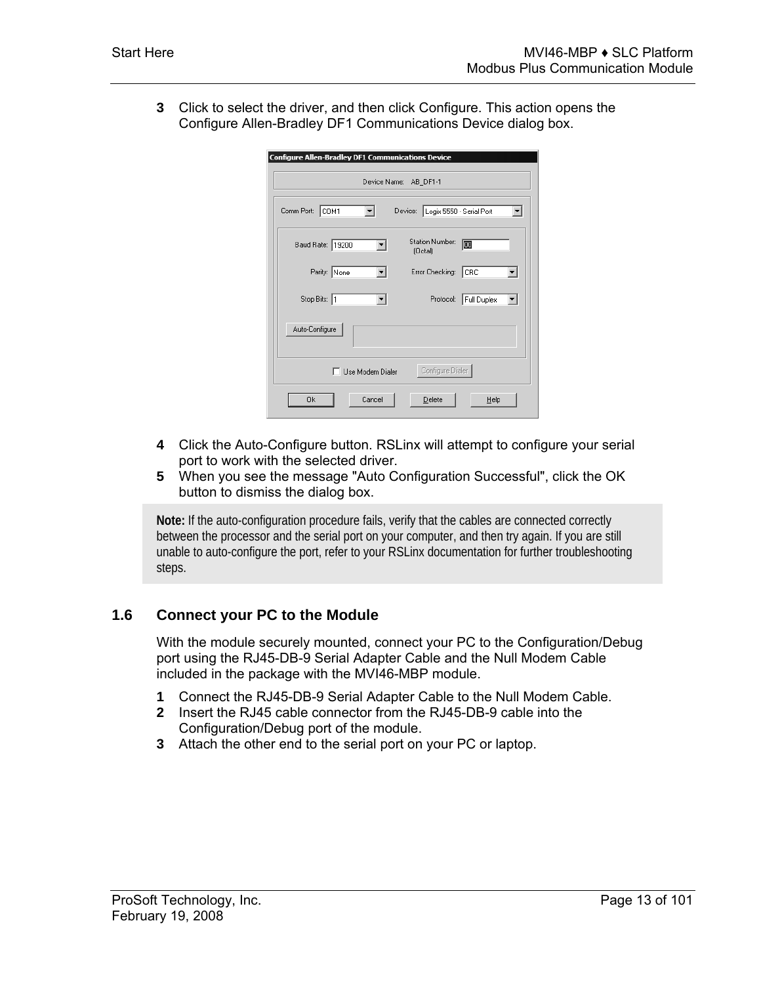**3** Click to select the driver, and then click Configure. This action opens the Configure Allen-Bradley DF1 Communications Device dialog box.

| <b>Configure Allen-Bradley DF1 Communications Device</b>   |
|------------------------------------------------------------|
| Device Name: AB_DF1-1                                      |
| Comm Port: COM1<br>Device: Logix 5550 - Serial Port        |
| Station Number:<br> ∞<br>Baud Rate: 19200<br>$[0$ ctal $]$ |
| Parity: None<br>Error Checking:<br><b>ICRC</b>             |
| Stop Bits: 1<br>Full Duplex<br>Protocol:                   |
| Auto-Configure                                             |
| Configure Dialer<br>Use Modem Dialer                       |
| Cancel<br>0k<br>Delete<br>Help                             |

- **4** Click the Auto-Configure button. RSLinx will attempt to configure your serial port to work with the selected driver.
- **5** When you see the message "Auto Configuration Successful", click the OK button to dismiss the dialog box.

**Note:** If the auto-configuration procedure fails, verify that the cables are connected correctly between the processor and the serial port on your computer, and then try again. If you are still unable to auto-configure the port, refer to your RSLinx documentation for further troubleshooting steps.

## **1.6 Connect your PC to the Module**

<span id="page-12-0"></span>With the module securely mounted, connect your PC to the Configuration/Debug port using the RJ45-DB-9 Serial Adapter Cable and the Null Modem Cable included in the package with the MVI46-MBP module.

- **1** Connect the RJ45-DB-9 Serial Adapter Cable to the Null Modem Cable.
- **2** Insert the RJ45 cable connector from the RJ45-DB-9 cable into the Configuration/Debug port of the module.
- **3** Attach the other end to the serial port on your PC or laptop.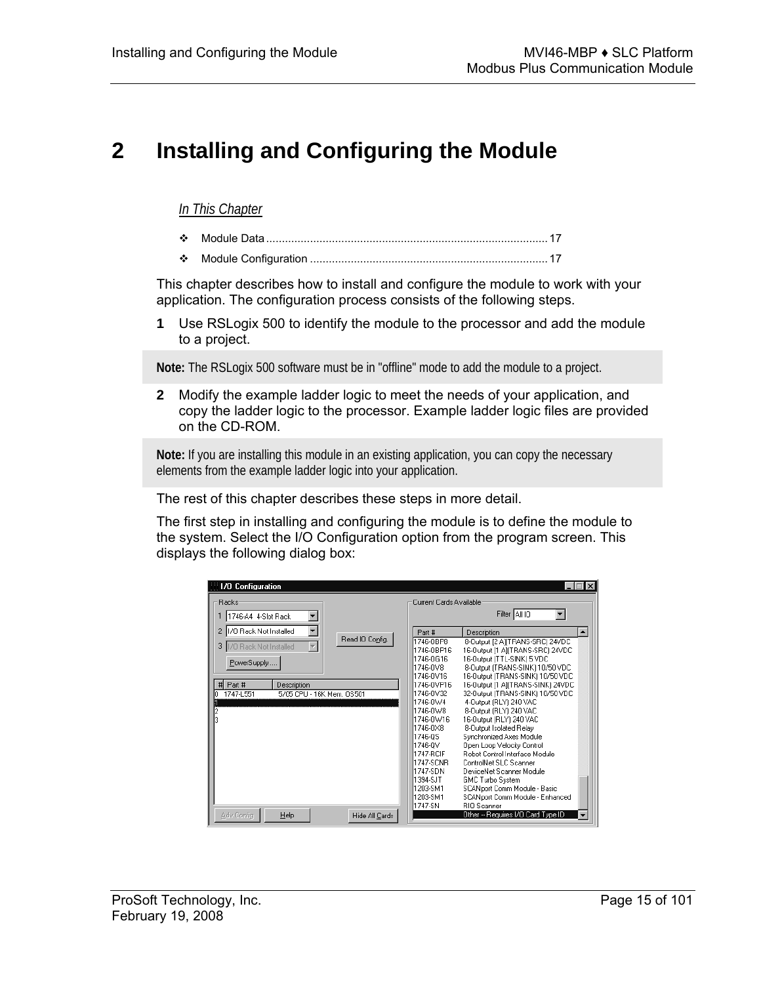# <span id="page-14-0"></span>**2 Installing and Configuring the Module**

## *In This Chapter*

- [Module Data.](#page-16-0).........................................................................................[17](#page-16-0)
- [Module Configuration .](#page-16-1)...........................................................................[17](#page-16-1)

This chapter describes how to install and configure the module to work with your application. The configuration process consists of the following steps.

**1** Use RSLogix 500 to identify the module to the processor and add the module to a project.

**Note:** The RSLogix 500 software must be in "offline" mode to add the module to a project.

**2** Modify the example ladder logic to meet the needs of your application, and copy the ladder logic to the processor. Example ladder logic files are provided on the CD-ROM.

**Note:** If you are installing this module in an existing application, you can copy the necessary elements from the example ladder logic into your application.

The rest of this chapter describes these steps in more detail.

The first step in installing and configuring the module is to define the module to the system. Select the I/O Configuration option from the program screen. This displays the following dialog box:

| <b>1/0 Configuration</b>                           |                         |                                    |
|----------------------------------------------------|-------------------------|------------------------------------|
| <b>Racks:</b>                                      | Current Cards Available |                                    |
| 1746-A4 4-Slot Rack                                |                         | Filter All IO                      |
|                                                    |                         |                                    |
| 170 Rack Not Installed<br>Read IO Config.          | Part #                  | Description<br>ᅬ                   |
| $\overline{\nabla}$<br>3<br>170 Rack Not Installed | 1746-0BP8               | 8-Dutput [2 A][TRANS-SRC] 24VDC    |
|                                                    | 1746-0BP16              | 16-Dutput [1 A][TRANS-SRC] 24VDC   |
| PowerSupply                                        | 1746-0616               | 16-Dutput (TTL-SINK) 5 VDC         |
|                                                    | 1746-0V8                | 8-Output (TRANS-SINK) 10/50 VDC    |
|                                                    | 1746-0V16               | 16-Dutput (TRANS-SINK) 10/50 VDC   |
| #<br>Part #<br><b>Description</b>                  | 1746-0VP16              | 16-Dutput [1 A][TRANS-SINK] 24VDC  |
| 5/05 CPU - 16K Mem, 0S501<br>1747-L551<br>n        | 1746-OV32               | 32-Dutput (TRANS-SINK) 10/50 VDC   |
|                                                    | 1746-DW4                | 4-Output (RLY) 240 VAC             |
| 2                                                  | 1746-0W8                | 8-Output (RLY) 240 VAC             |
| 3                                                  | 1746-0W16               | 16-Dutput (RLY) 240 VAC            |
|                                                    | 1746-0X8                | 8-Output Isolated Relay            |
|                                                    | 1746-OS                 | Synchronized Axes Module           |
|                                                    | 1746-QV                 | Open Loop Velocity Control         |
|                                                    | 1747-RCIF               | Robot Control Interface Module     |
|                                                    | 11747-SCNR              | ControlNet SLC Scanner             |
|                                                    | 1747-SDN                | DeviceNet Scanner Module           |
|                                                    | 1394-SJT                | <b>GMC Turbo System</b>            |
|                                                    | 1203-SM1                | SCANport Comm Module - Basic       |
|                                                    | 1203-SM1                | SCANport Comm Module - Enhanced    |
|                                                    | 1747-SN                 | <b>BIO</b> Scanner                 |
| Adv Config<br>Help<br>Hide All Cards               |                         | Other -- Requires I/O Card Type ID |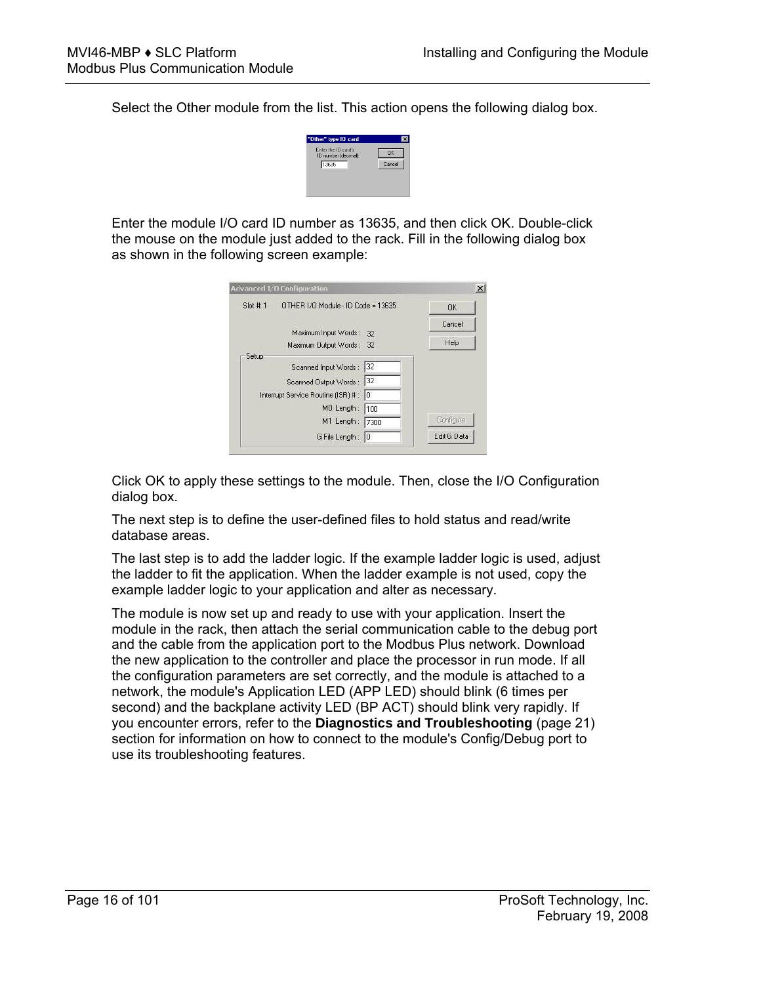Select the Other module from the list. This action opens the following dialog box.



Enter the module I/O card ID number as 13635, and then click OK. Double-click the mouse on the module just added to the rack. Fill in the following dialog box as shown in the following screen example:

|           | <b>Advanced I/O Configuration</b>    |              |             |
|-----------|--------------------------------------|--------------|-------------|
| Slot #: 1 | OTHER I/O Module - ID Code = 13635   |              | <b>OK</b>   |
|           | Maximum Input Words:                 |              | Cancel      |
|           | Maximum Output Words: 32             | 32           | Help        |
| Setup     |                                      |              |             |
|           | Scanned Input Words:                 | 32           |             |
|           | Scanned Output Words:                | $ 32\rangle$ |             |
|           | Interrupt Service Routine (ISR) #: 0 |              |             |
|           | MO Length:                           | 100          |             |
|           | M1 Length:                           | 7300         | Configure   |
|           | G File Length: 0                     |              | Edit G Data |

Click OK to apply these settings to the module. Then, close the I/O Configuration dialog box.

The next step is to define the user-defined files to hold status and read/write database areas.

The last step is to add the ladder logic. If the example ladder logic is used, adjust the ladder to fit the application. When the ladder example is not used, copy the example ladder logic to your application and alter as necessary.

The module is now set up and ready to use with your application. Insert the module in the rack, then attach the serial communication cable to the debug port and the cable from the application port to the Modbus Plus network. Download the new application to the controller and place the processor in run mode. If all the configuration parameters are set correctly, and the module is attached to a network, the module's Application LED (APP LED) should blink (6 times per second) and the backplane activity LED (BP ACT) should blink very rapidly. If you encounter errors, refer to the **Diagnostics and Troubleshooting** (page [21\)](#page-20-0) section for information on how to connect to the module's Config/Debug port to use its troubleshooting features.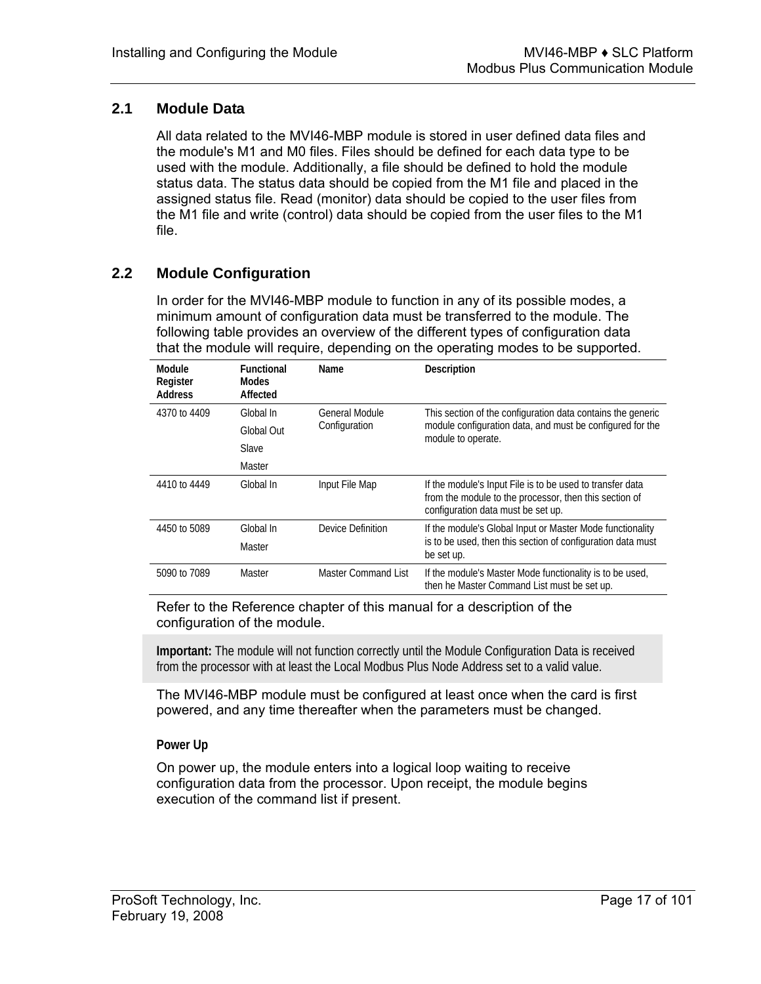## **2.1 Module Data**

<span id="page-16-0"></span>All data related to the MVI46-MBP module is stored in user defined data files and the module's M1 and M0 files. Files should be defined for each data type to be used with the module. Additionally, a file should be defined to hold the module status data. The status data should be copied from the M1 file and placed in the assigned status file. Read (monitor) data should be copied to the user files from the M1 file and write (control) data should be copied from the user files to the M1 file.

## **2.2 Module Configuration**

<span id="page-16-1"></span>In order for the MVI46-MBP module to function in any of its possible modes, a minimum amount of configuration data must be transferred to the module. The following table provides an overview of the different types of configuration data that the module will require, depending on the operating modes to be supported.

| Module<br>Register<br>Address | <b>Functional</b><br><b>Modes</b><br>Affected | Name                       | Description                                                                                                                                               |
|-------------------------------|-----------------------------------------------|----------------------------|-----------------------------------------------------------------------------------------------------------------------------------------------------------|
| 4370 to 4409                  | Global In                                     | General Module             | This section of the configuration data contains the generic                                                                                               |
|                               | Global Out                                    | Configuration              | module configuration data, and must be configured for the<br>module to operate.                                                                           |
|                               | <b>Slave</b>                                  |                            |                                                                                                                                                           |
|                               | Master                                        |                            |                                                                                                                                                           |
| 4410 to 4449                  | Global In                                     | Input File Map             | If the module's Input File is to be used to transfer data<br>from the module to the processor, then this section of<br>configuration data must be set up. |
| 4450 to 5089                  | Global In                                     | Device Definition          | If the module's Global Input or Master Mode functionality                                                                                                 |
|                               | Master                                        |                            | is to be used, then this section of configuration data must<br>be set up.                                                                                 |
| 5090 to 7089                  | Master                                        | <b>Master Command List</b> | If the module's Master Mode functionality is to be used,<br>then he Master Command List must be set up.                                                   |

Refer to the Reference chapter of this manual for a description of the configuration of the module.

**Important:** The module will not function correctly until the Module Configuration Data is received from the processor with at least the Local Modbus Plus Node Address set to a valid value.

The MVI46-MBP module must be configured at least once when the card is first powered, and any time thereafter when the parameters must be changed.

## **Power Up**

On power up, the module enters into a logical loop waiting to receive configuration data from the processor. Upon receipt, the module begins execution of the command list if present.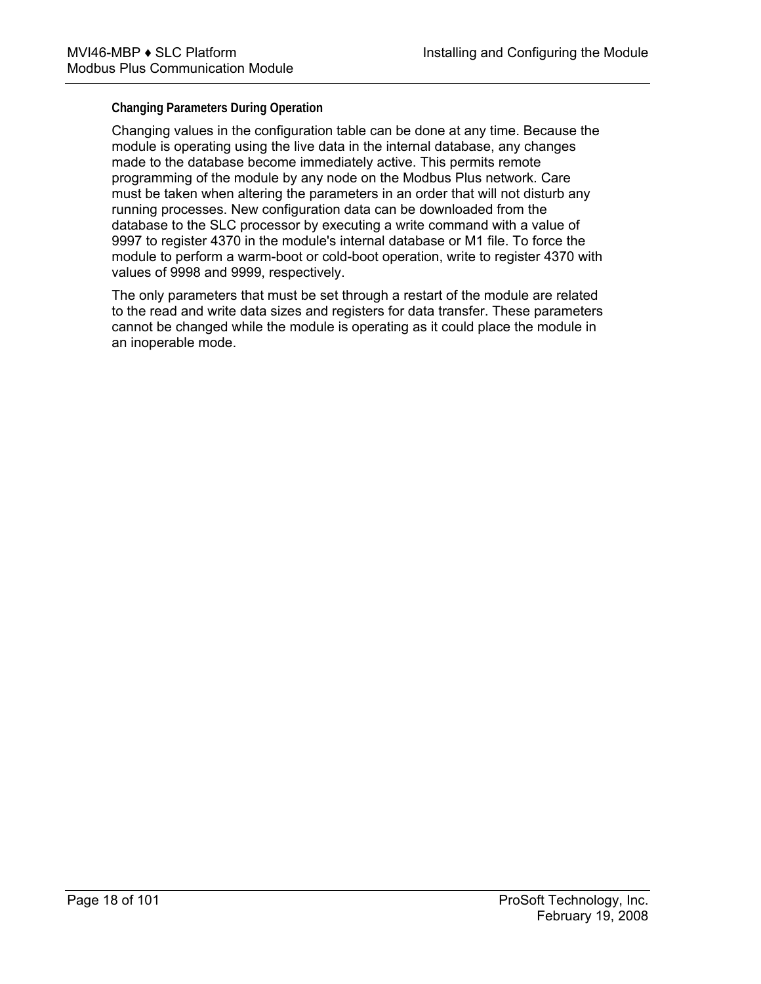**Changing Parameters During Operation** 

Changing values in the configuration table can be done at any time. Because the module is operating using the live data in the internal database, any changes made to the database become immediately active. This permits remote programming of the module by any node on the Modbus Plus network. Care must be taken when altering the parameters in an order that will not disturb any running processes. New configuration data can be downloaded from the database to the SLC processor by executing a write command with a value of 9997 to register 4370 in the module's internal database or M1 file. To force the module to perform a warm-boot or cold-boot operation, write to register 4370 with values of 9998 and 9999, respectively.

The only parameters that must be set through a restart of the module are related to the read and write data sizes and registers for data transfer. These parameters cannot be changed while the module is operating as it could place the module in an inoperable mode.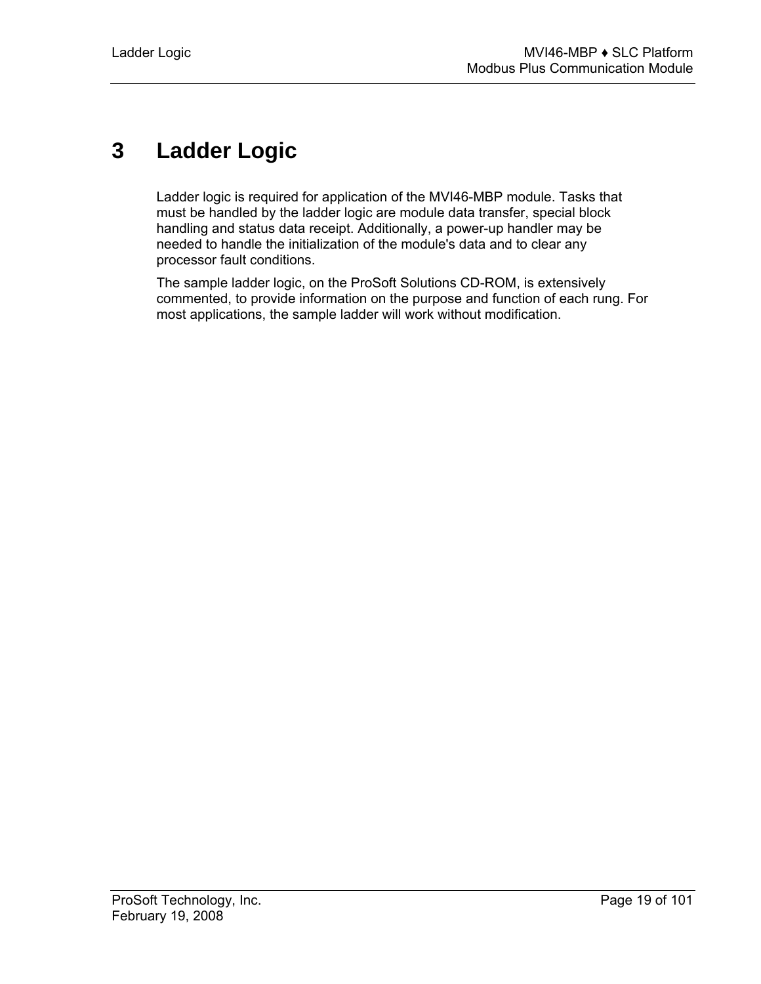# <span id="page-18-0"></span>**3 Ladder Logic**

Ladder logic is required for application of the MVI46-MBP module. Tasks that must be handled by the ladder logic are module data transfer, special block handling and status data receipt. Additionally, a power-up handler may be needed to handle the initialization of the module's data and to clear any processor fault conditions.

The sample ladder logic, on the ProSoft Solutions CD-ROM, is extensively commented, to provide information on the purpose and function of each rung. For most applications, the sample ladder will work without modification.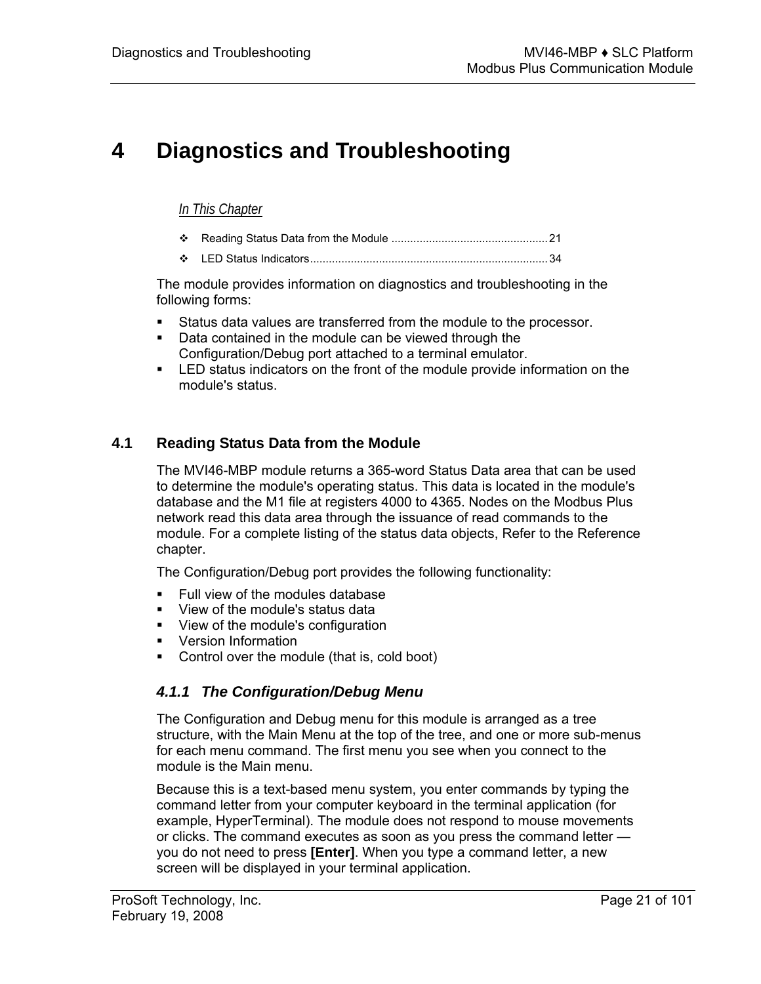# <span id="page-20-0"></span>**4 Diagnostics and Troubleshooting**

## *In This Chapter*

- [Reading Status Data from the Module](#page-20-1) ..................................................[21](#page-20-1)
- [LED Status Indicators.](#page-33-0)...........................................................................[34](#page-33-0)

The module provides information on diagnostics and troubleshooting in the following forms:

- Status data values are transferred from the module to the processor.
- Data contained in the module can be viewed through the Configuration/Debug port attached to a terminal emulator.
- LED status indicators on the front of the module provide information on the module's status.

## **4.1 Reading Status Data from the Module**

<span id="page-20-1"></span>The MVI46-MBP module returns a 365-word Status Data area that can be used to determine the module's operating status. This data is located in the module's database and the M1 file at registers 4000 to 4365. Nodes on the Modbus Plus network read this data area through the issuance of read commands to the module. For a complete listing of the status data objects, Refer to the Reference chapter.

The Configuration/Debug port provides the following functionality:

- Full view of the modules database
- **View of the module's status data**
- **View of the module's configuration**
- **•** Version Information
- Control over the module (that is, cold boot)

## <span id="page-20-2"></span>*4.1.1 The Configuration/Debug Menu*

The Configuration and Debug menu for this module is arranged as a tree structure, with the Main Menu at the top of the tree, and one or more sub-menus for each menu command. The first menu you see when you connect to the module is the Main menu.

Because this is a text-based menu system, you enter commands by typing the command letter from your computer keyboard in the terminal application (for example, HyperTerminal). The module does not respond to mouse movements or clicks. The command executes as soon as you press the command letter you do not need to press **[Enter]**. When you type a command letter, a new screen will be displayed in your terminal application.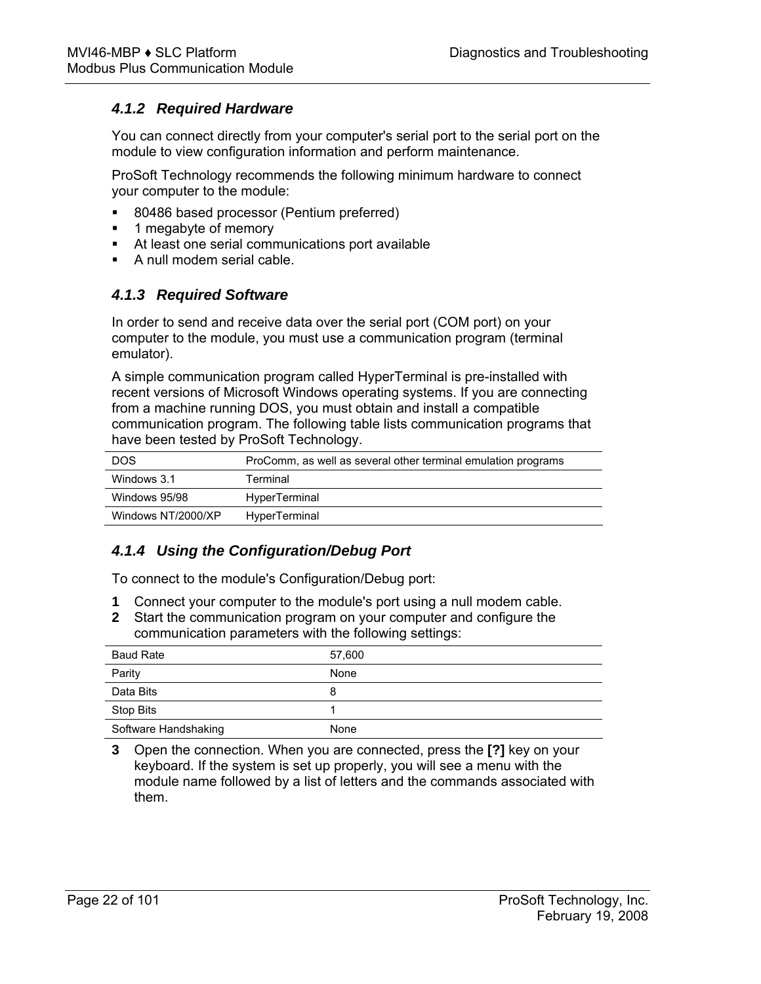# <span id="page-21-0"></span>*4.1.2 Required Hardware*

You can connect directly from your computer's serial port to the serial port on the module to view configuration information and perform maintenance.

ProSoft Technology recommends the following minimum hardware to connect your computer to the module:

- **80486 based processor (Pentium preferred)**
- 1 megabyte of memory
- At least one serial communications port available
- A null modem serial cable.

## <span id="page-21-1"></span>*4.1.3 Required Software*

In order to send and receive data over the serial port (COM port) on your computer to the module, you must use a communication program (terminal emulator).

A simple communication program called HyperTerminal is pre-installed with recent versions of Microsoft Windows operating systems. If you are connecting from a machine running DOS, you must obtain and install a compatible communication program. The following table lists communication programs that have been tested by ProSoft Technology.

| <b>DOS</b>         | ProComm, as well as several other terminal emulation programs |
|--------------------|---------------------------------------------------------------|
| Windows 3.1        | Terminal                                                      |
| Windows 95/98      | HyperTerminal                                                 |
| Windows NT/2000/XP | HyperTerminal                                                 |

# <span id="page-21-2"></span>*4.1.4 Using the Configuration/Debug Port*

To connect to the module's Configuration/Debug port:

- **1** Connect your computer to the module's port using a null modem cable.
- **2** Start the communication program on your computer and configure the communication parameters with the following settings:

| <b>Baud Rate</b>     | 57,600 |
|----------------------|--------|
| Parity               | None   |
| Data Bits            | 8      |
| Stop Bits            |        |
| Software Handshaking | None   |

**3** Open the connection. When you are connected, press the **[?]** key on your keyboard. If the system is set up properly, you will see a menu with the module name followed by a list of letters and the commands associated with them.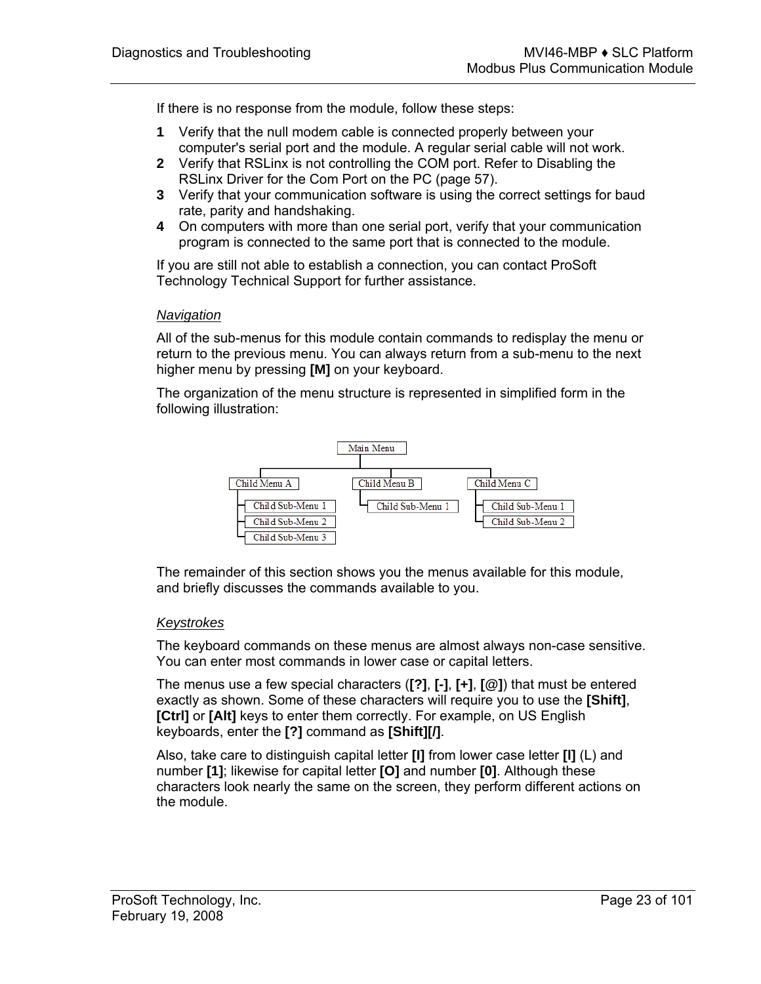If there is no response from the module, follow these steps:

- **1** Verify that the null modem cable is connected properly between your computer's serial port and the module. A regular serial cable will not work.
- **2** Verify that RSLinx is not controlling the COM port. Refer to Disabling the RSLinx Driver for the Com Port on the PC (page [57\)](#page-56-1).
- **3** Verify that your communication software is using the correct settings for baud rate, parity and handshaking.
- **4** On computers with more than one serial port, verify that your communication program is connected to the same port that is connected to the module.

If you are still not able to establish a connection, you can contact ProSoft Technology Technical Support for further assistance.

#### *Navigation*

All of the sub-menus for this module contain commands to redisplay the menu or return to the previous menu. You can always return from a sub-menu to the next higher menu by pressing **[M]** on your keyboard.

The organization of the menu structure is represented in simplified form in the following illustration:



The remainder of this section shows you the menus available for this module, and briefly discusses the commands available to you.

#### *Keystrokes*

The keyboard commands on these menus are almost always non-case sensitive. You can enter most commands in lower case or capital letters.

The menus use a few special characters (**[?]**, **[-]**, **[+]**, **[@]**) that must be entered exactly as shown. Some of these characters will require you to use the **[Shift]**, **[Ctrl]** or **[Alt]** keys to enter them correctly. For example, on US English keyboards, enter the **[?]** command as **[Shift][/]**.

Also, take care to distinguish capital letter **[I]** from lower case letter **[l]** (L) and number **[1]**; likewise for capital letter **[O]** and number **[0]**. Although these characters look nearly the same on the screen, they perform different actions on the module.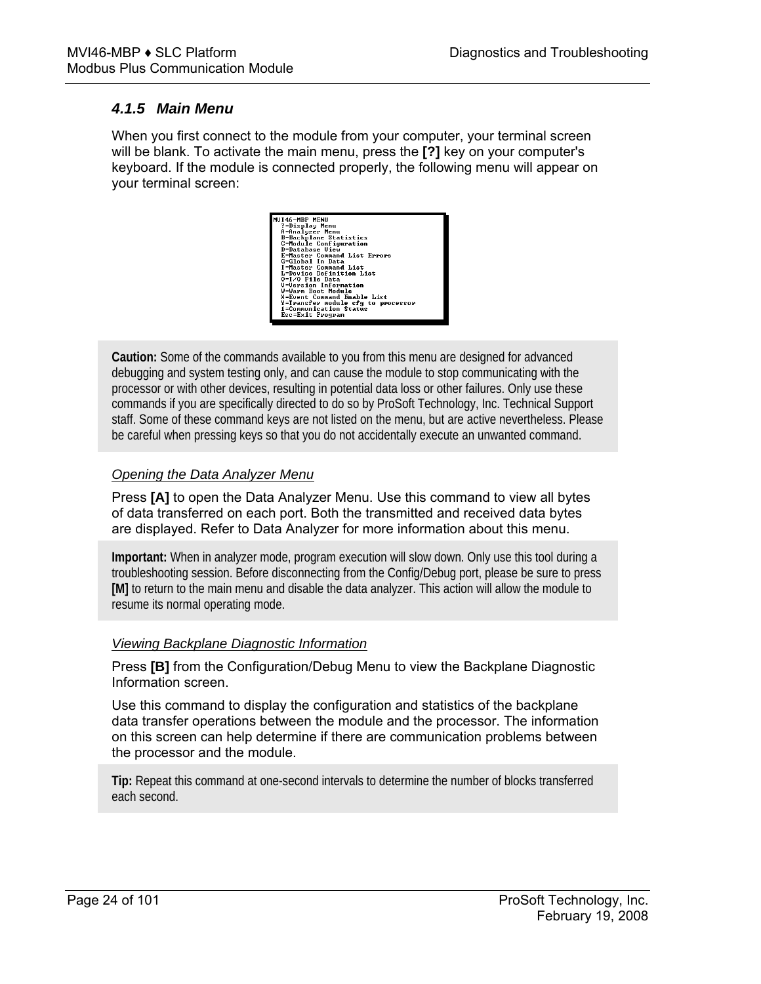# <span id="page-23-0"></span>*4.1.5 Main Menu*

When you first connect to the module from your computer, your terminal screen will be blank. To activate the main menu, press the **[?]** key on your computer's keyboard. If the module is connected properly, the following menu will appear on your terminal screen:



**Caution:** Some of the commands available to you from this menu are designed for advanced debugging and system testing only, and can cause the module to stop communicating with the processor or with other devices, resulting in potential data loss or other failures. Only use these commands if you are specifically directed to do so by ProSoft Technology, Inc. Technical Support staff. Some of these command keys are not listed on the menu, but are active nevertheless. Please be careful when pressing keys so that you do not accidentally execute an unwanted command.

# *Opening the Data Analyzer Menu*

Press **[A]** to open the Data Analyzer Menu. Use this command to view all bytes of data transferred on each port. Both the transmitted and received data bytes are displayed. Refer to Data Analyzer for more information about this menu.

**Important:** When in analyzer mode, program execution will slow down. Only use this tool during a troubleshooting session. Before disconnecting from the Config/Debug port, please be sure to press **[M]** to return to the main menu and disable the data analyzer. This action will allow the module to resume its normal operating mode.

## *Viewing Backplane Diagnostic Information*

Press **[B]** from the Configuration/Debug Menu to view the Backplane Diagnostic Information screen.

Use this command to display the configuration and statistics of the backplane data transfer operations between the module and the processor. The information on this screen can help determine if there are communication problems between the processor and the module.

**Tip:** Repeat this command at one-second intervals to determine the number of blocks transferred each second.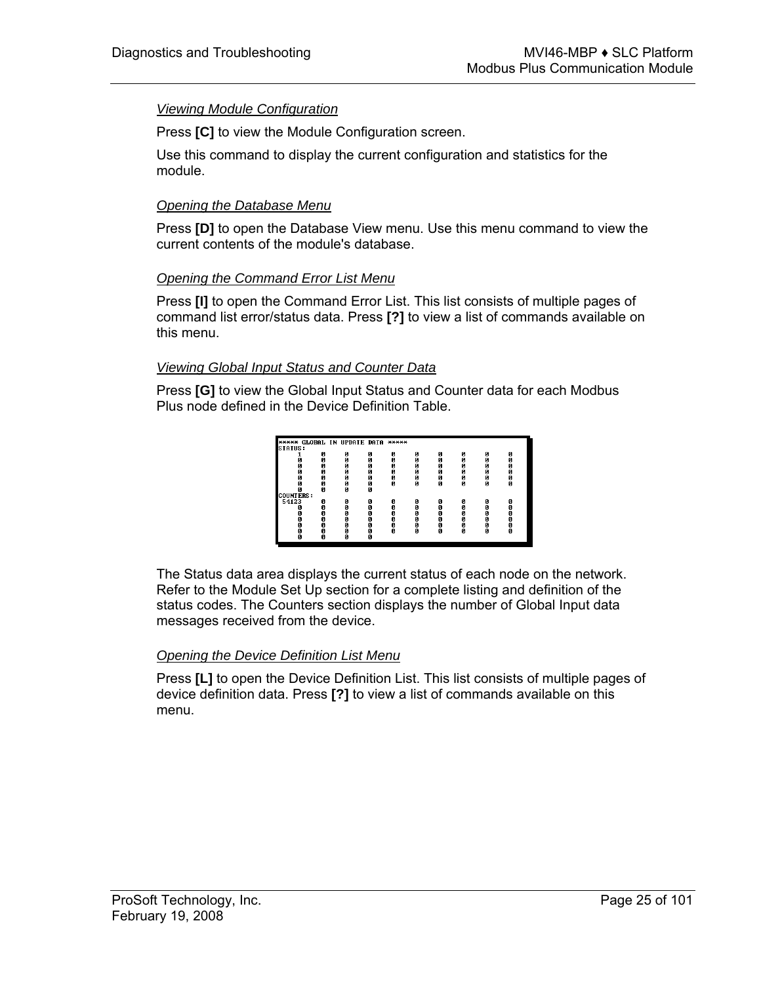## *Viewing Module Configuration*

Press **[C]** to view the Module Configuration screen.

Use this command to display the current configuration and statistics for the module.

## *Opening the Database Menu*

Press **[D]** to open the Database View menu. Use this menu command to view the current contents of the module's database.

#### *Opening the Command Error List Menu*

Press **[I]** to open the Command Error List. This list consists of multiple pages of command list error/status data. Press **[?]** to view a list of commands available on this menu.

#### *Viewing Global Input Status and Counter Data*

Press **[G]** to view the Global Input Status and Counter data for each Modbus Plus node defined in the Device Definition Table.

| <b>****** GLOBAL IN UPDATE</b> |   |   | DATA | инини |   |   |   |   |        |  |
|--------------------------------|---|---|------|-------|---|---|---|---|--------|--|
| <b>STATUS:</b>                 |   |   |      |       |   |   |   |   |        |  |
|                                | ø | Ø | ø    | Ø     | ø | ø | Ø | ø | ø      |  |
| Й                              | Ø | Ø | Й    | Ø     | Й | ø | Ø | Й | ø      |  |
| ø                              | Ø | Ø | Ø    | Ø     | Ø | Ø | Ø | Ø | Ø      |  |
| Ø                              | Ø | Ø | Ø    | Ø     | Ø | ø | Ø | Ø | Ø      |  |
| Ø                              | Ø | Ø | Ø    | Ø     | Ø | Ø | Ø | Ø |        |  |
| Й                              | Ø | Ø | Ø    | Й     | Й | Ñ | Й | Й | ō<br>0 |  |
| Й                              | Ø | Ø | ø    |       |   |   |   |   |        |  |
| <b>COUNTERS:</b>               |   |   |      |       |   |   |   |   |        |  |
|                                |   |   |      |       |   |   |   |   |        |  |
| 54123                          | ø | Ø | ø    | Ø     | Ø | Ø | Ø | ø | Ø      |  |
| Й                              | Й | Й | ø    | Й     | Ŋ | Ñ | Й | Й | Ø      |  |
| ø                              | Ø | Ø | Ø    | Ø     | ø | ø | ø | Ø | ø      |  |
| Ø                              | Ø | Ø | Ø    | Ø     | ø | ø | ø | ø | Ø      |  |
| Ø                              | Ø | Ø | ø    | Ø     | Ø | Ø | Ø | Ø | ø      |  |
| ø                              | Ø | Ø | ø    | Ø     | Й | Ñ | Ø | Й | ø      |  |
| Ø                              | Ø | Ø | Ø    |       |   |   |   |   |        |  |
|                                |   |   |      |       |   |   |   |   |        |  |
|                                |   |   |      |       |   |   |   |   |        |  |

The Status data area displays the current status of each node on the network. Refer to the Module Set Up section for a complete listing and definition of the status codes. The Counters section displays the number of Global Input data messages received from the device.

#### *Opening the Device Definition List Menu*

Press **[L]** to open the Device Definition List. This list consists of multiple pages of device definition data. Press **[?]** to view a list of commands available on this menu.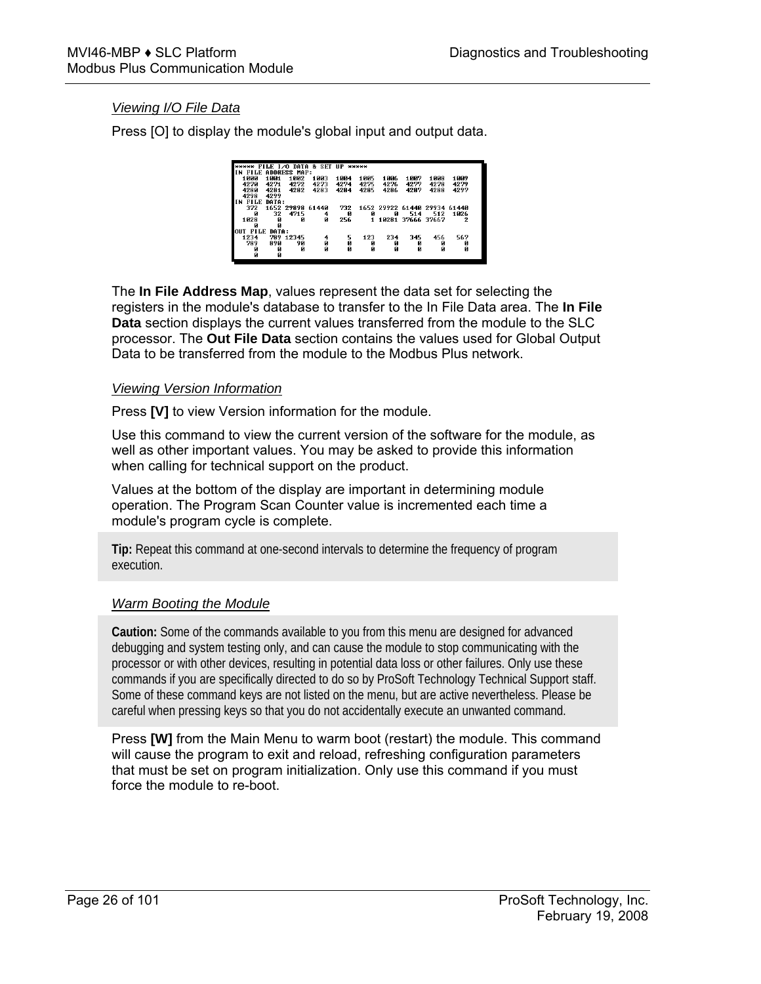## *Viewing I/O File Data*

Press [O] to display the module's global input and output data.

The **In File Address Map**, values represent the data set for selecting the registers in the module's database to transfer to the In File Data area. The **In File Data** section displays the current values transferred from the module to the SLC processor. The **Out File Data** section contains the values used for Global Output Data to be transferred from the module to the Modbus Plus network.

## *Viewing Version Information*

Press **[V]** to view Version information for the module.

Use this command to view the current version of the software for the module, as well as other important values. You may be asked to provide this information when calling for technical support on the product.

Values at the bottom of the display are important in determining module operation. The Program Scan Counter value is incremented each time a module's program cycle is complete.

**Tip:** Repeat this command at one-second intervals to determine the frequency of program execution.

## *Warm Booting the Module*

**Caution:** Some of the commands available to you from this menu are designed for advanced debugging and system testing only, and can cause the module to stop communicating with the processor or with other devices, resulting in potential data loss or other failures. Only use these commands if you are specifically directed to do so by ProSoft Technology Technical Support staff. Some of these command keys are not listed on the menu, but are active nevertheless. Please be careful when pressing keys so that you do not accidentally execute an unwanted command.

Press **[W]** from the Main Menu to warm boot (restart) the module. This command will cause the program to exit and reload, refreshing configuration parameters that must be set on program initialization. Only use this command if you must force the module to re-boot.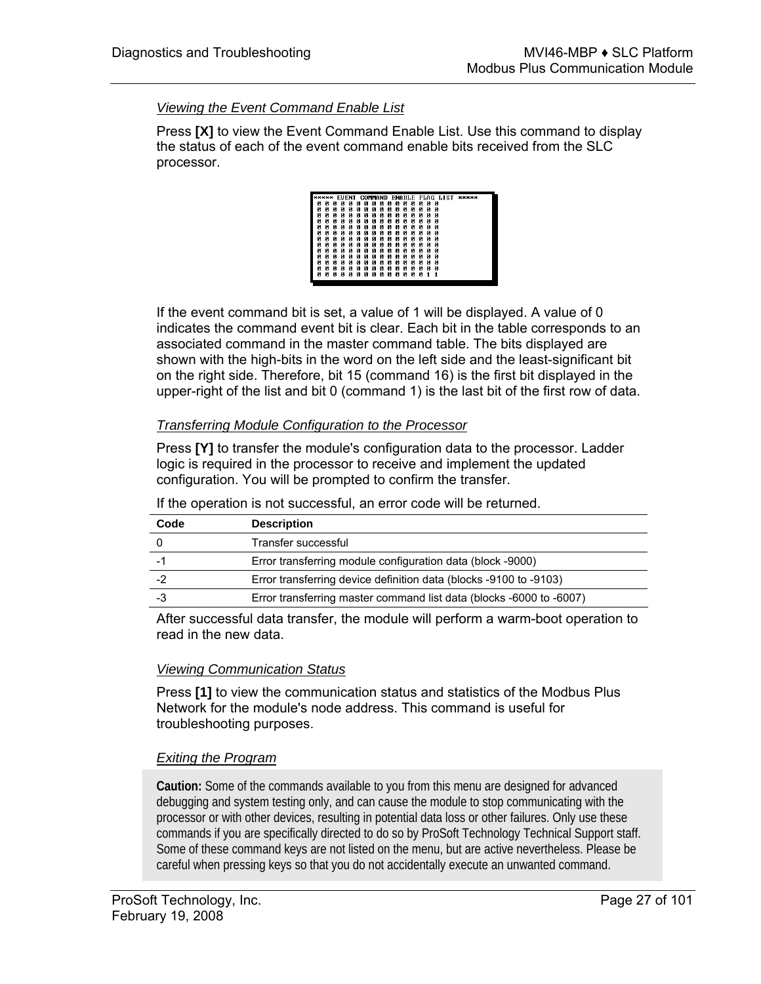## *Viewing the Event Command Enable List*

Press **[X]** to view the Event Command Enable List. Use this command to display the status of each of the event command enable bits received from the SLC processor.

|   |   |   |   |   |   |   |   |   |   |   |   |   |   |   | EUENT COMMAND ENABLE FLAG LIST |  |
|---|---|---|---|---|---|---|---|---|---|---|---|---|---|---|--------------------------------|--|
|   |   |   |   |   |   |   |   |   |   |   |   |   |   |   |                                |  |
| Й | Й | Й | п | Й | Й | Й | Й | Й | Й | Й | Й | п | Й | Й | Й                              |  |
| ø | ø | Й | Ø | ø | ø | Й | Й | ø | ø | ø | Й | Й | ø | ø | Й                              |  |
| ø | Й | ø | Й | Й | Й | Й | Й | ø | Й | ø | ø | ø | Ø | Й | Й                              |  |
| Й | Й | Й | Й | Й | Й | Й | Й | Й | Й | Й | Й | Й | Й | Й | Й                              |  |
| ø | ø | ø | Ø | ø | ø | Й | ø | Й | Ø | Ø | ø | ø | Ø | ø | Й                              |  |
| ø | ø | ø | ø | Й | Й | Й | Й | Й | Й | Й | ø | ø | ø | Й | Й                              |  |
| ø | Й | Й | Й | Й | Й | Й | Й | Й | Й | Й | Й | Й | Й | Й | Й                              |  |
| ø | ø | ø | ø | Й | ø | Й | ø | Ø | Ø | ø | ø | ø | Ø | Й | Й                              |  |
| Й | и | Й | п | Й | Й | и | и | и | и | Й | и | п | Й | и | и                              |  |
| ø | Й | ø | ø | Й | Й | Й | Й | Й | Й | Й | Й | Й | Ø | Й | Й                              |  |
| ø | Й | Й | Й | Й | Й | Й | Й | Й | Й | Й | Й | ø | Й | Й | Й                              |  |
| Й | и | Й | Й | Й | Й | и | и | и | Й | Й | и | Й | и | и | и                              |  |
| Й | Й | Й | Й | Й | Й | Й | Й | Й | Й | Й | Й | Й | Й |   |                                |  |
|   |   |   |   |   |   |   |   |   |   |   |   |   |   |   |                                |  |

If the event command bit is set, a value of 1 will be displayed. A value of 0 indicates the command event bit is clear. Each bit in the table corresponds to an associated command in the master command table. The bits displayed are shown with the high-bits in the word on the left side and the least-significant bit on the right side. Therefore, bit 15 (command 16) is the first bit displayed in the upper-right of the list and bit 0 (command 1) is the last bit of the first row of data.

## *Transferring Module Configuration to the Processor*

Press **[Y]** to transfer the module's configuration data to the processor. Ladder logic is required in the processor to receive and implement the updated configuration. You will be prompted to confirm the transfer.

| Code | <b>Description</b>                                                  |
|------|---------------------------------------------------------------------|
|      | Transfer successful                                                 |
|      | Error transferring module configuration data (block -9000)          |
|      | Error transferring device definition data (blocks -9100 to -9103)   |
| -3   | Error transferring master command list data (blocks -6000 to -6007) |
|      |                                                                     |

If the operation is not successful, an error code will be returned.

After successful data transfer, the module will perform a warm-boot operation to read in the new data.

## *Viewing Communication Status*

Press **[1]** to view the communication status and statistics of the Modbus Plus Network for the module's node address. This command is useful for troubleshooting purposes.

## *Exiting the Program*

**Caution:** Some of the commands available to you from this menu are designed for advanced debugging and system testing only, and can cause the module to stop communicating with the processor or with other devices, resulting in potential data loss or other failures. Only use these commands if you are specifically directed to do so by ProSoft Technology Technical Support staff. Some of these command keys are not listed on the menu, but are active nevertheless. Please be careful when pressing keys so that you do not accidentally execute an unwanted command.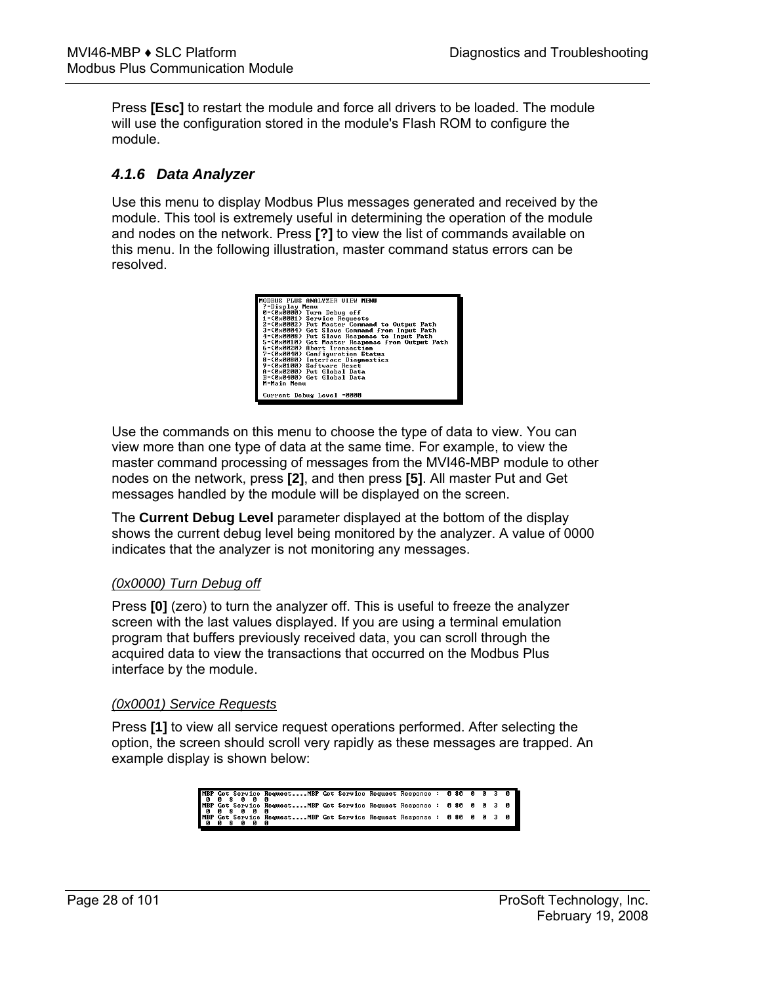Press **[Esc]** to restart the module and force all drivers to be loaded. The module will use the configuration stored in the module's Flash ROM to configure the module.

# <span id="page-27-0"></span>*4.1.6 Data Analyzer*

Use this menu to display Modbus Plus messages generated and received by the module. This tool is extremely useful in determining the operation of the module and nodes on the network. Press **[?]** to view the list of commands available on this menu. In the following illustration, master command status errors can be resolved.



Use the commands on this menu to choose the type of data to view. You can view more than one type of data at the same time. For example, to view the master command processing of messages from the MVI46-MBP module to other nodes on the network, press **[2]**, and then press **[5]**. All master Put and Get messages handled by the module will be displayed on the screen.

The **Current Debug Level** parameter displayed at the bottom of the display shows the current debug level being monitored by the analyzer. A value of 0000 indicates that the analyzer is not monitoring any messages.

## *(0x0000) Turn Debug off*

Press **[0]** (zero) to turn the analyzer off. This is useful to freeze the analyzer screen with the last values displayed. If you are using a terminal emulation program that buffers previously received data, you can scroll through the acquired data to view the transactions that occurred on the Modbus Plus interface by the module.

## *(0x0001) Service Requests*

Press **[1]** to view all service request operations performed. After selecting the option, the screen should scroll very rapidly as these messages are trapped. An example display is shown below:

|                                           | IMBP Get Service RequestMBP Get Service Request Response : 0 80 0 0 3 0 |  |  |  |  |  |  |
|-------------------------------------------|-------------------------------------------------------------------------|--|--|--|--|--|--|
| I A A S A A A                             |                                                                         |  |  |  |  |  |  |
| <b>1</b> 8 8 8 8 8 9                      | IMBP Get Service RequestMBP Get Service Request Response : 0 80 0 0 3 0 |  |  |  |  |  |  |
|                                           | MBP Get Service RequestMBP Get Service Request Response : 0 80 0 0 3 0  |  |  |  |  |  |  |
| <b>1</b> <i><b>0</b></i> <b>0 8 0 0 0</b> |                                                                         |  |  |  |  |  |  |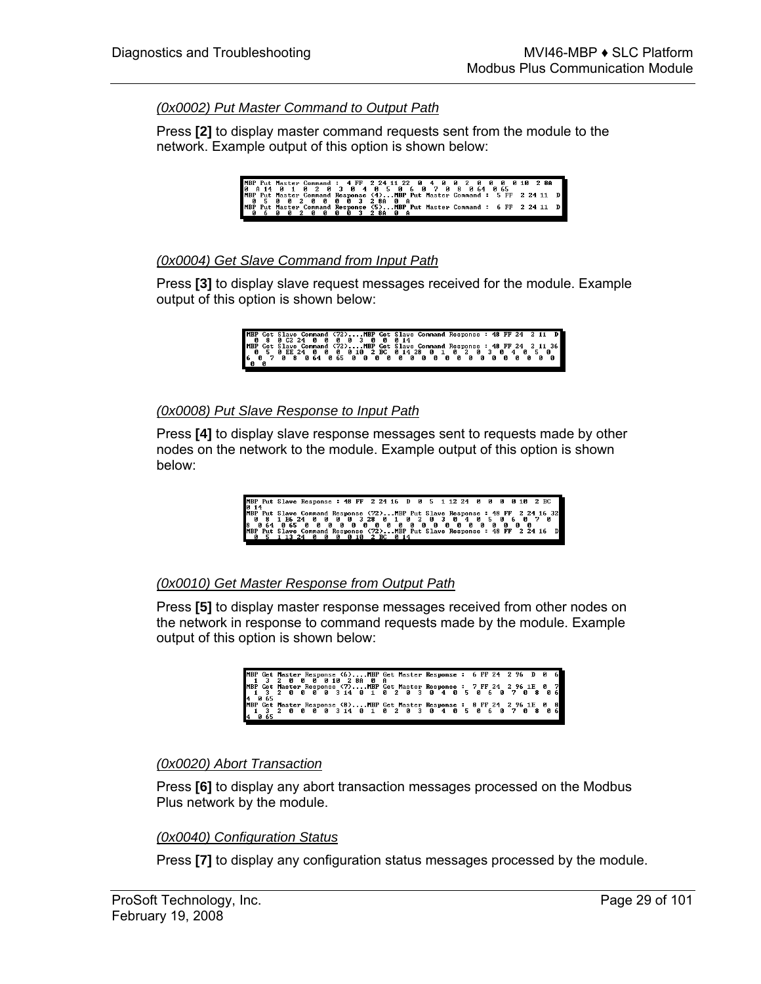## *(0x0002) Put Master Command to Output Path*

Press **[2]** to display master command requests sent from the module to the network. Example output of this option is shown below:

|  | <b>MBP</b> Put Master Command: 4 FF 2 24 11 22 0 4 0 0 2 0 0 0 0 10 2 8A         |  |  |  |  |  |  |  |  |  |  |  |
|--|----------------------------------------------------------------------------------|--|--|--|--|--|--|--|--|--|--|--|
|  | 10 8 14 0 1 0 2 0 3 0 4 0 5 0 6 0 7 0 8 0 64 0 65                                |  |  |  |  |  |  |  |  |  |  |  |
|  | MBP Put Master Command Response (4)MBP Put Master Command: 5 FF 2 24 11 D        |  |  |  |  |  |  |  |  |  |  |  |
|  | <b>85002000032800A</b>                                                           |  |  |  |  |  |  |  |  |  |  |  |
|  | <b>MBP Put Master Command Response (5)MBP Put Master Command: 6 FF 2 24 11 D</b> |  |  |  |  |  |  |  |  |  |  |  |
|  | <b>1060020000328A0A</b>                                                          |  |  |  |  |  |  |  |  |  |  |  |

## *(0x0004) Get Slave Command from Input Path*

Press **[3]** to display slave request messages received for the module. Example output of this option is shown below:

|                | <b>MBP</b> Get Slave Command (72)MBP Get Slave Command Response : 48 FF 24 2 11 D                        |  |  |  |  |  |  |  |  |  |
|----------------|----------------------------------------------------------------------------------------------------------|--|--|--|--|--|--|--|--|--|
|                | 1080C2240000300014<br><b>MBP</b> Get Slave Command (72)MBP Get Slave Command Response : 48 FF 24 2 11 36 |  |  |  |  |  |  |  |  |  |
|                | <b>0</b> 5 6 EE 24 6 6 6 6 10 2 BC 6 14 28 6 1 6 2 6 3 6 4 6 5 6                                         |  |  |  |  |  |  |  |  |  |
| $\blacksquare$ |                                                                                                          |  |  |  |  |  |  |  |  |  |

## *(0x0008) Put Slave Response to Input Path*

Press **[4]** to display slave response messages sent to requests made by other nodes on the network to the module. Example output of this option is shown below:

| MBP Put Slave Response : 48 FF 2 24 16 D 0 5 1 12 24 0 0 0 0 10 2 BC         |  |  |  |  |  |  |  |  |  |  |  |
|------------------------------------------------------------------------------|--|--|--|--|--|--|--|--|--|--|--|
| 0 14                                                                         |  |  |  |  |  |  |  |  |  |  |  |
| MBP Put Slave Command Response (72)MBP Put Slave Response : 48 FF 2 24 16 32 |  |  |  |  |  |  |  |  |  |  |  |
| 0 8 1 E6 24 0 0 0 0 3 28 0 1 0 2 0 3 0 4 0 5 0 6 0 7 0                       |  |  |  |  |  |  |  |  |  |  |  |
|                                                                              |  |  |  |  |  |  |  |  |  |  |  |
|                                                                              |  |  |  |  |  |  |  |  |  |  |  |
| <b>0 5 1 13 24 0 0 0 0 10 2 BC 0 14</b>                                      |  |  |  |  |  |  |  |  |  |  |  |

## *(0x0010) Get Master Response from Output Path*

Press **[5]** to display master response messages received from other nodes on the network in response to command requests made by the module. Example output of this option is shown below:

> IBP Get Master Response (6)....MBP Get Master Response : 6 FF 24 296 D 0<br>11 3 2 0 0 0 0 10 286 0 11 286 0 1<br>IBP Get Master Response (7)....MBP Get Master Response : 7 FF 24 296 1E 0<br>1 3 2 0 0 0 0 3 14 0 1 0 2 0 3 0 4 0 5 0 Master Response (8)....MBP Get Master Response : 8 FF 24 2 96 1E 0<br>2 0 0 0 0 3 14 0 1 0 2 0 3 0 4 0 5 0 6 0 7 0 8 0

## *(0x0020) Abort Transaction*

Press **[6]** to display any abort transaction messages processed on the Modbus Plus network by the module.

## *(0x0040) Configuration Status*

Press **[7]** to display any configuration status messages processed by the module.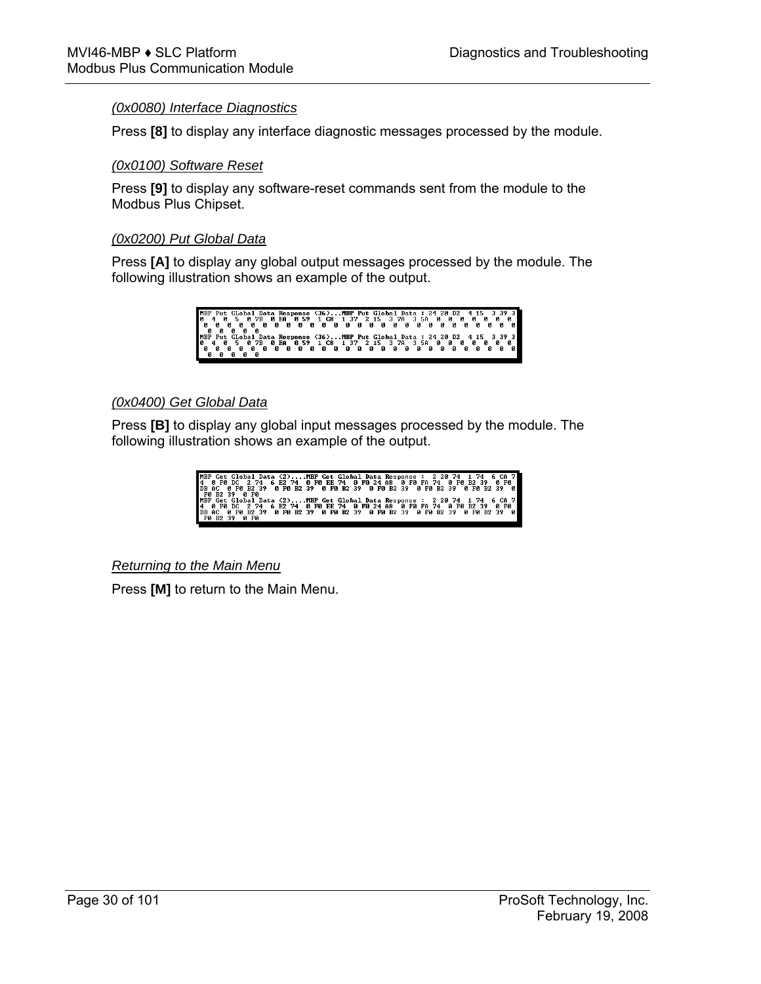## *(0x0080) Interface Diagnostics*

Press **[8]** to display any interface diagnostic messages processed by the module.

#### *(0x0100) Software Reset*

Press **[9]** to display any software-reset commands sent from the module to the Modbus Plus Chipset.

#### *(0x0200) Put Global Data*

Press **[A]** to display any global output messages processed by the module. The following illustration shows an example of the output.



## *(0x0400) Get Global Data*

Press **[B]** to display any global input messages processed by the module. The following illustration shows an example of the output.



## *Returning to the Main Menu*

Press **[M]** to return to the Main Menu.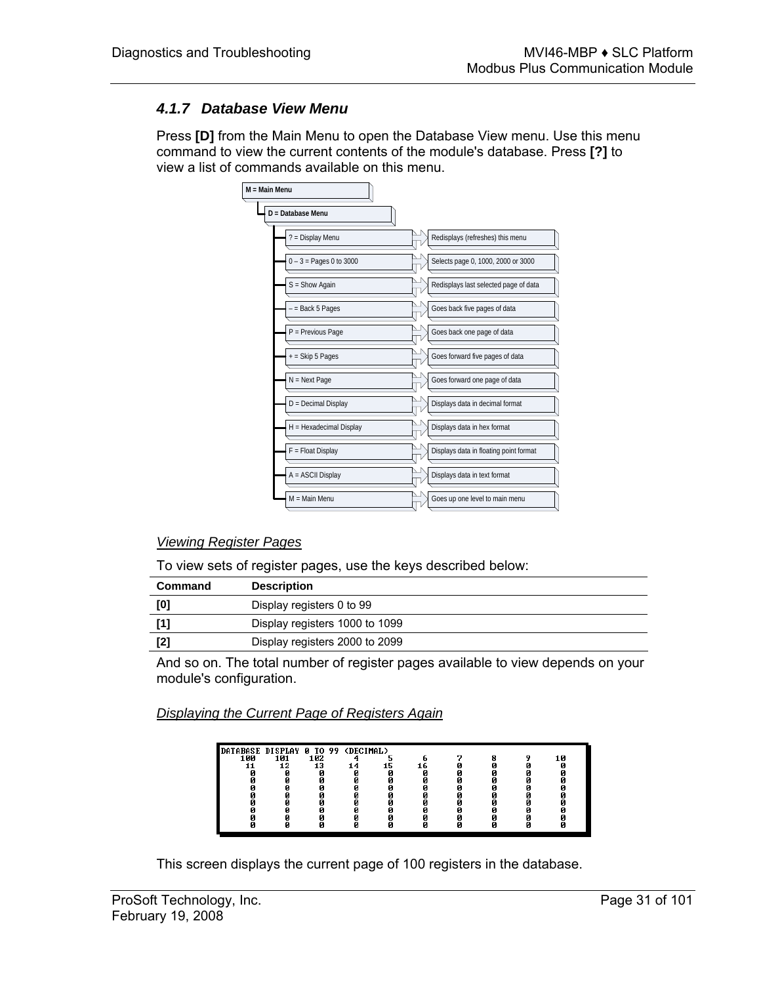# <span id="page-30-0"></span>*4.1.7 Database View Menu*

Press **[D]** from the Main Menu to open the Database View menu. Use this menu command to view the current contents of the module's database. Press **[?]** to view a list of commands available on this menu.

| M = Main Menu             |                                        |
|---------------------------|----------------------------------------|
| D = Database Menu         |                                        |
| ? = Display Menu          | Redisplays (refreshes) this menu       |
| $0 - 3 =$ Pages 0 to 3000 | Selects page 0, 1000, 2000 or 3000     |
| $S =$ Show Again          | Redisplays last selected page of data  |
| - Back 5 Pages            | Goes back five pages of data           |
| P = Previous Page         | Goes back one page of data             |
| $+$ = Skip 5 Pages        | Goes forward five pages of data        |
| $N = Next Page$           | Goes forward one page of data          |
| D = Decimal Display       | Displays data in decimal format        |
| H = Hexadecimal Display   | Displays data in hex format            |
| F = Float Display         | Displays data in floating point format |
| A = ASCII Display         | Displays data in text format           |
| $M = Main Menu$           | Goes up one level to main menu         |

## *Viewing Register Pages*

To view sets of register pages, use the keys described below:

| Command | <b>Description</b>             |
|---------|--------------------------------|
| [0]     | Display registers 0 to 99      |
|         | Display registers 1000 to 1099 |
| $[2]$   | Display registers 2000 to 2099 |
|         |                                |

And so on. The total number of register pages available to view depends on your module's configuration.

*Displaying the Current Page of Registers Again*

|     | TABASE DISPLAY 0 TO 99 (DECIMAL) |     |    |  |   |  |
|-----|----------------------------------|-----|----|--|---|--|
| 100 | 101                              | 102 |    |  |   |  |
|     | 12                               |     | 15 |  |   |  |
|     |                                  |     |    |  |   |  |
|     |                                  |     |    |  | и |  |
|     |                                  |     |    |  | и |  |
|     |                                  |     |    |  | И |  |
|     |                                  |     |    |  | и |  |
|     |                                  |     |    |  | и |  |
|     |                                  |     |    |  | Й |  |
|     |                                  |     |    |  |   |  |
|     |                                  |     |    |  |   |  |

This screen displays the current page of 100 registers in the database.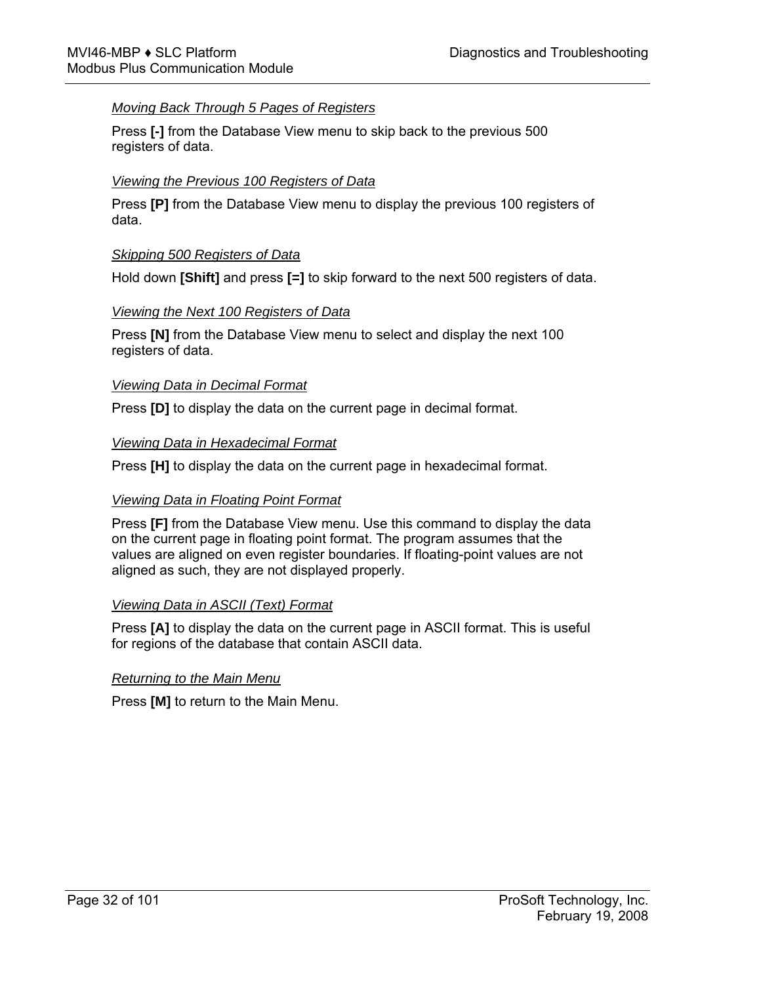## *Moving Back Through 5 Pages of Registers*

Press **[-]** from the Database View menu to skip back to the previous 500 registers of data.

#### *Viewing the Previous 100 Registers of Data*

Press **[P]** from the Database View menu to display the previous 100 registers of data.

#### *Skipping 500 Registers of Data*

Hold down **[Shift]** and press **[=]** to skip forward to the next 500 registers of data.

#### *Viewing the Next 100 Registers of Data*

Press **[N]** from the Database View menu to select and display the next 100 registers of data.

#### *Viewing Data in Decimal Format*

Press **[D]** to display the data on the current page in decimal format.

#### *Viewing Data in Hexadecimal Format*

Press **[H]** to display the data on the current page in hexadecimal format.

#### *Viewing Data in Floating Point Format*

Press **[F]** from the Database View menu. Use this command to display the data on the current page in floating point format. The program assumes that the values are aligned on even register boundaries. If floating-point values are not aligned as such, they are not displayed properly.

#### *Viewing Data in ASCII (Text) Format*

Press **[A]** to display the data on the current page in ASCII format. This is useful for regions of the database that contain ASCII data.

#### *Returning to the Main Menu*

Press **[M]** to return to the Main Menu.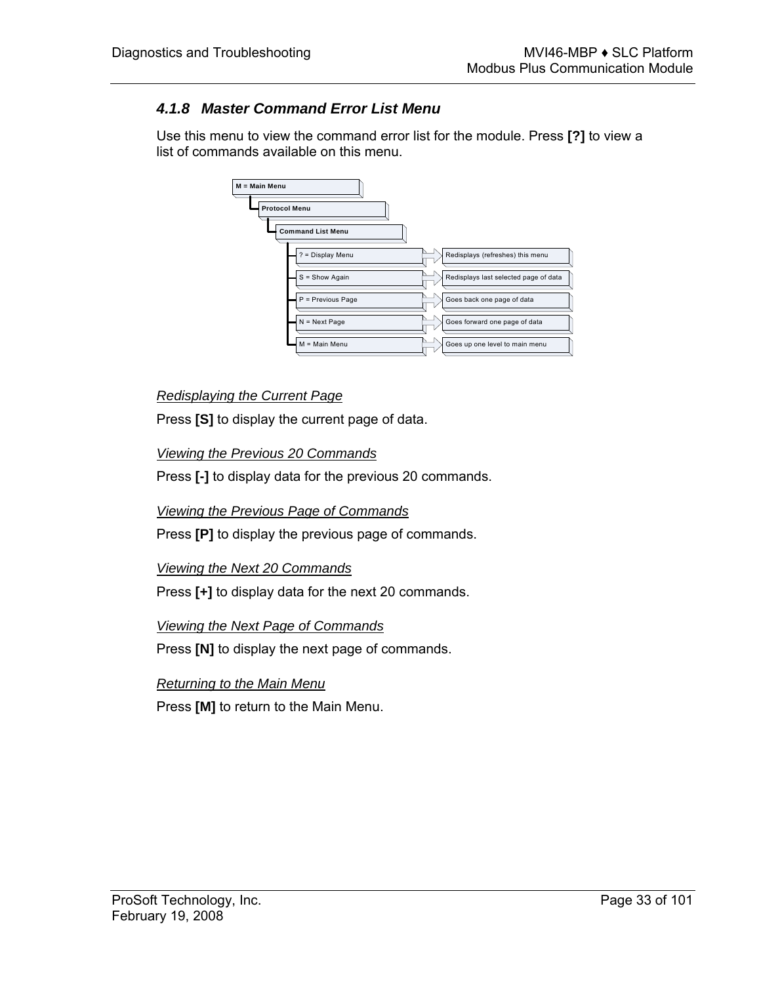# <span id="page-32-0"></span>*4.1.8 Master Command Error List Menu*

Use this menu to view the command error list for the module. Press **[?]** to view a list of commands available on this menu.

| $M = Main Menu$          |                                       |
|--------------------------|---------------------------------------|
| <b>Protocol Menu</b>     |                                       |
| <b>Command List Menu</b> |                                       |
| ? = Display Menu         | Redisplays (refreshes) this menu      |
| $S =$ Show Again         | Redisplays last selected page of data |
| P = Previous Page        | Goes back one page of data            |
| $N = Next Page$          | Goes forward one page of data         |
| $M = Main Menu$          | Goes up one level to main menu        |

## *Redisplaying the Current Page*

Press **[S]** to display the current page of data.

## *Viewing the Previous 20 Commands*

Press **[-]** to display data for the previous 20 commands.

## *Viewing the Previous Page of Commands*

Press **[P]** to display the previous page of commands.

## *Viewing the Next 20 Commands*

Press **[+]** to display data for the next 20 commands.

## *Viewing the Next Page of Commands*

Press **[N]** to display the next page of commands.

## *Returning to the Main Menu*

Press **[M]** to return to the Main Menu.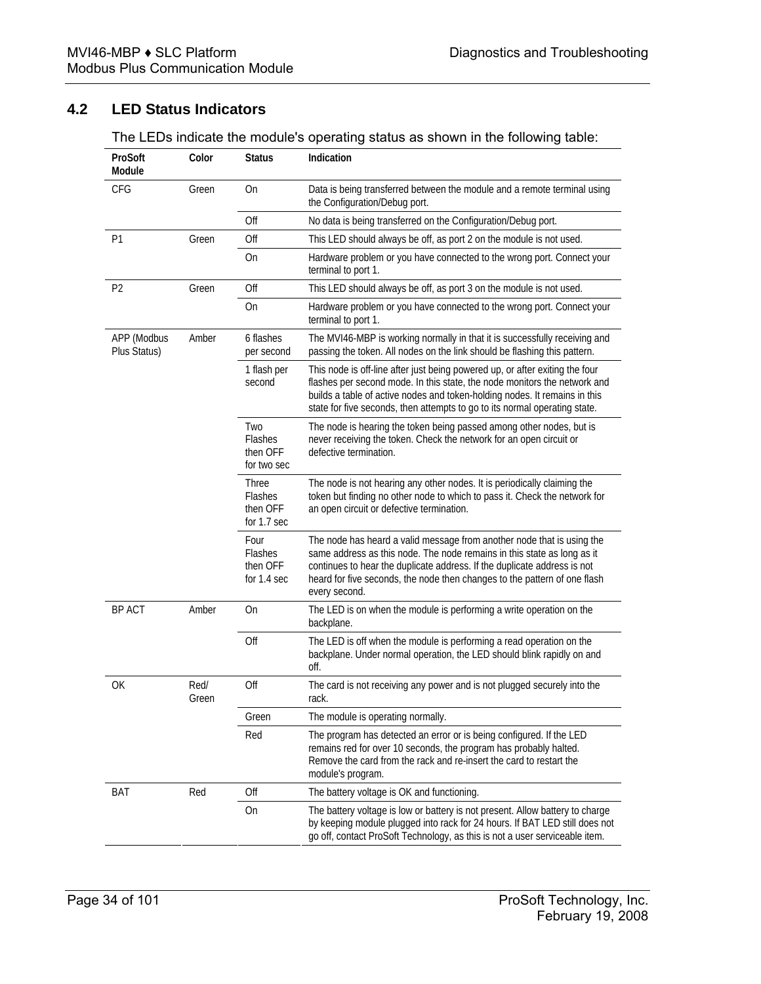# **4.2 LED Status Indicators**

<span id="page-33-0"></span>The LEDs indicate the module's operating status as shown in the following table:

| ProSoft<br>Module           | Color         | <b>Status</b>                                             | Indication                                                                                                                                                                                                                                                                                                                  |  |
|-----------------------------|---------------|-----------------------------------------------------------|-----------------------------------------------------------------------------------------------------------------------------------------------------------------------------------------------------------------------------------------------------------------------------------------------------------------------------|--|
| <b>CFG</b>                  | Green         | On                                                        | Data is being transferred between the module and a remote terminal using<br>the Configuration/Debug port.                                                                                                                                                                                                                   |  |
|                             |               | Off                                                       | No data is being transferred on the Configuration/Debug port.                                                                                                                                                                                                                                                               |  |
| P <sub>1</sub>              | Green         | Off                                                       | This LED should always be off, as port 2 on the module is not used.                                                                                                                                                                                                                                                         |  |
|                             |               | On                                                        | Hardware problem or you have connected to the wrong port. Connect your<br>terminal to port 1.                                                                                                                                                                                                                               |  |
| P <sub>2</sub>              | Green         | Off                                                       | This LED should always be off, as port 3 on the module is not used.                                                                                                                                                                                                                                                         |  |
|                             |               | <b>On</b>                                                 | Hardware problem or you have connected to the wrong port. Connect your<br>terminal to port 1.                                                                                                                                                                                                                               |  |
| APP (Modbus<br>Plus Status) | Amber         | 6 flashes<br>per second                                   | The MVI46-MBP is working normally in that it is successfully receiving and<br>passing the token. All nodes on the link should be flashing this pattern.                                                                                                                                                                     |  |
|                             |               | 1 flash per<br>second                                     | This node is off-line after just being powered up, or after exiting the four<br>flashes per second mode. In this state, the node monitors the network and<br>builds a table of active nodes and token-holding nodes. It remains in this<br>state for five seconds, then attempts to go to its normal operating state.       |  |
|                             |               | Two<br>Flashes<br>then OFF<br>for two sec                 | The node is hearing the token being passed among other nodes, but is<br>never receiving the token. Check the network for an open circuit or<br>defective termination.                                                                                                                                                       |  |
|                             |               | <b>Three</b><br><b>Flashes</b><br>then OFF<br>for 1.7 sec | The node is not hearing any other nodes. It is periodically claiming the<br>token but finding no other node to which to pass it. Check the network for<br>an open circuit or defective termination.                                                                                                                         |  |
|                             |               | Four<br>Flashes<br>then OFF<br>for 1.4 sec                | The node has heard a valid message from another node that is using the<br>same address as this node. The node remains in this state as long as it<br>continues to hear the duplicate address. If the duplicate address is not<br>heard for five seconds, the node then changes to the pattern of one flash<br>every second. |  |
| <b>BP ACT</b>               | Amber         | <b>On</b>                                                 | The LED is on when the module is performing a write operation on the<br>backplane.                                                                                                                                                                                                                                          |  |
|                             |               | Off                                                       | The LED is off when the module is performing a read operation on the<br>backplane. Under normal operation, the LED should blink rapidly on and<br>off.                                                                                                                                                                      |  |
| OK                          | Red/<br>Green | Off                                                       | The card is not receiving any power and is not plugged securely into the<br>rack.                                                                                                                                                                                                                                           |  |
|                             |               | Green                                                     | The module is operating normally.                                                                                                                                                                                                                                                                                           |  |
|                             |               | Red                                                       | The program has detected an error or is being configured. If the LED<br>remains red for over 10 seconds, the program has probably halted.<br>Remove the card from the rack and re-insert the card to restart the<br>module's program.                                                                                       |  |
| <b>BAT</b>                  | Red           | Off                                                       | The battery voltage is OK and functioning.                                                                                                                                                                                                                                                                                  |  |
|                             |               | On                                                        | The battery voltage is low or battery is not present. Allow battery to charge<br>by keeping module plugged into rack for 24 hours. If BAT LED still does not<br>go off, contact ProSoft Technology, as this is not a user serviceable item.                                                                                 |  |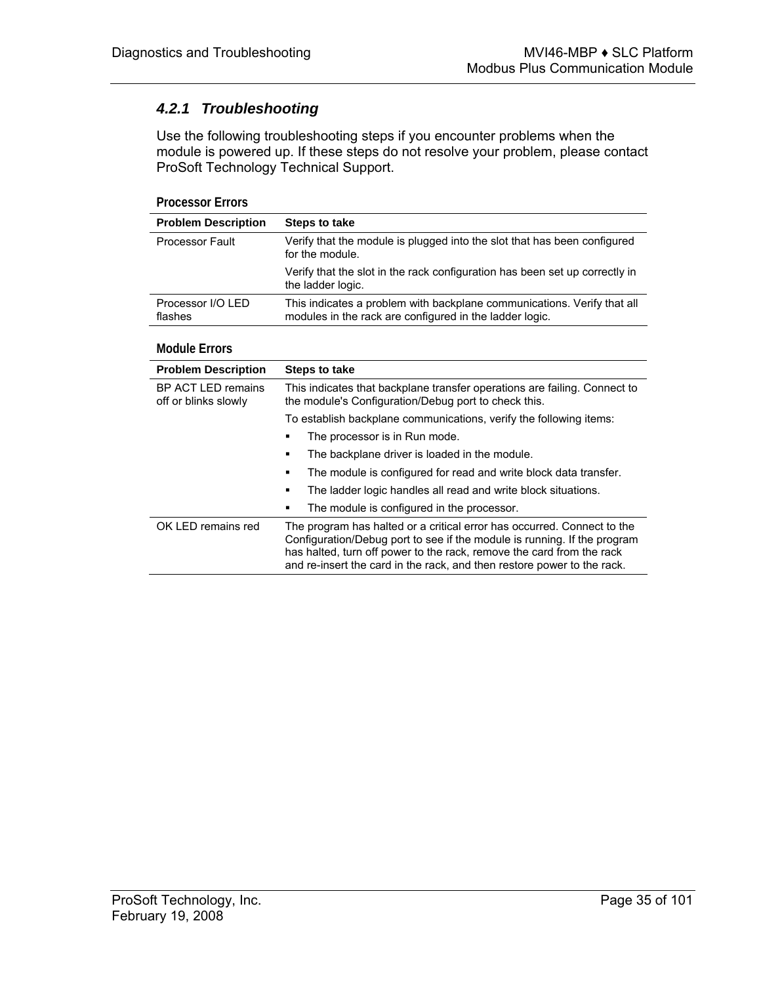# <span id="page-34-0"></span>*4.2.1 Troubleshooting*

Use the following troubleshooting steps if you encounter problems when the module is powered up. If these steps do not resolve your problem, please contact ProSoft Technology Technical Support.

#### **Processor Errors**

| <b>Problem Description</b>   | <b>Steps to take</b>                                                                                                               |
|------------------------------|------------------------------------------------------------------------------------------------------------------------------------|
| <b>Processor Fault</b>       | Verify that the module is plugged into the slot that has been configured<br>for the module.                                        |
|                              | Verify that the slot in the rack configuration has been set up correctly in<br>the ladder logic.                                   |
| Processor I/O LED<br>flashes | This indicates a problem with backplane communications. Verify that all<br>modules in the rack are configured in the ladder logic. |

#### **Module Errors**

| <b>Problem Description</b>                 | Steps to take                                                                                                                                                                                                                                                                                           |  |
|--------------------------------------------|---------------------------------------------------------------------------------------------------------------------------------------------------------------------------------------------------------------------------------------------------------------------------------------------------------|--|
| BP ACT LED remains<br>off or blinks slowly | This indicates that backplane transfer operations are failing. Connect to<br>the module's Configuration/Debug port to check this.                                                                                                                                                                       |  |
|                                            | To establish backplane communications, verify the following items:                                                                                                                                                                                                                                      |  |
|                                            | The processor is in Run mode.                                                                                                                                                                                                                                                                           |  |
|                                            | The backplane driver is loaded in the module.                                                                                                                                                                                                                                                           |  |
|                                            | The module is configured for read and write block data transfer.                                                                                                                                                                                                                                        |  |
|                                            | The ladder logic handles all read and write block situations.                                                                                                                                                                                                                                           |  |
|                                            | The module is configured in the processor.                                                                                                                                                                                                                                                              |  |
| OK LED remains red                         | The program has halted or a critical error has occurred. Connect to the<br>Configuration/Debug port to see if the module is running. If the program<br>has halted, turn off power to the rack, remove the card from the rack<br>and re-insert the card in the rack, and then restore power to the rack. |  |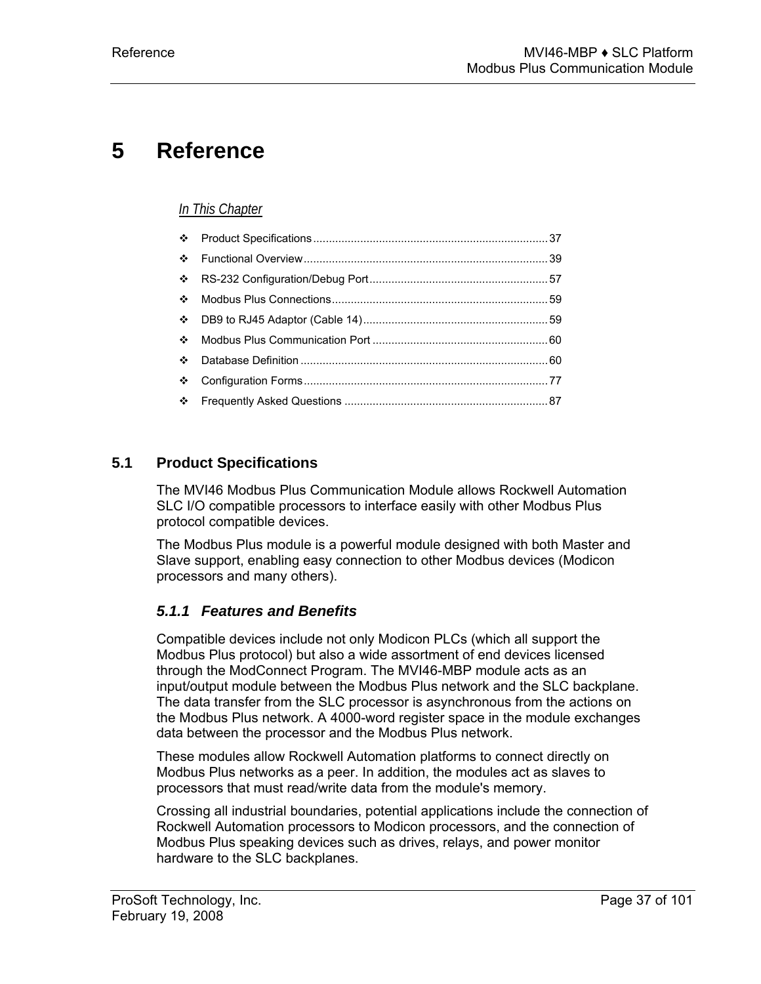# **5 Reference**

# *In This Chapter*

| $\mathcal{L}_{\mathcal{P}}$ |  |
|-----------------------------|--|
| $\mathcal{L}_{\mathcal{C}}$ |  |
|                             |  |
| $\mathcal{L}_{\mathcal{C}}$ |  |
| $\mathcal{L}_{\mathcal{C}}$ |  |
| ❖                           |  |
|                             |  |

# **5.1 Product Specifications**

<span id="page-36-0"></span>The MVI46 Modbus Plus Communication Module allows Rockwell Automation SLC I/O compatible processors to interface easily with other Modbus Plus protocol compatible devices.

The Modbus Plus module is a powerful module designed with both Master and Slave support, enabling easy connection to other Modbus devices (Modicon processors and many others).

# *5.1.1 Features and Benefits*

Compatible devices include not only Modicon PLCs (which all support the Modbus Plus protocol) but also a wide assortment of end devices licensed through the ModConnect Program. The MVI46-MBP module acts as an input/output module between the Modbus Plus network and the SLC backplane. The data transfer from the SLC processor is asynchronous from the actions on the Modbus Plus network. A 4000-word register space in the module exchanges data between the processor and the Modbus Plus network.

These modules allow Rockwell Automation platforms to connect directly on Modbus Plus networks as a peer. In addition, the modules act as slaves to processors that must read/write data from the module's memory.

Crossing all industrial boundaries, potential applications include the connection of Rockwell Automation processors to Modicon processors, and the connection of Modbus Plus speaking devices such as drives, relays, and power monitor hardware to the SLC backplanes.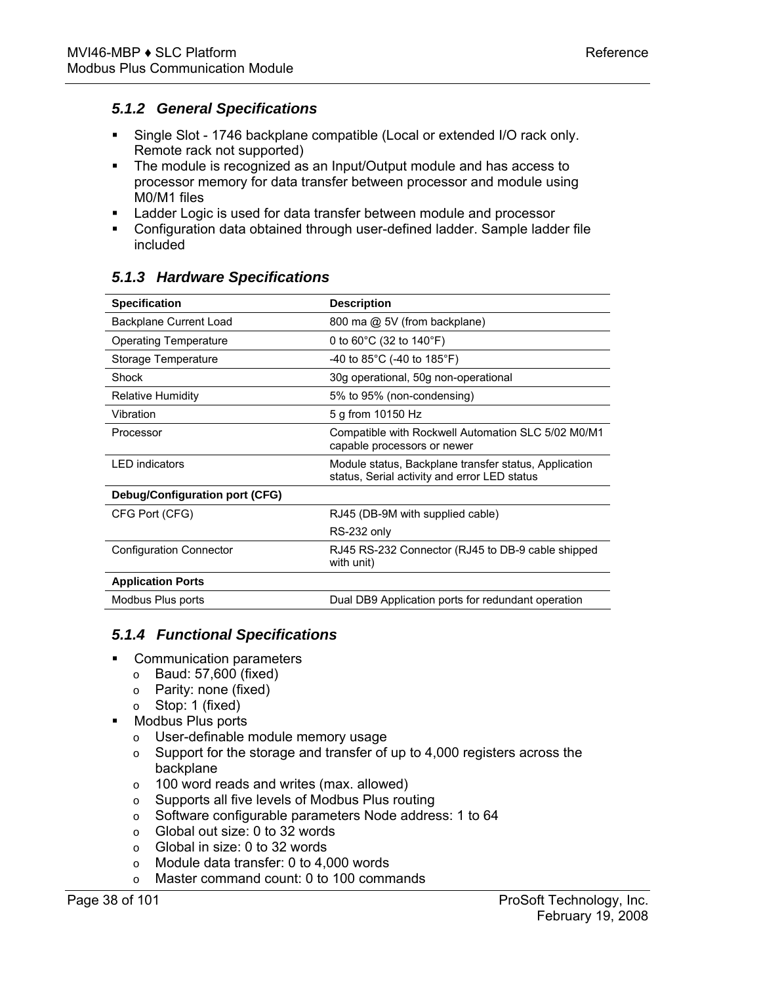# *5.1.2 General Specifications*

- Single Slot 1746 backplane compatible (Local or extended I/O rack only. Remote rack not supported)
- The module is recognized as an Input/Output module and has access to processor memory for data transfer between processor and module using M0/M1 files
- **Ladder Logic is used for data transfer between module and processor**
- Configuration data obtained through user-defined ladder. Sample ladder file included

| <b>Specification</b>                  | <b>Description</b>                                                                                    |
|---------------------------------------|-------------------------------------------------------------------------------------------------------|
| Backplane Current Load                | 800 ma @ 5V (from backplane)                                                                          |
| <b>Operating Temperature</b>          | 0 to $60^{\circ}$ C (32 to 140 $^{\circ}$ F)                                                          |
| Storage Temperature                   | -40 to 85 $^{\circ}$ C (-40 to 185 $^{\circ}$ F)                                                      |
| Shock                                 | 30g operational, 50g non-operational                                                                  |
| <b>Relative Humidity</b>              | 5% to 95% (non-condensing)                                                                            |
| Vibration                             | 5 g from 10150 Hz                                                                                     |
| Processor                             | Compatible with Rockwell Automation SLC 5/02 M0/M1<br>capable processors or newer                     |
| <b>LED</b> indicators                 | Module status, Backplane transfer status, Application<br>status, Serial activity and error LED status |
| <b>Debug/Configuration port (CFG)</b> |                                                                                                       |
| CFG Port (CFG)                        | RJ45 (DB-9M with supplied cable)                                                                      |
|                                       | RS-232 only                                                                                           |
| <b>Configuration Connector</b>        | RJ45 RS-232 Connector (RJ45 to DB-9 cable shipped<br>with unit)                                       |
| <b>Application Ports</b>              |                                                                                                       |
| Modbus Plus ports                     | Dual DB9 Application ports for redundant operation                                                    |

# *5.1.3 Hardware Specifications*

# *5.1.4 Functional Specifications*

- Communication parameters
	- o Baud: 57,600 (fixed)
	- o Parity: none (fixed)
	- o Stop: 1 (fixed)
- Modbus Plus ports
	- o User-definable module memory usage
	- o Support for the storage and transfer of up to 4,000 registers across the backplane
	- o 100 word reads and writes (max. allowed)
	- o Supports all five levels of Modbus Plus routing
	- o Software configurable parameters Node address: 1 to 64
	- o Global out size: 0 to 32 words
	- o Global in size: 0 to 32 words
	- o Module data transfer: 0 to 4,000 words
	- o Master command count: 0 to 100 commands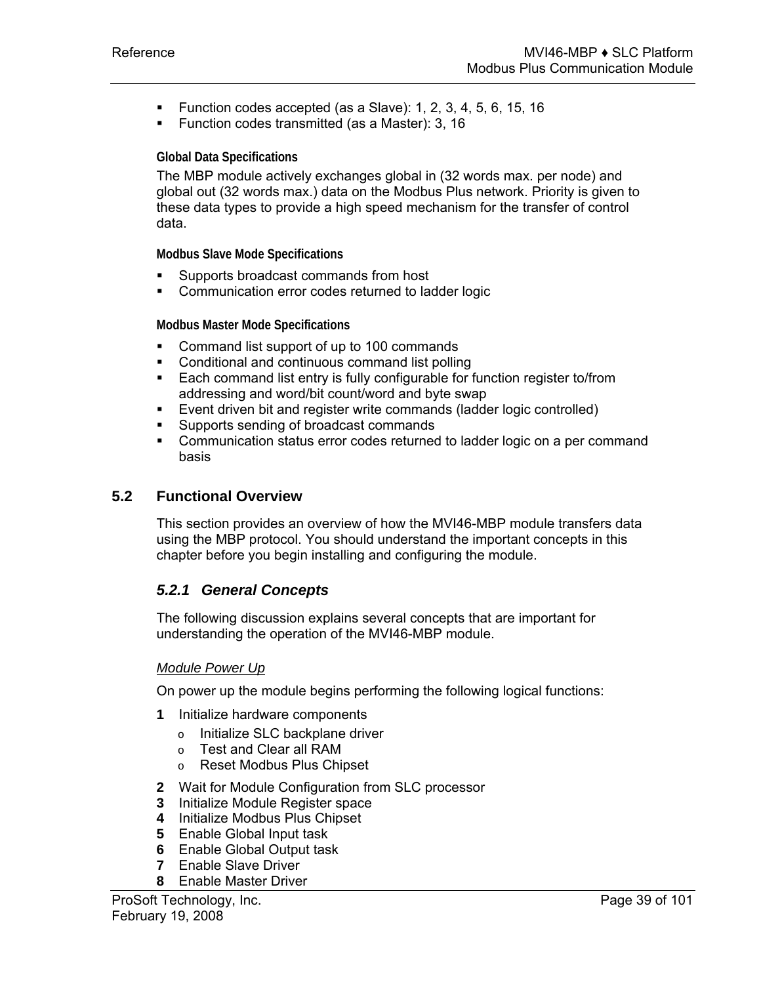- Function codes accepted (as a Slave): 1, 2, 3, 4, 5, 6, 15, 16
- **Function codes transmitted (as a Master): 3, 16**

#### **Global Data Specifications**

The MBP module actively exchanges global in (32 words max. per node) and global out (32 words max.) data on the Modbus Plus network. Priority is given to these data types to provide a high speed mechanism for the transfer of control data.

**Modbus Slave Mode Specifications** 

- Supports broadcast commands from host
- **EXECOMMUNICATE:** Communication error codes returned to ladder logic

**Modbus Master Mode Specifications** 

- Command list support of up to 100 commands
- Conditional and continuous command list polling
- **Each command list entry is fully configurable for function register to/from** addressing and word/bit count/word and byte swap
- Event driven bit and register write commands (ladder logic controlled)
- **Supports sending of broadcast commands**
- Communication status error codes returned to ladder logic on a per command basis

#### **5.2 Functional Overview**

<span id="page-38-0"></span>This section provides an overview of how the MVI46-MBP module transfers data using the MBP protocol. You should understand the important concepts in this chapter before you begin installing and configuring the module.

# *5.2.1 General Concepts*

The following discussion explains several concepts that are important for understanding the operation of the MVI46-MBP module.

#### *Module Power Up*

On power up the module begins performing the following logical functions:

- **1** Initialize hardware components
	- o Initialize SLC backplane driver
	- o Test and Clear all RAM
	- o Reset Modbus Plus Chipset
- **2** Wait for Module Configuration from SLC processor
- **3** Initialize Module Register space
- **4** Initialize Modbus Plus Chipset
- **5** Enable Global Input task
- **6** Enable Global Output task
- **7** Enable Slave Driver
- **8** Enable Master Driver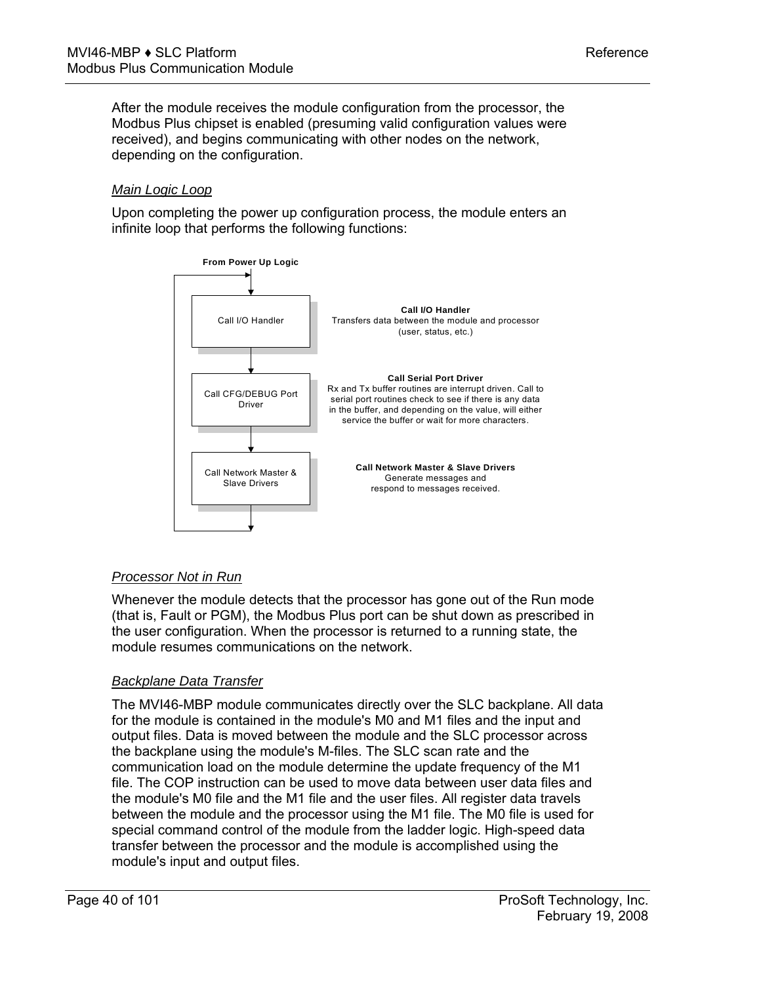After the module receives the module configuration from the processor, the Modbus Plus chipset is enabled (presuming valid configuration values were received), and begins communicating with other nodes on the network, depending on the configuration.

### *Main Logic Loop*

Upon completing the power up configuration process, the module enters an infinite loop that performs the following functions:



# *Processor Not in Run*

Whenever the module detects that the processor has gone out of the Run mode (that is, Fault or PGM), the Modbus Plus port can be shut down as prescribed in the user configuration. When the processor is returned to a running state, the module resumes communications on the network.

# *Backplane Data Transfer*

The MVI46-MBP module communicates directly over the SLC backplane. All data for the module is contained in the module's M0 and M1 files and the input and output files. Data is moved between the module and the SLC processor across the backplane using the module's M-files. The SLC scan rate and the communication load on the module determine the update frequency of the M1 file. The COP instruction can be used to move data between user data files and the module's M0 file and the M1 file and the user files. All register data travels between the module and the processor using the M1 file. The M0 file is used for special command control of the module from the ladder logic. High-speed data transfer between the processor and the module is accomplished using the module's input and output files.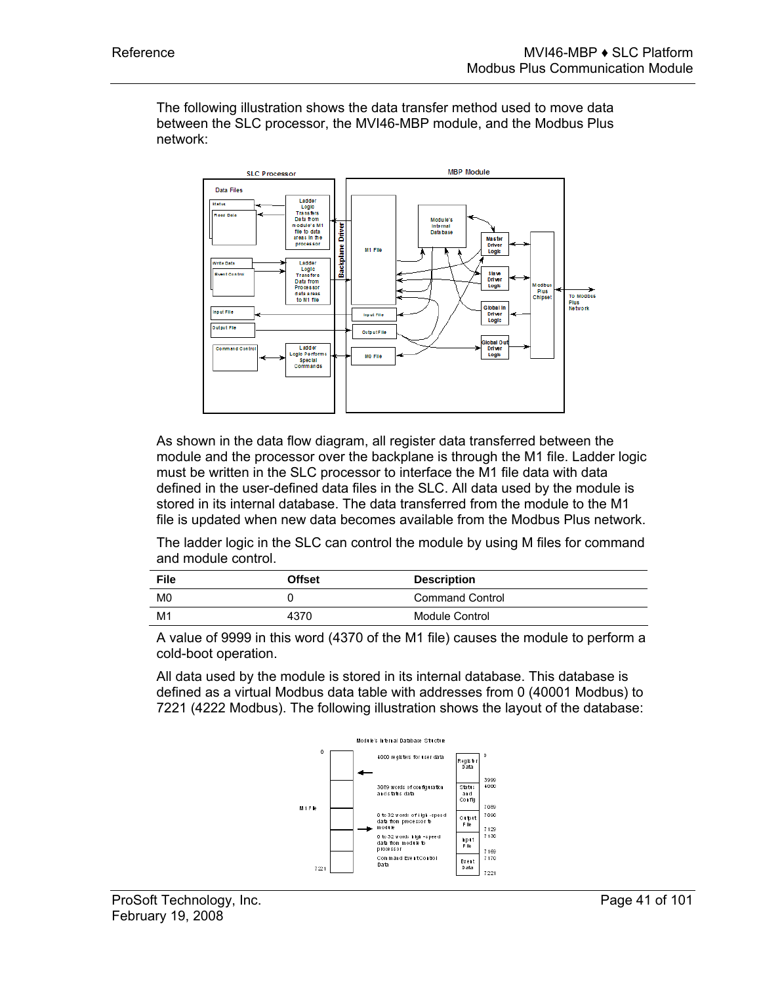The following illustration shows the data transfer method used to move data between the SLC processor, the MVI46-MBP module, and the Modbus Plus network:



As shown in the data flow diagram, all register data transferred between the module and the processor over the backplane is through the M1 file. Ladder logic must be written in the SLC processor to interface the M1 file data with data defined in the user-defined data files in the SLC. All data used by the module is stored in its internal database. The data transferred from the module to the M1 file is updated when new data becomes available from the Modbus Plus network.

The ladder logic in the SLC can control the module by using M files for command and module control.

| File           | <b>Offset</b> | <b>Description</b>     |
|----------------|---------------|------------------------|
| M <sub>0</sub> |               | <b>Command Control</b> |
| M <sub>1</sub> | 4370          | Module Control         |

A value of 9999 in this word (4370 of the M1 file) causes the module to perform a cold-boot operation.

All data used by the module is stored in its internal database. This database is defined as a virtual Modbus data table with addresses from 0 (40001 Modbus) to 7221 (4222 Modbus). The following illustration shows the layout of the database:

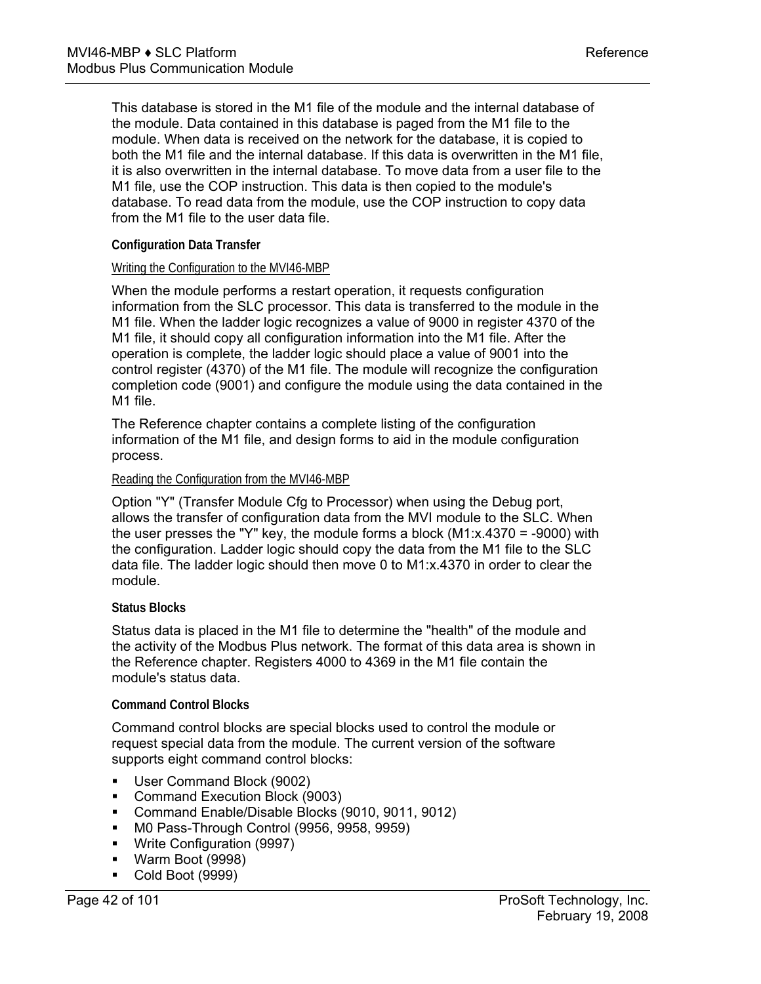This database is stored in the M1 file of the module and the internal database of the module. Data contained in this database is paged from the M1 file to the module. When data is received on the network for the database, it is copied to both the M1 file and the internal database. If this data is overwritten in the M1 file, it is also overwritten in the internal database. To move data from a user file to the M1 file, use the COP instruction. This data is then copied to the module's database. To read data from the module, use the COP instruction to copy data from the M1 file to the user data file.

### **Configuration Data Transfer**

#### Writing the Configuration to the MVI46-MBP

When the module performs a restart operation, it requests configuration information from the SLC processor. This data is transferred to the module in the M1 file. When the ladder logic recognizes a value of 9000 in register 4370 of the M1 file, it should copy all configuration information into the M1 file. After the operation is complete, the ladder logic should place a value of 9001 into the control register (4370) of the M1 file. The module will recognize the configuration completion code (9001) and configure the module using the data contained in the M1 file.

The Reference chapter contains a complete listing of the configuration information of the M1 file, and design forms to aid in the module configuration process.

#### Reading the Configuration from the MVI46-MBP

Option "Y" (Transfer Module Cfg to Processor) when using the Debug port, allows the transfer of configuration data from the MVI module to the SLC. When the user presses the "Y" key, the module forms a block  $(M1:x.4370 = -9000)$  with the configuration. Ladder logic should copy the data from the M1 file to the SLC data file. The ladder logic should then move 0 to M1:x.4370 in order to clear the module.

# **Status Blocks**

Status data is placed in the M1 file to determine the "health" of the module and the activity of the Modbus Plus network. The format of this data area is shown in the Reference chapter. Registers 4000 to 4369 in the M1 file contain the module's status data.

# **Command Control Blocks**

Command control blocks are special blocks used to control the module or request special data from the module. The current version of the software supports eight command control blocks:

- User Command Block (9002)
- Command Execution Block (9003)
- Command Enable/Disable Blocks (9010, 9011, 9012)
- M0 Pass-Through Control (9956, 9958, 9959)
- **Write Configuration (9997)**
- Warm Boot (9998)
- Cold Boot (9999)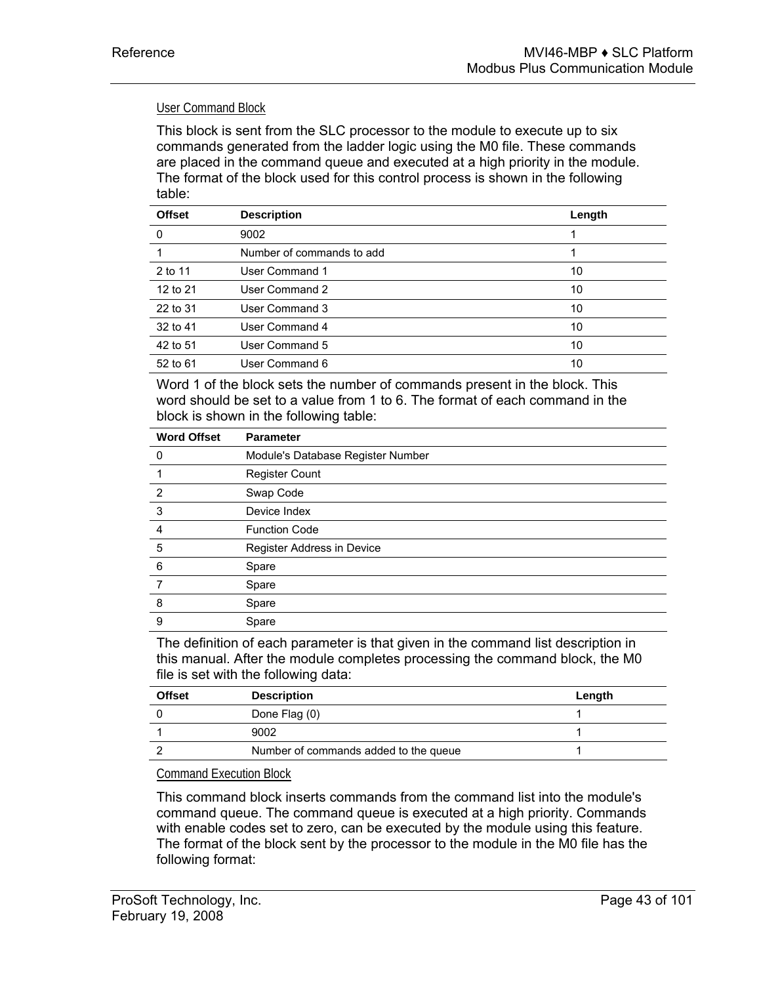### User Command Block

This block is sent from the SLC processor to the module to execute up to six commands generated from the ladder logic using the M0 file. These commands are placed in the command queue and executed at a high priority in the module. The format of the block used for this control process is shown in the following table:

| <b>Offset</b> | <b>Description</b>        | Length |
|---------------|---------------------------|--------|
| $\Omega$      | 9002                      |        |
|               | Number of commands to add |        |
| 2 to 11       | User Command 1            | 10     |
| 12 to 21      | User Command 2            | 10     |
| 22 to 31      | User Command 3            | 10     |
| 32 to 41      | User Command 4            | 10     |
| 42 to 51      | User Command 5            | 10     |
| 52 to 61      | User Command 6            | 10     |

Word 1 of the block sets the number of commands present in the block. This word should be set to a value from 1 to 6. The format of each command in the block is shown in the following table:

| <b>Word Offset</b> | <b>Parameter</b>                  |
|--------------------|-----------------------------------|
| 0                  | Module's Database Register Number |
|                    | Register Count                    |
| 2                  | Swap Code                         |
| 3                  | Device Index                      |
|                    | <b>Function Code</b>              |
| 5                  | Register Address in Device        |
| 6                  | Spare                             |
|                    | Spare                             |
| 8                  | Spare                             |
| 9                  | Spare                             |

The definition of each parameter is that given in the command list description in this manual. After the module completes processing the command block, the M0 file is set with the following data:

| <b>Offset</b> | <b>Description</b>                    | Length |
|---------------|---------------------------------------|--------|
|               | Done Flag (0)                         |        |
|               | 9002                                  |        |
|               | Number of commands added to the queue |        |

#### Command Execution Block

This command block inserts commands from the command list into the module's command queue. The command queue is executed at a high priority. Commands with enable codes set to zero, can be executed by the module using this feature. The format of the block sent by the processor to the module in the M0 file has the following format: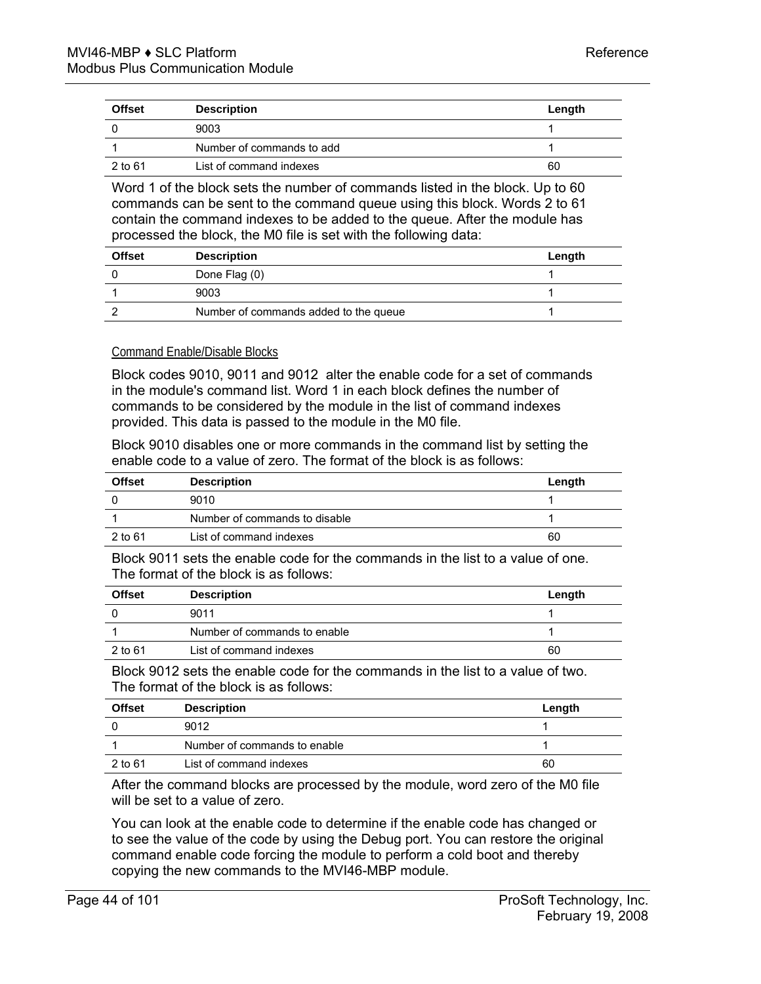| <b>Offset</b> | <b>Description</b>        | Length |
|---------------|---------------------------|--------|
|               | 9003                      |        |
|               | Number of commands to add |        |
| 2 to 61       | List of command indexes   | 60     |

Word 1 of the block sets the number of commands listed in the block. Up to 60 commands can be sent to the command queue using this block. Words 2 to 61 contain the command indexes to be added to the queue. After the module has processed the block, the M0 file is set with the following data:

| <b>Offset</b> | <b>Description</b>                    | Length |
|---------------|---------------------------------------|--------|
|               | Done Flag (0)                         |        |
|               | 9003                                  |        |
|               | Number of commands added to the queue |        |

Command Enable/Disable Blocks

Block codes 9010, 9011 and 9012 alter the enable code for a set of commands in the module's command list. Word 1 in each block defines the number of commands to be considered by the module in the list of command indexes provided. This data is passed to the module in the M0 file.

Block 9010 disables one or more commands in the command list by setting the enable code to a value of zero. The format of the block is as follows:

| <b>Offset</b> | <b>Description</b>            | Length |
|---------------|-------------------------------|--------|
|               | 9010                          |        |
|               | Number of commands to disable |        |
| 2 to 61       | List of command indexes       | 60     |

Block 9011 sets the enable code for the commands in the list to a value of one. The format of the block is as follows:

| <b>Offset</b> | <b>Description</b>           | Length |
|---------------|------------------------------|--------|
|               | 9011                         |        |
|               | Number of commands to enable |        |
| 2 to 61       | List of command indexes      | 60     |

Block 9012 sets the enable code for the commands in the list to a value of two. The format of the block is as follows:

| <b>Offset</b> | <b>Description</b>           | Length |
|---------------|------------------------------|--------|
|               | 9012                         |        |
|               | Number of commands to enable |        |
| 2 to 61       | List of command indexes      | 60     |

After the command blocks are processed by the module, word zero of the M0 file will be set to a value of zero.

You can look at the enable code to determine if the enable code has changed or to see the value of the code by using the Debug port. You can restore the original command enable code forcing the module to perform a cold boot and thereby copying the new commands to the MVI46-MBP module.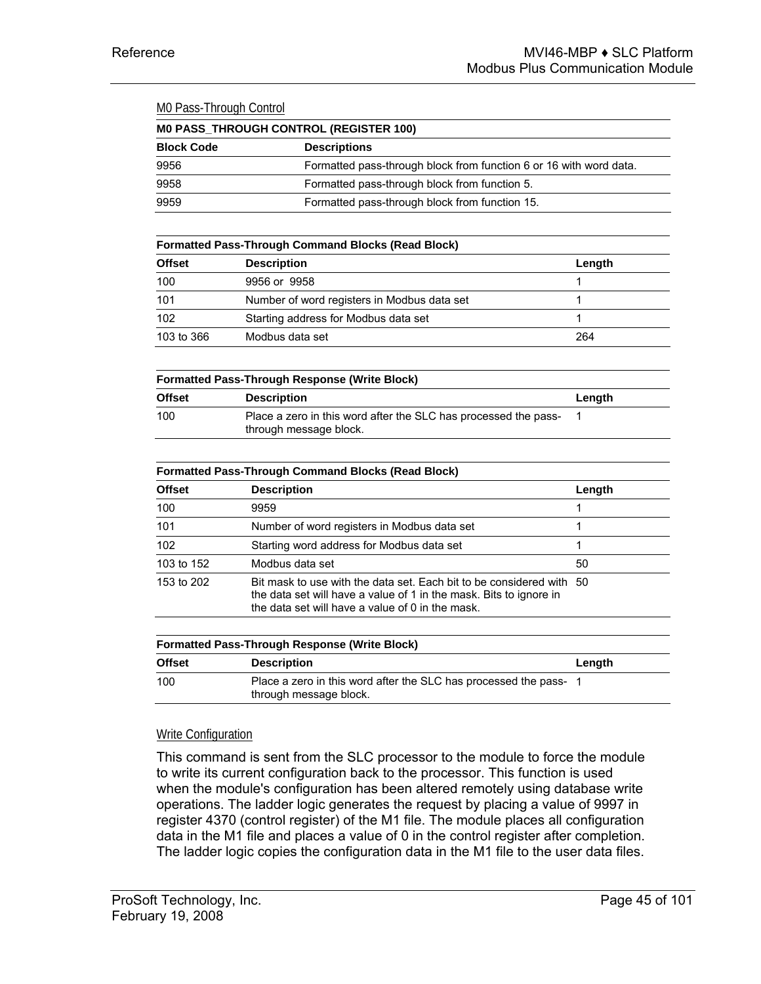| M0 Pass-Through Control |                                                                                                                                                                                                |        |
|-------------------------|------------------------------------------------------------------------------------------------------------------------------------------------------------------------------------------------|--------|
|                         | M0 PASS_THROUGH CONTROL (REGISTER 100)                                                                                                                                                         |        |
| <b>Block Code</b>       | <b>Descriptions</b>                                                                                                                                                                            |        |
| 9956                    | Formatted pass-through block from function 6 or 16 with word data.                                                                                                                             |        |
| 9958                    | Formatted pass-through block from function 5.                                                                                                                                                  |        |
| 9959                    | Formatted pass-through block from function 15.                                                                                                                                                 |        |
|                         | <b>Formatted Pass-Through Command Blocks (Read Block)</b>                                                                                                                                      |        |
| <b>Offset</b>           | <b>Description</b>                                                                                                                                                                             | Length |
| 100                     | 9956 or 9958                                                                                                                                                                                   | 1      |
| 101                     | Number of word registers in Modbus data set                                                                                                                                                    | 1      |
| 102                     | Starting address for Modbus data set                                                                                                                                                           | 1      |
| 103 to 366              | Modbus data set                                                                                                                                                                                | 264    |
|                         |                                                                                                                                                                                                |        |
|                         | <b>Formatted Pass-Through Response (Write Block)</b>                                                                                                                                           |        |
| <b>Offset</b>           | <b>Description</b>                                                                                                                                                                             | Length |
| 100                     | Place a zero in this word after the SLC has processed the pass-<br>through message block.                                                                                                      | 1      |
|                         |                                                                                                                                                                                                |        |
|                         | <b>Formatted Pass-Through Command Blocks (Read Block)</b>                                                                                                                                      |        |
| <b>Offset</b>           | <b>Description</b>                                                                                                                                                                             | Length |
| 100                     | 9959                                                                                                                                                                                           | 1      |
| 101                     | Number of word registers in Modbus data set                                                                                                                                                    | 1      |
| 102                     | Starting word address for Modbus data set                                                                                                                                                      | 1      |
| 103 to 152              | Modbus data set                                                                                                                                                                                | 50     |
| 153 to 202              | Bit mask to use with the data set. Each bit to be considered with 50<br>the data set will have a value of 1 in the mask. Bits to ignore in<br>the data set will have a value of 0 in the mask. |        |
|                         |                                                                                                                                                                                                |        |

| <b>Formatted Pass-Through Response (Write Block)</b> |                                                                                           |        |
|------------------------------------------------------|-------------------------------------------------------------------------------------------|--------|
| <b>Offset</b>                                        | <b>Description</b>                                                                        | Length |
| 100                                                  | Place a zero in this word after the SLC has processed the pass-<br>through message block. |        |

#### Write Configuration

This command is sent from the SLC processor to the module to force the module to write its current configuration back to the processor. This function is used when the module's configuration has been altered remotely using database write operations. The ladder logic generates the request by placing a value of 9997 in register 4370 (control register) of the M1 file. The module places all configuration data in the M1 file and places a value of 0 in the control register after completion. The ladder logic copies the configuration data in the M1 file to the user data files.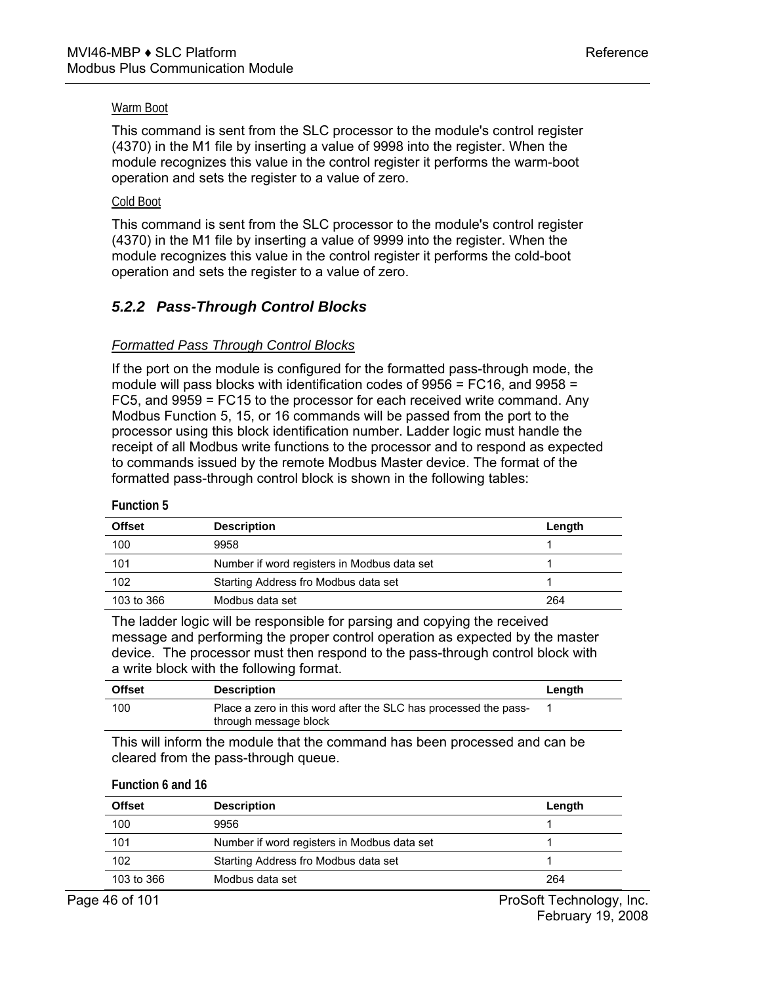#### Warm Boot

This command is sent from the SLC processor to the module's control register (4370) in the M1 file by inserting a value of 9998 into the register. When the module recognizes this value in the control register it performs the warm-boot operation and sets the register to a value of zero.

### Cold Boot

This command is sent from the SLC processor to the module's control register (4370) in the M1 file by inserting a value of 9999 into the register. When the module recognizes this value in the control register it performs the cold-boot operation and sets the register to a value of zero.

# *5.2.2 Pass-Through Control Blocks*

# *Formatted Pass Through Control Blocks*

If the port on the module is configured for the formatted pass-through mode, the module will pass blocks with identification codes of 9956 = FC16, and 9958 = FC5, and 9959 = FC15 to the processor for each received write command. Any Modbus Function 5, 15, or 16 commands will be passed from the port to the processor using this block identification number. Ladder logic must handle the receipt of all Modbus write functions to the processor and to respond as expected to commands issued by the remote Modbus Master device. The format of the formatted pass-through control block is shown in the following tables:

| <b>Offset</b> | Length                                      |  |
|---------------|---------------------------------------------|--|
| 100           | 9958                                        |  |
| 101           | Number if word registers in Modbus data set |  |
| 102           | Starting Address fro Modbus data set        |  |
| 103 to 366    | 264<br>Modbus data set                      |  |

**Function 5** 

The ladder logic will be responsible for parsing and copying the received message and performing the proper control operation as expected by the master device. The processor must then respond to the pass-through control block with a write block with the following format.

| <b>Offset</b> | <b>Description</b>                                                                       | Length |
|---------------|------------------------------------------------------------------------------------------|--------|
| 100           | Place a zero in this word after the SLC has processed the pass-<br>through message block |        |

This will inform the module that the command has been processed and can be cleared from the pass-through queue.

#### **Function 6 and 16**

| <b>Description</b><br><b>Offset</b> |                                             | Length |
|-------------------------------------|---------------------------------------------|--------|
| 100                                 | 9956                                        |        |
| 101                                 | Number if word registers in Modbus data set |        |
| 102                                 | Starting Address fro Modbus data set        |        |
| 103 to 366                          | Modbus data set                             | 264    |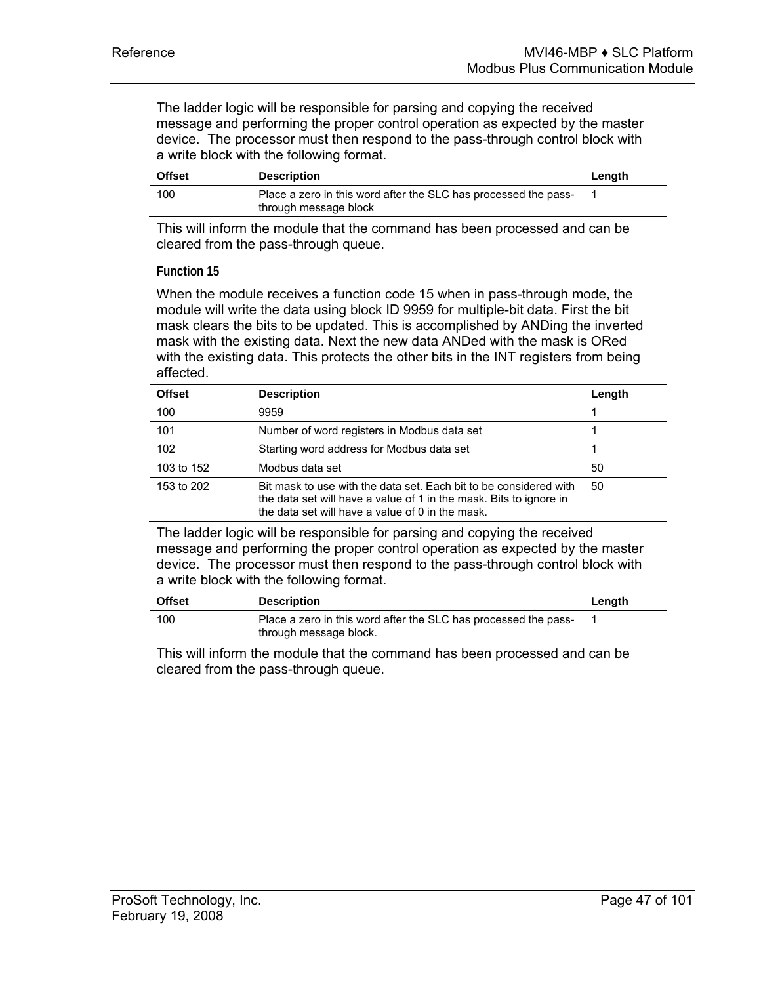The ladder logic will be responsible for parsing and copying the received message and performing the proper control operation as expected by the master device. The processor must then respond to the pass-through control block with a write block with the following format.

| <b>Offset</b> | <b>Description</b>                                                                       | Length |
|---------------|------------------------------------------------------------------------------------------|--------|
| 100           | Place a zero in this word after the SLC has processed the pass-<br>through message block |        |

This will inform the module that the command has been processed and can be cleared from the pass-through queue.

#### **Function 15**

When the module receives a function code 15 when in pass-through mode, the module will write the data using block ID 9959 for multiple-bit data. First the bit mask clears the bits to be updated. This is accomplished by ANDing the inverted mask with the existing data. Next the new data ANDed with the mask is ORed with the existing data. This protects the other bits in the INT registers from being affected.

| <b>Offset</b> | <b>Description</b>                                                                                                                                                                          | Length |
|---------------|---------------------------------------------------------------------------------------------------------------------------------------------------------------------------------------------|--------|
| 100           | 9959                                                                                                                                                                                        |        |
| 101           | Number of word registers in Modbus data set                                                                                                                                                 |        |
| 102           | Starting word address for Modbus data set                                                                                                                                                   |        |
| 103 to 152    | Modbus data set                                                                                                                                                                             | 50     |
| 153 to 202    | Bit mask to use with the data set. Each bit to be considered with<br>the data set will have a value of 1 in the mask. Bits to ignore in<br>the data set will have a value of 0 in the mask. | 50     |

The ladder logic will be responsible for parsing and copying the received message and performing the proper control operation as expected by the master device. The processor must then respond to the pass-through control block with a write block with the following format.

| <b>Offset</b> | <b>Description</b>                                                                        | Length |
|---------------|-------------------------------------------------------------------------------------------|--------|
| 100           | Place a zero in this word after the SLC has processed the pass-<br>through message block. |        |

This will inform the module that the command has been processed and can be cleared from the pass-through queue.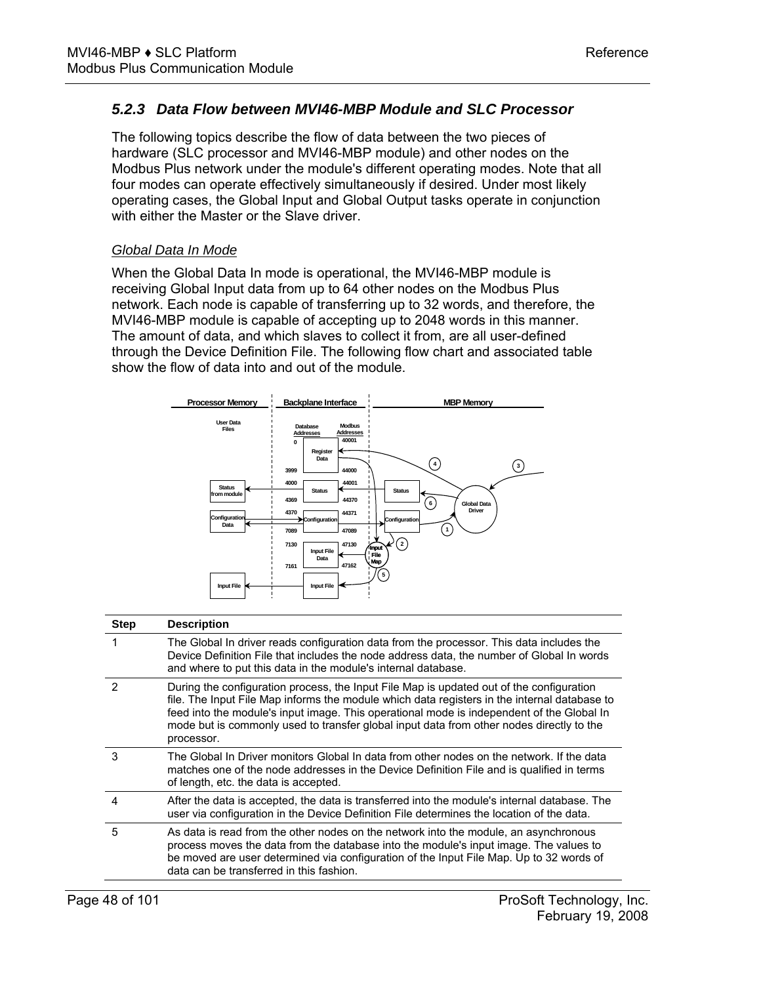# *5.2.3 Data Flow between MVI46-MBP Module and SLC Processor*

The following topics describe the flow of data between the two pieces of hardware (SLC processor and MVI46-MBP module) and other nodes on the Modbus Plus network under the module's different operating modes. Note that all four modes can operate effectively simultaneously if desired. Under most likely operating cases, the Global Input and Global Output tasks operate in conjunction with either the Master or the Slave driver.

# *Global Data In Mode*

When the Global Data In mode is operational, the MVI46-MBP module is receiving Global Input data from up to 64 other nodes on the Modbus Plus network. Each node is capable of transferring up to 32 words, and therefore, the MVI46-MBP module is capable of accepting up to 2048 words in this manner. The amount of data, and which slaves to collect it from, are all user-defined through the Device Definition File. The following flow chart and associated table show the flow of data into and out of the module.



| <b>Step</b> | <b>Description</b>                                                                                                                                                                                                                                                                                                                                                                              |
|-------------|-------------------------------------------------------------------------------------------------------------------------------------------------------------------------------------------------------------------------------------------------------------------------------------------------------------------------------------------------------------------------------------------------|
|             | The Global In driver reads configuration data from the processor. This data includes the<br>Device Definition File that includes the node address data, the number of Global In words<br>and where to put this data in the module's internal database.                                                                                                                                          |
| 2           | During the configuration process, the Input File Map is updated out of the configuration<br>file. The Input File Map informs the module which data registers in the internal database to<br>feed into the module's input image. This operational mode is independent of the Global In<br>mode but is commonly used to transfer global input data from other nodes directly to the<br>processor. |
| 3           | The Global In Driver monitors Global In data from other nodes on the network. If the data<br>matches one of the node addresses in the Device Definition File and is qualified in terms<br>of length, etc. the data is accepted.                                                                                                                                                                 |
| 4           | After the data is accepted, the data is transferred into the module's internal database. The<br>user via configuration in the Device Definition File determines the location of the data.                                                                                                                                                                                                       |
| 5           | As data is read from the other nodes on the network into the module, an asynchronous<br>process moves the data from the database into the module's input image. The values to<br>be moved are user determined via configuration of the Input File Map. Up to 32 words of<br>data can be transferred in this fashion.                                                                            |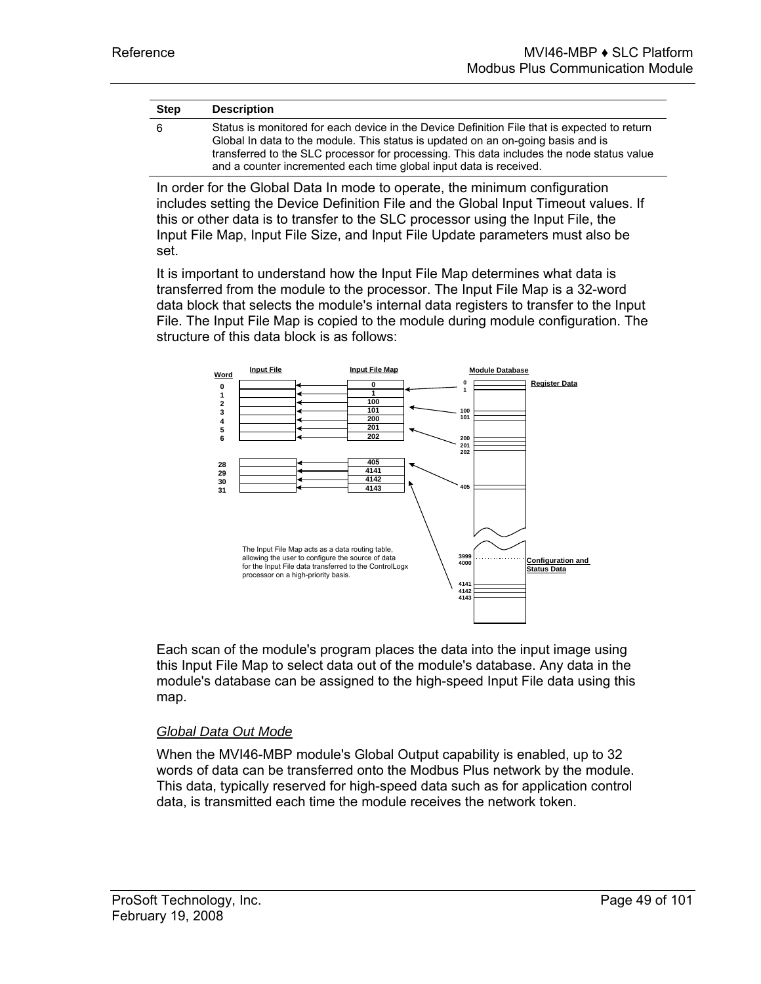| <b>Step</b> | <b>Description</b>                                                                                                                                                                                                                                                                                                                                  |
|-------------|-----------------------------------------------------------------------------------------------------------------------------------------------------------------------------------------------------------------------------------------------------------------------------------------------------------------------------------------------------|
| 6           | Status is monitored for each device in the Device Definition File that is expected to return<br>Global In data to the module. This status is updated on an on-going basis and is<br>transferred to the SLC processor for processing. This data includes the node status value<br>and a counter incremented each time global input data is received. |

In order for the Global Data In mode to operate, the minimum configuration includes setting the Device Definition File and the Global Input Timeout values. If this or other data is to transfer to the SLC processor using the Input File, the Input File Map, Input File Size, and Input File Update parameters must also be set.

It is important to understand how the Input File Map determines what data is transferred from the module to the processor. The Input File Map is a 32-word data block that selects the module's internal data registers to transfer to the Input File. The Input File Map is copied to the module during module configuration. The structure of this data block is as follows:



Each scan of the module's program places the data into the input image using this Input File Map to select data out of the module's database. Any data in the module's database can be assigned to the high-speed Input File data using this map.

# *Global Data Out Mode*

When the MVI46-MBP module's Global Output capability is enabled, up to 32 words of data can be transferred onto the Modbus Plus network by the module. This data, typically reserved for high-speed data such as for application control data, is transmitted each time the module receives the network token.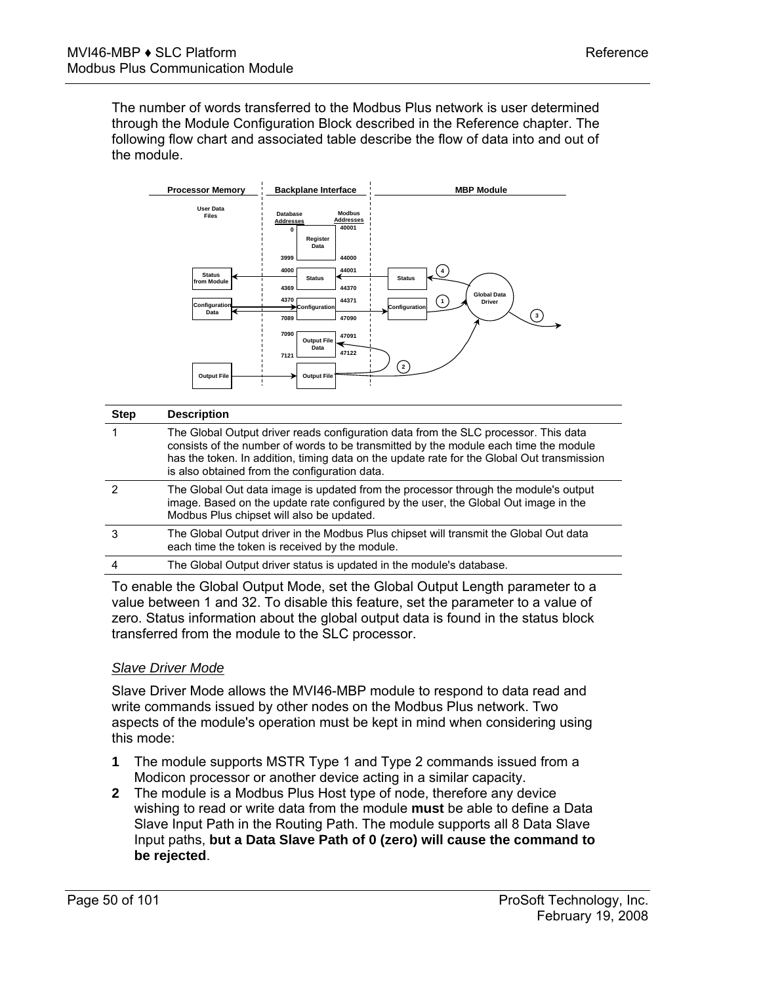The number of words transferred to the Modbus Plus network is user determined through the Module Configuration Block described in the Reference chapter. The following flow chart and associated table describe the flow of data into and out of the module.



| <b>Step</b> | <b>Description</b>                                                                                                                                                                                                                                                                                                         |
|-------------|----------------------------------------------------------------------------------------------------------------------------------------------------------------------------------------------------------------------------------------------------------------------------------------------------------------------------|
|             | The Global Output driver reads configuration data from the SLC processor. This data<br>consists of the number of words to be transmitted by the module each time the module<br>has the token. In addition, timing data on the update rate for the Global Out transmission<br>is also obtained from the configuration data. |
|             | The Global Out data image is updated from the processor through the module's output<br>image. Based on the update rate configured by the user, the Global Out image in the<br>Modbus Plus chipset will also be updated.                                                                                                    |
|             | The Global Output driver in the Modbus Plus chipset will transmit the Global Out data<br>each time the token is received by the module.                                                                                                                                                                                    |
|             | The Global Output driver status is updated in the module's database.                                                                                                                                                                                                                                                       |
|             |                                                                                                                                                                                                                                                                                                                            |

To enable the Global Output Mode, set the Global Output Length parameter to a value between 1 and 32. To disable this feature, set the parameter to a value of zero. Status information about the global output data is found in the status block transferred from the module to the SLC processor.

# *Slave Driver Mode*

Slave Driver Mode allows the MVI46-MBP module to respond to data read and write commands issued by other nodes on the Modbus Plus network. Two aspects of the module's operation must be kept in mind when considering using this mode:

- **1** The module supports MSTR Type 1 and Type 2 commands issued from a Modicon processor or another device acting in a similar capacity.
- **2** The module is a Modbus Plus Host type of node, therefore any device wishing to read or write data from the module **must** be able to define a Data Slave Input Path in the Routing Path. The module supports all 8 Data Slave Input paths, **but a Data Slave Path of 0 (zero) will cause the command to be rejected**.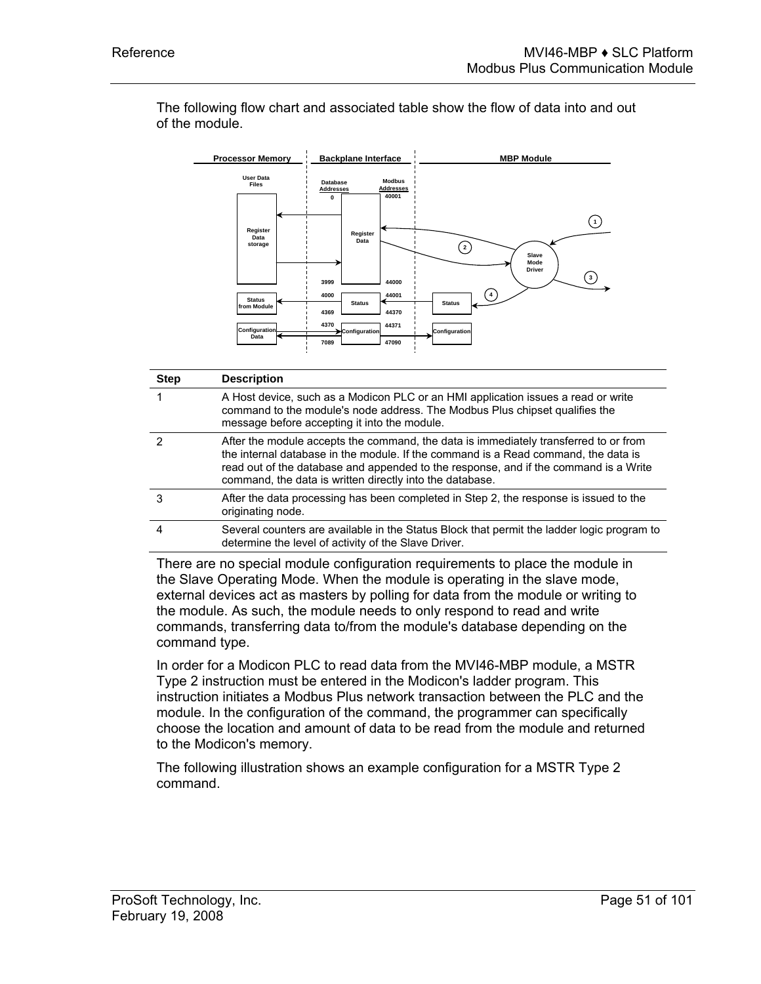

The following flow chart and associated table show the flow of data into and out of the module.

| <b>Step</b> | <b>Description</b>                                                                                                                                                                                                                                                                                                             |
|-------------|--------------------------------------------------------------------------------------------------------------------------------------------------------------------------------------------------------------------------------------------------------------------------------------------------------------------------------|
|             | A Host device, such as a Modicon PLC or an HMI application issues a read or write<br>command to the module's node address. The Modbus Plus chipset qualifies the<br>message before accepting it into the module.                                                                                                               |
|             | After the module accepts the command, the data is immediately transferred to or from<br>the internal database in the module. If the command is a Read command, the data is<br>read out of the database and appended to the response, and if the command is a Write<br>command, the data is written directly into the database. |
|             | After the data processing has been completed in Step 2, the response is issued to the<br>originating node.                                                                                                                                                                                                                     |
|             | Several counters are available in the Status Block that permit the ladder logic program to<br>determine the level of activity of the Slave Driver.                                                                                                                                                                             |
|             |                                                                                                                                                                                                                                                                                                                                |

There are no special module configuration requirements to place the module in the Slave Operating Mode. When the module is operating in the slave mode, external devices act as masters by polling for data from the module or writing to the module. As such, the module needs to only respond to read and write commands, transferring data to/from the module's database depending on the command type.

In order for a Modicon PLC to read data from the MVI46-MBP module, a MSTR Type 2 instruction must be entered in the Modicon's ladder program. This instruction initiates a Modbus Plus network transaction between the PLC and the module. In the configuration of the command, the programmer can specifically choose the location and amount of data to be read from the module and returned to the Modicon's memory.

The following illustration shows an example configuration for a MSTR Type 2 command.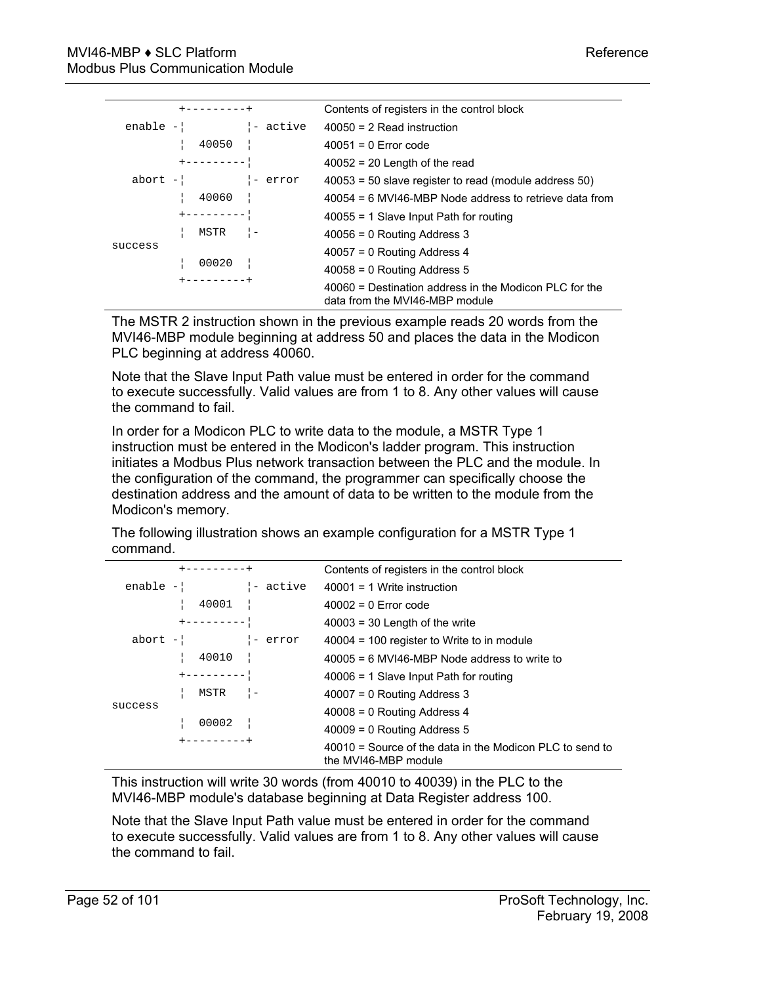| --------+  |  |                     |                     | Contents of registers in the control block                                               |
|------------|--|---------------------|---------------------|------------------------------------------------------------------------------------------|
| enable $-$ |  |                     | - active            | $40050 = 2$ Read instruction                                                             |
|            |  | 40050               |                     | $40051 = 0$ Error code                                                                   |
|            |  | $+ - - - - - - - -$ |                     | $40052 = 20$ Length of the read                                                          |
| abort $-$  |  |                     | $\vert$ - error     | $40053 = 50$ slave register to read (module address 50)                                  |
|            |  | 40060               |                     | $40054 = 6$ MVI46-MBP Node address to retrieve data from                                 |
|            |  | $+ - - - - - - - -$ |                     | $40055 = 1$ Slave Input Path for routing                                                 |
|            |  | MSTR                | $\vert$ $\vert$ $-$ | $40056 = 0$ Routing Address 3                                                            |
| success    |  |                     |                     | $40057 = 0$ Routing Address 4                                                            |
|            |  | 00020               |                     | $40058 = 0$ Routing Address 5                                                            |
|            |  |                     |                     | 40060 = Destination address in the Modicon PLC for the<br>data from the MVI46-MBP module |

The MSTR 2 instruction shown in the previous example reads 20 words from the MVI46-MBP module beginning at address 50 and places the data in the Modicon PLC beginning at address 40060.

Note that the Slave Input Path value must be entered in order for the command to execute successfully. Valid values are from 1 to 8. Any other values will cause the command to fail.

In order for a Modicon PLC to write data to the module, a MSTR Type 1 instruction must be entered in the Modicon's ladder program. This instruction initiates a Modbus Plus network transaction between the PLC and the module. In the configuration of the command, the programmer can specifically choose the destination address and the amount of data to be written to the module from the Modicon's memory.

The following illustration shows an example configuration for a MSTR Type 1 command.

| $+ - - - - - - - - +$ |  |                     |                 | Contents of registers in the control block                                         |
|-----------------------|--|---------------------|-----------------|------------------------------------------------------------------------------------|
|                       |  | $enable -$          | - active        | $40001 = 1$ Write instruction                                                      |
| 40001                 |  |                     |                 | $40002 = 0$ Error code                                                             |
|                       |  | $+ - - - - - - - -$ |                 | $40003 = 30$ Length of the write                                                   |
| $abort -$             |  |                     | $\vert$ - error | $40004 = 100$ register to Write to in module                                       |
|                       |  | 40010               |                 | $40005 = 6$ MVI46-MBP Node address to write to                                     |
|                       |  | +---------          |                 | $40006 = 1$ Slave Input Path for routing                                           |
|                       |  | $MSTR$ $ -$         |                 | $40007 = 0$ Routing Address 3                                                      |
| success               |  |                     |                 | $40008 = 0$ Routing Address 4                                                      |
|                       |  | 00002               |                 | $40009 = 0$ Routing Address 5                                                      |
|                       |  | ---------+          |                 | $40010$ = Source of the data in the Modicon PLC to send to<br>the MVI46-MBP module |

This instruction will write 30 words (from 40010 to 40039) in the PLC to the MVI46-MBP module's database beginning at Data Register address 100.

Note that the Slave Input Path value must be entered in order for the command to execute successfully. Valid values are from 1 to 8. Any other values will cause the command to fail.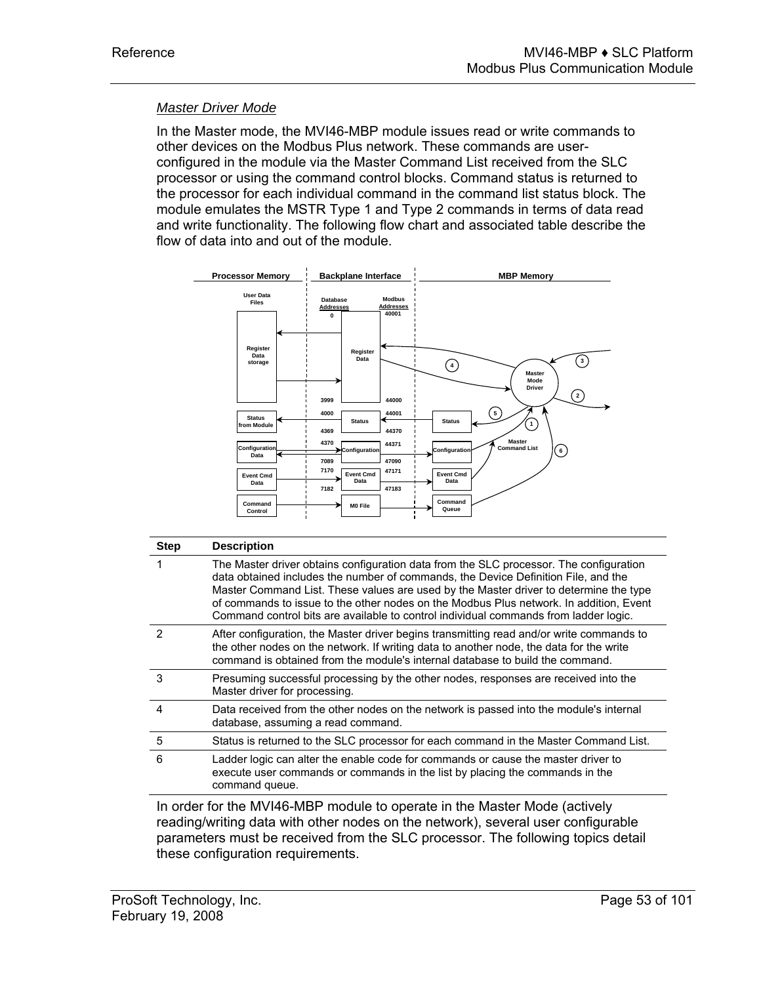# *Master Driver Mode*

In the Master mode, the MVI46-MBP module issues read or write commands to other devices on the Modbus Plus network. These commands are userconfigured in the module via the Master Command List received from the SLC processor or using the command control blocks. Command status is returned to the processor for each individual command in the command list status block. The module emulates the MSTR Type 1 and Type 2 commands in terms of data read and write functionality. The following flow chart and associated table describe the flow of data into and out of the module.



| <b>Step</b>   | <b>Description</b>                                                                                                                                                                                                                                                                                                                                                                                                                                      |
|---------------|---------------------------------------------------------------------------------------------------------------------------------------------------------------------------------------------------------------------------------------------------------------------------------------------------------------------------------------------------------------------------------------------------------------------------------------------------------|
| 1             | The Master driver obtains configuration data from the SLC processor. The configuration<br>data obtained includes the number of commands, the Device Definition File, and the<br>Master Command List. These values are used by the Master driver to determine the type<br>of commands to issue to the other nodes on the Modbus Plus network. In addition, Event<br>Command control bits are available to control individual commands from ladder logic. |
| $\mathcal{P}$ | After configuration, the Master driver begins transmitting read and/or write commands to<br>the other nodes on the network. If writing data to another node, the data for the write<br>command is obtained from the module's internal database to build the command.                                                                                                                                                                                    |
| 3             | Presuming successful processing by the other nodes, responses are received into the<br>Master driver for processing.                                                                                                                                                                                                                                                                                                                                    |
| 4             | Data received from the other nodes on the network is passed into the module's internal<br>database, assuming a read command.                                                                                                                                                                                                                                                                                                                            |
| 5             | Status is returned to the SLC processor for each command in the Master Command List.                                                                                                                                                                                                                                                                                                                                                                    |
| 6             | Ladder logic can alter the enable code for commands or cause the master driver to<br>execute user commands or commands in the list by placing the commands in the<br>command queue.                                                                                                                                                                                                                                                                     |
|               | In order for the MVI46-MRP module to operate in the Master Mode (actively)                                                                                                                                                                                                                                                                                                                                                                              |

In order for the MVI46-MBP module to operate in the Master Mode (actively reading/writing data with other nodes on the network), several user configurable parameters must be received from the SLC processor. The following topics detail these configuration requirements.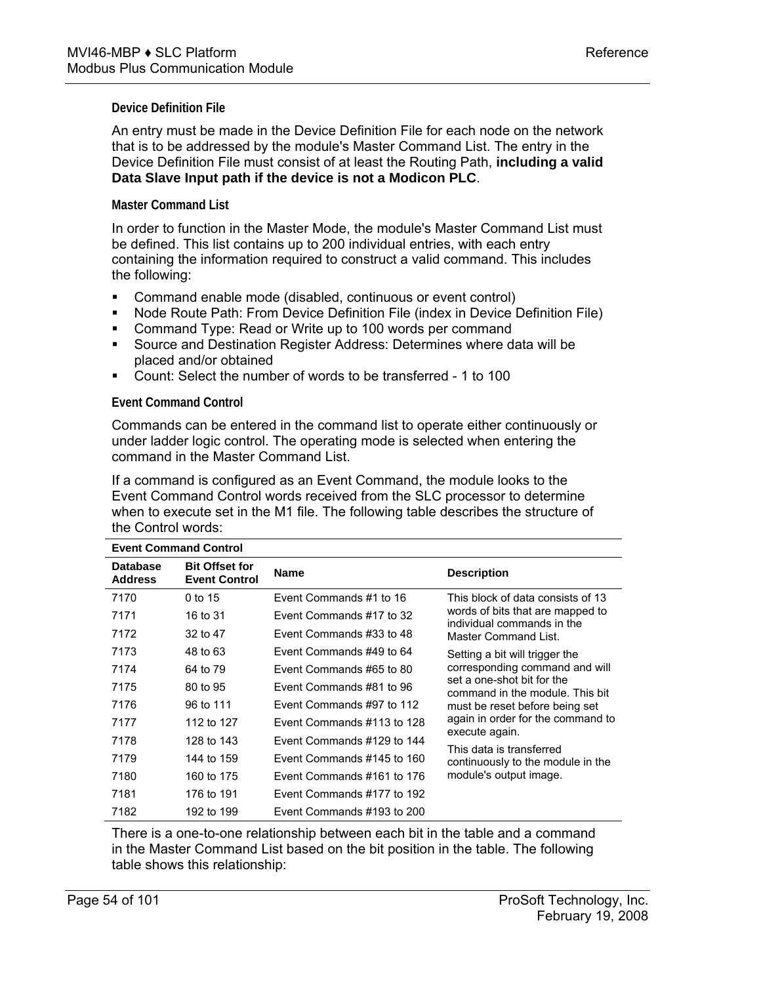### **Device Definition File**

An entry must be made in the Device Definition File for each node on the network that is to be addressed by the module's Master Command List. The entry in the Device Definition File must consist of at least the Routing Path, **including a valid Data Slave Input path if the device is not a Modicon PLC**.

#### **Master Command List**

In order to function in the Master Mode, the module's Master Command List must be defined. This list contains up to 200 individual entries, with each entry containing the information required to construct a valid command. This includes the following:

- Command enable mode (disabled, continuous or event control)
- Node Route Path: From Device Definition File (index in Device Definition File)
- Command Type: Read or Write up to 100 words per command
- Source and Destination Register Address: Determines where data will be placed and/or obtained
- Count: Select the number of words to be transferred 1 to 100

### **Event Command Control**

Commands can be entered in the command list to operate either continuously or under ladder logic control. The operating mode is selected when entering the command in the Master Command List.

If a command is configured as an Event Command, the module looks to the Event Command Control words received from the SLC processor to determine when to execute set in the M1 file. The following table describes the structure of the Control words:

| <b>Event Command Control</b>      |                                               |                            |                                                                |  |  |  |
|-----------------------------------|-----------------------------------------------|----------------------------|----------------------------------------------------------------|--|--|--|
| <b>Database</b><br><b>Address</b> | <b>Bit Offset for</b><br><b>Event Control</b> | <b>Name</b>                | <b>Description</b>                                             |  |  |  |
| 7170                              | 0 to 15                                       | Event Commands #1 to 16    | This block of data consists of 13                              |  |  |  |
| 7171                              | 16 to 31                                      | Event Commands #17 to 32   | words of bits that are mapped to<br>individual commands in the |  |  |  |
| 7172                              | 32 to 47                                      | Event Commands #33 to 48   | Master Command List.                                           |  |  |  |
| 7173                              | 48 to 63                                      | Event Commands #49 to 64   | Setting a bit will trigger the                                 |  |  |  |
| 7174                              | 64 to 79                                      | Event Commands #65 to 80   | corresponding command and will                                 |  |  |  |
| 7175                              | 80 to 95                                      | Event Commands #81 to 96   | set a one-shot bit for the<br>command in the module. This bit  |  |  |  |
| 7176                              | 96 to 111                                     | Event Commands #97 to 112  | must be reset before being set                                 |  |  |  |
| 7177                              | 112 to 127                                    | Event Commands #113 to 128 | again in order for the command to<br>execute again.            |  |  |  |
| 7178                              | 128 to 143                                    | Event Commands #129 to 144 | This data is transferred                                       |  |  |  |
| 7179                              | 144 to 159                                    | Event Commands #145 to 160 | continuously to the module in the                              |  |  |  |
| 7180                              | 160 to 175                                    | Event Commands #161 to 176 | module's output image.                                         |  |  |  |
| 7181                              | 176 to 191                                    | Event Commands #177 to 192 |                                                                |  |  |  |
| 7182                              | 192 to 199                                    | Event Commands #193 to 200 |                                                                |  |  |  |

There is a one-to-one relationship between each bit in the table and a command in the Master Command List based on the bit position in the table. The following table shows this relationship: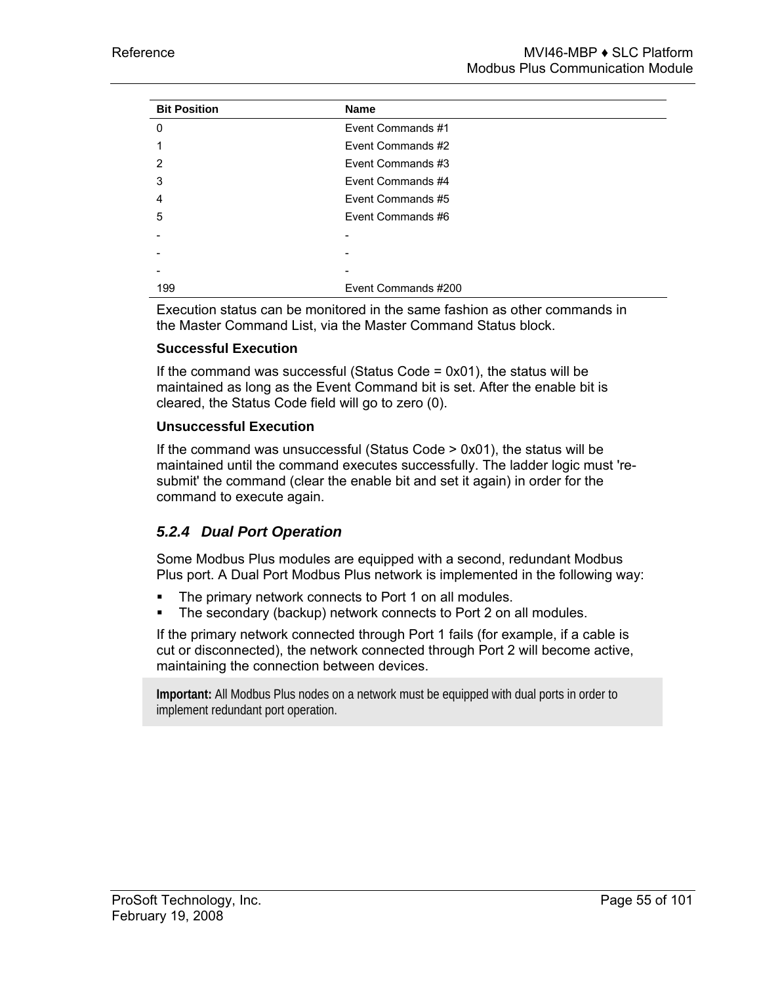| <b>Bit Position</b> | <b>Name</b>         |
|---------------------|---------------------|
| 0                   | Event Commands #1   |
|                     | Event Commands #2   |
| 2                   | Event Commands #3   |
| 3                   | Event Commands #4   |
| 4                   | Event Commands #5   |
| 5                   | Event Commands #6   |
|                     |                     |
|                     |                     |
|                     | -                   |
| 199                 | Event Commands #200 |

Execution status can be monitored in the same fashion as other commands in the Master Command List, via the Master Command Status block.

#### **Successful Execution**

If the command was successful (Status Code =  $0x01$ ), the status will be maintained as long as the Event Command bit is set. After the enable bit is cleared, the Status Code field will go to zero (0).

#### **Unsuccessful Execution**

If the command was unsuccessful (Status Code > 0x01), the status will be maintained until the command executes successfully. The ladder logic must 'resubmit' the command (clear the enable bit and set it again) in order for the command to execute again.

# *5.2.4 Dual Port Operation*

Some Modbus Plus modules are equipped with a second, redundant Modbus Plus port. A Dual Port Modbus Plus network is implemented in the following way:

- **The primary network connects to Port 1 on all modules.**
- The secondary (backup) network connects to Port 2 on all modules.

If the primary network connected through Port 1 fails (for example, if a cable is cut or disconnected), the network connected through Port 2 will become active, maintaining the connection between devices.

**Important:** All Modbus Plus nodes on a network must be equipped with dual ports in order to implement redundant port operation.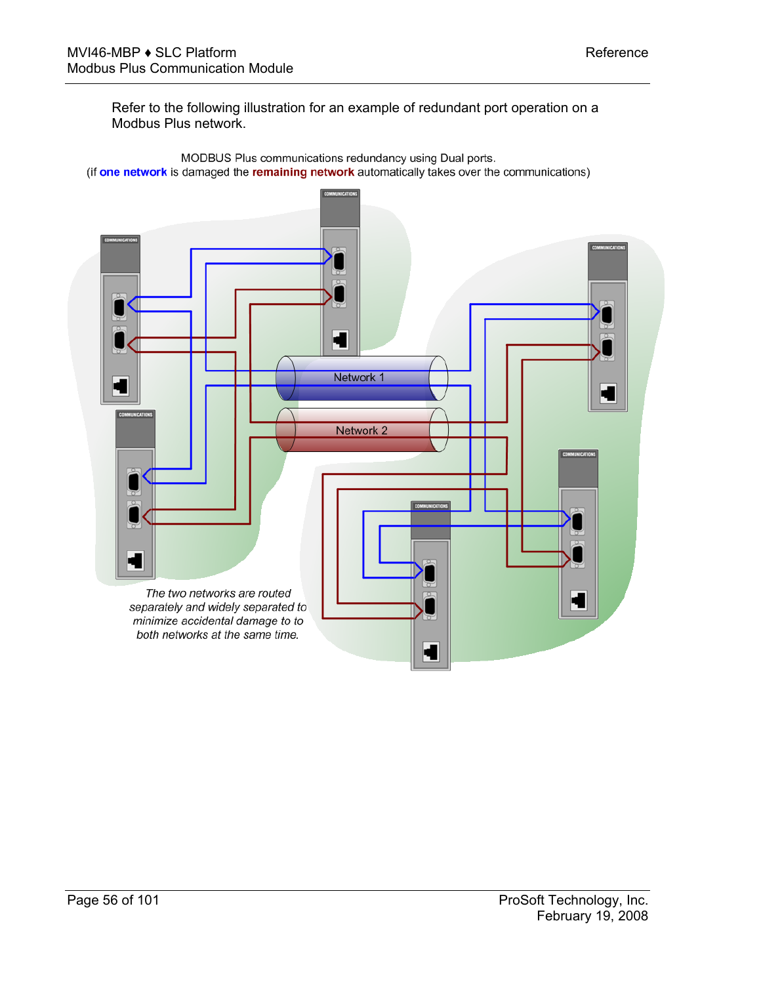Refer to the following illustration for an example of redundant port operation on a Modbus Plus network.

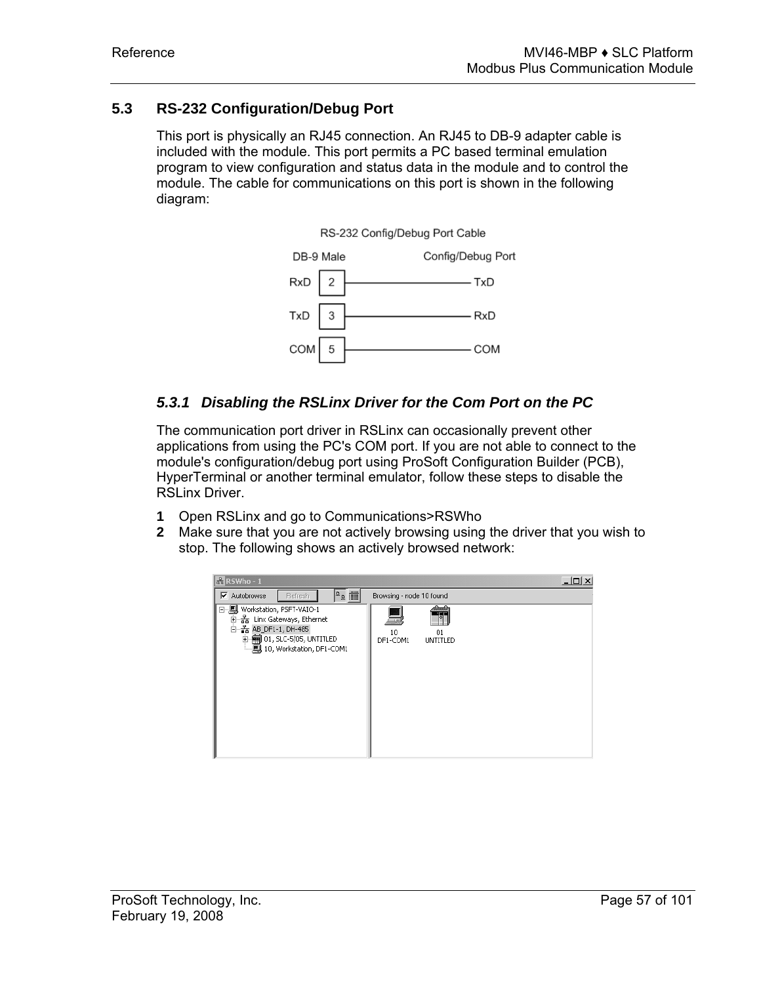# **5.3 RS-232 Configuration/Debug Port**

<span id="page-56-0"></span>This port is physically an RJ45 connection. An RJ45 to DB-9 adapter cable is included with the module. This port permits a PC based terminal emulation program to view configuration and status data in the module and to control the module. The cable for communications on this port is shown in the following diagram:





# *5.3.1 Disabling the RSLinx Driver for the Com Port on the PC*

The communication port driver in RSLinx can occasionally prevent other applications from using the PC's COM port. If you are not able to connect to the module's configuration/debug port using ProSoft Configuration Builder (PCB), HyperTerminal or another terminal emulator, follow these steps to disable the RSLinx Driver.

- **1** Open RSLinx and go to Communications>RSWho
- **2** Make sure that you are not actively browsing using the driver that you wish to stop. The following shows an actively browsed network:

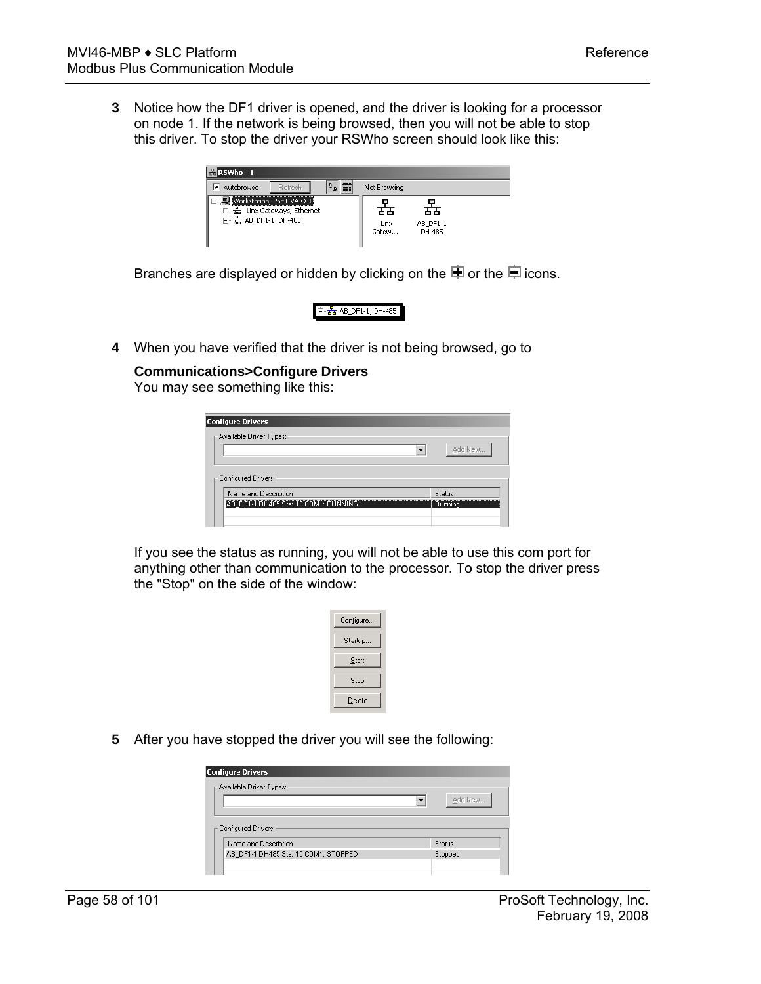**3** Notice how the DF1 driver is opened, and the driver is looking for a processor on node 1. If the network is being browsed, then you will not be able to stop this driver. To stop the driver your RSWho screen should look like this:

| $\frac{1}{200}$ RSWho - 1                                                           |                     |               |                    |  |
|-------------------------------------------------------------------------------------|---------------------|---------------|--------------------|--|
| Autobrowse<br>⊽<br>Refresh                                                          | 面<br>$\overline{v}$ | Not Browsing  |                    |  |
| 日-只 Workstation, PSFT-VAIO-1<br>由 품 Linx Gateways, Ethernet<br>由 器 AB DF1-1, DH-485 |                     | Linx<br>Gatew | AB_DF1-1<br>DH-485 |  |

Branches are displayed or hidden by clicking on the  $\blacksquare$  or the  $\blacksquare$  icons.



**4** When you have verified that the driver is not being browsed, go to

#### **Communications>Configure Drivers**

You may see something like this:

| <b>Configure Drivers</b>                      |         |
|-----------------------------------------------|---------|
| Available Driver Types:                       |         |
|                                               | Add New |
|                                               |         |
|                                               |         |
| - Configured Drivers:<br>Name and Description | Status  |

If you see the status as running, you will not be able to use this com port for anything other than communication to the processor. To stop the driver press the "Stop" on the side of the window:

| Configure |
|-----------|
| Startup   |
| Start     |
| Stop      |
| Delete    |

**5** After you have stopped the driver you will see the following:

| <b>Configure Drivers</b>             |         |
|--------------------------------------|---------|
| ⊢Available Driver Types: ·           |         |
|                                      | Add New |
|                                      |         |
| ⊢ Configured Drivers: ∘              |         |
| Name and Description                 | Status  |
| AB DF1-1 DH485 Sta: 10 COM1: STOPPED | Stopped |
|                                      |         |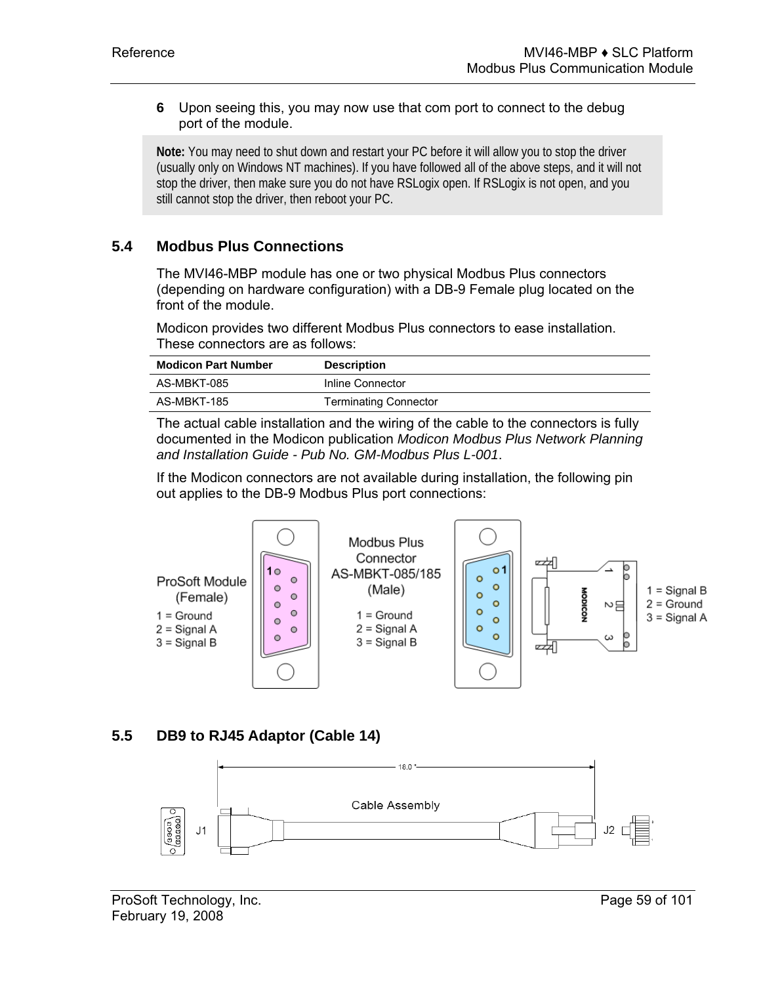#### **6** Upon seeing this, you may now use that com port to connect to the debug port of the module.

**Note:** You may need to shut down and restart your PC before it will allow you to stop the driver (usually only on Windows NT machines). If you have followed all of the above steps, and it will not stop the driver, then make sure you do not have RSLogix open. If RSLogix is not open, and you still cannot stop the driver, then reboot your PC.

# **5.4 Modbus Plus Connections**

<span id="page-58-0"></span>The MVI46-MBP module has one or two physical Modbus Plus connectors (depending on hardware configuration) with a DB-9 Female plug located on the front of the module.

Modicon provides two different Modbus Plus connectors to ease installation. These connectors are as follows:

| <b>Modicon Part Number</b> | <b>Description</b>           |
|----------------------------|------------------------------|
| AS-MBKT-085                | Inline Connector             |
| AS-MBKT-185                | <b>Terminating Connector</b> |

The actual cable installation and the wiring of the cable to the connectors is fully documented in the Modicon publication *Modicon Modbus Plus Network Planning and Installation Guide - Pub No. GM-Modbus Plus L-001*.

If the Modicon connectors are not available during installation, the following pin out applies to the DB-9 Modbus Plus port connections:



# **5.5 DB9 to RJ45 Adaptor (Cable 14)**

<span id="page-58-1"></span>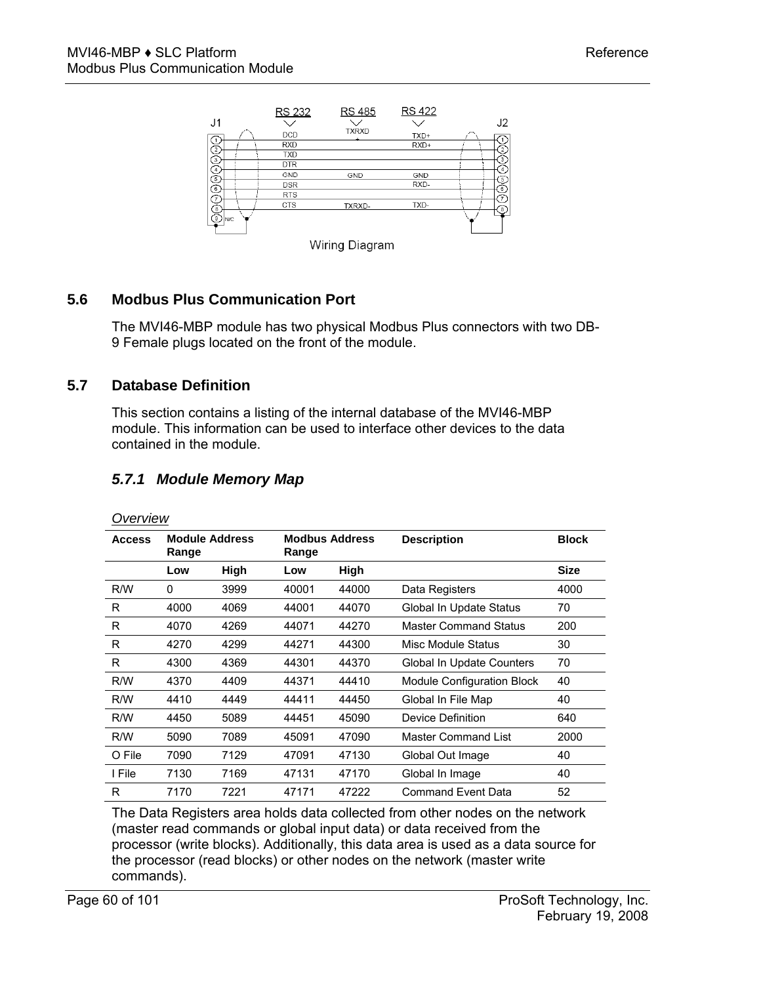

# **5.6 Modbus Plus Communication Port**

<span id="page-59-0"></span>The MVI46-MBP module has two physical Modbus Plus connectors with two DB-9 Female plugs located on the front of the module.

# **5.7 Database Definition**

<span id="page-59-1"></span>This section contains a listing of the internal database of the MVI46-MBP module. This information can be used to interface other devices to the data contained in the module.

# *5.7.1 Module Memory Map*

| .             |                                |      |                                |       |                              |              |  |  |
|---------------|--------------------------------|------|--------------------------------|-------|------------------------------|--------------|--|--|
| <b>Access</b> | <b>Module Address</b><br>Range |      | <b>Modbus Address</b><br>Range |       | <b>Description</b>           | <b>Block</b> |  |  |
|               | Low                            | High | Low                            | High  |                              | <b>Size</b>  |  |  |
| R/W           | 0                              | 3999 | 40001                          | 44000 | Data Registers               | 4000         |  |  |
| R             | 4000                           | 4069 | 44001                          | 44070 | Global In Update Status      | 70           |  |  |
| R             | 4070                           | 4269 | 44071                          | 44270 | <b>Master Command Status</b> | 200          |  |  |
| R             | 4270                           | 4299 | 44271                          | 44300 | Misc Module Status           | 30           |  |  |
| R             | 4300                           | 4369 | 44301                          | 44370 | Global In Update Counters    | 70           |  |  |
| R/W           | 4370                           | 4409 | 44371                          | 44410 | Module Configuration Block   | 40           |  |  |
| R/W           | 4410                           | 4449 | 44411                          | 44450 | Global In File Map           | 40           |  |  |
| R/W           | 4450                           | 5089 | 44451                          | 45090 | Device Definition            | 640          |  |  |
| R/W           | 5090                           | 7089 | 45091                          | 47090 | <b>Master Command List</b>   | 2000         |  |  |
| O File        | 7090                           | 7129 | 47091                          | 47130 | Global Out Image             | 40           |  |  |
| I File        | 7130                           | 7169 | 47131                          | 47170 | Global In Image              | 40           |  |  |
| R             | 7170                           | 7221 | 47171                          | 47222 | <b>Command Event Data</b>    | 52           |  |  |

*Overview*

The Data Registers area holds data collected from other nodes on the network (master read commands or global input data) or data received from the processor (write blocks). Additionally, this data area is used as a data source for the processor (read blocks) or other nodes on the network (master write commands).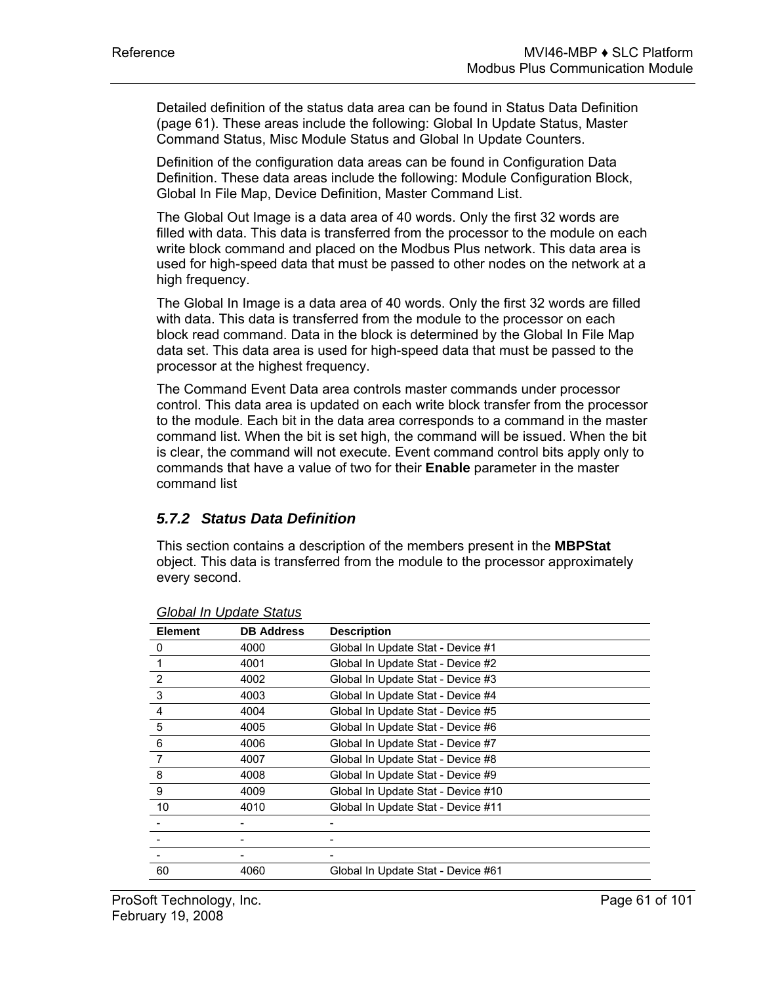Detailed definition of the status data area can be found in Status Data Definition (page [61\)](#page-60-0). These areas include the following: Global In Update Status, Master Command Status, Misc Module Status and Global In Update Counters.

Definition of the configuration data areas can be found in Configuration Data Definition. These data areas include the following: Module Configuration Block, Global In File Map, Device Definition, Master Command List.

The Global Out Image is a data area of 40 words. Only the first 32 words are filled with data. This data is transferred from the processor to the module on each write block command and placed on the Modbus Plus network. This data area is used for high-speed data that must be passed to other nodes on the network at a high frequency.

The Global In Image is a data area of 40 words. Only the first 32 words are filled with data. This data is transferred from the module to the processor on each block read command. Data in the block is determined by the Global In File Map data set. This data area is used for high-speed data that must be passed to the processor at the highest frequency.

The Command Event Data area controls master commands under processor control. This data area is updated on each write block transfer from the processor to the module. Each bit in the data area corresponds to a command in the master command list. When the bit is set high, the command will be issued. When the bit is clear, the command will not execute. Event command control bits apply only to commands that have a value of two for their **Enable** parameter in the master command list

# <span id="page-60-0"></span>*5.7.2 Status Data Definition*

This section contains a description of the members present in the **MBPStat** object. This data is transferred from the module to the processor approximately every second.

| <b>Element</b> | <b>DB Address</b> | <b>Description</b>                 |
|----------------|-------------------|------------------------------------|
| 0              | 4000              | Global In Update Stat - Device #1  |
|                | 4001              | Global In Update Stat - Device #2  |
| $\overline{2}$ | 4002              | Global In Update Stat - Device #3  |
| 3              | 4003              | Global In Update Stat - Device #4  |
| 4              | 4004              | Global In Update Stat - Device #5  |
| 5              | 4005              | Global In Update Stat - Device #6  |
| 6              | 4006              | Global In Update Stat - Device #7  |
| 7              | 4007              | Global In Update Stat - Device #8  |
| 8              | 4008              | Global In Update Stat - Device #9  |
| 9              | 4009              | Global In Update Stat - Device #10 |
| 10             | 4010              | Global In Update Stat - Device #11 |
|                |                   |                                    |
|                |                   |                                    |
|                |                   |                                    |
| 60             | 4060              | Global In Update Stat - Device #61 |

# *Global In Update Status*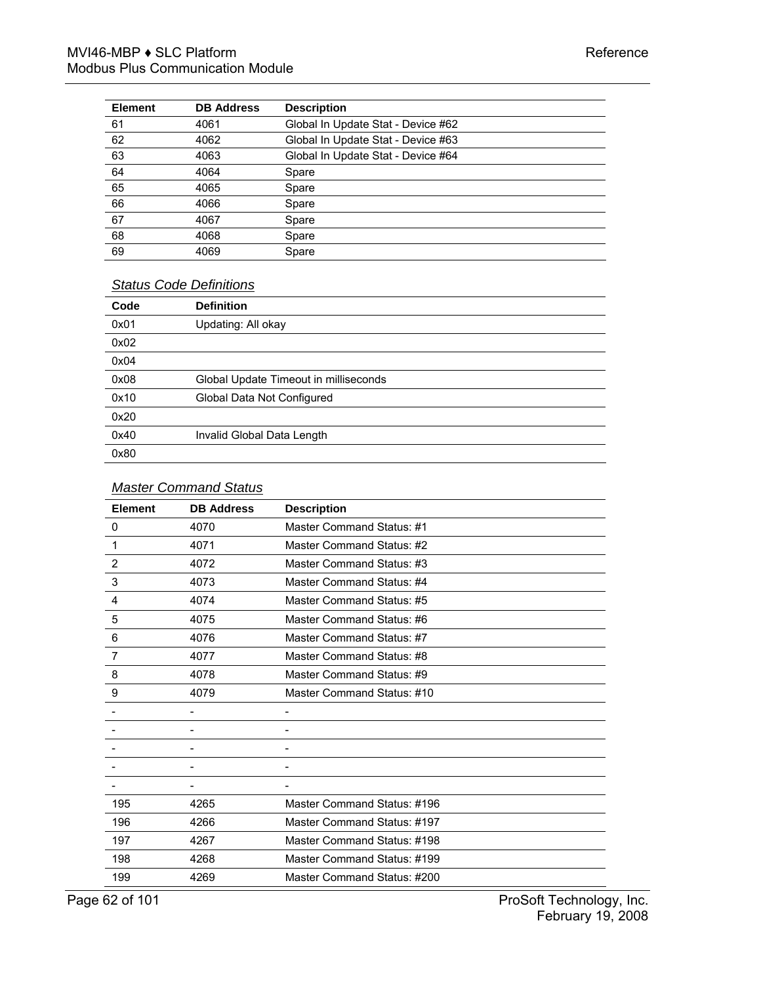| <b>Element</b> | <b>DB Address</b> | <b>Description</b>                 |
|----------------|-------------------|------------------------------------|
| 61             | 4061              | Global In Update Stat - Device #62 |
| 62             | 4062              | Global In Update Stat - Device #63 |
| 63             | 4063              | Global In Update Stat - Device #64 |
| 64             | 4064              | Spare                              |
| 65             | 4065              | Spare                              |
| 66             | 4066              | Spare                              |
| 67             | 4067              | Spare                              |
| 68             | 4068              | Spare                              |
| 69             | 4069              | Spare                              |

# *Status Code Definitions*

| Code | <b>Definition</b>                     |
|------|---------------------------------------|
| 0x01 | Updating: All okay                    |
| 0x02 |                                       |
| 0x04 |                                       |
| 0x08 | Global Update Timeout in milliseconds |
| 0x10 | Global Data Not Configured            |
| 0x20 |                                       |
| 0x40 | Invalid Global Data Length            |
| 0x80 |                                       |

# *Master Command Status*

| <b>Element</b> | <b>DB Address</b> | <b>Description</b>          |
|----------------|-------------------|-----------------------------|
| 0              | 4070              | Master Command Status: #1   |
| 1              | 4071              | Master Command Status: #2   |
| 2              | 4072              | Master Command Status: #3   |
| 3              | 4073              | Master Command Status: #4   |
| $\overline{4}$ | 4074              | Master Command Status: #5   |
| 5              | 4075              | Master Command Status: #6   |
| 6              | 4076              | Master Command Status: #7   |
| 7              | 4077              | Master Command Status: #8   |
| 8              | 4078              | Master Command Status: #9   |
| 9              | 4079              | Master Command Status: #10  |
|                |                   |                             |
|                |                   |                             |
|                |                   |                             |
|                |                   | -                           |
|                |                   | $\overline{\phantom{0}}$    |
| 195            | 4265              | Master Command Status: #196 |
| 196            | 4266              | Master Command Status: #197 |
| 197            | 4267              | Master Command Status: #198 |
| 198            | 4268              | Master Command Status: #199 |
| 199            | 4269              | Master Command Status: #200 |

Page 62 of 101 ProSoft Technology, Inc. February 19, 2008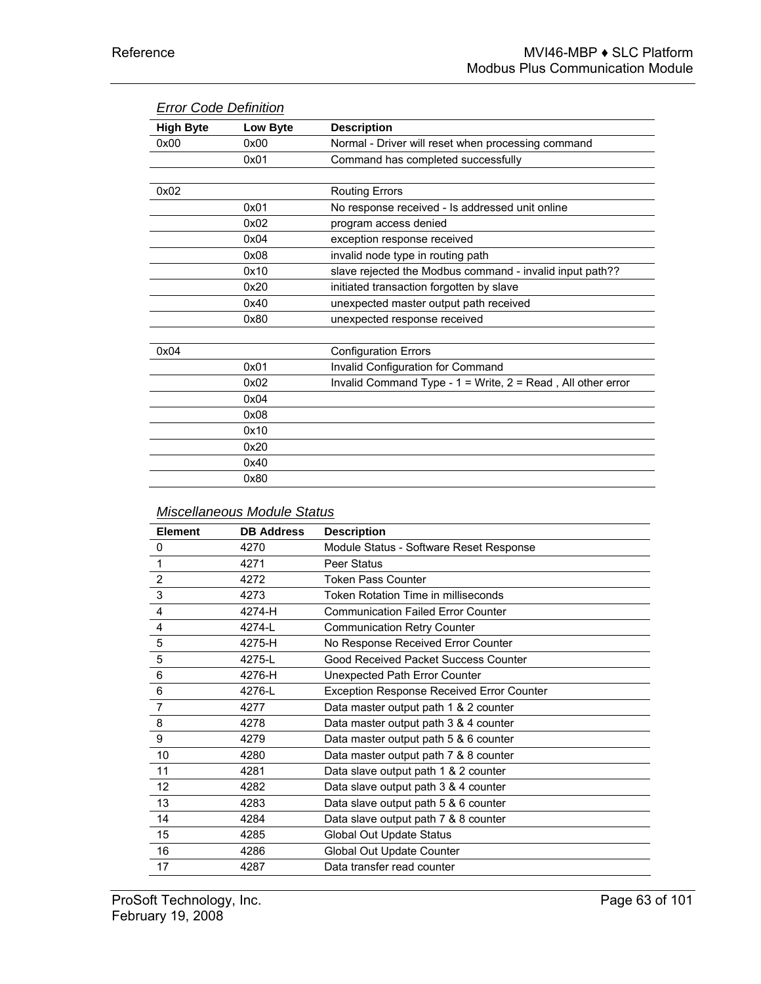| LIIVI VVUU DUIIIIIUII |          |                                                                   |
|-----------------------|----------|-------------------------------------------------------------------|
| <b>High Byte</b>      | Low Byte | <b>Description</b>                                                |
| 0x00                  | 0x00     | Normal - Driver will reset when processing command                |
|                       | 0x01     | Command has completed successfully                                |
|                       |          |                                                                   |
| 0x02                  |          | <b>Routing Errors</b>                                             |
|                       | 0x01     | No response received - Is addressed unit online                   |
|                       | 0x02     | program access denied                                             |
|                       | 0x04     | exception response received                                       |
|                       | 0x08     | invalid node type in routing path                                 |
|                       | 0x10     | slave rejected the Modbus command - invalid input path??          |
|                       | 0x20     | initiated transaction forgotten by slave                          |
|                       | 0x40     | unexpected master output path received                            |
|                       | 0x80     | unexpected response received                                      |
|                       |          |                                                                   |
| 0x04                  |          | <b>Configuration Errors</b>                                       |
|                       | 0x01     | Invalid Configuration for Command                                 |
|                       | 0x02     | Invalid Command Type - $1 = Write$ , $2 = Read$ , All other error |
|                       | 0x04     |                                                                   |
|                       | 0x08     |                                                                   |
|                       | 0x10     |                                                                   |
|                       | 0x20     |                                                                   |
|                       | 0x40     |                                                                   |
|                       | 0x80     |                                                                   |

# *Error Code Definition*

# *Miscellaneous Module Status*

| <b>Element</b> | <b>DB Address</b> | <b>Description</b>                               |
|----------------|-------------------|--------------------------------------------------|
| 0              | 4270              | Module Status - Software Reset Response          |
| $\mathbf{1}$   | 4271              | Peer Status                                      |
| $\overline{2}$ | 4272              | <b>Token Pass Counter</b>                        |
| $\mathsf 3$    | 4273              | Token Rotation Time in milliseconds              |
| $\overline{4}$ | 4274-H            | <b>Communication Failed Error Counter</b>        |
| 4              | 4274-L            | <b>Communication Retry Counter</b>               |
| 5              | 4275-H            | No Response Received Error Counter               |
| 5              | 4275-L            | Good Received Packet Success Counter             |
| 6              | 4276-H            | Unexpected Path Error Counter                    |
| $\,6\,$        | 4276-L            | <b>Exception Response Received Error Counter</b> |
| $\overline{7}$ | 4277              | Data master output path 1 & 2 counter            |
| 8              | 4278              | Data master output path 3 & 4 counter            |
| 9              | 4279              | Data master output path 5 & 6 counter            |
| 10             | 4280              | Data master output path 7 & 8 counter            |
| 11             | 4281              | Data slave output path 1 & 2 counter             |
| 12             | 4282              | Data slave output path 3 & 4 counter             |
| 13             | 4283              | Data slave output path 5 & 6 counter             |
| 14             | 4284              | Data slave output path 7 & 8 counter             |
| 15             | 4285              | Global Out Update Status                         |
| 16             | 4286              | Global Out Update Counter                        |
| 17             | 4287              | Data transfer read counter                       |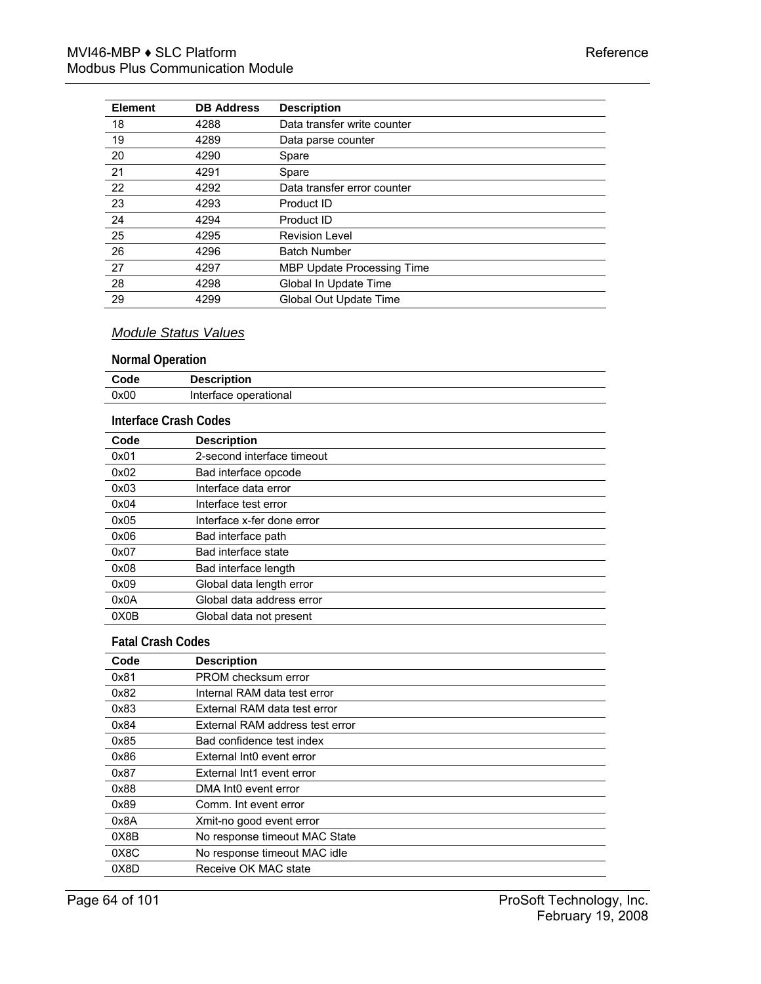| <b>Element</b> | <b>DB Address</b> | <b>Description</b>                |
|----------------|-------------------|-----------------------------------|
| 18             | 4288              | Data transfer write counter       |
| 19             | 4289              | Data parse counter                |
| 20             | 4290              | Spare                             |
| 21             | 4291              | Spare                             |
| 22             | 4292              | Data transfer error counter       |
| 23             | 4293              | Product ID                        |
| 24             | 4294              | Product ID                        |
| 25             | 4295              | <b>Revision Level</b>             |
| 26             | 4296              | <b>Batch Number</b>               |
| 27             | 4297              | <b>MBP Update Processing Time</b> |
| 28             | 4298              | Global In Update Time             |
| 29             | 4299              | Global Out Update Time            |

# *Module Status Values*

# **Normal Operation**

| Code | <b>Description</b>    |
|------|-----------------------|
| 0x00 | Interface operational |

#### **Interface Crash Codes**

| Code | <b>Description</b>         |
|------|----------------------------|
| 0x01 | 2-second interface timeout |
| 0x02 | Bad interface opcode       |
| 0x03 | Interface data error       |
| 0x04 | Interface test error       |
| 0x05 | Interface x-fer done error |
| 0x06 | Bad interface path         |
| 0x07 | Bad interface state        |
| 0x08 | Bad interface length       |
| 0x09 | Global data length error   |
| 0x0A | Global data address error  |
| 0X0B | Global data not present    |

#### **Fatal Crash Codes**

| Code | <b>Description</b>                    |
|------|---------------------------------------|
| 0x81 | PROM checksum error                   |
| 0x82 | Internal RAM data test error          |
| 0x83 | External RAM data test error          |
| 0x84 | External RAM address test error       |
| 0x85 | Bad confidence test index             |
| 0x86 | External Int <sub>0</sub> event error |
| 0x87 | External Int1 event error             |
| 0x88 | DMA Int0 event error                  |
| 0x89 | Comm. Int event error                 |
| 0x8A | Xmit-no good event error              |
| 0X8B | No response timeout MAC State         |
| 0X8C | No response timeout MAC idle          |
| 0X8D | Receive OK MAC state                  |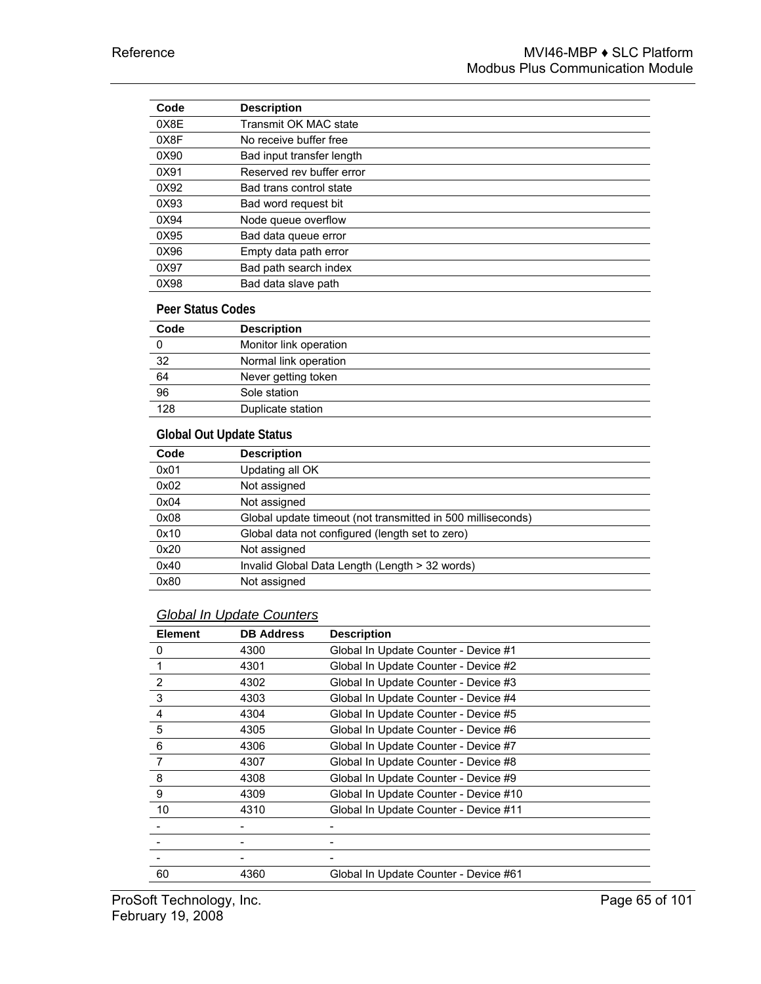| Code | <b>Description</b>        |
|------|---------------------------|
| 0X8E | Transmit OK MAC state     |
| 0X8F | No receive buffer free    |
| 0X90 | Bad input transfer length |
| 0X91 | Reserved rev buffer error |
| 0X92 | Bad trans control state   |
| 0X93 | Bad word request bit      |
| 0X94 | Node queue overflow       |
| 0X95 | Bad data queue error      |
| 0X96 | Empty data path error     |
| 0X97 | Bad path search index     |
| 0X98 | Bad data slave path       |
|      |                           |

# **Peer Status Codes**

| Code | <b>Description</b>     |
|------|------------------------|
|      | Monitor link operation |
| 32   | Normal link operation  |
| 64   | Never getting token    |
| 96   | Sole station           |
| 128  | Duplicate station      |

# **Global Out Update Status**

| Code | <b>Description</b>                                          |
|------|-------------------------------------------------------------|
| 0x01 | Updating all OK                                             |
| 0x02 | Not assigned                                                |
| 0x04 | Not assigned                                                |
| 0x08 | Global update timeout (not transmitted in 500 milliseconds) |
| 0x10 | Global data not configured (length set to zero)             |
| 0x20 | Not assigned                                                |
| 0x40 | Invalid Global Data Length (Length > 32 words)              |
| 0x80 | Not assigned                                                |

# *Global In Update Counters*

| <b>Element</b> | <b>DB Address</b> | <b>Description</b>                    |
|----------------|-------------------|---------------------------------------|
| 0              | 4300              | Global In Update Counter - Device #1  |
|                | 4301              | Global In Update Counter - Device #2  |
| 2              | 4302              | Global In Update Counter - Device #3  |
| 3              | 4303              | Global In Update Counter - Device #4  |
| 4              | 4304              | Global In Update Counter - Device #5  |
| 5              | 4305              | Global In Update Counter - Device #6  |
| 6              | 4306              | Global In Update Counter - Device #7  |
| 7              | 4307              | Global In Update Counter - Device #8  |
| 8              | 4308              | Global In Update Counter - Device #9  |
| 9              | 4309              | Global In Update Counter - Device #10 |
| 10             | 4310              | Global In Update Counter - Device #11 |
|                |                   |                                       |
|                |                   |                                       |
|                |                   |                                       |
| 60             | 4360              | Global In Update Counter - Device #61 |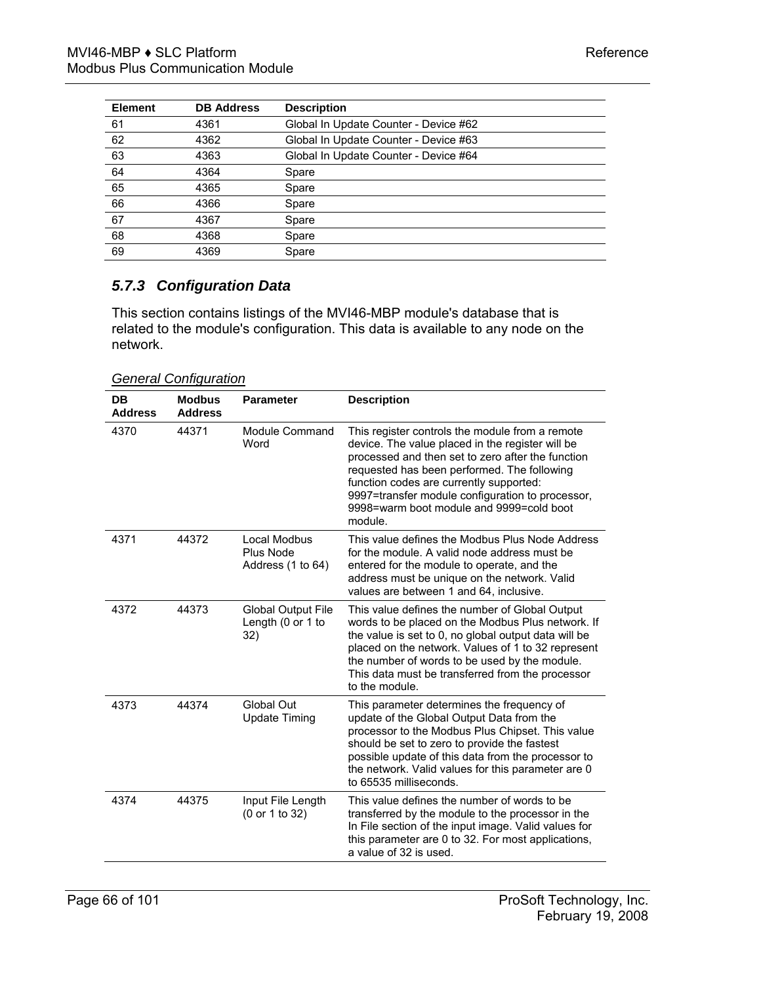| <b>Element</b> | <b>DB Address</b> | <b>Description</b>                    |
|----------------|-------------------|---------------------------------------|
| 61             | 4361              | Global In Update Counter - Device #62 |
| 62             | 4362              | Global In Update Counter - Device #63 |
| 63             | 4363              | Global In Update Counter - Device #64 |
| 64             | 4364              | Spare                                 |
| 65             | 4365              | Spare                                 |
| 66             | 4366              | Spare                                 |
| 67             | 4367              | Spare                                 |
| 68             | 4368              | Spare                                 |
| 69             | 4369              | Spare                                 |

# *5.7.3 Configuration Data*

This section contains listings of the MVI46-MBP module's database that is related to the module's configuration. This data is available to any node on the network.

*General Configuration*

| <b>DB</b><br><b>Address</b> | <b>Modbus</b><br><b>Address</b> | <b>Parameter</b>                                      | <b>Description</b>                                                                                                                                                                                                                                                                                                                                            |
|-----------------------------|---------------------------------|-------------------------------------------------------|---------------------------------------------------------------------------------------------------------------------------------------------------------------------------------------------------------------------------------------------------------------------------------------------------------------------------------------------------------------|
| 4370                        | 44371                           | Module Command<br>Word                                | This register controls the module from a remote<br>device. The value placed in the register will be<br>processed and then set to zero after the function<br>requested has been performed. The following<br>function codes are currently supported:<br>9997=transfer module configuration to processor,<br>9998=warm boot module and 9999=cold boot<br>module. |
| 4371                        | 44372                           | Local Modbus<br>Plus Node<br>Address (1 to 64)        | This value defines the Modbus Plus Node Address<br>for the module. A valid node address must be<br>entered for the module to operate, and the<br>address must be unique on the network. Valid<br>values are between 1 and 64, inclusive.                                                                                                                      |
| 4372                        | 44373                           | <b>Global Output File</b><br>Length (0 or 1 to<br>32) | This value defines the number of Global Output<br>words to be placed on the Modbus Plus network. If<br>the value is set to 0, no global output data will be<br>placed on the network. Values of 1 to 32 represent<br>the number of words to be used by the module.<br>This data must be transferred from the processor<br>to the module.                      |
| 4373                        | 44374                           | Global Out<br><b>Update Timing</b>                    | This parameter determines the frequency of<br>update of the Global Output Data from the<br>processor to the Modbus Plus Chipset. This value<br>should be set to zero to provide the fastest<br>possible update of this data from the processor to<br>the network. Valid values for this parameter are 0<br>to 65535 milliseconds.                             |
| 4374                        | 44375                           | Input File Length<br>(0 or 1 to 32)                   | This value defines the number of words to be<br>transferred by the module to the processor in the<br>In File section of the input image. Valid values for<br>this parameter are 0 to 32. For most applications,<br>a value of 32 is used.                                                                                                                     |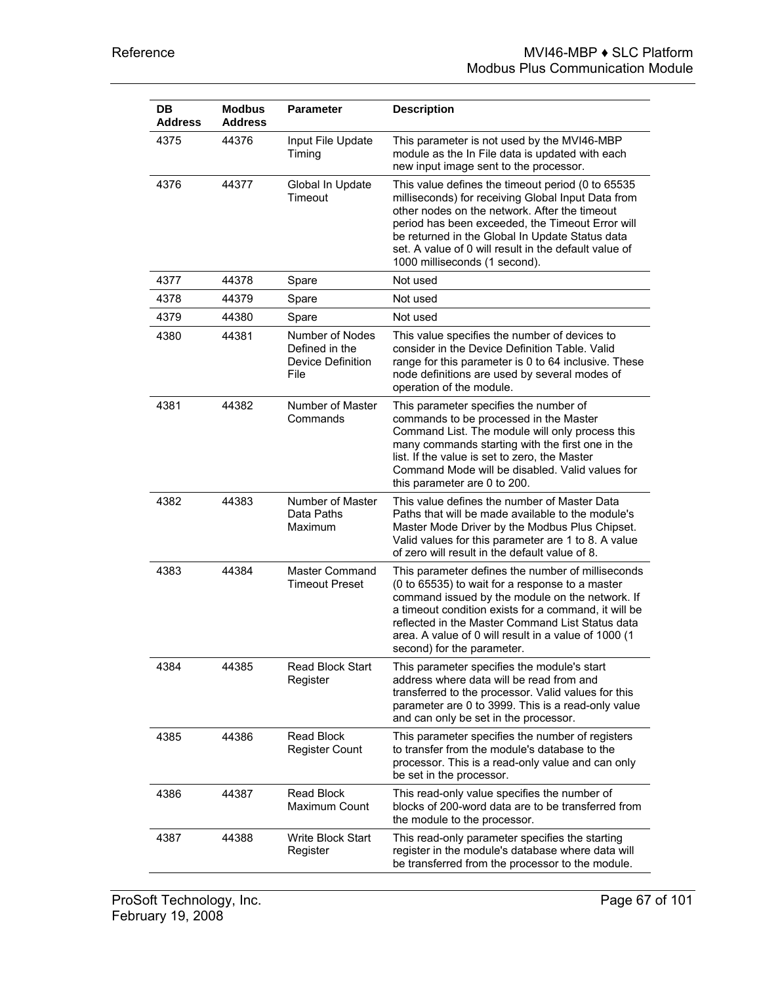| <b>DB</b><br><b>Address</b> | <b>Modbus</b><br><b>Address</b> | <b>Parameter</b>                                                      | <b>Description</b>                                                                                                                                                                                                                                                                                                                                        |
|-----------------------------|---------------------------------|-----------------------------------------------------------------------|-----------------------------------------------------------------------------------------------------------------------------------------------------------------------------------------------------------------------------------------------------------------------------------------------------------------------------------------------------------|
| 4375                        | 44376                           | Input File Update<br>Timing                                           | This parameter is not used by the MVI46-MBP<br>module as the In File data is updated with each<br>new input image sent to the processor.                                                                                                                                                                                                                  |
| 4376                        | 44377                           | Global In Update<br>Timeout                                           | This value defines the timeout period (0 to 65535<br>milliseconds) for receiving Global Input Data from<br>other nodes on the network. After the timeout<br>period has been exceeded, the Timeout Error will<br>be returned in the Global In Update Status data<br>set. A value of 0 will result in the default value of<br>1000 milliseconds (1 second). |
| 4377                        | 44378                           | Spare                                                                 | Not used                                                                                                                                                                                                                                                                                                                                                  |
| 4378                        | 44379                           | Spare                                                                 | Not used                                                                                                                                                                                                                                                                                                                                                  |
| 4379                        | 44380                           | Spare                                                                 | Not used                                                                                                                                                                                                                                                                                                                                                  |
| 4380                        | 44381                           | Number of Nodes<br>Defined in the<br><b>Device Definition</b><br>File | This value specifies the number of devices to<br>consider in the Device Definition Table, Valid<br>range for this parameter is 0 to 64 inclusive. These<br>node definitions are used by several modes of<br>operation of the module.                                                                                                                      |
| 4381                        | 44382                           | Number of Master<br>Commands                                          | This parameter specifies the number of<br>commands to be processed in the Master<br>Command List. The module will only process this<br>many commands starting with the first one in the<br>list. If the value is set to zero, the Master<br>Command Mode will be disabled. Valid values for<br>this parameter are 0 to 200.                               |
| 4382                        | 44383                           | Number of Master<br>Data Paths<br>Maximum                             | This value defines the number of Master Data<br>Paths that will be made available to the module's<br>Master Mode Driver by the Modbus Plus Chipset.<br>Valid values for this parameter are 1 to 8. A value<br>of zero will result in the default value of 8.                                                                                              |
| 4383                        | 44384                           | <b>Master Command</b><br><b>Timeout Preset</b>                        | This parameter defines the number of milliseconds<br>(0 to 65535) to wait for a response to a master<br>command issued by the module on the network. If<br>a timeout condition exists for a command, it will be<br>reflected in the Master Command List Status data<br>area. A value of 0 will result in a value of 1000 (1<br>second) for the parameter. |
| 4384                        | 44385                           | <b>Read Block Start</b><br>Register                                   | This parameter specifies the module's start<br>address where data will be read from and<br>transferred to the processor. Valid values for this<br>parameter are 0 to 3999. This is a read-only value<br>and can only be set in the processor.                                                                                                             |
| 4385                        | 44386                           | Read Block<br>Register Count                                          | This parameter specifies the number of registers<br>to transfer from the module's database to the<br>processor. This is a read-only value and can only<br>be set in the processor.                                                                                                                                                                        |
| 4386                        | 44387                           | <b>Read Block</b><br>Maximum Count                                    | This read-only value specifies the number of<br>blocks of 200-word data are to be transferred from<br>the module to the processor.                                                                                                                                                                                                                        |
| 4387                        | 44388                           | <b>Write Block Start</b><br>Register                                  | This read-only parameter specifies the starting<br>register in the module's database where data will<br>be transferred from the processor to the module.                                                                                                                                                                                                  |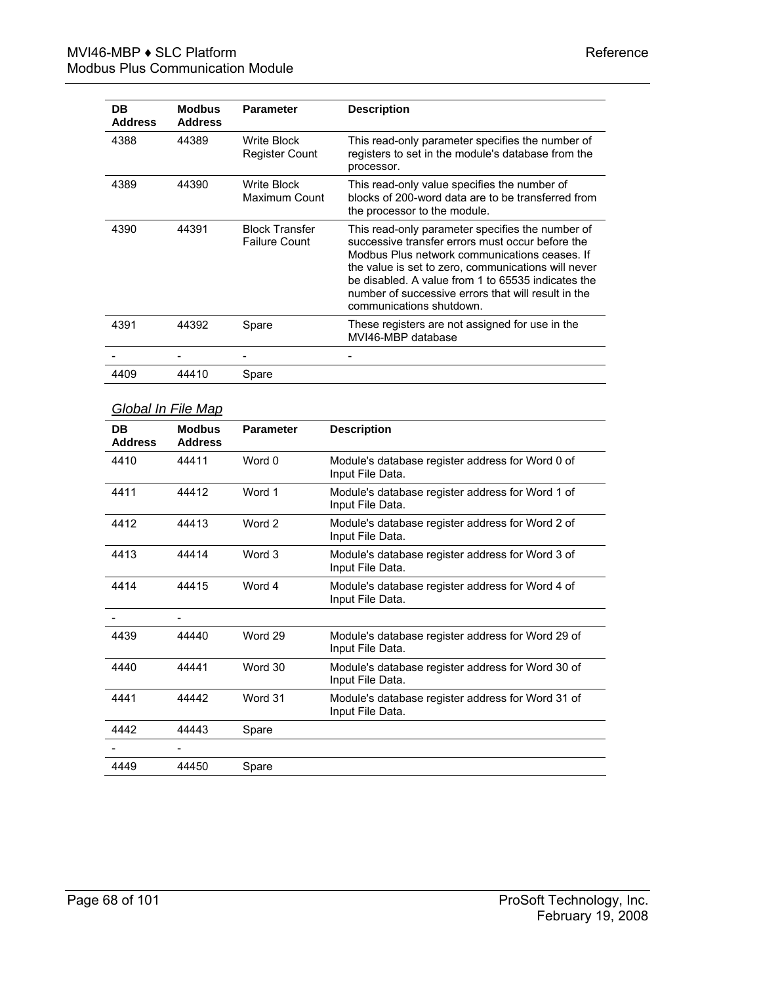| DB<br><b>Address</b> | <b>Modbus</b><br><b>Address</b> | <b>Parameter</b>                              | <b>Description</b>                                                                                                                                                                                                                                                                                                                                    |
|----------------------|---------------------------------|-----------------------------------------------|-------------------------------------------------------------------------------------------------------------------------------------------------------------------------------------------------------------------------------------------------------------------------------------------------------------------------------------------------------|
| 4388                 | 44389                           | Write Block<br>Register Count                 | This read-only parameter specifies the number of<br>registers to set in the module's database from the<br>processor.                                                                                                                                                                                                                                  |
| 4389                 | 44390                           | Write Block<br>Maximum Count                  | This read-only value specifies the number of<br>blocks of 200-word data are to be transferred from<br>the processor to the module.                                                                                                                                                                                                                    |
| 4390                 | 44391                           | <b>Block Transfer</b><br><b>Failure Count</b> | This read-only parameter specifies the number of<br>successive transfer errors must occur before the<br>Modbus Plus network communications ceases. If<br>the value is set to zero, communications will never<br>be disabled. A value from 1 to 65535 indicates the<br>number of successive errors that will result in the<br>communications shutdown. |
| 4391                 | 44392                           | Spare                                         | These registers are not assigned for use in the<br>MVI46-MBP database                                                                                                                                                                                                                                                                                 |
|                      |                                 |                                               |                                                                                                                                                                                                                                                                                                                                                       |
| 4409                 | 44410                           | Spare                                         |                                                                                                                                                                                                                                                                                                                                                       |

# *Global In File Map*

| <b>DB</b><br><b>Address</b> | <b>Modbus</b><br><b>Address</b> | <b>Parameter</b> | <b>Description</b>                                                    |
|-----------------------------|---------------------------------|------------------|-----------------------------------------------------------------------|
| 4410                        | 44411                           | Word 0           | Module's database register address for Word 0 of<br>Input File Data.  |
| 4411                        | 44412                           | Word 1           | Module's database register address for Word 1 of<br>Input File Data.  |
| 4412                        | 44413                           | Word 2           | Module's database register address for Word 2 of<br>Input File Data.  |
| 4413                        | 44414                           | Word 3           | Module's database register address for Word 3 of<br>Input File Data.  |
| 4414                        | 44415                           | Word 4           | Module's database register address for Word 4 of<br>Input File Data.  |
|                             |                                 |                  |                                                                       |
| 4439                        | 44440                           | Word 29          | Module's database register address for Word 29 of<br>Input File Data. |
| 4440                        | 44441                           | Word 30          | Module's database register address for Word 30 of<br>Input File Data. |
| 4441                        | 44442                           | Word 31          | Module's database register address for Word 31 of<br>Input File Data. |
| 4442                        | 44443                           | Spare            |                                                                       |
|                             |                                 |                  |                                                                       |
| 4449                        | 44450                           | Spare            |                                                                       |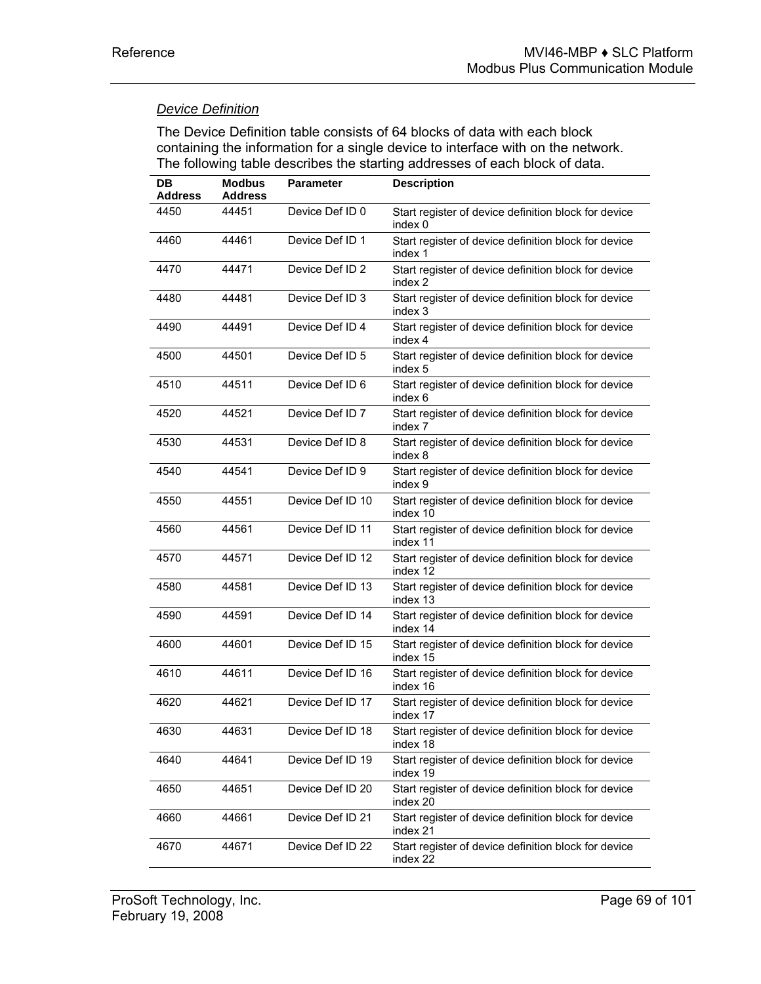# *Device Definition*

The Device Definition table consists of 64 blocks of data with each block containing the information for a single device to interface with on the network. The following table describes the starting addresses of each block of data.

| DB<br>Address | <b>Modbus</b><br><b>Address</b> | <b>Parameter</b> | <b>Description</b>                                               |
|---------------|---------------------------------|------------------|------------------------------------------------------------------|
| 4450          | 44451                           | Device Def ID 0  | Start register of device definition block for device<br>index 0  |
| 4460          | 44461                           | Device Def ID 1  | Start register of device definition block for device<br>index 1  |
| 4470          | 44471                           | Device Def ID 2  | Start register of device definition block for device<br>index 2  |
| 4480          | 44481                           | Device Def ID 3  | Start register of device definition block for device<br>index 3  |
| 4490          | 44491                           | Device Def ID 4  | Start register of device definition block for device<br>index 4  |
| 4500          | 44501                           | Device Def ID 5  | Start register of device definition block for device<br>index 5  |
| 4510          | 44511                           | Device Def ID 6  | Start register of device definition block for device<br>index 6  |
| 4520          | 44521                           | Device Def ID 7  | Start register of device definition block for device<br>index 7  |
| 4530          | 44531                           | Device Def ID 8  | Start register of device definition block for device<br>index 8  |
| 4540          | 44541                           | Device Def ID 9  | Start register of device definition block for device<br>index 9  |
| 4550          | 44551                           | Device Def ID 10 | Start register of device definition block for device<br>index 10 |
| 4560          | 44561                           | Device Def ID 11 | Start register of device definition block for device<br>index 11 |
| 4570          | 44571                           | Device Def ID 12 | Start register of device definition block for device<br>index 12 |
| 4580          | 44581                           | Device Def ID 13 | Start register of device definition block for device<br>index 13 |
| 4590          | 44591                           | Device Def ID 14 | Start register of device definition block for device<br>index 14 |
| 4600          | 44601                           | Device Def ID 15 | Start register of device definition block for device<br>index 15 |
| 4610          | 44611                           | Device Def ID 16 | Start register of device definition block for device<br>index 16 |
| 4620          | 44621                           | Device Def ID 17 | Start register of device definition block for device<br>index 17 |
| 4630          | 44631                           | Device Def ID 18 | Start register of device definition block for device<br>index 18 |
| 4640          | 44641                           | Device Def ID 19 | Start register of device definition block for device<br>index 19 |
| 4650          | 44651                           | Device Def ID 20 | Start register of device definition block for device<br>index 20 |
| 4660          | 44661                           | Device Def ID 21 | Start register of device definition block for device<br>index 21 |
| 4670          | 44671                           | Device Def ID 22 | Start register of device definition block for device<br>index 22 |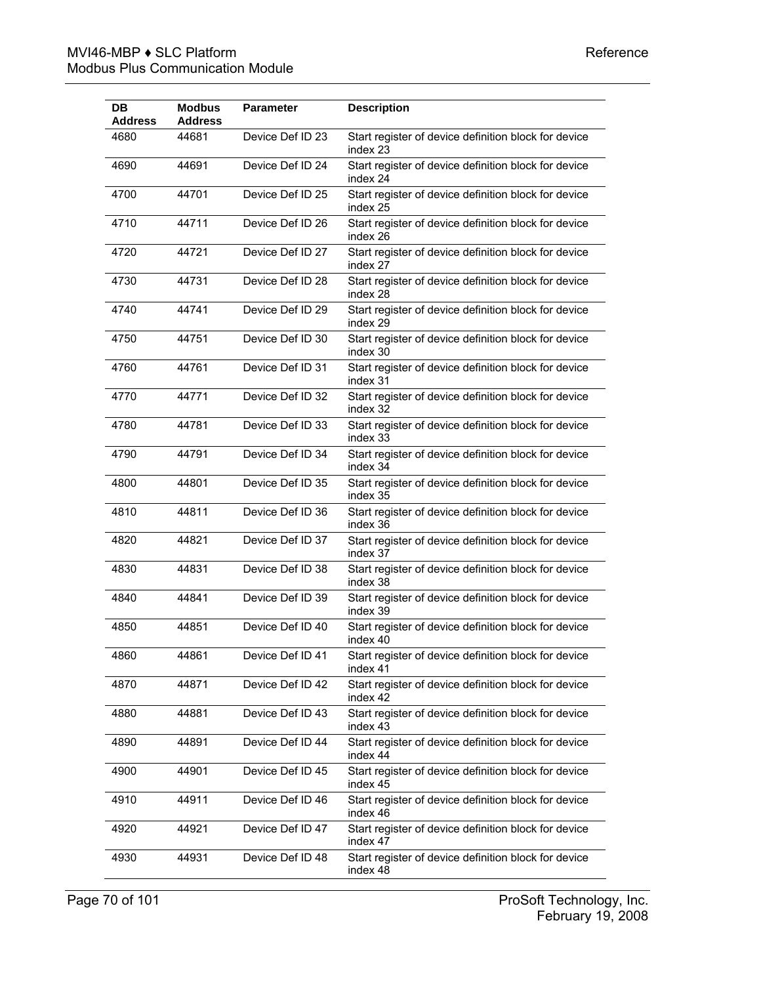| DB.<br><b>Address</b> | <b>Modbus</b><br><b>Address</b> | <b>Parameter</b> | <b>Description</b>                                               |
|-----------------------|---------------------------------|------------------|------------------------------------------------------------------|
| 4680                  | 44681                           | Device Def ID 23 | Start register of device definition block for device<br>index 23 |
| 4690                  | 44691                           | Device Def ID 24 | Start register of device definition block for device<br>index 24 |
| 4700                  | 44701                           | Device Def ID 25 | Start register of device definition block for device<br>index 25 |
| 4710                  | 44711                           | Device Def ID 26 | Start register of device definition block for device<br>index 26 |
| 4720                  | 44721                           | Device Def ID 27 | Start register of device definition block for device<br>index 27 |
| 4730                  | 44731                           | Device Def ID 28 | Start register of device definition block for device<br>index 28 |
| 4740                  | 44741                           | Device Def ID 29 | Start register of device definition block for device<br>index 29 |
| 4750                  | 44751                           | Device Def ID 30 | Start register of device definition block for device<br>index 30 |
| 4760                  | 44761                           | Device Def ID 31 | Start register of device definition block for device<br>index 31 |
| 4770                  | 44771                           | Device Def ID 32 | Start register of device definition block for device<br>index 32 |
| 4780                  | 44781                           | Device Def ID 33 | Start register of device definition block for device<br>index 33 |
| 4790                  | 44791                           | Device Def ID 34 | Start register of device definition block for device<br>index 34 |
| 4800                  | 44801                           | Device Def ID 35 | Start register of device definition block for device<br>index 35 |
| 4810                  | 44811                           | Device Def ID 36 | Start register of device definition block for device<br>index 36 |
| 4820                  | 44821                           | Device Def ID 37 | Start register of device definition block for device<br>index 37 |
| 4830                  | 44831                           | Device Def ID 38 | Start register of device definition block for device<br>index 38 |
| 4840                  | 44841                           | Device Def ID 39 | Start register of device definition block for device<br>index 39 |
| 4850                  | 44851                           | Device Def ID 40 | Start register of device definition block for device<br>index 40 |
| 4860                  | 44861                           | Device Def ID 41 | Start register of device definition block for device<br>index 41 |
| 4870                  | 44871                           | Device Def ID 42 | Start register of device definition block for device<br>index 42 |
| 4880                  | 44881                           | Device Def ID 43 | Start register of device definition block for device<br>index 43 |
| 4890                  | 44891                           | Device Def ID 44 | Start register of device definition block for device<br>index 44 |
| 4900                  | 44901                           | Device Def ID 45 | Start register of device definition block for device<br>index 45 |
| 4910                  | 44911                           | Device Def ID 46 | Start register of device definition block for device<br>index 46 |
| 4920                  | 44921                           | Device Def ID 47 | Start register of device definition block for device<br>index 47 |
| 4930                  | 44931                           | Device Def ID 48 | Start register of device definition block for device<br>index 48 |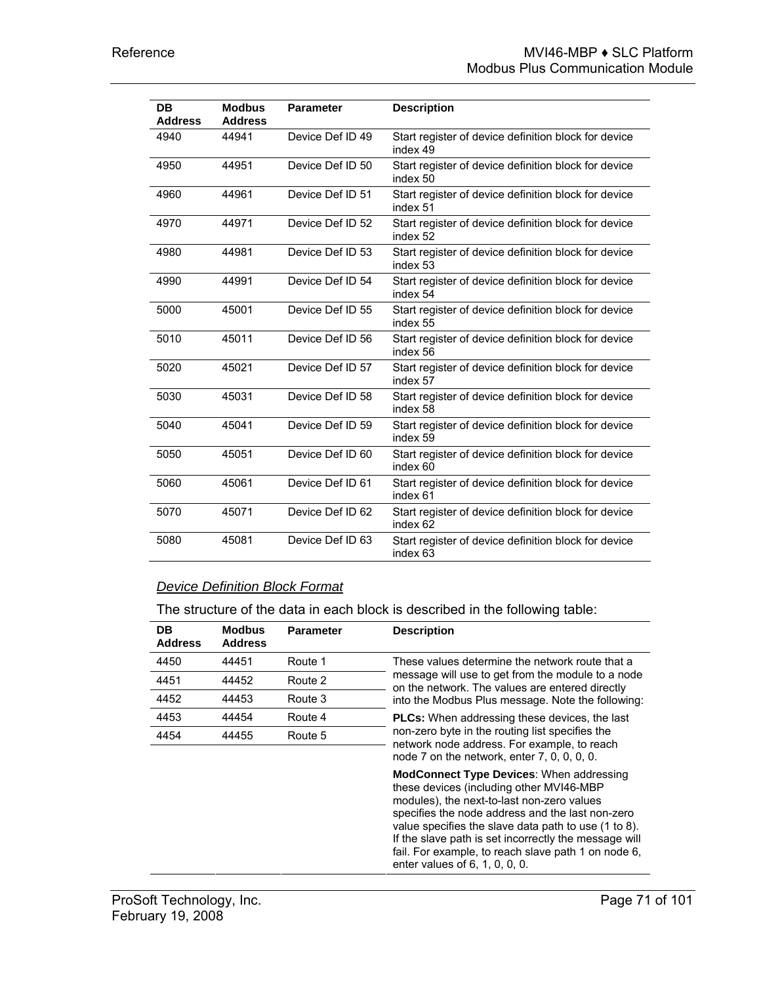| DB<br><b>Address</b> | <b>Modbus</b><br><b>Address</b> | <b>Parameter</b> | <b>Description</b>                                               |
|----------------------|---------------------------------|------------------|------------------------------------------------------------------|
| 4940                 | 44941                           | Device Def ID 49 | Start register of device definition block for device<br>index 49 |
| 4950                 | 44951                           | Device Def ID 50 | Start register of device definition block for device<br>index 50 |
| 4960                 | 44961                           | Device Def ID 51 | Start register of device definition block for device<br>index 51 |
| 4970                 | 44971                           | Device Def ID 52 | Start register of device definition block for device<br>index 52 |
| 4980                 | 44981                           | Device Def ID 53 | Start register of device definition block for device<br>index 53 |
| 4990                 | 44991                           | Device Def ID 54 | Start register of device definition block for device<br>index 54 |
| 5000                 | 45001                           | Device Def ID 55 | Start register of device definition block for device<br>index 55 |
| 5010                 | 45011                           | Device Def ID 56 | Start register of device definition block for device<br>index 56 |
| 5020                 | 45021                           | Device Def ID 57 | Start register of device definition block for device<br>index 57 |
| 5030                 | 45031                           | Device Def ID 58 | Start register of device definition block for device<br>index 58 |
| 5040                 | 45041                           | Device Def ID 59 | Start register of device definition block for device<br>index 59 |
| 5050                 | 45051                           | Device Def ID 60 | Start register of device definition block for device<br>index 60 |
| 5060                 | 45061                           | Device Def ID 61 | Start register of device definition block for device<br>index 61 |
| 5070                 | 45071                           | Device Def ID 62 | Start register of device definition block for device<br>index 62 |
| 5080                 | 45081                           | Device Def ID 63 | Start register of device definition block for device<br>index 63 |

# *Device Definition Block Format*

The structure of the data in each block is described in the following table:

| DB<br><b>Address</b> | <b>Modbus</b><br><b>Address</b> | <b>Parameter</b> | <b>Description</b>                                                                                                                                                                                                                                                                                                                                                                                      |
|----------------------|---------------------------------|------------------|---------------------------------------------------------------------------------------------------------------------------------------------------------------------------------------------------------------------------------------------------------------------------------------------------------------------------------------------------------------------------------------------------------|
| 4450                 | 44451                           | Route 1          | These values determine the network route that a                                                                                                                                                                                                                                                                                                                                                         |
| 4451                 | 44452                           | Route 2          | message will use to get from the module to a node<br>on the network. The values are entered directly                                                                                                                                                                                                                                                                                                    |
| 4452                 | 44453                           | Route 3          | into the Modbus Plus message. Note the following:                                                                                                                                                                                                                                                                                                                                                       |
| 4453                 | 44454                           | Route 4          | <b>PLCs:</b> When addressing these devices, the last<br>non-zero byte in the routing list specifies the<br>network node address. For example, to reach<br>node 7 on the network, enter 7, 0, 0, 0, 0.                                                                                                                                                                                                   |
| 4454                 | 44455                           | Route 5          |                                                                                                                                                                                                                                                                                                                                                                                                         |
|                      |                                 |                  | <b>ModConnect Type Devices: When addressing</b><br>these devices (including other MVI46-MBP<br>modules), the next-to-last non-zero values<br>specifies the node address and the last non-zero<br>value specifies the slave data path to use (1 to 8).<br>If the slave path is set incorrectly the message will<br>fail. For example, to reach slave path 1 on node 6,<br>enter values of 6, 1, 0, 0, 0. |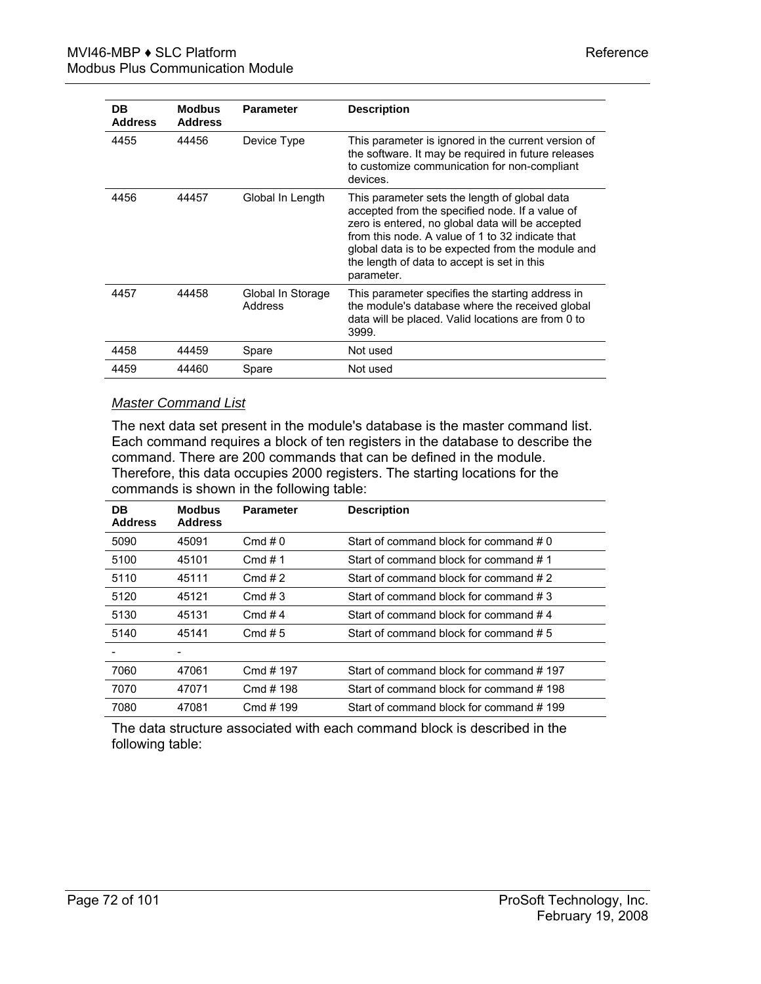| DB<br><b>Address</b> | <b>Modbus</b><br><b>Address</b> | <b>Parameter</b>             | <b>Description</b>                                                                                                                                                                                                                                                                                                         |
|----------------------|---------------------------------|------------------------------|----------------------------------------------------------------------------------------------------------------------------------------------------------------------------------------------------------------------------------------------------------------------------------------------------------------------------|
| 4455                 | 44456                           | Device Type                  | This parameter is ignored in the current version of<br>the software. It may be required in future releases<br>to customize communication for non-compliant<br>devices.                                                                                                                                                     |
| 4456                 | 44457                           | Global In Length             | This parameter sets the length of global data<br>accepted from the specified node. If a value of<br>zero is entered, no global data will be accepted<br>from this node. A value of 1 to 32 indicate that<br>global data is to be expected from the module and<br>the length of data to accept is set in this<br>parameter. |
| 4457                 | 44458                           | Global In Storage<br>Address | This parameter specifies the starting address in<br>the module's database where the received global<br>data will be placed. Valid locations are from 0 to<br>3999.                                                                                                                                                         |
| 4458                 | 44459                           | Spare                        | Not used                                                                                                                                                                                                                                                                                                                   |
| 4459                 | 44460                           | Spare                        | Not used                                                                                                                                                                                                                                                                                                                   |

# *Master Command List*

The next data set present in the module's database is the master command list. Each command requires a block of ten registers in the database to describe the command. There are 200 commands that can be defined in the module. Therefore, this data occupies 2000 registers. The starting locations for the commands is shown in the following table:

| DB<br><b>Address</b> | <b>Modbus</b><br><b>Address</b> | <b>Parameter</b> | <b>Description</b>                      |
|----------------------|---------------------------------|------------------|-----------------------------------------|
| 5090                 | 45091                           | Cmd $#0$         | Start of command block for command # 0  |
| 5100                 | 45101                           | Cmd $# 1$        | Start of command block for command #1   |
| 5110                 | 45111                           | Cmd $#2$         | Start of command block for command #2   |
| 5120                 | 45121                           | Cmd $#3$         | Start of command block for command #3   |
| 5130                 | 45131                           | Cmd #4           | Start of command block for command #4   |
| 5140                 | 45141                           | Cmd #5           | Start of command block for command #5   |
|                      |                                 |                  |                                         |
| 7060                 | 47061                           | Cmd #197         | Start of command block for command #197 |
| 7070                 | 47071                           | Cmd #198         | Start of command block for command #198 |
| 7080                 | 47081                           | Cmd # 199        | Start of command block for command #199 |

The data structure associated with each command block is described in the following table: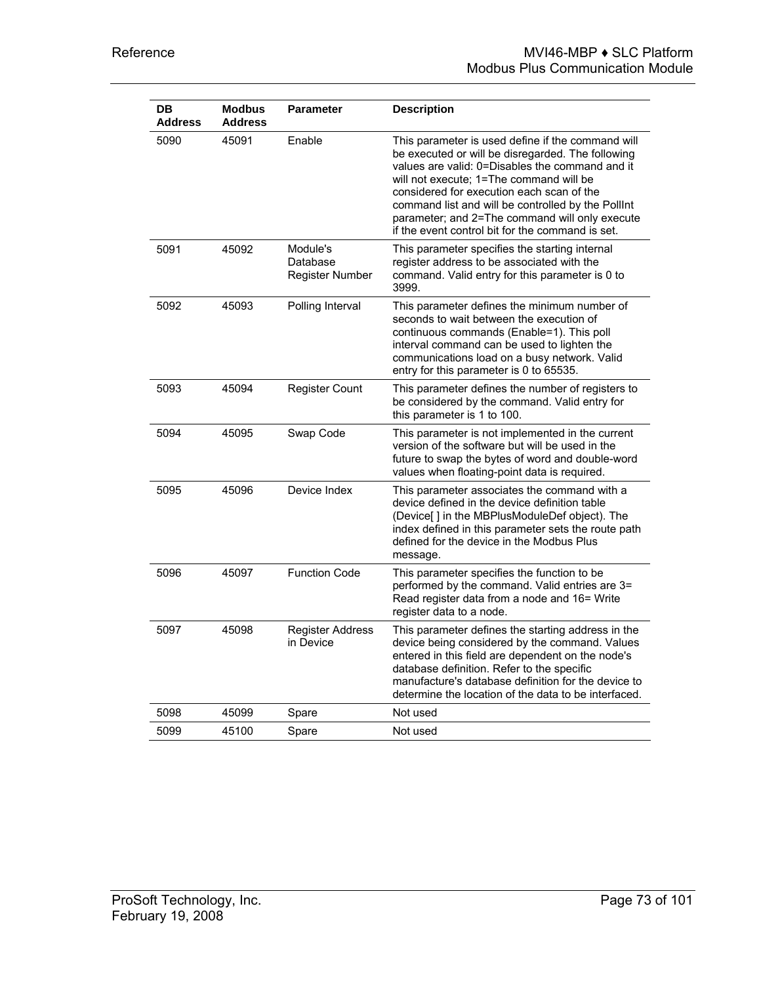| DB<br><b>Address</b> | <b>Modbus</b><br><b>Address</b> | <b>Parameter</b>                        | <b>Description</b>                                                                                                                                                                                                                                                                                                                                                                                            |
|----------------------|---------------------------------|-----------------------------------------|---------------------------------------------------------------------------------------------------------------------------------------------------------------------------------------------------------------------------------------------------------------------------------------------------------------------------------------------------------------------------------------------------------------|
| 5090                 | 45091                           | Enable                                  | This parameter is used define if the command will<br>be executed or will be disregarded. The following<br>values are valid: 0=Disables the command and it<br>will not execute; 1=The command will be<br>considered for execution each scan of the<br>command list and will be controlled by the PollInt<br>parameter; and 2=The command will only execute<br>if the event control bit for the command is set. |
| 5091                 | 45092                           | Module's<br>Database<br>Register Number | This parameter specifies the starting internal<br>register address to be associated with the<br>command. Valid entry for this parameter is 0 to<br>3999.                                                                                                                                                                                                                                                      |
| 5092                 | 45093                           | Polling Interval                        | This parameter defines the minimum number of<br>seconds to wait between the execution of<br>continuous commands (Enable=1). This poll<br>interval command can be used to lighten the<br>communications load on a busy network. Valid<br>entry for this parameter is 0 to 65535.                                                                                                                               |
| 5093                 | 45094                           | <b>Register Count</b>                   | This parameter defines the number of registers to<br>be considered by the command. Valid entry for<br>this parameter is 1 to 100.                                                                                                                                                                                                                                                                             |
| 5094                 | 45095                           | Swap Code                               | This parameter is not implemented in the current<br>version of the software but will be used in the<br>future to swap the bytes of word and double-word<br>values when floating-point data is required.                                                                                                                                                                                                       |
| 5095                 | 45096                           | Device Index                            | This parameter associates the command with a<br>device defined in the device definition table<br>(Device[] in the MBPlusModuleDef object). The<br>index defined in this parameter sets the route path<br>defined for the device in the Modbus Plus<br>message.                                                                                                                                                |
| 5096                 | 45097                           | <b>Function Code</b>                    | This parameter specifies the function to be<br>performed by the command. Valid entries are 3=<br>Read register data from a node and 16= Write<br>register data to a node.                                                                                                                                                                                                                                     |
| 5097                 | 45098                           | <b>Register Address</b><br>in Device    | This parameter defines the starting address in the<br>device being considered by the command. Values<br>entered in this field are dependent on the node's<br>database definition. Refer to the specific<br>manufacture's database definition for the device to<br>determine the location of the data to be interfaced.                                                                                        |
| 5098                 | 45099                           | Spare                                   | Not used                                                                                                                                                                                                                                                                                                                                                                                                      |
| 5099                 | 45100                           | Spare                                   | Not used                                                                                                                                                                                                                                                                                                                                                                                                      |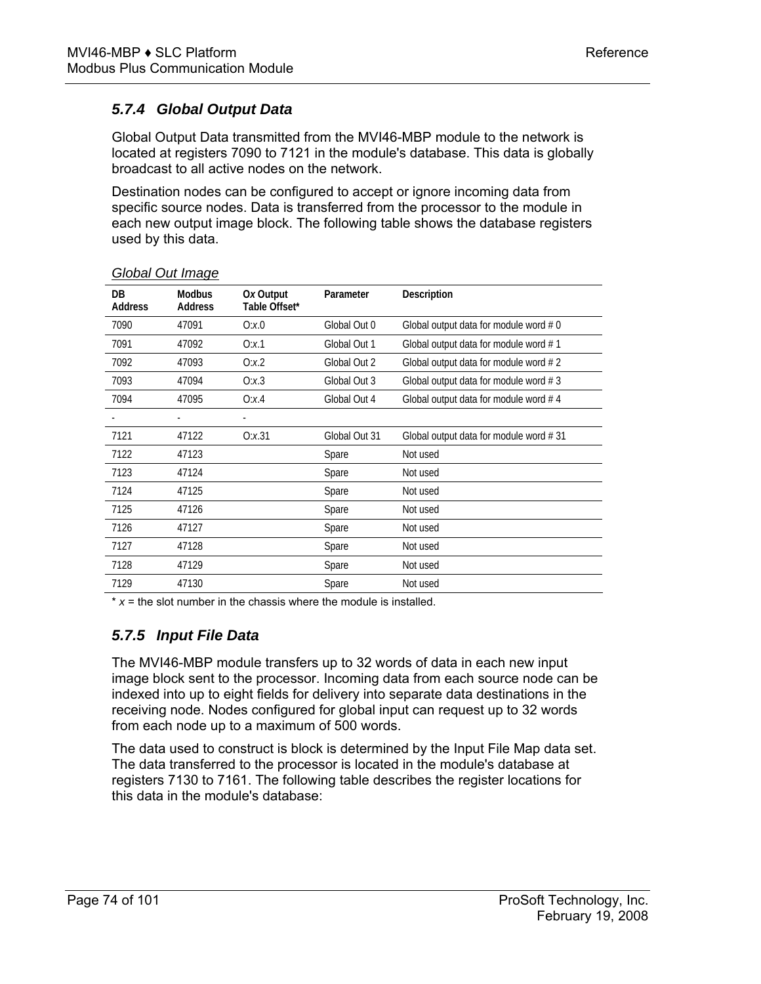### *5.7.4 Global Output Data*

Global Output Data transmitted from the MVI46-MBP module to the network is located at registers 7090 to 7121 in the module's database. This data is globally broadcast to all active nodes on the network.

Destination nodes can be configured to accept or ignore incoming data from specific source nodes. Data is transferred from the processor to the module in each new output image block. The following table shows the database registers used by this data.

| DB.<br><b>Address</b> | <b>Modbus</b><br><b>Address</b> | Ox Output<br>Table Offset* | Parameter     | Description                              |
|-----------------------|---------------------------------|----------------------------|---------------|------------------------------------------|
| 7090                  | 47091                           | $O: \times 0$              | Global Out 0  | Global output data for module word $#0$  |
| 7091                  | 47092                           | Q: x.1                     | Global Out 1  | Global output data for module word #1    |
| 7092                  | 47093                           | 0: x.2                     | Global Out 2  | Global output data for module word #2    |
| 7093                  | 47094                           | Q: x.3                     | Global Out 3  | Global output data for module word $# 3$ |
| 7094                  | 47095                           | Q: x.4                     | Global Out 4  | Global output data for module word $# 4$ |
|                       | $\overline{a}$                  | ٠                          |               |                                          |
| 7121                  | 47122                           | Q: x.31                    | Global Out 31 | Global output data for module word #31   |
| 7122                  | 47123                           |                            | Spare         | Not used                                 |
| 7123                  | 47124                           |                            | Spare         | Not used                                 |
| 7124                  | 47125                           |                            | Spare         | Not used                                 |
| 7125                  | 47126                           |                            | Spare         | Not used                                 |
| 7126                  | 47127                           |                            | Spare         | Not used                                 |
| 7127                  | 47128                           |                            | Spare         | Not used                                 |
| 7128                  | 47129                           |                            | Spare         | Not used                                 |
| 7129                  | 47130                           |                            | Spare         | Not used                                 |

#### *Global Out Image*

 $*$   $x =$  the slot number in the chassis where the module is installed.

### *5.7.5 Input File Data*

The MVI46-MBP module transfers up to 32 words of data in each new input image block sent to the processor. Incoming data from each source node can be indexed into up to eight fields for delivery into separate data destinations in the receiving node. Nodes configured for global input can request up to 32 words from each node up to a maximum of 500 words.

The data used to construct is block is determined by the Input File Map data set. The data transferred to the processor is located in the module's database at registers 7130 to 7161. The following table describes the register locations for this data in the module's database: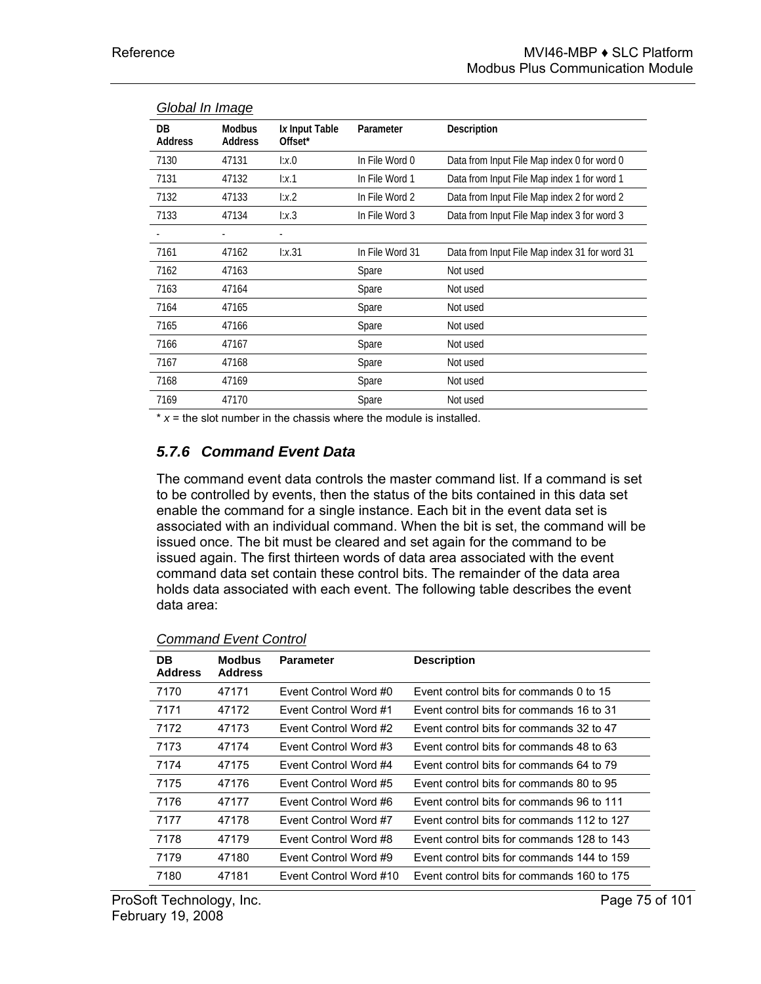| Global In Image      |                                 |                                       |                 |                                               |
|----------------------|---------------------------------|---------------------------------------|-----------------|-----------------------------------------------|
| DB<br><b>Address</b> | <b>Modbus</b><br><b>Address</b> | Ix Input Table<br>Offset <sup>*</sup> | Parameter       | Description                                   |
| 7130                 | 47131                           | $\mathsf{L} \times 0$                 | In File Word 0  | Data from Input File Map index 0 for word 0   |
| 7131                 | 47132                           | $\mathsf{L} \mathsf{X}$               | In File Word 1  | Data from Input File Map index 1 for word 1   |
| 7132                 | 47133                           | $\mathsf{L} \times 2$                 | In File Word 2  | Data from Input File Map index 2 for word 2   |
| 7133                 | 47134                           | $\mathsf{L} \times 3$                 | In File Word 3  | Data from Input File Map index 3 for word 3   |
|                      |                                 |                                       |                 |                                               |
| 7161                 | 47162                           | l:x.31                                | In File Word 31 | Data from Input File Map index 31 for word 31 |
| 7162                 | 47163                           |                                       | Spare           | Not used                                      |
| 7163                 | 47164                           |                                       | Spare           | Not used                                      |
| 7164                 | 47165                           |                                       | Spare           | Not used                                      |
| 7165                 | 47166                           |                                       | Spare           | Not used                                      |
| 7166                 | 47167                           |                                       | Spare           | Not used                                      |
| 7167                 | 47168                           |                                       | Spare           | Not used                                      |
| 7168                 | 47169                           |                                       | Spare           | Not used                                      |
| 7169                 | 47170                           |                                       | Spare           | Not used                                      |

#### *Global In Image*

 $* x =$  the slot number in the chassis where the module is installed.

### *5.7.6 Command Event Data*

The command event data controls the master command list. If a command is set to be controlled by events, then the status of the bits contained in this data set enable the command for a single instance. Each bit in the event data set is associated with an individual command. When the bit is set, the command will be issued once. The bit must be cleared and set again for the command to be issued again. The first thirteen words of data area associated with the event command data set contain these control bits. The remainder of the data area holds data associated with each event. The following table describes the event data area:

| DB<br><b>Address</b> | <b>Modbus</b><br><b>Address</b> | <b>Parameter</b>             | <b>Description</b>                         |
|----------------------|---------------------------------|------------------------------|--------------------------------------------|
| 7170                 | 47171                           | Fvent Control Word #0        | Event control bits for commands 0 to 15    |
| 7171                 | 47172                           | Event Control Word #1        | Event control bits for commands 16 to 31   |
| 7172                 | 47173                           | Event Control Word #2        | Event control bits for commands 32 to 47   |
| 7173                 | 47174                           | <b>Event Control Word #3</b> | Event control bits for commands 48 to 63   |
| 7174                 | 47175                           | <b>Event Control Word #4</b> | Event control bits for commands 64 to 79   |
| 7175                 | 47176                           | <b>Event Control Word #5</b> | Event control bits for commands 80 to 95   |
| 7176                 | 47177                           | Event Control Word #6        | Event control bits for commands 96 to 111  |
| 7177                 | 47178                           | Event Control Word #7        | Event control bits for commands 112 to 127 |
| 7178                 | 47179                           | Event Control Word #8        | Event control bits for commands 128 to 143 |
| 7179                 | 47180                           | Event Control Word #9        | Event control bits for commands 144 to 159 |
| 7180                 | 47181                           | Event Control Word #10       | Event control bits for commands 160 to 175 |

#### *Command Event Control*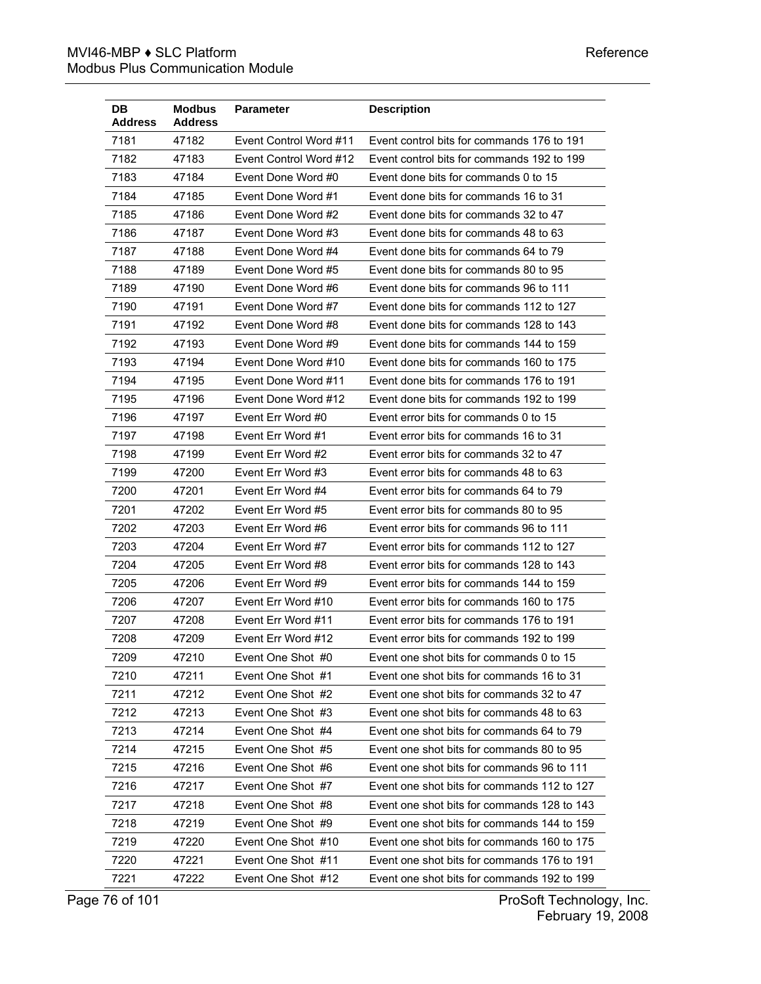| DB.<br><b>Address</b> | <b>Modbus</b><br><b>Address</b> | <b>Parameter</b>          | <b>Description</b>                          |
|-----------------------|---------------------------------|---------------------------|---------------------------------------------|
| 7181                  | 47182                           | Event Control Word #11    | Event control bits for commands 176 to 191  |
| 7182                  | 47183                           | Event Control Word #12    | Event control bits for commands 192 to 199  |
| 7183                  | 47184                           | Event Done Word #0        | Event done bits for commands 0 to 15        |
| 7184                  | 47185                           | Event Done Word #1        | Event done bits for commands 16 to 31       |
| 7185                  | 47186                           | Event Done Word #2        | Event done bits for commands 32 to 47       |
| 7186                  | 47187                           | <b>Event Done Word #3</b> | Event done bits for commands 48 to 63       |
| 7187                  | 47188                           | Event Done Word #4        | Event done bits for commands 64 to 79       |
| 7188                  | 47189                           | Event Done Word #5        | Event done bits for commands 80 to 95       |
| 7189                  | 47190                           | Event Done Word #6        | Event done bits for commands 96 to 111      |
| 7190                  | 47191                           | Event Done Word #7        | Event done bits for commands 112 to 127     |
| 7191                  | 47192                           | Event Done Word #8        | Event done bits for commands 128 to 143     |
| 7192                  | 47193                           | Event Done Word #9        | Event done bits for commands 144 to 159     |
| 7193                  | 47194                           | Event Done Word #10       | Event done bits for commands 160 to 175     |
| 7194                  | 47195                           | Event Done Word #11       | Event done bits for commands 176 to 191     |
| 7195                  | 47196                           | Event Done Word #12       | Event done bits for commands 192 to 199     |
| 7196                  | 47197                           | Event Err Word #0         | Event error bits for commands 0 to 15       |
| 7197                  | 47198                           | Event Err Word #1         | Event error bits for commands 16 to 31      |
| 7198                  | 47199                           | Event Err Word #2         | Event error bits for commands 32 to 47      |
| 7199                  | 47200                           | Event Err Word #3         | Event error bits for commands 48 to 63      |
| 7200                  | 47201                           | Event Err Word #4         | Event error bits for commands 64 to 79      |
| 7201                  | 47202                           | Event Err Word #5         | Event error bits for commands 80 to 95      |
| 7202                  | 47203                           | Event Err Word #6         | Event error bits for commands 96 to 111     |
| 7203                  | 47204                           | Event Err Word #7         | Event error bits for commands 112 to 127    |
| 7204                  | 47205                           | Event Err Word #8         | Event error bits for commands 128 to 143    |
| 7205                  | 47206                           | Event Err Word #9         | Event error bits for commands 144 to 159    |
| 7206                  | 47207                           | Event Err Word #10        | Event error bits for commands 160 to 175    |
| 7207                  | 47208                           | Event Err Word #11        | Event error bits for commands 176 to 191    |
| 7208                  | 47209                           | Event Err Word #12        | Event error bits for commands 192 to 199    |
| 7209                  | 47210                           | Event One Shot #0         | Event one shot bits for commands 0 to 15    |
| 7210                  | 47211                           | Event One Shot #1         | Event one shot bits for commands 16 to 31   |
| 7211                  | 47212                           | Event One Shot #2         | Event one shot bits for commands 32 to 47   |
| 7212                  | 47213                           | Event One Shot #3         | Event one shot bits for commands 48 to 63   |
| 7213                  | 47214                           | Event One Shot #4         | Event one shot bits for commands 64 to 79   |
| 7214                  | 47215                           | Event One Shot #5         | Event one shot bits for commands 80 to 95   |
| 7215                  | 47216                           | Event One Shot #6         | Event one shot bits for commands 96 to 111  |
| 7216                  | 47217                           | Event One Shot #7         | Event one shot bits for commands 112 to 127 |
| 7217                  | 47218                           | Event One Shot #8         | Event one shot bits for commands 128 to 143 |
| 7218                  | 47219                           | Event One Shot #9         | Event one shot bits for commands 144 to 159 |
| 7219                  | 47220                           | Event One Shot #10        | Event one shot bits for commands 160 to 175 |
| 7220                  | 47221                           | Event One Shot #11        | Event one shot bits for commands 176 to 191 |
| 7221                  | 47222                           | Event One Shot #12        | Event one shot bits for commands 192 to 199 |

Page 76 of 101 ProSoft Technology, Inc. February 19, 2008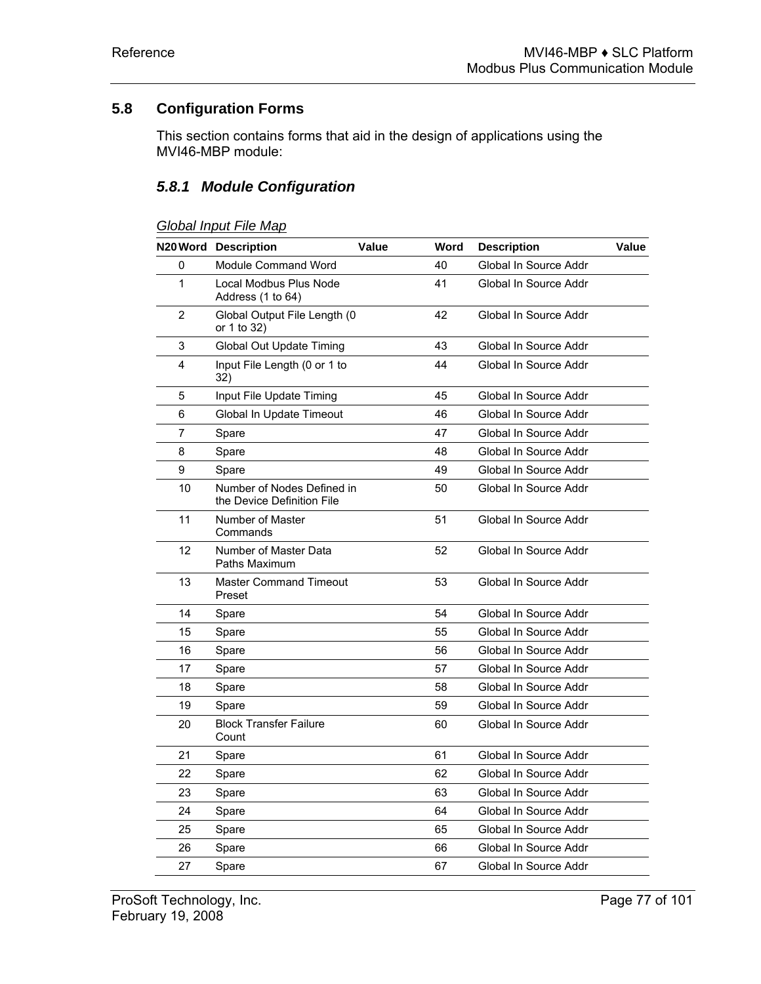# **5.8 Configuration Forms**

This section contains forms that aid in the design of applications using the MVI46-MBP module:

# *5.8.1 Module Configuration*

| Global Input File Map |  |
|-----------------------|--|
|-----------------------|--|

|    | <b>N20 Word Description</b>                              | Value | Word | <b>Description</b>    | Value |
|----|----------------------------------------------------------|-------|------|-----------------------|-------|
| 0  | Module Command Word                                      |       | 40   | Global In Source Addr |       |
| 1  | Local Modbus Plus Node<br>Address (1 to 64)              |       | 41   | Global In Source Addr |       |
| 2  | Global Output File Length (0<br>or 1 to 32)              |       | 42   | Global In Source Addr |       |
| 3  | Global Out Update Timing                                 |       | 43   | Global In Source Addr |       |
| 4  | Input File Length (0 or 1 to<br>32)                      |       | 44   | Global In Source Addr |       |
| 5  | Input File Update Timing                                 |       | 45   | Global In Source Addr |       |
| 6  | Global In Update Timeout                                 |       | 46   | Global In Source Addr |       |
| 7  | Spare                                                    |       | 47   | Global In Source Addr |       |
| 8  | Spare                                                    |       | 48   | Global In Source Addr |       |
| 9  | Spare                                                    |       | 49   | Global In Source Addr |       |
| 10 | Number of Nodes Defined in<br>the Device Definition File |       | 50   | Global In Source Addr |       |
| 11 | Number of Master<br>Commands                             |       | 51   | Global In Source Addr |       |
| 12 | Number of Master Data<br>Paths Maximum                   |       | 52   | Global In Source Addr |       |
| 13 | <b>Master Command Timeout</b><br>Preset                  |       | 53   | Global In Source Addr |       |
| 14 | Spare                                                    |       | 54   | Global In Source Addr |       |
| 15 | Spare                                                    |       | 55   | Global In Source Addr |       |
| 16 | Spare                                                    |       | 56   | Global In Source Addr |       |
| 17 | Spare                                                    |       | 57   | Global In Source Addr |       |
| 18 | Spare                                                    |       | 58   | Global In Source Addr |       |
| 19 | Spare                                                    |       | 59   | Global In Source Addr |       |
| 20 | <b>Block Transfer Failure</b><br>Count                   |       | 60   | Global In Source Addr |       |
| 21 | Spare                                                    |       | 61   | Global In Source Addr |       |
| 22 | Spare                                                    |       | 62   | Global In Source Addr |       |
| 23 | Spare                                                    |       | 63   | Global In Source Addr |       |
| 24 | Spare                                                    |       | 64   | Global In Source Addr |       |
| 25 | Spare                                                    |       | 65   | Global In Source Addr |       |
| 26 | Spare                                                    |       | 66   | Global In Source Addr |       |
| 27 | Spare                                                    |       | 67   | Global In Source Addr |       |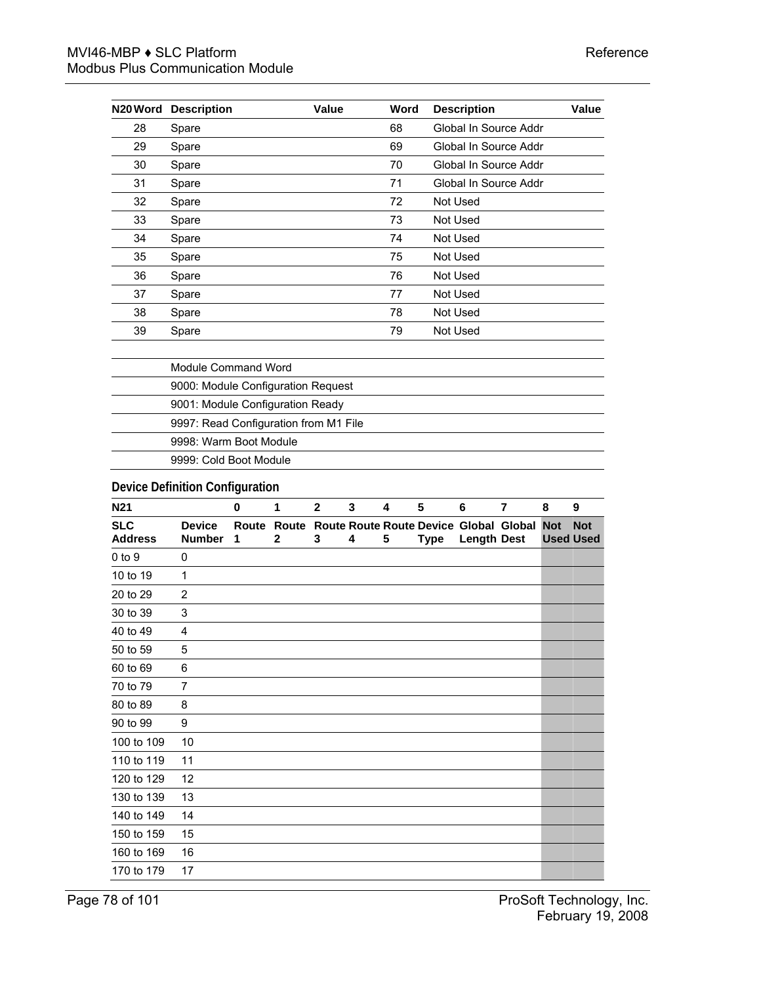|                              | N20 Word Description                   |   |                | Value        |   | Word |             | <b>Description</b>                                                           |                |   | Value                          |
|------------------------------|----------------------------------------|---|----------------|--------------|---|------|-------------|------------------------------------------------------------------------------|----------------|---|--------------------------------|
| 28                           | Spare                                  |   |                |              |   | 68   |             | Global In Source Addr                                                        |                |   |                                |
| 29                           | Spare                                  |   |                |              |   | 69   |             | Global In Source Addr                                                        |                |   |                                |
| 30                           | Spare                                  |   |                |              |   | 70   |             | Global In Source Addr                                                        |                |   |                                |
| 31                           | Spare                                  |   |                |              |   | 71   |             | Global In Source Addr                                                        |                |   |                                |
| 32                           | Spare                                  |   |                |              |   | 72   |             | Not Used                                                                     |                |   |                                |
| 33                           | Spare                                  |   |                |              |   | 73   |             | Not Used                                                                     |                |   |                                |
| 34                           | Spare                                  |   |                |              |   | 74   |             | Not Used                                                                     |                |   |                                |
| 35                           | Spare                                  |   |                |              |   | 75   |             | Not Used                                                                     |                |   |                                |
| 36                           | Spare                                  |   |                |              |   | 76   |             | Not Used                                                                     |                |   |                                |
| 37                           | Spare                                  |   |                |              |   | 77   |             | Not Used                                                                     |                |   |                                |
| 38                           | Spare                                  |   |                |              |   | 78   |             | Not Used                                                                     |                |   |                                |
| 39                           | Spare                                  |   |                |              |   | 79   |             | Not Used                                                                     |                |   |                                |
|                              | Module Command Word                    |   |                |              |   |      |             |                                                                              |                |   |                                |
|                              | 9000: Module Configuration Request     |   |                |              |   |      |             |                                                                              |                |   |                                |
|                              | 9001: Module Configuration Ready       |   |                |              |   |      |             |                                                                              |                |   |                                |
|                              | 9997: Read Configuration from M1 File  |   |                |              |   |      |             |                                                                              |                |   |                                |
|                              | 9998: Warm Boot Module                 |   |                |              |   |      |             |                                                                              |                |   |                                |
|                              | 9999: Cold Boot Module                 |   |                |              |   |      |             |                                                                              |                |   |                                |
|                              | <b>Device Definition Configuration</b> |   |                |              |   |      |             |                                                                              |                |   |                                |
| <b>N21</b>                   |                                        | 0 | 1              | $\mathbf{2}$ | 3 | 4    | 5           | 6                                                                            | $\overline{7}$ | 8 | 9                              |
| <b>SLC</b><br><b>Address</b> | <b>Device</b><br><b>Number</b>         | 1 | $\overline{2}$ | 3            | 4 | 5    | <b>Type</b> | Route Route Route Route Route Device Global Global Not<br><b>Length Dest</b> |                |   | <b>Not</b><br><b>Used Used</b> |
| $0$ to $9$                   | 0                                      |   |                |              |   |      |             |                                                                              |                |   |                                |
| 10 to 19                     | 1                                      |   |                |              |   |      |             |                                                                              |                |   |                                |
| 20 to 29                     | $\overline{2}$                         |   |                |              |   |      |             |                                                                              |                |   |                                |
| 30 to 39                     | 3                                      |   |                |              |   |      |             |                                                                              |                |   |                                |
| 40 to 49                     | $\overline{4}$                         |   |                |              |   |      |             |                                                                              |                |   |                                |
| 50 to 59                     | 5                                      |   |                |              |   |      |             |                                                                              |                |   |                                |
| 60 to 69                     | 6                                      |   |                |              |   |      |             |                                                                              |                |   |                                |
| 70 to 79                     | 7                                      |   |                |              |   |      |             |                                                                              |                |   |                                |
| 80 to 89                     | 8                                      |   |                |              |   |      |             |                                                                              |                |   |                                |
| 90 to 99                     | 9                                      |   |                |              |   |      |             |                                                                              |                |   |                                |
| 100 to 109                   | 10                                     |   |                |              |   |      |             |                                                                              |                |   |                                |
| 110 to 119                   | 11                                     |   |                |              |   |      |             |                                                                              |                |   |                                |
| 120 to 129                   | 12                                     |   |                |              |   |      |             |                                                                              |                |   |                                |
| 130 to 139                   | 13                                     |   |                |              |   |      |             |                                                                              |                |   |                                |
| 140 to 149                   | 14                                     |   |                |              |   |      |             |                                                                              |                |   |                                |
| 150 to 159                   | 15                                     |   |                |              |   |      |             |                                                                              |                |   |                                |
| 160 to 169                   | 16                                     |   |                |              |   |      |             |                                                                              |                |   |                                |
| 170 to 179                   | 17                                     |   |                |              |   |      |             |                                                                              |                |   |                                |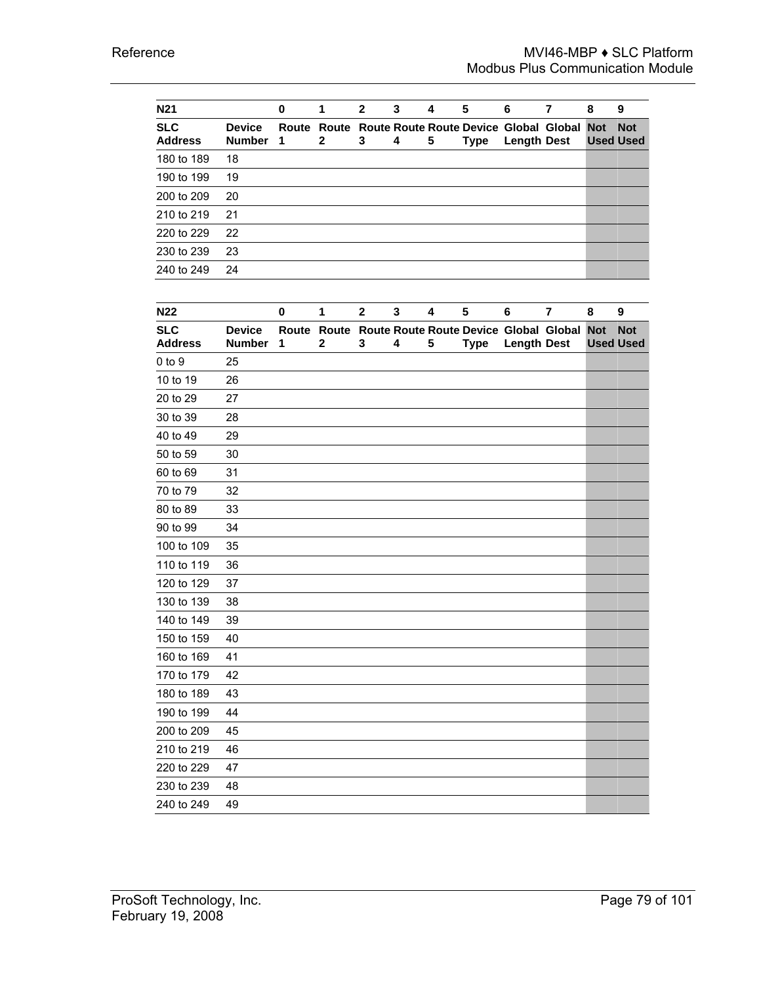| <b>N21</b>                   |                                | 0  | 1 | $\mathbf{2}$ | 3 | 4 | 5           | 6                                                                 | 8                              | 9          |
|------------------------------|--------------------------------|----|---|--------------|---|---|-------------|-------------------------------------------------------------------|--------------------------------|------------|
| <b>SLC</b><br><b>Address</b> | <b>Device</b><br><b>Number</b> | -1 | 2 | 3            | 4 | 5 | <b>Type</b> | Route Route Route Route Route Device Global Global<br>Length Dest | <b>Not</b><br><b>Used Used</b> | <b>Not</b> |
| 180 to 189                   | 18                             |    |   |              |   |   |             |                                                                   |                                |            |
| 190 to 199                   | 19                             |    |   |              |   |   |             |                                                                   |                                |            |
| 200 to 209                   | 20                             |    |   |              |   |   |             |                                                                   |                                |            |
| 210 to 219                   | 21                             |    |   |              |   |   |             |                                                                   |                                |            |
| 220 to 229                   | 22                             |    |   |              |   |   |             |                                                                   |                                |            |
| 230 to 239                   | 23                             |    |   |              |   |   |             |                                                                   |                                |            |
| 240 to 249                   | 24                             |    |   |              |   |   |             |                                                                   |                                |            |

| <b>N22</b>                   |                                | $\bf{0}$   | 1                                | $\overline{2}$ | 3 | 4 | 5           | 6                                                            | $\overline{7}$ | 8          | 9                              |
|------------------------------|--------------------------------|------------|----------------------------------|----------------|---|---|-------------|--------------------------------------------------------------|----------------|------------|--------------------------------|
| <b>SLC</b><br><b>Address</b> | <b>Device</b><br><b>Number</b> | Route<br>1 | Route<br>$\overline{\mathbf{2}}$ | 3              | 4 | 5 | <b>Type</b> | Route Route Route Device Global Global<br><b>Length Dest</b> |                | <b>Not</b> | <b>Not</b><br><b>Used Used</b> |
| $0$ to $9$                   | 25                             |            |                                  |                |   |   |             |                                                              |                |            |                                |
| 10 to 19                     | 26                             |            |                                  |                |   |   |             |                                                              |                |            |                                |
| 20 to 29                     | 27                             |            |                                  |                |   |   |             |                                                              |                |            |                                |
| 30 to 39                     | 28                             |            |                                  |                |   |   |             |                                                              |                |            |                                |
| 40 to 49                     | 29                             |            |                                  |                |   |   |             |                                                              |                |            |                                |
| 50 to 59                     | 30                             |            |                                  |                |   |   |             |                                                              |                |            |                                |
| 60 to 69                     | 31                             |            |                                  |                |   |   |             |                                                              |                |            |                                |
| 70 to 79                     | 32                             |            |                                  |                |   |   |             |                                                              |                |            |                                |
| 80 to 89                     | 33                             |            |                                  |                |   |   |             |                                                              |                |            |                                |
| 90 to 99                     | 34                             |            |                                  |                |   |   |             |                                                              |                |            |                                |
| 100 to 109                   | 35                             |            |                                  |                |   |   |             |                                                              |                |            |                                |
| 110 to 119                   | 36                             |            |                                  |                |   |   |             |                                                              |                |            |                                |
| 120 to 129                   | 37                             |            |                                  |                |   |   |             |                                                              |                |            |                                |
| 130 to 139                   | 38                             |            |                                  |                |   |   |             |                                                              |                |            |                                |
| 140 to 149                   | 39                             |            |                                  |                |   |   |             |                                                              |                |            |                                |
| 150 to 159                   | 40                             |            |                                  |                |   |   |             |                                                              |                |            |                                |
| 160 to 169                   | 41                             |            |                                  |                |   |   |             |                                                              |                |            |                                |
| 170 to 179                   | 42                             |            |                                  |                |   |   |             |                                                              |                |            |                                |
| 180 to 189                   | 43                             |            |                                  |                |   |   |             |                                                              |                |            |                                |
| 190 to 199                   | 44                             |            |                                  |                |   |   |             |                                                              |                |            |                                |
| 200 to 209                   | 45                             |            |                                  |                |   |   |             |                                                              |                |            |                                |
| 210 to 219                   | 46                             |            |                                  |                |   |   |             |                                                              |                |            |                                |
| 220 to 229                   | 47                             |            |                                  |                |   |   |             |                                                              |                |            |                                |
| 230 to 239                   | 48                             |            |                                  |                |   |   |             |                                                              |                |            |                                |
| 240 to 249                   | 49                             |            |                                  |                |   |   |             |                                                              |                |            |                                |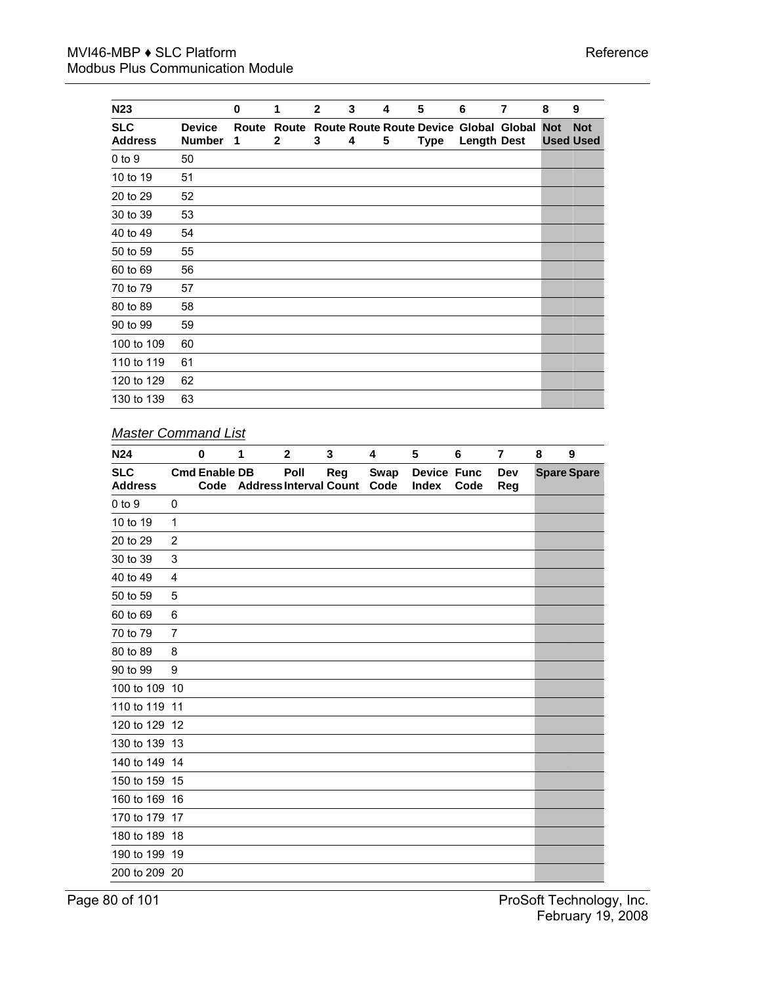| <b>N23</b>                   |                                | $\bf{0}$   | 1          | $\mathbf{2}$ | 3 | 4 | 5           | 6                                                                   | 7 | 8          | 9                              |
|------------------------------|--------------------------------|------------|------------|--------------|---|---|-------------|---------------------------------------------------------------------|---|------------|--------------------------------|
| <b>SLC</b><br><b>Address</b> | <b>Device</b><br><b>Number</b> | Route<br>1 | Route<br>2 | 3            | 4 | 5 | <b>Type</b> | <b>Route Route Route Device Global Global</b><br><b>Length Dest</b> |   | <b>Not</b> | <b>Not</b><br><b>Used Used</b> |
| $0$ to $9$                   | 50                             |            |            |              |   |   |             |                                                                     |   |            |                                |
| 10 to 19                     | 51                             |            |            |              |   |   |             |                                                                     |   |            |                                |
| 20 to 29                     | 52                             |            |            |              |   |   |             |                                                                     |   |            |                                |
| 30 to 39                     | 53                             |            |            |              |   |   |             |                                                                     |   |            |                                |
| 40 to 49                     | 54                             |            |            |              |   |   |             |                                                                     |   |            |                                |
| 50 to 59                     | 55                             |            |            |              |   |   |             |                                                                     |   |            |                                |
| 60 to 69                     | 56                             |            |            |              |   |   |             |                                                                     |   |            |                                |
| 70 to 79                     | 57                             |            |            |              |   |   |             |                                                                     |   |            |                                |
| 80 to 89                     | 58                             |            |            |              |   |   |             |                                                                     |   |            |                                |
| 90 to 99                     | 59                             |            |            |              |   |   |             |                                                                     |   |            |                                |
| 100 to 109                   | 60                             |            |            |              |   |   |             |                                                                     |   |            |                                |
| 110 to 119                   | 61                             |            |            |              |   |   |             |                                                                     |   |            |                                |
| 120 to 129                   | 62                             |            |            |              |   |   |             |                                                                     |   |            |                                |
| 130 to 139                   | 63                             |            |            |              |   |   |             |                                                                     |   |            |                                |

# *Master Command List*

| <b>N24</b>                   |                | $\bf{0}$             | 1                           | $\mathbf{2}$ | 3   | 4            | 5                           | 6    | $\overline{7}$ | 8 | 9                  |
|------------------------------|----------------|----------------------|-----------------------------|--------------|-----|--------------|-----------------------------|------|----------------|---|--------------------|
| <b>SLC</b><br><b>Address</b> |                | <b>Cmd Enable DB</b> | Code Address Interval Count | Poll         | Reg | Swap<br>Code | <b>Device Func</b><br>Index | Code | Dev<br>Reg     |   | <b>Spare Spare</b> |
| $0$ to $9$                   | 0              |                      |                             |              |     |              |                             |      |                |   |                    |
| 10 to 19                     | 1              |                      |                             |              |     |              |                             |      |                |   |                    |
| 20 to 29                     | $\overline{2}$ |                      |                             |              |     |              |                             |      |                |   |                    |
| 30 to 39                     | 3              |                      |                             |              |     |              |                             |      |                |   |                    |
| 40 to 49                     | 4              |                      |                             |              |     |              |                             |      |                |   |                    |
| 50 to 59                     | 5              |                      |                             |              |     |              |                             |      |                |   |                    |
| 60 to 69                     | 6              |                      |                             |              |     |              |                             |      |                |   |                    |
| 70 to 79                     | $\overline{7}$ |                      |                             |              |     |              |                             |      |                |   |                    |
| 80 to 89                     | 8              |                      |                             |              |     |              |                             |      |                |   |                    |
| 90 to 99                     | 9              |                      |                             |              |     |              |                             |      |                |   |                    |
| 100 to 109 10                |                |                      |                             |              |     |              |                             |      |                |   |                    |
| 110 to 119 11                |                |                      |                             |              |     |              |                             |      |                |   |                    |
| 120 to 129 12                |                |                      |                             |              |     |              |                             |      |                |   |                    |
| 130 to 139 13                |                |                      |                             |              |     |              |                             |      |                |   |                    |
| 140 to 149 14                |                |                      |                             |              |     |              |                             |      |                |   |                    |
| 150 to 159 15                |                |                      |                             |              |     |              |                             |      |                |   |                    |
| 160 to 169 16                |                |                      |                             |              |     |              |                             |      |                |   |                    |
| 170 to 179 17                |                |                      |                             |              |     |              |                             |      |                |   |                    |
| 180 to 189 18                |                |                      |                             |              |     |              |                             |      |                |   |                    |
| 190 to 199 19                |                |                      |                             |              |     |              |                             |      |                |   |                    |
| 200 to 209 20                |                |                      |                             |              |     |              |                             |      |                |   |                    |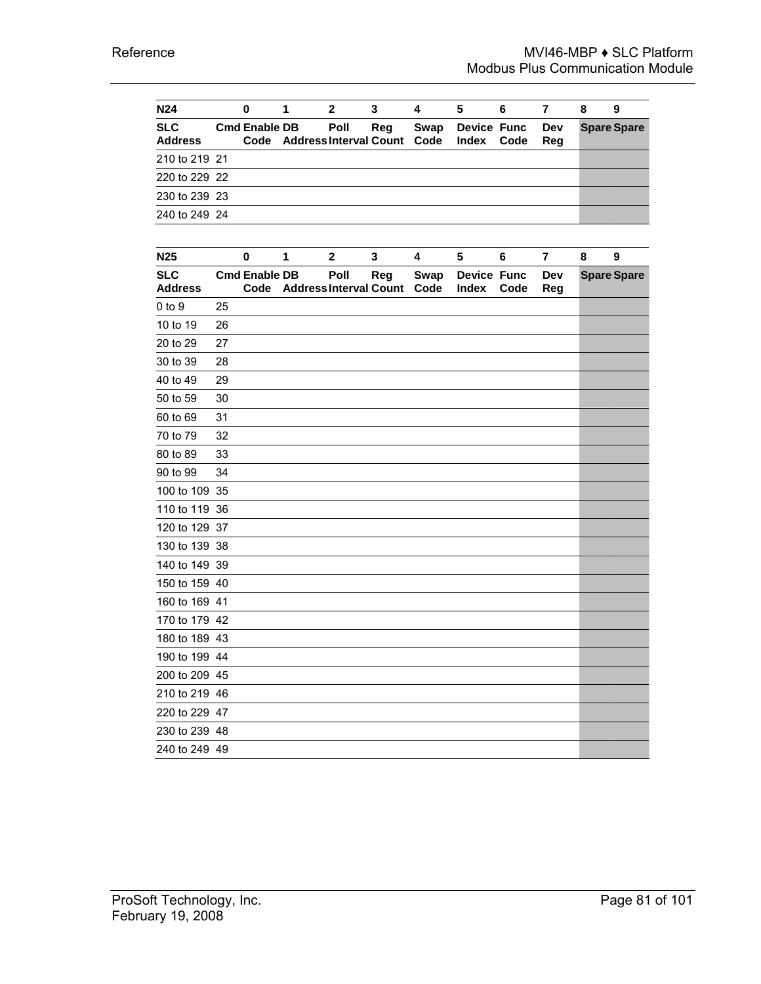| <b>N24</b>                   |    | 0                            | 1                             | $\mathbf{2}$ | 3   | 4                   | 5                                  | 6    | $\overline{\mathbf{r}}$ | 8 | 9                  |
|------------------------------|----|------------------------------|-------------------------------|--------------|-----|---------------------|------------------------------------|------|-------------------------|---|--------------------|
| <b>SLC</b><br><b>Address</b> |    | <b>Cmd Enable DB</b><br>Code | <b>Address Interval Count</b> | Poll         | Reg | <b>Swap</b><br>Code | <b>Device Func</b><br><b>Index</b> | Code | Dev<br>Reg              |   | <b>Spare Spare</b> |
| 210 to 219 21                |    |                              |                               |              |     |                     |                                    |      |                         |   |                    |
| 220 to 229 22                |    |                              |                               |              |     |                     |                                    |      |                         |   |                    |
| 230 to 239 23                |    |                              |                               |              |     |                     |                                    |      |                         |   |                    |
| 240 to 249 24                |    |                              |                               |              |     |                     |                                    |      |                         |   |                    |
|                              |    |                              |                               |              |     |                     |                                    |      |                         |   |                    |
| <b>N25</b>                   |    | 0                            | 1                             | $\mathbf{2}$ | 3   | 4                   | 5                                  | 6    | 7                       | 8 | 9                  |
| <b>SLC</b><br><b>Address</b> |    | <b>Cmd Enable DB</b>         | Code Address Interval Count   | Poll         | Reg | <b>Swap</b><br>Code | <b>Device Func</b><br><b>Index</b> | Code | Dev<br>Reg              |   | <b>Spare Spare</b> |
| $0$ to $9$                   | 25 |                              |                               |              |     |                     |                                    |      |                         |   |                    |
| 10 to 19                     | 26 |                              |                               |              |     |                     |                                    |      |                         |   |                    |
| 20 to 29                     | 27 |                              |                               |              |     |                     |                                    |      |                         |   |                    |
| 30 to 39                     | 28 |                              |                               |              |     |                     |                                    |      |                         |   |                    |
| 40 to 49                     | 29 |                              |                               |              |     |                     |                                    |      |                         |   |                    |
| 50 to 59                     | 30 |                              |                               |              |     |                     |                                    |      |                         |   |                    |
| 60 to 69                     | 31 |                              |                               |              |     |                     |                                    |      |                         |   |                    |
| 70 to 79                     | 32 |                              |                               |              |     |                     |                                    |      |                         |   |                    |
| 80 to 89                     | 33 |                              |                               |              |     |                     |                                    |      |                         |   |                    |
| 90 to 99                     | 34 |                              |                               |              |     |                     |                                    |      |                         |   |                    |
| 100 to 109 35                |    |                              |                               |              |     |                     |                                    |      |                         |   |                    |
| 110 to 119 36                |    |                              |                               |              |     |                     |                                    |      |                         |   |                    |
| 120 to 129 37                |    |                              |                               |              |     |                     |                                    |      |                         |   |                    |
| 130 to 139 38                |    |                              |                               |              |     |                     |                                    |      |                         |   |                    |
| 140 to 149 39                |    |                              |                               |              |     |                     |                                    |      |                         |   |                    |
| 150 to 159 40                |    |                              |                               |              |     |                     |                                    |      |                         |   |                    |
| 160 to 169 41                |    |                              |                               |              |     |                     |                                    |      |                         |   |                    |
| 170 to 179 42                |    |                              |                               |              |     |                     |                                    |      |                         |   |                    |
| 180 to 189 43                |    |                              |                               |              |     |                     |                                    |      |                         |   |                    |
| 190 to 199 44                |    |                              |                               |              |     |                     |                                    |      |                         |   |                    |
| 200 to 209 45                |    |                              |                               |              |     |                     |                                    |      |                         |   |                    |
| 210 to 219 46                |    |                              |                               |              |     |                     |                                    |      |                         |   |                    |
| 220 to 229 47                |    |                              |                               |              |     |                     |                                    |      |                         |   |                    |
| 230 to 239 48                |    |                              |                               |              |     |                     |                                    |      |                         |   |                    |
| 240 to 249 49                |    |                              |                               |              |     |                     |                                    |      |                         |   |                    |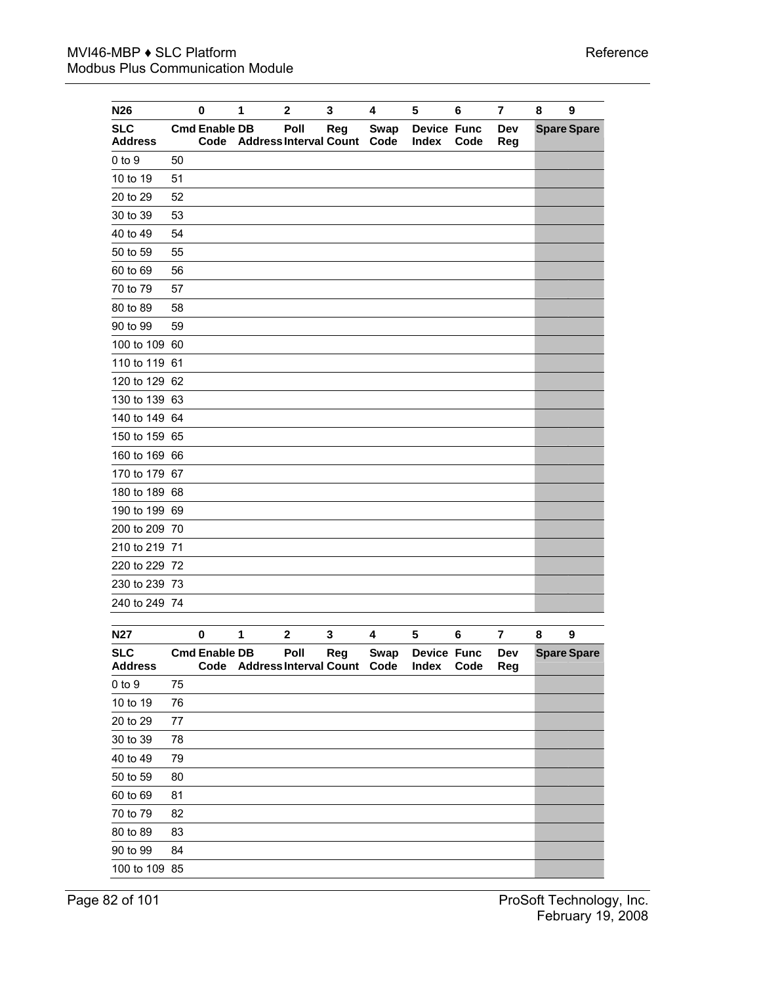| N <sub>26</sub>              |    | 0                            | 1                             | $\mathbf{2}$ | 3   | 4                   | 5                                  | 6    | 7              | 8 | 9                  |
|------------------------------|----|------------------------------|-------------------------------|--------------|-----|---------------------|------------------------------------|------|----------------|---|--------------------|
| <b>SLC</b><br><b>Address</b> |    | <b>Cmd Enable DB</b><br>Code | <b>Address Interval Count</b> | Poll         | Reg | <b>Swap</b><br>Code | <b>Device Func</b><br><b>Index</b> | Code | Dev<br>Reg     |   | <b>Spare Spare</b> |
| $0$ to $9$                   | 50 |                              |                               |              |     |                     |                                    |      |                |   |                    |
| 10 to 19                     | 51 |                              |                               |              |     |                     |                                    |      |                |   |                    |
| 20 to 29                     | 52 |                              |                               |              |     |                     |                                    |      |                |   |                    |
| 30 to 39                     | 53 |                              |                               |              |     |                     |                                    |      |                |   |                    |
| 40 to 49                     | 54 |                              |                               |              |     |                     |                                    |      |                |   |                    |
| 50 to 59                     | 55 |                              |                               |              |     |                     |                                    |      |                |   |                    |
| 60 to 69                     | 56 |                              |                               |              |     |                     |                                    |      |                |   |                    |
| 70 to 79                     | 57 |                              |                               |              |     |                     |                                    |      |                |   |                    |
| 80 to 89                     | 58 |                              |                               |              |     |                     |                                    |      |                |   |                    |
| 90 to 99                     | 59 |                              |                               |              |     |                     |                                    |      |                |   |                    |
| 100 to 109 60                |    |                              |                               |              |     |                     |                                    |      |                |   |                    |
| 110 to 119 61                |    |                              |                               |              |     |                     |                                    |      |                |   |                    |
| 120 to 129 62                |    |                              |                               |              |     |                     |                                    |      |                |   |                    |
| 130 to 139 63                |    |                              |                               |              |     |                     |                                    |      |                |   |                    |
| 140 to 149 64                |    |                              |                               |              |     |                     |                                    |      |                |   |                    |
| 150 to 159 65                |    |                              |                               |              |     |                     |                                    |      |                |   |                    |
| 160 to 169 66                |    |                              |                               |              |     |                     |                                    |      |                |   |                    |
| 170 to 179 67                |    |                              |                               |              |     |                     |                                    |      |                |   |                    |
| 180 to 189 68                |    |                              |                               |              |     |                     |                                    |      |                |   |                    |
| 190 to 199 69                |    |                              |                               |              |     |                     |                                    |      |                |   |                    |
| 200 to 209 70                |    |                              |                               |              |     |                     |                                    |      |                |   |                    |
| 210 to 219 71                |    |                              |                               |              |     |                     |                                    |      |                |   |                    |
| 220 to 229 72                |    |                              |                               |              |     |                     |                                    |      |                |   |                    |
| 230 to 239 73                |    |                              |                               |              |     |                     |                                    |      |                |   |                    |
| 240 to 249 74                |    |                              |                               |              |     |                     |                                    |      |                |   |                    |
| N27                          |    | $\pmb{0}$                    | 1                             | $\mathbf{2}$ | 3   | 4                   | 5                                  | 6    | $\overline{7}$ | 8 | $\boldsymbol{9}$   |
| <b>SLC</b><br><b>Address</b> |    | <b>Cmd Enable DB</b><br>Code | <b>Address Interval Count</b> | Poll         | Reg | Swap<br>Code        | <b>Device Func</b><br><b>Index</b> | Code | Dev<br>Reg     |   | <b>Spare Spare</b> |
| $0$ to $9$                   | 75 |                              |                               |              |     |                     |                                    |      |                |   |                    |
| 10 to 19                     | 76 |                              |                               |              |     |                     |                                    |      |                |   |                    |
| 20 to 29                     | 77 |                              |                               |              |     |                     |                                    |      |                |   |                    |
| 30 to 39                     | 78 |                              |                               |              |     |                     |                                    |      |                |   |                    |
| 40 to 49                     | 79 |                              |                               |              |     |                     |                                    |      |                |   |                    |
| 50 to 59                     | 80 |                              |                               |              |     |                     |                                    |      |                |   |                    |
| 60 to 69                     | 81 |                              |                               |              |     |                     |                                    |      |                |   |                    |
| 70 to 79                     | 82 |                              |                               |              |     |                     |                                    |      |                |   |                    |
| 80 to 89                     | 83 |                              |                               |              |     |                     |                                    |      |                |   |                    |
| 90 to 99                     | 84 |                              |                               |              |     |                     |                                    |      |                |   |                    |
| 100 to 109 85                |    |                              |                               |              |     |                     |                                    |      |                |   |                    |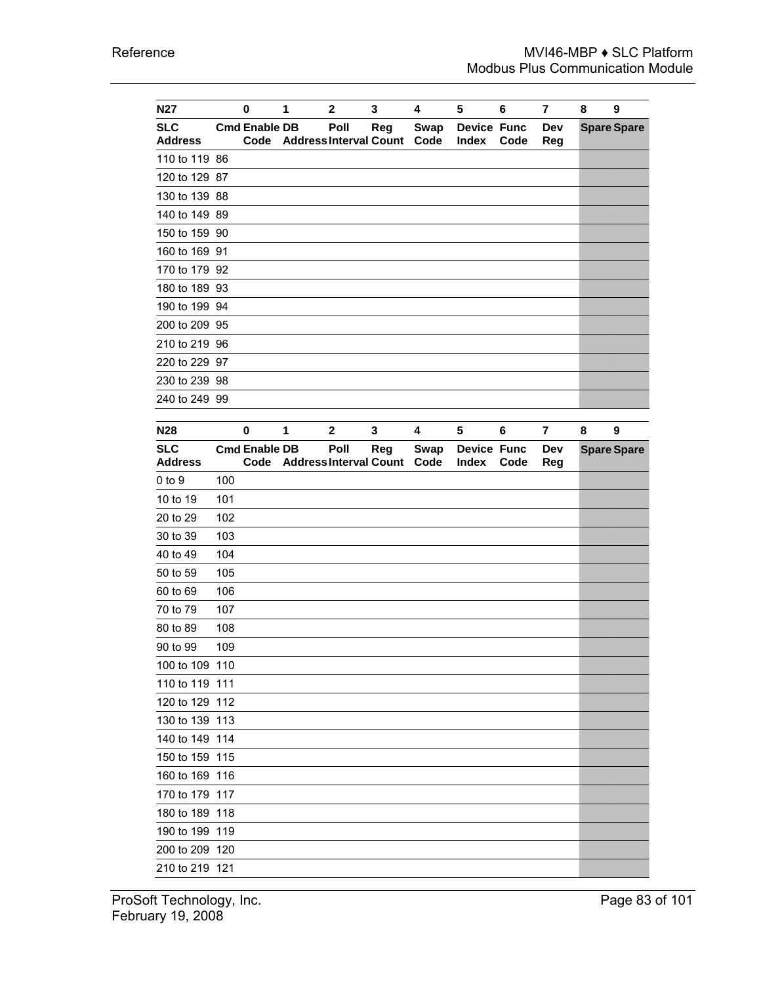| <b>N27</b>                   |     | $\bf{0}$                     | $\mathbf 1$                        | $\mathbf{2}$ | 3   | 4            | 5                                  | 6    | $\overline{7}$ | 8 | 9                  |
|------------------------------|-----|------------------------------|------------------------------------|--------------|-----|--------------|------------------------------------|------|----------------|---|--------------------|
| <b>SLC</b><br><b>Address</b> |     | <b>Cmd Enable DB</b><br>Code | <b>Address Interval Count</b>      | Poll         | Reg | Swap<br>Code | <b>Device Func</b><br>Index        | Code | Dev<br>Reg     |   | <b>Spare Spare</b> |
| 110 to 119 86                |     |                              |                                    |              |     |              |                                    |      |                |   |                    |
| 120 to 129 87                |     |                              |                                    |              |     |              |                                    |      |                |   |                    |
| 130 to 139 88                |     |                              |                                    |              |     |              |                                    |      |                |   |                    |
| 140 to 149 89                |     |                              |                                    |              |     |              |                                    |      |                |   |                    |
| 150 to 159 90                |     |                              |                                    |              |     |              |                                    |      |                |   |                    |
| 160 to 169 91                |     |                              |                                    |              |     |              |                                    |      |                |   |                    |
| 170 to 179 92                |     |                              |                                    |              |     |              |                                    |      |                |   |                    |
| 180 to 189 93                |     |                              |                                    |              |     |              |                                    |      |                |   |                    |
| 190 to 199 94                |     |                              |                                    |              |     |              |                                    |      |                |   |                    |
| 200 to 209 95                |     |                              |                                    |              |     |              |                                    |      |                |   |                    |
| 210 to 219 96                |     |                              |                                    |              |     |              |                                    |      |                |   |                    |
| 220 to 229 97                |     |                              |                                    |              |     |              |                                    |      |                |   |                    |
| 230 to 239 98                |     |                              |                                    |              |     |              |                                    |      |                |   |                    |
| 240 to 249 99                |     |                              |                                    |              |     |              |                                    |      |                |   |                    |
|                              |     |                              |                                    |              |     |              |                                    |      |                |   |                    |
| <b>N28</b>                   |     | $\mathbf 0$                  | 1                                  | $\mathbf{2}$ | 3   | 4            | 5                                  | 6    | $\overline{7}$ | 8 | 9                  |
| <b>SLC</b><br><b>Address</b> |     | <b>Cmd Enable DB</b><br>Code | <b>Address Interval Count Code</b> | Poll         | Reg | <b>Swap</b>  | <b>Device Func</b><br><b>Index</b> | Code | Dev<br>Reg     |   | <b>Spare Spare</b> |
| $0$ to $9$                   | 100 |                              |                                    |              |     |              |                                    |      |                |   |                    |
| 10 to 19                     | 101 |                              |                                    |              |     |              |                                    |      |                |   |                    |
| 20 to 29                     | 102 |                              |                                    |              |     |              |                                    |      |                |   |                    |
| 30 to 39                     | 103 |                              |                                    |              |     |              |                                    |      |                |   |                    |
| 40 to 49                     | 104 |                              |                                    |              |     |              |                                    |      |                |   |                    |
| 50 to 59                     | 105 |                              |                                    |              |     |              |                                    |      |                |   |                    |
| 60 to 69                     | 106 |                              |                                    |              |     |              |                                    |      |                |   |                    |
| 70 to 79                     | 107 |                              |                                    |              |     |              |                                    |      |                |   |                    |
| 80 to 89                     | 108 |                              |                                    |              |     |              |                                    |      |                |   |                    |
| 90 to 99                     | 109 |                              |                                    |              |     |              |                                    |      |                |   |                    |
| 100 to 109 110               |     |                              |                                    |              |     |              |                                    |      |                |   |                    |
| 110 to 119 111               |     |                              |                                    |              |     |              |                                    |      |                |   |                    |
| 120 to 129 112               |     |                              |                                    |              |     |              |                                    |      |                |   |                    |
| 130 to 139 113               |     |                              |                                    |              |     |              |                                    |      |                |   |                    |
| 140 to 149 114               |     |                              |                                    |              |     |              |                                    |      |                |   |                    |
| 150 to 159 115               |     |                              |                                    |              |     |              |                                    |      |                |   |                    |
| 160 to 169 116               |     |                              |                                    |              |     |              |                                    |      |                |   |                    |
| 170 to 179 117               |     |                              |                                    |              |     |              |                                    |      |                |   |                    |
| 180 to 189 118               |     |                              |                                    |              |     |              |                                    |      |                |   |                    |
| 190 to 199 119               |     |                              |                                    |              |     |              |                                    |      |                |   |                    |
| 200 to 209 120               |     |                              |                                    |              |     |              |                                    |      |                |   |                    |
| 210 to 219 121               |     |                              |                                    |              |     |              |                                    |      |                |   |                    |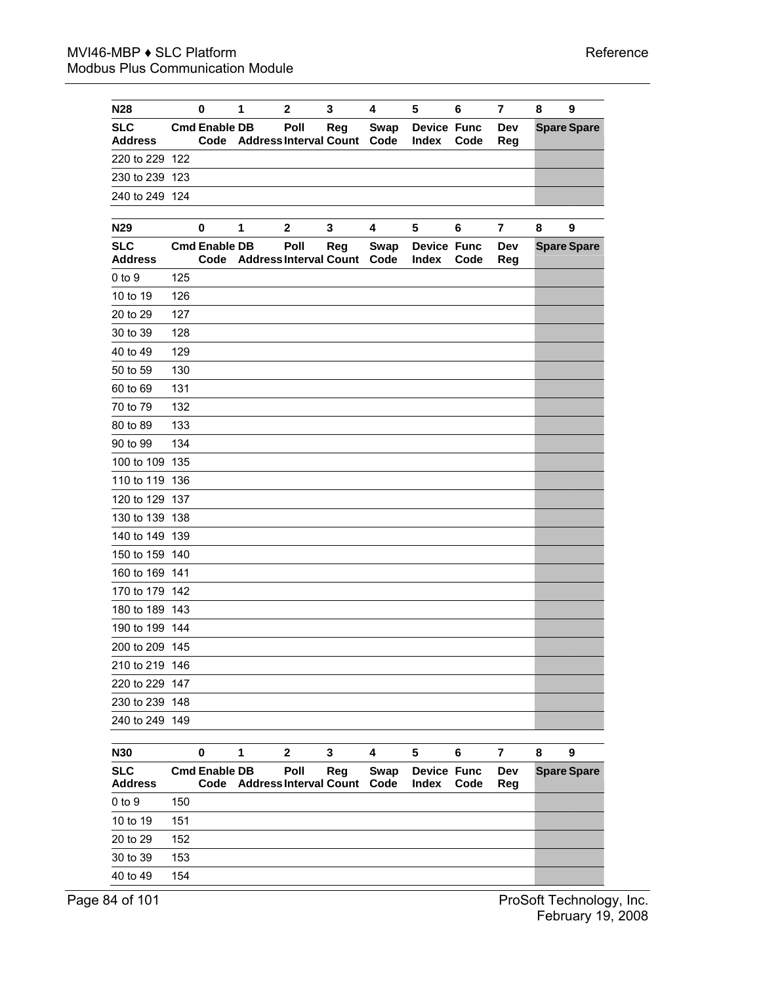| <b>N28</b>                   |     | $\bf{0}$                         | 1                                | $\overline{2}$       | 3   | 4                   | 5                                  | 6    | $\overline{7}$ | 8 | 9                  |
|------------------------------|-----|----------------------------------|----------------------------------|----------------------|-----|---------------------|------------------------------------|------|----------------|---|--------------------|
| <b>SLC</b>                   |     | <b>Cmd Enable DB</b>             |                                  | Poll                 | Reg | Swap                | <b>Device Func</b>                 |      | Dev            |   | <b>Spare Spare</b> |
| <b>Address</b>               |     |                                  | Code Address Interval Count Code |                      |     |                     | <b>Index</b>                       | Code | Reg            |   |                    |
| 220 to 229 122               |     |                                  |                                  |                      |     |                     |                                    |      |                |   |                    |
| 230 to 239 123               |     |                                  |                                  |                      |     |                     |                                    |      |                |   |                    |
| 240 to 249 124               |     |                                  |                                  |                      |     |                     |                                    |      |                |   |                    |
|                              |     |                                  | $\mathbf 1$                      |                      | 3   |                     |                                    |      | $\overline{7}$ |   | $\boldsymbol{9}$   |
| N29<br><b>SLC</b>            |     | $\bf{0}$<br><b>Cmd Enable DB</b> |                                  | $\mathbf{2}$<br>Poll |     | 4                   | 5<br><b>Device Func</b>            | 6    | Dev            | 8 |                    |
| <b>Address</b>               |     | Code                             | <b>Address Interval Count</b>    |                      | Reg | <b>Swap</b><br>Code | <b>Index</b>                       | Code | Reg            |   | <b>Spare Spare</b> |
| $0$ to $9$                   | 125 |                                  |                                  |                      |     |                     |                                    |      |                |   |                    |
| 10 to 19                     | 126 |                                  |                                  |                      |     |                     |                                    |      |                |   |                    |
| 20 to 29                     | 127 |                                  |                                  |                      |     |                     |                                    |      |                |   |                    |
| 30 to 39                     | 128 |                                  |                                  |                      |     |                     |                                    |      |                |   |                    |
| 40 to 49                     | 129 |                                  |                                  |                      |     |                     |                                    |      |                |   |                    |
| 50 to 59                     | 130 |                                  |                                  |                      |     |                     |                                    |      |                |   |                    |
| 60 to 69                     | 131 |                                  |                                  |                      |     |                     |                                    |      |                |   |                    |
| 70 to 79                     | 132 |                                  |                                  |                      |     |                     |                                    |      |                |   |                    |
| 80 to 89                     | 133 |                                  |                                  |                      |     |                     |                                    |      |                |   |                    |
| 90 to 99                     | 134 |                                  |                                  |                      |     |                     |                                    |      |                |   |                    |
| 100 to 109 135               |     |                                  |                                  |                      |     |                     |                                    |      |                |   |                    |
| 110 to 119 136               |     |                                  |                                  |                      |     |                     |                                    |      |                |   |                    |
| 120 to 129 137               |     |                                  |                                  |                      |     |                     |                                    |      |                |   |                    |
| 130 to 139 138               |     |                                  |                                  |                      |     |                     |                                    |      |                |   |                    |
| 140 to 149 139               |     |                                  |                                  |                      |     |                     |                                    |      |                |   |                    |
| 150 to 159 140               |     |                                  |                                  |                      |     |                     |                                    |      |                |   |                    |
| 160 to 169 141               |     |                                  |                                  |                      |     |                     |                                    |      |                |   |                    |
| 170 to 179 142               |     |                                  |                                  |                      |     |                     |                                    |      |                |   |                    |
| 180 to 189 143               |     |                                  |                                  |                      |     |                     |                                    |      |                |   |                    |
| 190 to 199 144               |     |                                  |                                  |                      |     |                     |                                    |      |                |   |                    |
| 200 to 209 145               |     |                                  |                                  |                      |     |                     |                                    |      |                |   |                    |
| 210 to 219 146               |     |                                  |                                  |                      |     |                     |                                    |      |                |   |                    |
| 220 to 229 147               |     |                                  |                                  |                      |     |                     |                                    |      |                |   |                    |
| 230 to 239 148               |     |                                  |                                  |                      |     |                     |                                    |      |                |   |                    |
| 240 to 249 149               |     |                                  |                                  |                      |     |                     |                                    |      |                |   |                    |
|                              |     |                                  |                                  |                      |     |                     |                                    |      |                |   |                    |
| <b>N30</b>                   |     | $\bf{0}$                         | 1                                | $\mathbf{2}$         | 3   | 4                   | 5                                  | 6    | 7              | 8 | 9                  |
| <b>SLC</b><br><b>Address</b> |     | <b>Cmd Enable DB</b><br>Code     | <b>Address Interval Count</b>    | Poll                 | Reg | <b>Swap</b><br>Code | <b>Device Func</b><br><b>Index</b> | Code | Dev<br>Reg     |   | <b>Spare Spare</b> |
| $0$ to $9$                   | 150 |                                  |                                  |                      |     |                     |                                    |      |                |   |                    |
| 10 to 19                     | 151 |                                  |                                  |                      |     |                     |                                    |      |                |   |                    |
| 20 to 29                     | 152 |                                  |                                  |                      |     |                     |                                    |      |                |   |                    |
| 30 to 39                     | 153 |                                  |                                  |                      |     |                     |                                    |      |                |   |                    |
| 40 to 49                     | 154 |                                  |                                  |                      |     |                     |                                    |      |                |   |                    |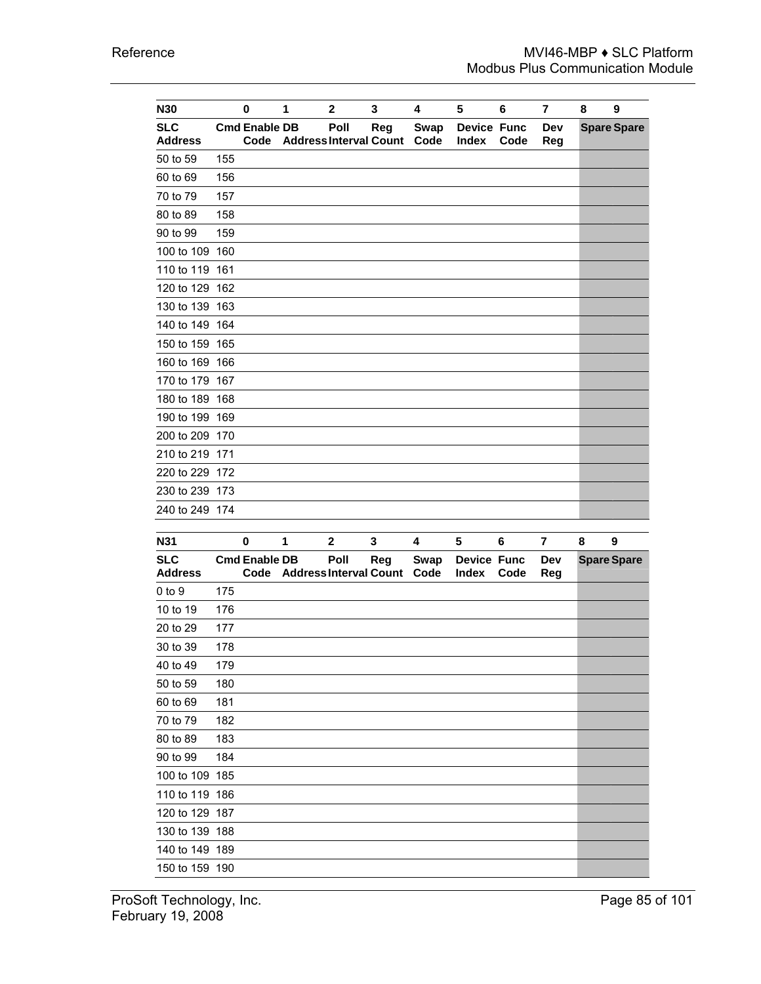| N30                          |     | $\bf{0}$                     | 1                             | $\mathbf{2}$ | 3   | 4                   | 5                                  | 6    | $\overline{\mathbf{r}}$ | 8 | 9                  |
|------------------------------|-----|------------------------------|-------------------------------|--------------|-----|---------------------|------------------------------------|------|-------------------------|---|--------------------|
| <b>SLC</b><br><b>Address</b> |     | <b>Cmd Enable DB</b><br>Code | <b>Address Interval Count</b> | Poll         | Reg | <b>Swap</b><br>Code | <b>Device Func</b><br><b>Index</b> | Code | Dev<br>Reg              |   | <b>Spare Spare</b> |
| 50 to 59                     | 155 |                              |                               |              |     |                     |                                    |      |                         |   |                    |
| 60 to 69                     | 156 |                              |                               |              |     |                     |                                    |      |                         |   |                    |
| 70 to 79                     | 157 |                              |                               |              |     |                     |                                    |      |                         |   |                    |
| 80 to 89                     | 158 |                              |                               |              |     |                     |                                    |      |                         |   |                    |
| 90 to 99                     | 159 |                              |                               |              |     |                     |                                    |      |                         |   |                    |
| 100 to 109 160               |     |                              |                               |              |     |                     |                                    |      |                         |   |                    |
| 110 to 119 161               |     |                              |                               |              |     |                     |                                    |      |                         |   |                    |
| 120 to 129 162               |     |                              |                               |              |     |                     |                                    |      |                         |   |                    |
| 130 to 139 163               |     |                              |                               |              |     |                     |                                    |      |                         |   |                    |
| 140 to 149 164               |     |                              |                               |              |     |                     |                                    |      |                         |   |                    |
| 150 to 159 165               |     |                              |                               |              |     |                     |                                    |      |                         |   |                    |
| 160 to 169 166               |     |                              |                               |              |     |                     |                                    |      |                         |   |                    |
| 170 to 179 167               |     |                              |                               |              |     |                     |                                    |      |                         |   |                    |
| 180 to 189 168               |     |                              |                               |              |     |                     |                                    |      |                         |   |                    |
| 190 to 199 169               |     |                              |                               |              |     |                     |                                    |      |                         |   |                    |
| 200 to 209                   | 170 |                              |                               |              |     |                     |                                    |      |                         |   |                    |
| 210 to 219                   | 171 |                              |                               |              |     |                     |                                    |      |                         |   |                    |
| 220 to 229 172               |     |                              |                               |              |     |                     |                                    |      |                         |   |                    |
| 230 to 239 173               |     |                              |                               |              |     |                     |                                    |      |                         |   |                    |
| 240 to 249 174               |     |                              |                               |              |     |                     |                                    |      |                         |   |                    |
| N31                          |     | $\bf{0}$                     | 1                             | $\mathbf{2}$ | 3   | 4                   | 5                                  | 6    | $\overline{7}$          | 8 | 9                  |
| <b>SLC</b><br><b>Address</b> |     | <b>Cmd Enable DB</b><br>Code | <b>Address Interval Count</b> | Poll         | Reg | Swap<br>Code        | <b>Device Func</b><br><b>Index</b> | Code | Dev<br>Reg              |   | <b>Spare Spare</b> |
| 0 to 9                       | 175 |                              |                               |              |     |                     |                                    |      |                         |   |                    |
| 10 to 19                     | 176 |                              |                               |              |     |                     |                                    |      |                         |   |                    |
| 20 to 29                     | 177 |                              |                               |              |     |                     |                                    |      |                         |   |                    |
| 30 to 39                     | 178 |                              |                               |              |     |                     |                                    |      |                         |   |                    |
| 40 to 49                     | 179 |                              |                               |              |     |                     |                                    |      |                         |   |                    |
| 50 to 59                     | 180 |                              |                               |              |     |                     |                                    |      |                         |   |                    |
| 60 to 69                     | 181 |                              |                               |              |     |                     |                                    |      |                         |   |                    |
| 70 to 79                     | 182 |                              |                               |              |     |                     |                                    |      |                         |   |                    |
| 80 to 89                     | 183 |                              |                               |              |     |                     |                                    |      |                         |   |                    |
| 90 to 99                     | 184 |                              |                               |              |     |                     |                                    |      |                         |   |                    |
| 100 to 109 185               |     |                              |                               |              |     |                     |                                    |      |                         |   |                    |
| 110 to 119                   | 186 |                              |                               |              |     |                     |                                    |      |                         |   |                    |
| 120 to 129                   | 187 |                              |                               |              |     |                     |                                    |      |                         |   |                    |
| 130 to 139                   | 188 |                              |                               |              |     |                     |                                    |      |                         |   |                    |
| 140 to 149 189               |     |                              |                               |              |     |                     |                                    |      |                         |   |                    |
| 150 to 159 190               |     |                              |                               |              |     |                     |                                    |      |                         |   |                    |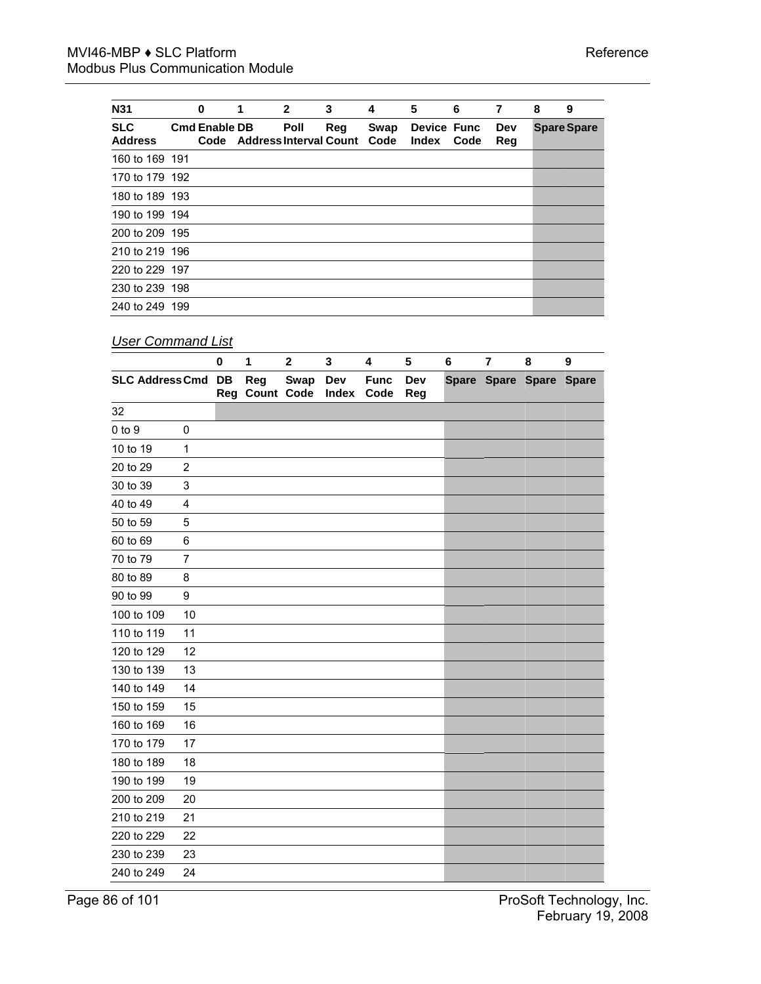| <b>N31</b>                   | 0                    | 1                                | $\mathbf{2}$ | 3   | 4    | 5                           | 6    | 7          | 8 | 9                  |
|------------------------------|----------------------|----------------------------------|--------------|-----|------|-----------------------------|------|------------|---|--------------------|
| <b>SLC</b><br><b>Address</b> | <b>Cmd Enable DB</b> | Code Address Interval Count Code | Poll         | Reg | Swap | <b>Device Func</b><br>Index | Code | Dev<br>Reg |   | <b>Spare Spare</b> |
| 160 to 169 191               |                      |                                  |              |     |      |                             |      |            |   |                    |
| 170 to 179 192               |                      |                                  |              |     |      |                             |      |            |   |                    |
| 180 to 189 193               |                      |                                  |              |     |      |                             |      |            |   |                    |
| 190 to 199 194               |                      |                                  |              |     |      |                             |      |            |   |                    |
| 200 to 209 195               |                      |                                  |              |     |      |                             |      |            |   |                    |
| 210 to 219 196               |                      |                                  |              |     |      |                             |      |            |   |                    |
| 220 to 229 197               |                      |                                  |              |     |      |                             |      |            |   |                    |
| 230 to 239 198               |                      |                                  |              |     |      |                             |      |            |   |                    |
| 240 to 249 199               |                      |                                  |              |     |      |                             |      |            |   |                    |

### *User Command List*

|                        |                | $\mathbf 0$ | $\mathbf{1}$      | $\mathbf{2}$ | 3            | 4                   | $5\phantom{.0}$ | $\bf 6$ | $\overline{\mathbf{7}}$ | 8 | $\boldsymbol{9}$ |
|------------------------|----------------|-------------|-------------------|--------------|--------------|---------------------|-----------------|---------|-------------------------|---|------------------|
| <b>SLC Address Cmd</b> |                | DB<br>Reg   | Reg<br>Count Code | <b>Swap</b>  | Dev<br>Index | <b>Func</b><br>Code | Dev<br>Reg      |         | Spare Spare Spare Spare |   |                  |
| 32                     |                |             |                   |              |              |                     |                 |         |                         |   |                  |
| $0$ to $9$             | 0              |             |                   |              |              |                     |                 |         |                         |   |                  |
| 10 to 19               | 1              |             |                   |              |              |                     |                 |         |                         |   |                  |
| 20 to 29               | $\overline{c}$ |             |                   |              |              |                     |                 |         |                         |   |                  |
| 30 to 39               | 3              |             |                   |              |              |                     |                 |         |                         |   |                  |
| 40 to 49               | 4              |             |                   |              |              |                     |                 |         |                         |   |                  |
| 50 to 59               | 5              |             |                   |              |              |                     |                 |         |                         |   |                  |
| 60 to 69               | 6              |             |                   |              |              |                     |                 |         |                         |   |                  |
| 70 to 79               | $\overline{7}$ |             |                   |              |              |                     |                 |         |                         |   |                  |
| 80 to 89               | 8              |             |                   |              |              |                     |                 |         |                         |   |                  |
| 90 to 99               | 9              |             |                   |              |              |                     |                 |         |                         |   |                  |
| 100 to 109             | 10             |             |                   |              |              |                     |                 |         |                         |   |                  |
| 110 to 119             | 11             |             |                   |              |              |                     |                 |         |                         |   |                  |
| 120 to 129             | 12             |             |                   |              |              |                     |                 |         |                         |   |                  |
| 130 to 139             | 13             |             |                   |              |              |                     |                 |         |                         |   |                  |
| 140 to 149             | 14             |             |                   |              |              |                     |                 |         |                         |   |                  |
| 150 to 159             | 15             |             |                   |              |              |                     |                 |         |                         |   |                  |
| 160 to 169             | 16             |             |                   |              |              |                     |                 |         |                         |   |                  |
| 170 to 179             | 17             |             |                   |              |              |                     |                 |         |                         |   |                  |
| 180 to 189             | 18             |             |                   |              |              |                     |                 |         |                         |   |                  |
| 190 to 199             | 19             |             |                   |              |              |                     |                 |         |                         |   |                  |
| 200 to 209             | 20             |             |                   |              |              |                     |                 |         |                         |   |                  |
| 210 to 219             | 21             |             |                   |              |              |                     |                 |         |                         |   |                  |
| 220 to 229             | 22             |             |                   |              |              |                     |                 |         |                         |   |                  |
| 230 to 239             | 23             |             |                   |              |              |                     |                 |         |                         |   |                  |
| 240 to 249             | 24             |             |                   |              |              |                     |                 |         |                         |   |                  |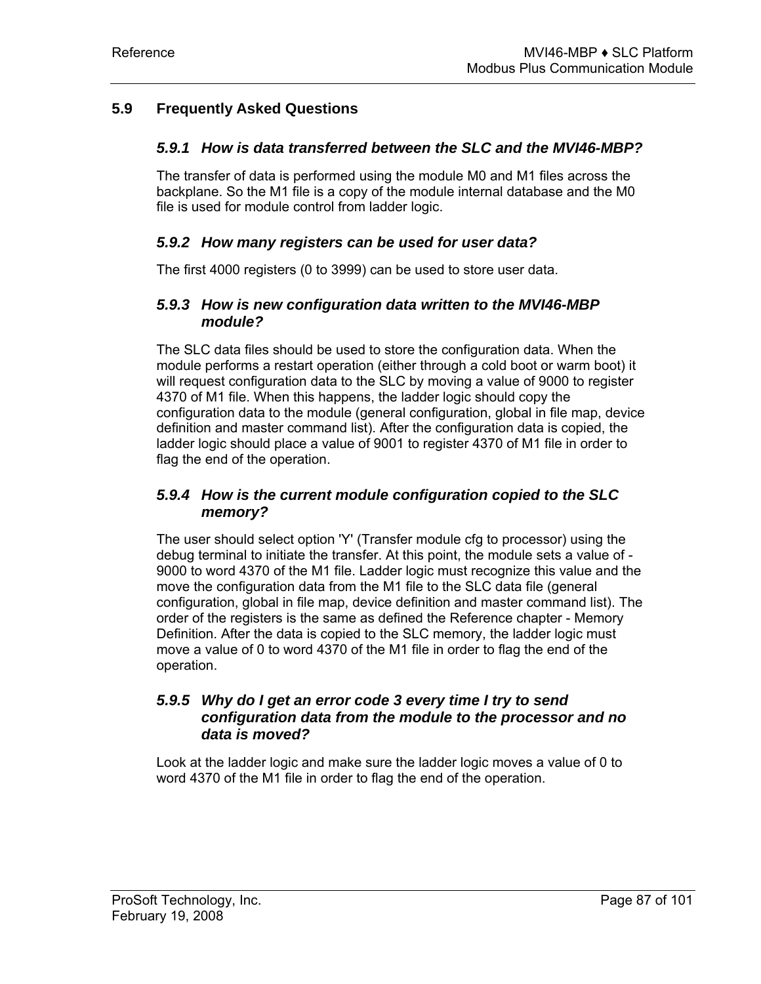### **5.9 Frequently Asked Questions**

### *5.9.1 How is data transferred between the SLC and the MVI46-MBP?*

The transfer of data is performed using the module M0 and M1 files across the backplane. So the M1 file is a copy of the module internal database and the M0 file is used for module control from ladder logic.

### *5.9.2 How many registers can be used for user data?*

The first 4000 registers (0 to 3999) can be used to store user data.

#### *5.9.3 How is new configuration data written to the MVI46-MBP module?*

The SLC data files should be used to store the configuration data. When the module performs a restart operation (either through a cold boot or warm boot) it will request configuration data to the SLC by moving a value of 9000 to register 4370 of M1 file. When this happens, the ladder logic should copy the configuration data to the module (general configuration, global in file map, device definition and master command list). After the configuration data is copied, the ladder logic should place a value of 9001 to register 4370 of M1 file in order to flag the end of the operation.

### *5.9.4 How is the current module configuration copied to the SLC memory?*

The user should select option 'Y' (Transfer module cfg to processor) using the debug terminal to initiate the transfer. At this point, the module sets a value of - 9000 to word 4370 of the M1 file. Ladder logic must recognize this value and the move the configuration data from the M1 file to the SLC data file (general configuration, global in file map, device definition and master command list). The order of the registers is the same as defined the Reference chapter - Memory Definition. After the data is copied to the SLC memory, the ladder logic must move a value of 0 to word 4370 of the M1 file in order to flag the end of the operation.

### *5.9.5 Why do I get an error code 3 every time I try to send configuration data from the module to the processor and no data is moved?*

Look at the ladder logic and make sure the ladder logic moves a value of 0 to word 4370 of the M1 file in order to flag the end of the operation.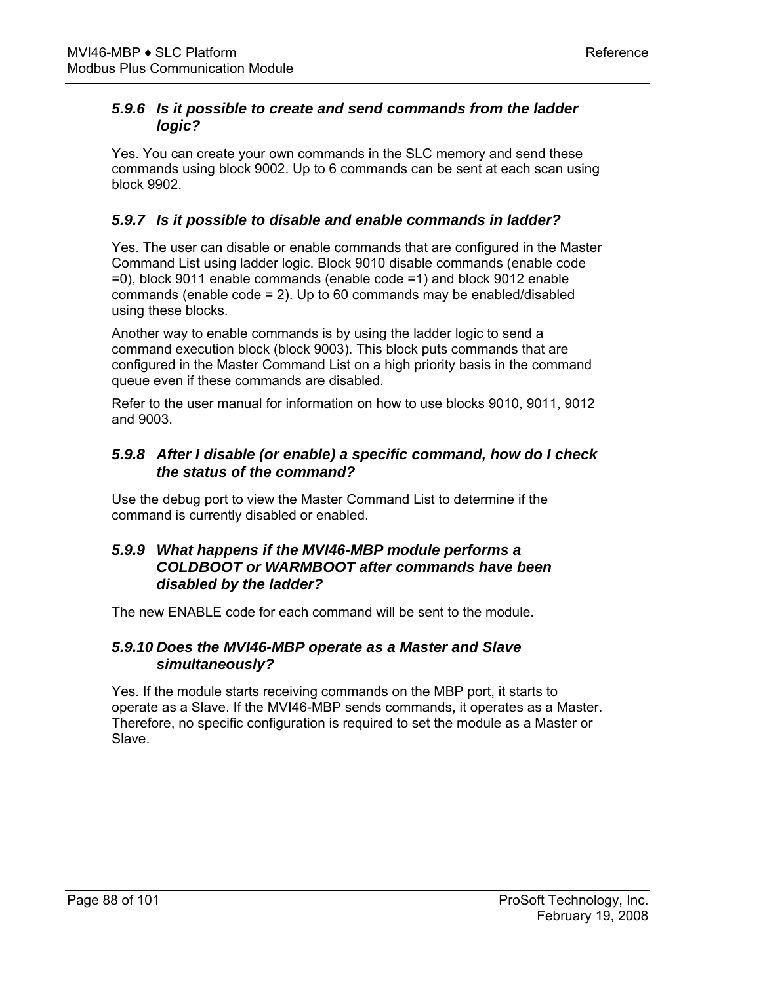### *5.9.6 Is it possible to create and send commands from the ladder logic?*

Yes. You can create your own commands in the SLC memory and send these commands using block 9002. Up to 6 commands can be sent at each scan using block 9902.

### *5.9.7 Is it possible to disable and enable commands in ladder?*

Yes. The user can disable or enable commands that are configured in the Master Command List using ladder logic. Block 9010 disable commands (enable code =0), block 9011 enable commands (enable code =1) and block 9012 enable commands (enable code = 2). Up to 60 commands may be enabled/disabled using these blocks.

Another way to enable commands is by using the ladder logic to send a command execution block (block 9003). This block puts commands that are configured in the Master Command List on a high priority basis in the command queue even if these commands are disabled.

Refer to the user manual for information on how to use blocks 9010, 9011, 9012 and 9003.

### *5.9.8 After I disable (or enable) a specific command, how do I check the status of the command?*

Use the debug port to view the Master Command List to determine if the command is currently disabled or enabled.

### *5.9.9 What happens if the MVI46-MBP module performs a COLDBOOT or WARMBOOT after commands have been disabled by the ladder?*

The new ENABLE code for each command will be sent to the module.

### *5.9.10 Does the MVI46-MBP operate as a Master and Slave simultaneously?*

Yes. If the module starts receiving commands on the MBP port, it starts to operate as a Slave. If the MVI46-MBP sends commands, it operates as a Master. Therefore, no specific configuration is required to set the module as a Master or Slave.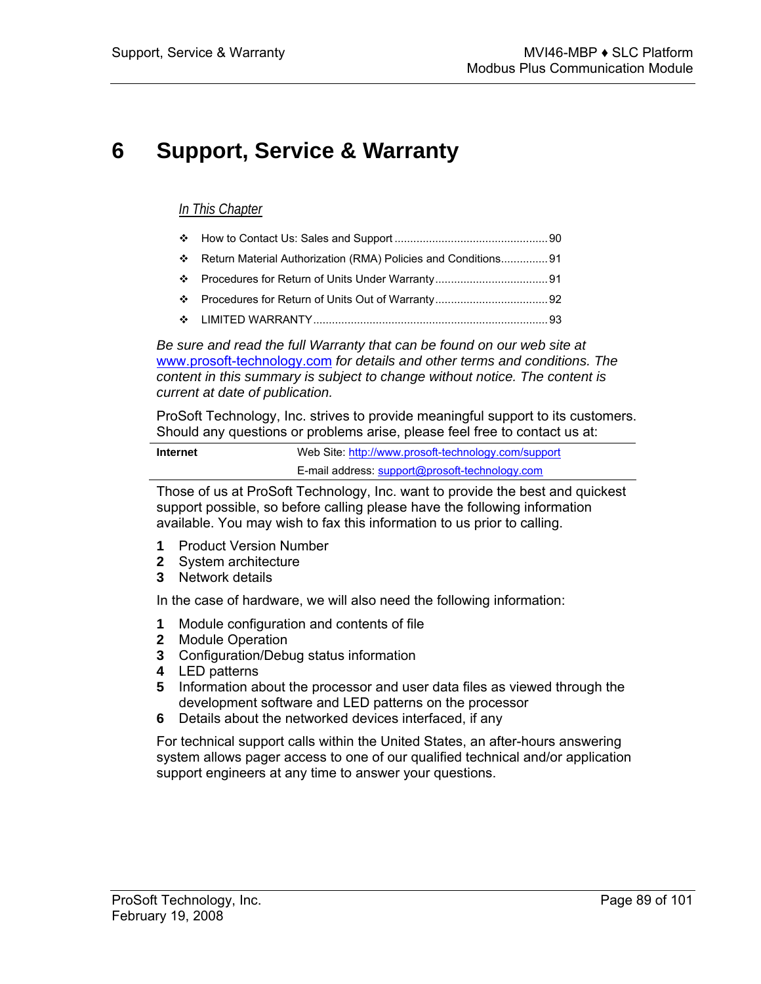# **6 Support, Service & Warranty**

#### *In This Chapter*

| ❖ Return Material Authorization (RMA) Policies and Conditions91 |
|-----------------------------------------------------------------|

[LIMITED WARRANTY..](#page-92-0).........................................................................[93](#page-92-0) 

*Be sure and read the full Warranty that can be found on our web site at*  [www.prosoft-technology.com](http://www.prosoft-technology.com/) *for details and other terms and conditions. The content in this summary is subject to change without notice. The content is current at date of publication.*

ProSoft Technology, Inc. strives to provide meaningful support to its customers. Should any questions or problems arise, please feel free to contact us at:

| Internet | Web Site: http://www.prosoft-technology.com/support |
|----------|-----------------------------------------------------|
|          | E-mail address: support@prosoft-technology.com      |

Those of us at ProSoft Technology, Inc. want to provide the best and quickest support possible, so before calling please have the following information available. You may wish to fax this information to us prior to calling.

- **1** Product Version Number
- **2** System architecture
- **3** Network details

In the case of hardware, we will also need the following information:

- **1** Module configuration and contents of file
- **2** Module Operation
- **3** Configuration/Debug status information
- **4** LED patterns
- **5** Information about the processor and user data files as viewed through the development software and LED patterns on the processor
- **6** Details about the networked devices interfaced, if any

For technical support calls within the United States, an after-hours answering system allows pager access to one of our qualified technical and/or application support engineers at any time to answer your questions.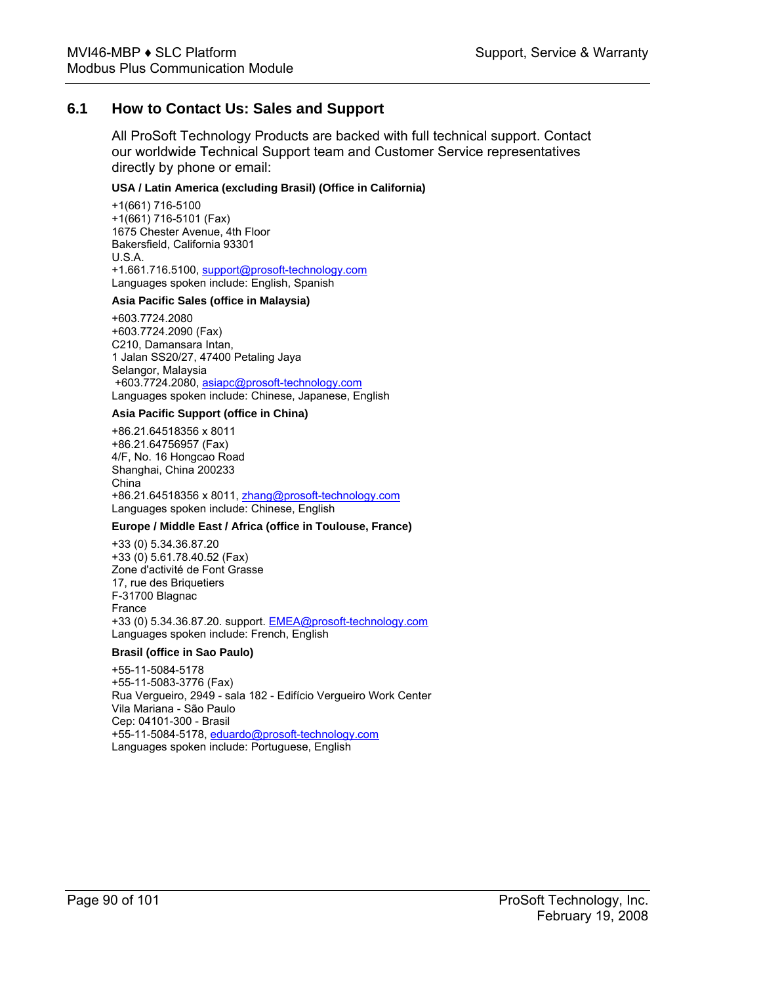#### **6.1 How to Contact Us: Sales and Support**

<span id="page-89-0"></span>All ProSoft Technology Products are backed with full technical support. Contact our worldwide Technical Support team and Customer Service representatives directly by phone or email:

#### **USA / Latin America (excluding Brasil) (Office in California)**

+1(661) 716-5100 +1(661) 716-5101 (Fax) 1675 Chester Avenue, 4th Floor Bakersfield, California 93301 U.S.A. +1.661.716.5100, [support@prosoft-technology.com](mailto:support@prosoft-technology.com) Languages spoken include: English, Spanish

#### **Asia Pacific Sales (office in Malaysia)**

+603.7724.2080 +603.7724.2090 (Fax) C210, Damansara Intan, 1 Jalan SS20/27, 47400 Petaling Jaya Selangor, Malaysia +603.7724.2080, [asiapc@prosoft-technology.com](mailto:asiapc@prosoft-technology.com) Languages spoken include: Chinese, Japanese, English

#### **Asia Pacific Support (office in China)**

+86.21.64518356 x 8011 +86.21.64756957 (Fax) 4/F, No. 16 Hongcao Road Shanghai, China 200233 China +86.21.64518356 x 8011, [zhang@prosoft-technology.com](mailto:zhang@prosoft-technology.com) Languages spoken include: Chinese, English

#### **Europe / Middle East / Africa (office in Toulouse, France)**

+33 (0) 5.34.36.87.20 +33 (0) 5.61.78.40.52 (Fax) Zone d'activité de Font Grasse 17, rue des Briquetiers F-31700 Blagnac France +33 (0) 5.34.36.87.20. support. [EMEA@prosoft-technology.com](mailto:EMEA@prosoft-technology.com) Languages spoken include: French, English

#### **Brasil (office in Sao Paulo)**

+55-11-5084-5178 +55-11-5083-3776 (Fax) Rua Vergueiro, 2949 - sala 182 - Edifício Vergueiro Work Center Vila Mariana - São Paulo Cep: 04101-300 - Brasil +55-11-5084-5178, [eduardo@prosoft-technology.com](mailto:eduardo@prosoft-technology.com) Languages spoken include: Portuguese, English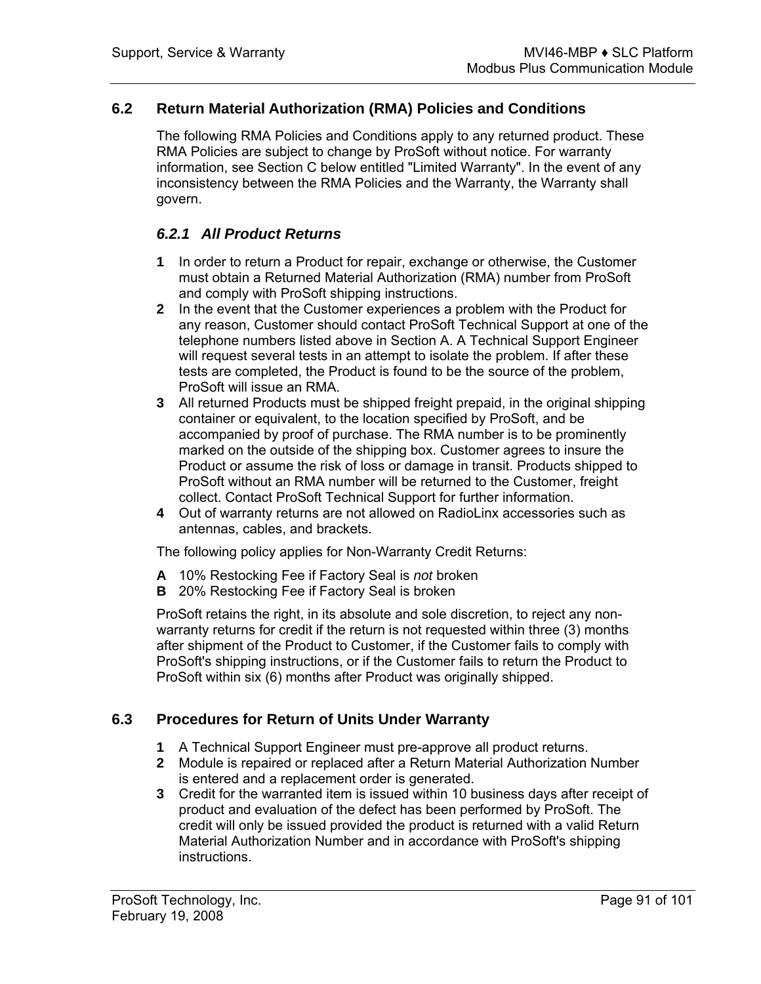### **6.2 Return Material Authorization (RMA) Policies and Conditions**

<span id="page-90-0"></span>The following RMA Policies and Conditions apply to any returned product. These RMA Policies are subject to change by ProSoft without notice. For warranty information, see Section C below entitled "Limited Warranty". In the event of any inconsistency between the RMA Policies and the Warranty, the Warranty shall govern.

### *6.2.1 All Product Returns*

- **1** In order to return a Product for repair, exchange or otherwise, the Customer must obtain a Returned Material Authorization (RMA) number from ProSoft and comply with ProSoft shipping instructions.
- **2** In the event that the Customer experiences a problem with the Product for any reason, Customer should contact ProSoft Technical Support at one of the telephone numbers listed above in Section A. A Technical Support Engineer will request several tests in an attempt to isolate the problem. If after these tests are completed, the Product is found to be the source of the problem, ProSoft will issue an RMA.
- **3** All returned Products must be shipped freight prepaid, in the original shipping container or equivalent, to the location specified by ProSoft, and be accompanied by proof of purchase. The RMA number is to be prominently marked on the outside of the shipping box. Customer agrees to insure the Product or assume the risk of loss or damage in transit. Products shipped to ProSoft without an RMA number will be returned to the Customer, freight collect. Contact ProSoft Technical Support for further information.
- **4** Out of warranty returns are not allowed on RadioLinx accessories such as antennas, cables, and brackets.

The following policy applies for Non-Warranty Credit Returns:

- **A** 10% Restocking Fee if Factory Seal is *not* broken
- **B** 20% Restocking Fee if Factory Seal is broken

ProSoft retains the right, in its absolute and sole discretion, to reject any nonwarranty returns for credit if the return is not requested within three (3) months after shipment of the Product to Customer, if the Customer fails to comply with ProSoft's shipping instructions, or if the Customer fails to return the Product to ProSoft within six (6) months after Product was originally shipped.

### **6.3 Procedures for Return of Units Under Warranty**

- <span id="page-90-1"></span>**1** A Technical Support Engineer must pre-approve all product returns.
- **2** Module is repaired or replaced after a Return Material Authorization Number is entered and a replacement order is generated.
- **3** Credit for the warranted item is issued within 10 business days after receipt of product and evaluation of the defect has been performed by ProSoft. The credit will only be issued provided the product is returned with a valid Return Material Authorization Number and in accordance with ProSoft's shipping instructions.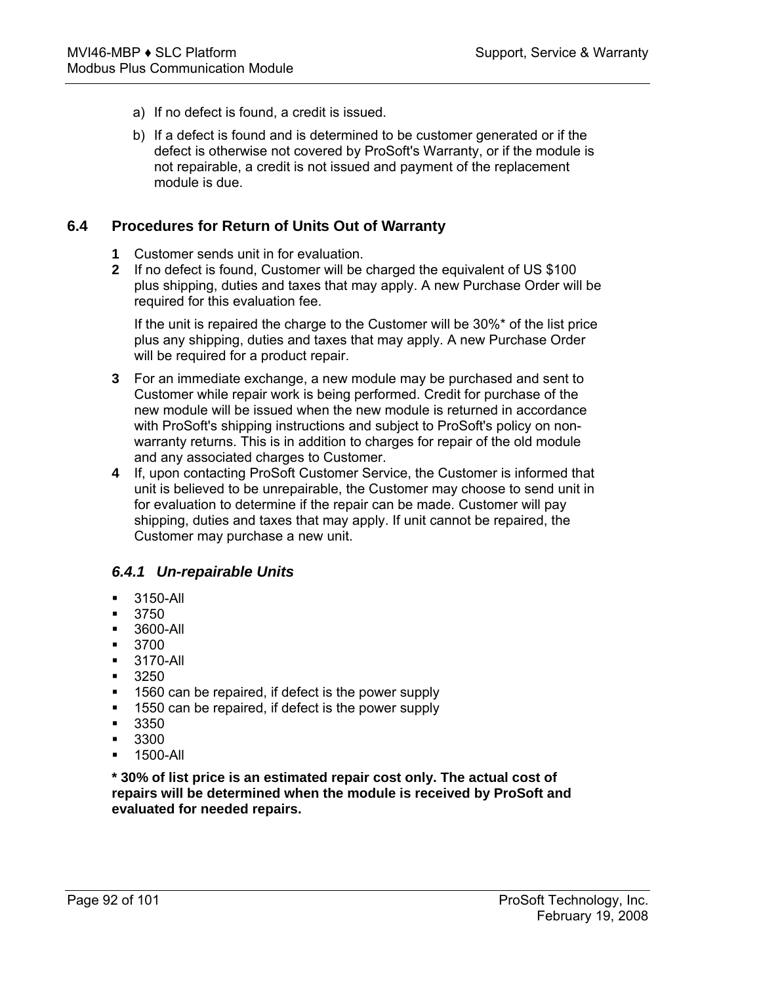- a) If no defect is found, a credit is issued.
- b) If a defect is found and is determined to be customer generated or if the defect is otherwise not covered by ProSoft's Warranty, or if the module is not repairable, a credit is not issued and payment of the replacement module is due.

### **6.4 Procedures for Return of Units Out of Warranty**

- <span id="page-91-0"></span>**1** Customer sends unit in for evaluation.
- **2** If no defect is found, Customer will be charged the equivalent of US \$100 plus shipping, duties and taxes that may apply. A new Purchase Order will be required for this evaluation fee.

If the unit is repaired the charge to the Customer will be 30%\* of the list price plus any shipping, duties and taxes that may apply. A new Purchase Order will be required for a product repair.

- **3** For an immediate exchange, a new module may be purchased and sent to Customer while repair work is being performed. Credit for purchase of the new module will be issued when the new module is returned in accordance with ProSoft's shipping instructions and subject to ProSoft's policy on nonwarranty returns. This is in addition to charges for repair of the old module and any associated charges to Customer.
- **4** If, upon contacting ProSoft Customer Service, the Customer is informed that unit is believed to be unrepairable, the Customer may choose to send unit in for evaluation to determine if the repair can be made. Customer will pay shipping, duties and taxes that may apply. If unit cannot be repaired, the Customer may purchase a new unit.

### *6.4.1 Un-repairable Units*

- **3150-All**
- 3750
- 3600-All
- 3700
- 3170-All
- 3250
- 1560 can be repaired, if defect is the power supply
- 1550 can be repaired, if defect is the power supply
- 3350
- 3300
- 1500-All

**\* 30% of list price is an estimated repair cost only. The actual cost of repairs will be determined when the module is received by ProSoft and evaluated for needed repairs.**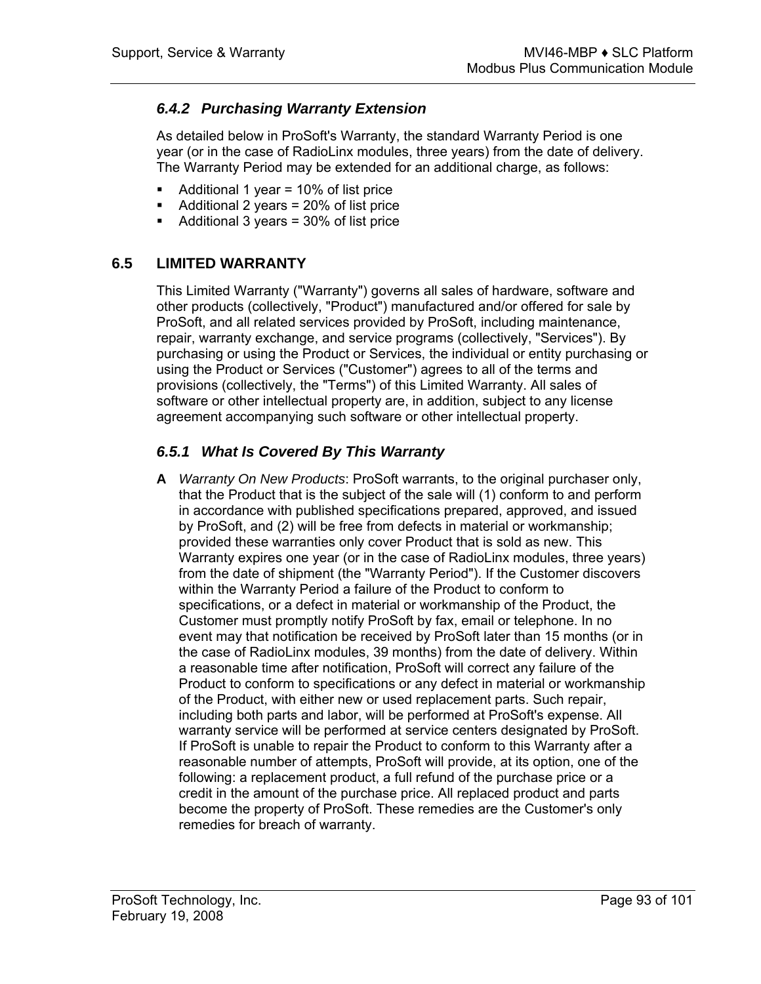### *6.4.2 Purchasing Warranty Extension*

As detailed below in ProSoft's Warranty, the standard Warranty Period is one year (or in the case of RadioLinx modules, three years) from the date of delivery. The Warranty Period may be extended for an additional charge, as follows:

- $\blacksquare$  Additional 1 year = 10% of list price
- Additional 2 years =  $20\%$  of list price
- Additional 3 years = 30% of list price

### **6.5 LIMITED WARRANTY**

<span id="page-92-0"></span>This Limited Warranty ("Warranty") governs all sales of hardware, software and other products (collectively, "Product") manufactured and/or offered for sale by ProSoft, and all related services provided by ProSoft, including maintenance, repair, warranty exchange, and service programs (collectively, "Services"). By purchasing or using the Product or Services, the individual or entity purchasing or using the Product or Services ("Customer") agrees to all of the terms and provisions (collectively, the "Terms") of this Limited Warranty. All sales of software or other intellectual property are, in addition, subject to any license agreement accompanying such software or other intellectual property.

### *6.5.1 What Is Covered By This Warranty*

**A** *Warranty On New Products*: ProSoft warrants, to the original purchaser only, that the Product that is the subject of the sale will (1) conform to and perform in accordance with published specifications prepared, approved, and issued by ProSoft, and (2) will be free from defects in material or workmanship; provided these warranties only cover Product that is sold as new. This Warranty expires one year (or in the case of RadioLinx modules, three years) from the date of shipment (the "Warranty Period"). If the Customer discovers within the Warranty Period a failure of the Product to conform to specifications, or a defect in material or workmanship of the Product, the Customer must promptly notify ProSoft by fax, email or telephone. In no event may that notification be received by ProSoft later than 15 months (or in the case of RadioLinx modules, 39 months) from the date of delivery. Within a reasonable time after notification, ProSoft will correct any failure of the Product to conform to specifications or any defect in material or workmanship of the Product, with either new or used replacement parts. Such repair, including both parts and labor, will be performed at ProSoft's expense. All warranty service will be performed at service centers designated by ProSoft. If ProSoft is unable to repair the Product to conform to this Warranty after a reasonable number of attempts, ProSoft will provide, at its option, one of the following: a replacement product, a full refund of the purchase price or a credit in the amount of the purchase price. All replaced product and parts become the property of ProSoft. These remedies are the Customer's only remedies for breach of warranty.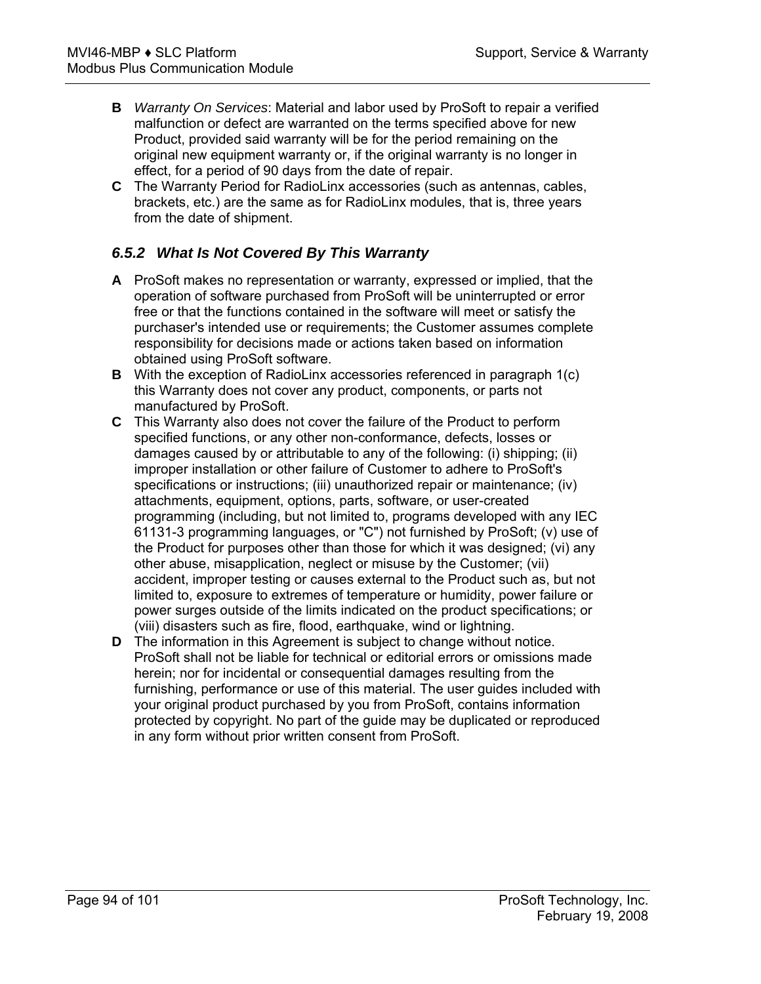- **B** *Warranty On Services*: Material and labor used by ProSoft to repair a verified malfunction or defect are warranted on the terms specified above for new Product, provided said warranty will be for the period remaining on the original new equipment warranty or, if the original warranty is no longer in effect, for a period of 90 days from the date of repair.
- **C** The Warranty Period for RadioLinx accessories (such as antennas, cables, brackets, etc.) are the same as for RadioLinx modules, that is, three years from the date of shipment.

# *6.5.2 What Is Not Covered By This Warranty*

- **A** ProSoft makes no representation or warranty, expressed or implied, that the operation of software purchased from ProSoft will be uninterrupted or error free or that the functions contained in the software will meet or satisfy the purchaser's intended use or requirements; the Customer assumes complete responsibility for decisions made or actions taken based on information obtained using ProSoft software.
- **B** With the exception of RadioLinx accessories referenced in paragraph 1(c) this Warranty does not cover any product, components, or parts not manufactured by ProSoft.
- **C** This Warranty also does not cover the failure of the Product to perform specified functions, or any other non-conformance, defects, losses or damages caused by or attributable to any of the following: (i) shipping; (ii) improper installation or other failure of Customer to adhere to ProSoft's specifications or instructions; (iii) unauthorized repair or maintenance; (iv) attachments, equipment, options, parts, software, or user-created programming (including, but not limited to, programs developed with any IEC 61131-3 programming languages, or "C") not furnished by ProSoft; (v) use of the Product for purposes other than those for which it was designed; (vi) any other abuse, misapplication, neglect or misuse by the Customer; (vii) accident, improper testing or causes external to the Product such as, but not limited to, exposure to extremes of temperature or humidity, power failure or power surges outside of the limits indicated on the product specifications; or (viii) disasters such as fire, flood, earthquake, wind or lightning.
- **D** The information in this Agreement is subject to change without notice. ProSoft shall not be liable for technical or editorial errors or omissions made herein; nor for incidental or consequential damages resulting from the furnishing, performance or use of this material. The user guides included with your original product purchased by you from ProSoft, contains information protected by copyright. No part of the guide may be duplicated or reproduced in any form without prior written consent from ProSoft.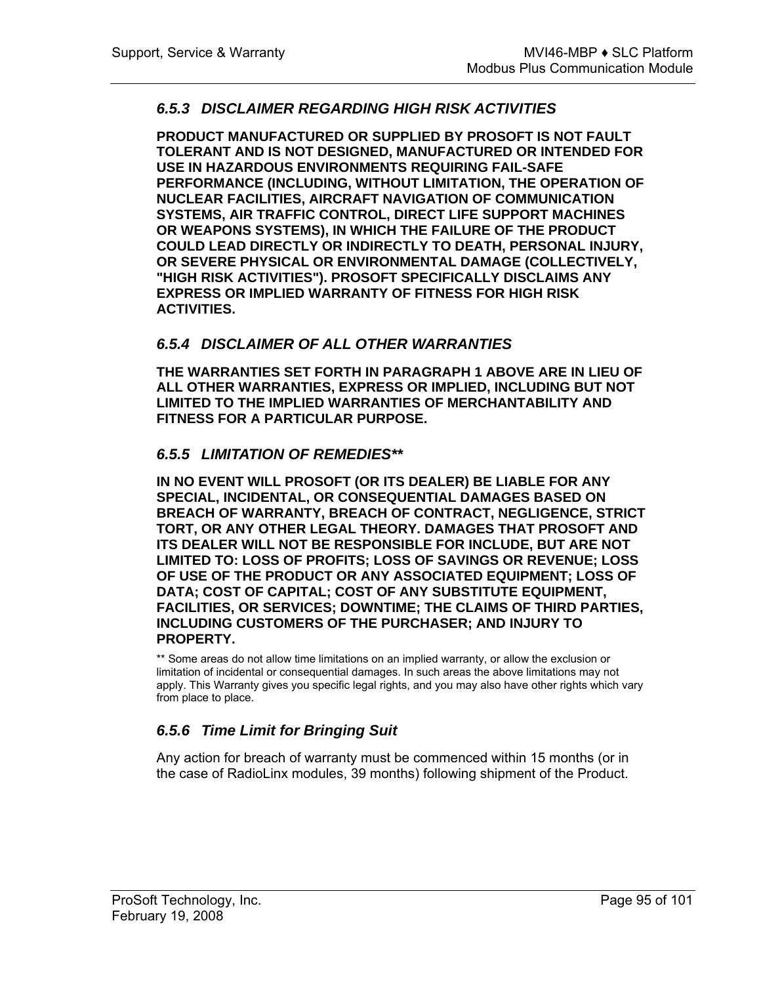### *6.5.3 DISCLAIMER REGARDING HIGH RISK ACTIVITIES*

**PRODUCT MANUFACTURED OR SUPPLIED BY PROSOFT IS NOT FAULT TOLERANT AND IS NOT DESIGNED, MANUFACTURED OR INTENDED FOR USE IN HAZARDOUS ENVIRONMENTS REQUIRING FAIL-SAFE PERFORMANCE (INCLUDING, WITHOUT LIMITATION, THE OPERATION OF NUCLEAR FACILITIES, AIRCRAFT NAVIGATION OF COMMUNICATION SYSTEMS, AIR TRAFFIC CONTROL, DIRECT LIFE SUPPORT MACHINES OR WEAPONS SYSTEMS), IN WHICH THE FAILURE OF THE PRODUCT COULD LEAD DIRECTLY OR INDIRECTLY TO DEATH, PERSONAL INJURY, OR SEVERE PHYSICAL OR ENVIRONMENTAL DAMAGE (COLLECTIVELY, "HIGH RISK ACTIVITIES"). PROSOFT SPECIFICALLY DISCLAIMS ANY EXPRESS OR IMPLIED WARRANTY OF FITNESS FOR HIGH RISK ACTIVITIES.**

#### *6.5.4 DISCLAIMER OF ALL OTHER WARRANTIES*

**THE WARRANTIES SET FORTH IN PARAGRAPH 1 ABOVE ARE IN LIEU OF ALL OTHER WARRANTIES, EXPRESS OR IMPLIED, INCLUDING BUT NOT LIMITED TO THE IMPLIED WARRANTIES OF MERCHANTABILITY AND FITNESS FOR A PARTICULAR PURPOSE.**

#### *6.5.5 LIMITATION OF REMEDIES\*\**

**IN NO EVENT WILL PROSOFT (OR ITS DEALER) BE LIABLE FOR ANY SPECIAL, INCIDENTAL, OR CONSEQUENTIAL DAMAGES BASED ON BREACH OF WARRANTY, BREACH OF CONTRACT, NEGLIGENCE, STRICT TORT, OR ANY OTHER LEGAL THEORY. DAMAGES THAT PROSOFT AND ITS DEALER WILL NOT BE RESPONSIBLE FOR INCLUDE, BUT ARE NOT LIMITED TO: LOSS OF PROFITS; LOSS OF SAVINGS OR REVENUE; LOSS OF USE OF THE PRODUCT OR ANY ASSOCIATED EQUIPMENT; LOSS OF DATA; COST OF CAPITAL; COST OF ANY SUBSTITUTE EQUIPMENT, FACILITIES, OR SERVICES; DOWNTIME; THE CLAIMS OF THIRD PARTIES, INCLUDING CUSTOMERS OF THE PURCHASER; AND INJURY TO PROPERTY.**

\*\* Some areas do not allow time limitations on an implied warranty, or allow the exclusion or limitation of incidental or consequential damages. In such areas the above limitations may not apply. This Warranty gives you specific legal rights, and you may also have other rights which vary from place to place.

### *6.5.6 Time Limit for Bringing Suit*

Any action for breach of warranty must be commenced within 15 months (or in the case of RadioLinx modules, 39 months) following shipment of the Product.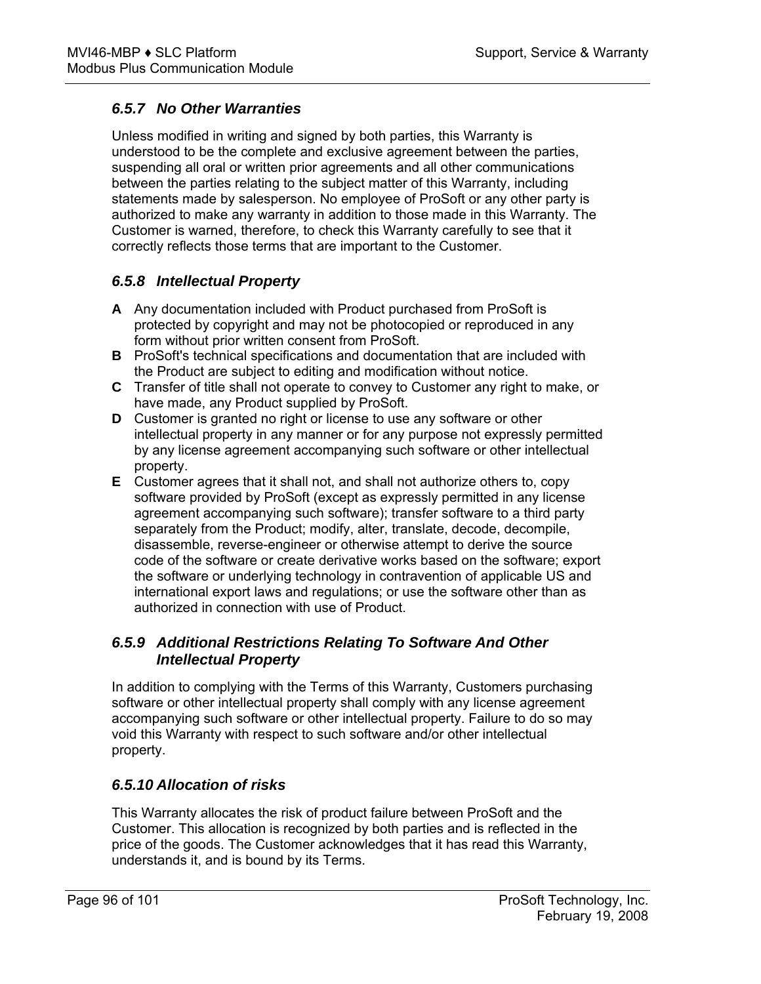# *6.5.7 No Other Warranties*

Unless modified in writing and signed by both parties, this Warranty is understood to be the complete and exclusive agreement between the parties, suspending all oral or written prior agreements and all other communications between the parties relating to the subject matter of this Warranty, including statements made by salesperson. No employee of ProSoft or any other party is authorized to make any warranty in addition to those made in this Warranty. The Customer is warned, therefore, to check this Warranty carefully to see that it correctly reflects those terms that are important to the Customer.

# *6.5.8 Intellectual Property*

- **A** Any documentation included with Product purchased from ProSoft is protected by copyright and may not be photocopied or reproduced in any form without prior written consent from ProSoft.
- **B** ProSoft's technical specifications and documentation that are included with the Product are subject to editing and modification without notice.
- **C** Transfer of title shall not operate to convey to Customer any right to make, or have made, any Product supplied by ProSoft.
- **D** Customer is granted no right or license to use any software or other intellectual property in any manner or for any purpose not expressly permitted by any license agreement accompanying such software or other intellectual property.
- **E** Customer agrees that it shall not, and shall not authorize others to, copy software provided by ProSoft (except as expressly permitted in any license agreement accompanying such software); transfer software to a third party separately from the Product; modify, alter, translate, decode, decompile, disassemble, reverse-engineer or otherwise attempt to derive the source code of the software or create derivative works based on the software; export the software or underlying technology in contravention of applicable US and international export laws and regulations; or use the software other than as authorized in connection with use of Product.

### *6.5.9 Additional Restrictions Relating To Software And Other Intellectual Property*

In addition to complying with the Terms of this Warranty, Customers purchasing software or other intellectual property shall comply with any license agreement accompanying such software or other intellectual property. Failure to do so may void this Warranty with respect to such software and/or other intellectual property.

### *6.5.10 Allocation of risks*

This Warranty allocates the risk of product failure between ProSoft and the Customer. This allocation is recognized by both parties and is reflected in the price of the goods. The Customer acknowledges that it has read this Warranty, understands it, and is bound by its Terms.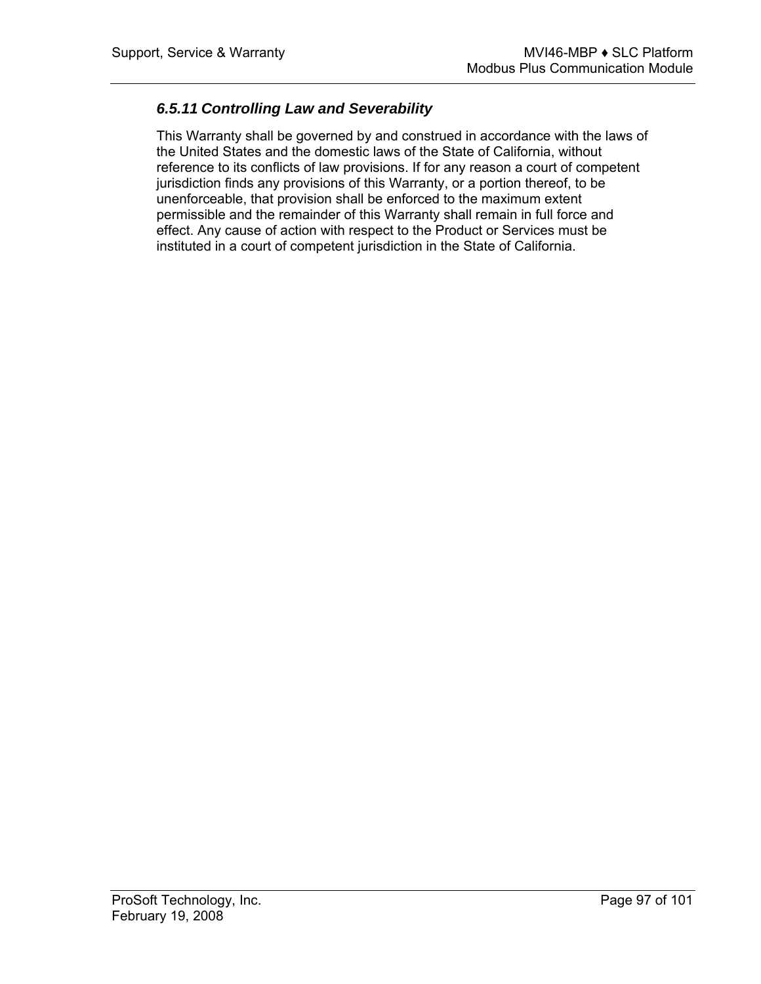### *6.5.11 Controlling Law and Severability*

This Warranty shall be governed by and construed in accordance with the laws of the United States and the domestic laws of the State of California, without reference to its conflicts of law provisions. If for any reason a court of competent jurisdiction finds any provisions of this Warranty, or a portion thereof, to be unenforceable, that provision shall be enforced to the maximum extent permissible and the remainder of this Warranty shall remain in full force and effect. Any cause of action with respect to the Product or Services must be instituted in a court of competent jurisdiction in the State of California.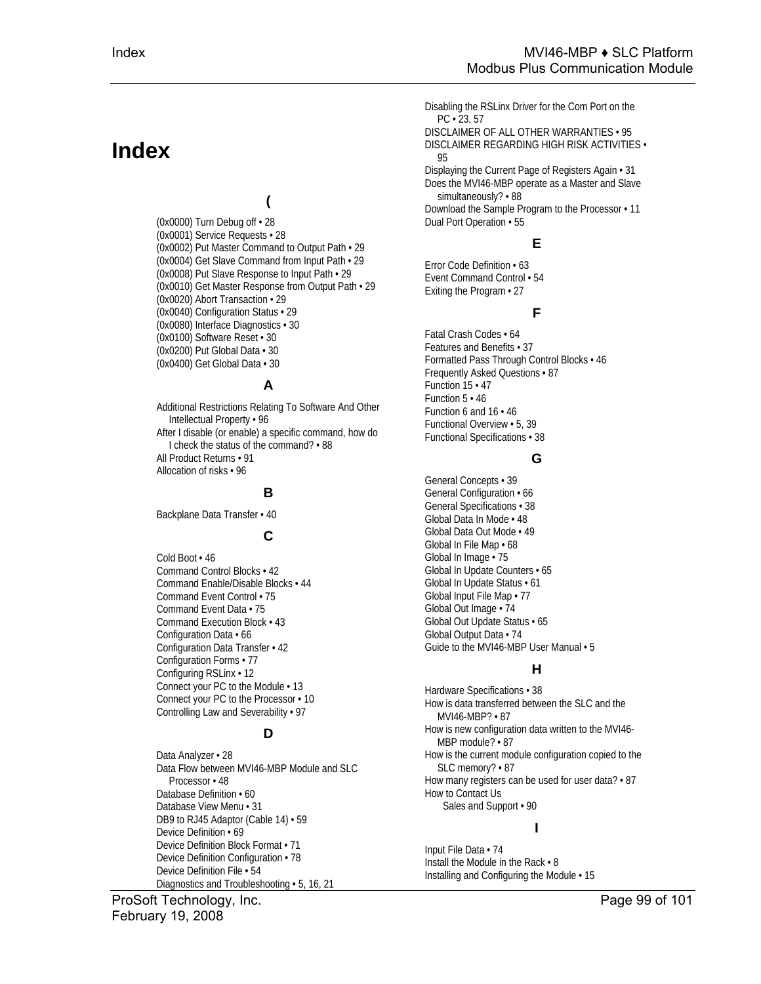# **Index**

# **(**

(0x0000) Turn Debug off • 28 (0x0001) Service Requests • 28 (0x0002) Put Master Command to Output Path • 29 (0x0004) Get Slave Command from Input Path • 29 (0x0008) Put Slave Response to Input Path • 29 (0x0010) Get Master Response from Output Path • 29 (0x0020) Abort Transaction • 29 (0x0040) Configuration Status • 29 (0x0080) Interface Diagnostics • 30 (0x0100) Software Reset • 30 (0x0200) Put Global Data • 30 (0x0400) Get Global Data • 30

#### **A**

Additional Restrictions Relating To Software And Other Intellectual Property • 96 After I disable (or enable) a specific command, how do I check the status of the command? • 88 All Product Returns • 91 Allocation of risks • 96

#### **B**

Backplane Data Transfer • 40

#### **C**

Cold Boot • 46 Command Control Blocks • 42 Command Enable/Disable Blocks • 44 Command Event Control • 75 Command Event Data • 75 Command Execution Block • 43 Configuration Data • 66 Configuration Data Transfer • 42 Configuration Forms • 77 Configuring RSLinx • 12 Connect your PC to the Module • 13 Connect your PC to the Processor • 10 Controlling Law and Severability • 97

#### **D**

Data Analyzer • 28 Data Flow between MVI46-MBP Module and SLC Processor • 48 Database Definition • 60 Database View Menu • 31 DB9 to RJ45 Adaptor (Cable 14) • 59 Device Definition • 69 Device Definition Block Format • 71 Device Definition Configuration • 78 Device Definition File • 54 Diagnostics and Troubleshooting • 5, 16, 21

#### ProSoft Technology, Inc. **ProSoft Technology, Inc.** ProSoft Technology, Inc. February 19, 2008

Disabling the RSLinx Driver for the Com Port on the  $PC \cdot 23.57$ 

DISCLAIMER OF ALL OTHER WARRANTIES • 95 DISCLAIMER REGARDING HIGH RISK ACTIVITIES • 95

Displaying the Current Page of Registers Again • 31 Does the MVI46-MBP operate as a Master and Slave simultaneously? • 88

Download the Sample Program to the Processor • 11 Dual Port Operation • 55

#### **E**

Error Code Definition • 63 Event Command Control • 54 Exiting the Program • 27

#### **F**

Fatal Crash Codes • 64 Features and Benefits • 37 Formatted Pass Through Control Blocks • 46 Frequently Asked Questions • 87 Function 15 • 47 Function 5 • 46 Function 6 and 16 • 46 Functional Overview • 5, 39 Functional Specifications • 38

#### **G**

General Concepts • 39 General Configuration • 66 General Specifications • 38 Global Data In Mode • 48 Global Data Out Mode • 49 Global In File Map • 68 Global In Image • 75 Global In Update Counters • 65 Global In Update Status • 61 Global Input File Map • 77 Global Out Image • 74 Global Out Update Status • 65 Global Output Data • 74 Guide to the MVI46-MBP User Manual • 5

#### **H**

Hardware Specifications • 38 How is data transferred between the SLC and the MVI46-MBP? • 87 How is new configuration data written to the MVI46- MBP module? • 87 How is the current module configuration copied to the SLC memory? • 87 How many registers can be used for user data? • 87 How to Contact Us Sales and Support • 90

#### **I**

Input File Data • 74 Install the Module in the Rack • 8 Installing and Configuring the Module • 15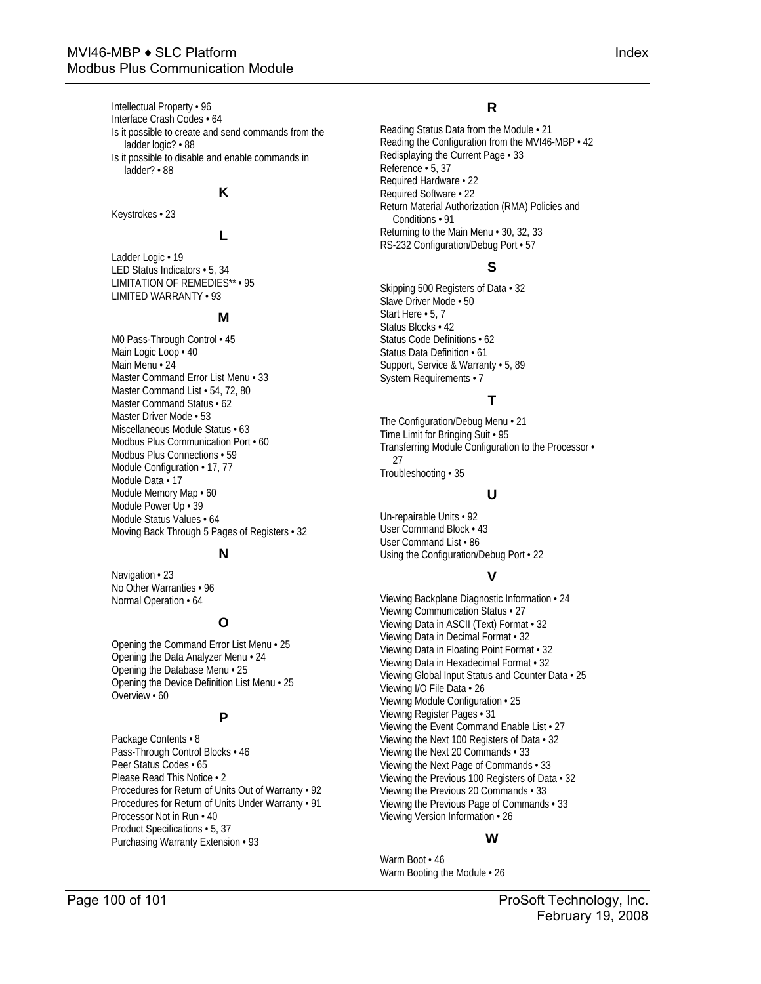Intellectual Property • 96 Interface Crash Codes • 64 Is it possible to create and send commands from the ladder logic? • 88 Is it possible to disable and enable commands in

ladder? • 88

#### **K**

Keystrokes • 23

#### **L**

Ladder Logic • 19 LED Status Indicators • 5, 34 LIMITATION OF REMEDIES\*\* • 95 LIMITED WARRANTY • 93

#### **M**

M0 Pass-Through Control • 45 Main Logic Loop • 40 Main Menu • 24 Master Command Error List Menu • 33 Master Command List · 54, 72, 80 Master Command Status • 62 Master Driver Mode • 53 Miscellaneous Module Status • 63 Modbus Plus Communication Port • 60 Modbus Plus Connections • 59 Module Configuration • 17, 77 Module Data • 17 Module Memory Map • 60 Module Power Up • 39 Module Status Values • 64 Moving Back Through 5 Pages of Registers • 32

#### **N**

Navigation • 23 No Other Warranties • 96 Normal Operation • 64

### **O**

Opening the Command Error List Menu • 25 Opening the Data Analyzer Menu • 24 Opening the Database Menu • 25 Opening the Device Definition List Menu • 25 Overview • 60

#### **P**

Package Contents • 8 Pass-Through Control Blocks • 46 Peer Status Codes • 65 Please Read This Notice • 2 Procedures for Return of Units Out of Warranty • 92 Procedures for Return of Units Under Warranty • 91 Processor Not in Run • 40 Product Specifications • 5, 37 Purchasing Warranty Extension • 93

#### **R**

Reading Status Data from the Module • 21 Reading the Configuration from the MVI46-MBP • 42 Redisplaying the Current Page • 33 Reference • 5, 37 Required Hardware • 22 Required Software • 22 Return Material Authorization (RMA) Policies and Conditions • 91 Returning to the Main Menu • 30, 32, 33 RS-232 Configuration/Debug Port • 57

#### **S**

Skipping 500 Registers of Data • 32 Slave Driver Mode • 50 Start Here  $\cdot$  5, 7 Status Blocks • 42 Status Code Definitions • 62 Status Data Definition • 61 Support, Service & Warranty • 5, 89 System Requirements • 7

#### **T**

The Configuration/Debug Menu • 21 Time Limit for Bringing Suit • 95 Transferring Module Configuration to the Processor • 27 Troubleshooting • 35

#### **U**

Un-repairable Units • 92 User Command Block • 43 User Command List • 86 Using the Configuration/Debug Port • 22

#### **V**

Viewing Backplane Diagnostic Information • 24 Viewing Communication Status • 27 Viewing Data in ASCII (Text) Format • 32 Viewing Data in Decimal Format • 32 Viewing Data in Floating Point Format • 32 Viewing Data in Hexadecimal Format • 32 Viewing Global Input Status and Counter Data • 25 Viewing I/O File Data • 26 Viewing Module Configuration • 25 Viewing Register Pages • 31 Viewing the Event Command Enable List • 27 Viewing the Next 100 Registers of Data • 32 Viewing the Next 20 Commands • 33 Viewing the Next Page of Commands • 33 Viewing the Previous 100 Registers of Data • 32 Viewing the Previous 20 Commands • 33 Viewing the Previous Page of Commands • 33 Viewing Version Information • 26

#### **W**

Warm Boot • 46 Warm Booting the Module • 26